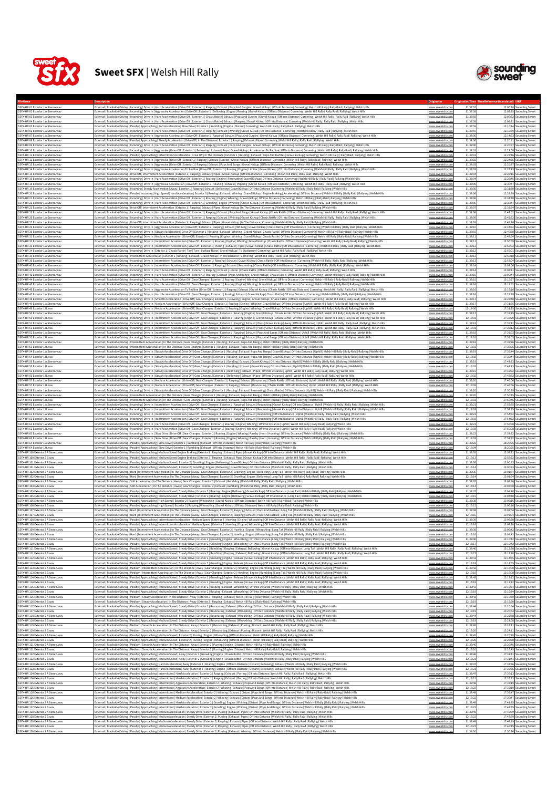



| 12:00:18 Sounding Sweet<br>SSFX-HR 02 Exterior 1 A Stereo.way<br>External   Trackside Driving   Incoming   Drive In   Aggressive Acceleration   Drive Off   Exterior 1   Bellowing   Engine   Roaring   Gravel Kickup   Off Into Distance   Cornering   Welsh Hill Rally   Raily Raild   Rallyi<br>11:37:58<br>12:02:25 Sounding Sweet<br>/ww.sweetsfx.i<br>External   Trackside Driving   Incoming   Drive In   Hard Acceleration   Drive Off   Exterior 1   Chasis Rattle   Exhaust   Pops And Gurgles   Gravel Kickup   Off Into Distance   Cornering   Welsh Hill Rally   Rally Raid  <br>SSFX-HR 03 Exterior 1 A Stereo.way<br>www.sweetsfx.co<br>11:37:58<br>12:06:32 Sounding Sweet<br>SSFX-HR 04 Exterior 1 A Stereo.way<br>[Trackside Driving   Incoming   Drive In   Hard Acceleration   Drive Off   Exterior 1   Chasis Rattle   Exhaust   Rasping   Gravel Kickup   Off Into Distance   Cornering   Welsh Hill Rally   Rally Raid   Rallying   Welsh H<br>11:37:5<br>12:08:31 Sounding Sweet<br><u>www.sweetsfx.co</u><br>SSFX-HR 05 Exterior 1 A Stereo.way<br>External   Trackside Driving   Passby   Approaching   Soft Acceleration   Slow Drive   Exterior 1   Rumbling   Engine   Distant   Cornering   Welsh Hill Rally   Rally Raid   Rallying   Welsh Hills<br>11:37:59<br>12:10:14 Sounding Sweet<br>SSFX-HR 06 Exterior 1 A Stereo.way<br>External   Trackside Driving   Incoming   Drive In   Hard Acceleration   Drive Off   Exterior 1   Rasping   Exhaust   Whining   Gravel Kickup   Off Into Distance   Cornering   Welsh Hill Rally   Rally Raid   Rallying   Wel<br>11:37:59<br>12:10:39 Sounding Sweet<br>www.sweetsfx.cr<br>SSFX-HR 07 Exterior 1 A Stereo.way<br>External   Trackside Driving   Incoming   Drive In   Aggressive Acceleration   Drive Off   Exterior 1   Rasping   Exhaust   Pops And Gurgles   Gravel Kickup   Off Into Distance   Cornering   Welsh Hill Rally   Rally Rally<br>11:38:00<br>12:14:33 Sounding Sweet<br>www.sweetsfx.co<br>SSFX-HR 08 Exterior 1 A Stere<br>xternal   Trackside Driving   Passby   Approaching   Steady Acceleration   Drive Off   In The Distance   Exterior 1   Rasping   Exhaust   Pipes   Cornering   Welsh Hill Rally Rally Rally Rally Rally I Rallying   Welsh Hill<br>11:38:0<br>12:20:11<br>unding Sweet<br>SSFX-HR 09 Exterior 1 A Stereo.way<br>External   Trackside Driving   Incoming   Drive In   Hard Acceleration   Drive Off   Exterior 1   Rasping   Exhaust   Pops And Gurgles   Gravel Kickup   Off Into Distance   Cornering   Welsh Hill Rally   Rally Raid   Rally<br>11:38:00<br>12:20:37 Sounding Sweet<br>vww.sweetsfx.co<br>SSEX-HR 10 Exterior 1 A Stereo way<br>External   Trackside Driving   Incoming   Drive In   Aggressive   Drive Off   Exterior 1   Bellowing   Exhaust   Pops   Gravel Kickup   Acceleration To Redline   Off Into Distance   Cornering   Welsh Hill Rally   Rally Rai<br>11:38:01<br>12:22:08 Sounding Sweet<br>www.sweetsfx.co<br>SSFX-HR 11 Exterior 1 A Stereo.way<br>External   Trackside Driving   Passby   Approaching   Intermittent Acceleration   Drive Off   In The Distance   Exterior 1   Rasping   Exhaust   Pops And Burbles   Gravel Kickup   Cornering   Welsh Hill Rally   Rally Raid<br>11:38:03<br>12:23:46 Sounding Sweet<br>SSFX-HR 12 Exterior 1 A Stereo.way<br>External   Trackside Driving   Incoming   Drive In   Aggressive   Drive Off   Exterior 1   Rasping   Exhaust   Limiter   Gravel Kickup   Off Into Distance   Cornering   Welsh Hill Rally   Rally Raid   Rallying   Welsh Hill<br>11:38:02<br>12:24:36 Sounding Sweet<br>vww.sweetsfx.cc<br>External   Trackside Driving   Incoming   Drive In   Aggressive   Drive Off   Exterior 1   Rasping   Exhaust   Pops And Bangs   Gravel Kickup   Off Into Distance   Cornering   Welsh Hill Rally   Rally Raid   Rallying   Wel<br>SSFX-HR 13 Exterior 1 A Stereo.way<br>11:38:03<br>12:25:37 Sounding Sweet<br>www.sweetsfx.co<br>SSFX-HR 14 Exterior 1 A Stereo.way<br>External   Trackside Driving   Incoming   Drive In   Aggressive Acceleration To Redline   Drive Off   Exterior 1   Roaring   Engine   Limiter   Gravel Kickup   Off Into Distance   Cornering   Welsh Hill Rally   Rally Raid<br>11:38:03<br>12:26:43 S<br>ounding Sweet<br>www.sweetsfx.c<br>SSFX-HR 15 Exterior 1 A Stere<br>External   Trackside Driving   Drive Off   Intermittent Acceleration   Exterior 1   Rasping   Exhaust   Pipes   Gravel Kickup   Off Into Distance   Cornering   Welsh Hill Rally   Rally Raild   Rallying   Welsh Hill<br>11:38:04<br>12:28:16<br>unding Sweet<br>SSFX-HR 16 Exterior 1 A Stereo.way<br>External   Trackside Driving   Incoming   Drive In   Hard Acceleration   Drive Off   Exterior 1   Roaring   Engine   Resonating   Gravel Kickup   Off Into Distance   Comering   Welsh Hill Rally   Rally Raid   Rallying   We<br>11:38:04<br>12:28:45 Sounding Sweet<br><u>www.sweetsfx.co</u><br>SSFX-HR 18 Exterior 1 A Stereo.way<br>External   Trackside Driving   Incoming   Drive In   Aggressive Acceleration   Drive Off   Exterior 1   Howling   Exhaust   Popping   Gravel Kickup   Off Into Distance   Comering   Welsh Hill Rally   Rally Raid   Rallying<br>11:38:05<br>12:30:47 Sounding Sweet<br>www.sweetsfx.cc<br>SSFX-HR 19 Exterior 1 A Stereo.way<br>External   Trackside Driving   Incoming   Steady Acceleration   Away   Exterior 1   Rasping   Exhaust   Bellowing   Gravel Kickup   Off Into Distance   Cornering   Welsh Hill Rally   Rally Raid   Rallying   Welsh Hills<br>11:38:05<br>12:31:30 Sounding Sweet<br>www.sweetsfx.co<br>SSFX-HR 20 Exterior 1 A Stereo.wav<br>External   Trackside Driving   Passby   Incoming   High Speed   Hard Acceleration   Exterior 3   Roaring   Exhaust   Whining   Gravel Kickup   Engine Braking   Accelerating   Off Into Distance   Welsh Hill Rally   Raily Ra<br>11:38:06<br>12:32:39 Sounding Sweet<br>www.sweetsfx.co<br>[Sternal   Trackside Driving   Incoming   Drive In   Hard Acceleration   Drive Off   Exterior 1   Roaring   Engine   Whining   Gravel Kickup   Off Into Distance   Cornering   Welsh Hill Rally Raily Raid   Rallying   Welsh<br>12:34:48 Sounding Sweet<br>SSFX-HR 21 Exterior 1 A Stereo.wav<br>11:38:06<br>www.sweetsfx.cc<br>SSFX-HR 22 Exterior 1 A Stereo.way<br>External   Trackside Driving   Incoming   Drive In   Hard Acceleration   Drive Off   Exterior 1   Growling   Engine   Whining   Gravel Kickup   Off Into Distance   Cornering   Welsh Hill Rally   Rally Rally Rally Rajd   Ra<br>11:38:00<br>12:36:44 Sounding Sweet<br>SSFX-HR 23 Exterior 1 A Stereo.wa<br>12:37:54 Sounding Sweet<br>External   Trackside Driving   Drive Off   Intermittent Acceleration   Exterior 1   Rasping   Exhaust   Pipes   Gravel Kickup   In The Distance   Cornering   Welsh Hill Rally Railly Railly Railly Rallying   Welsh Hill<br>11:38:07<br>SSFX-HR 25 Exterior 1 A Stereo.way<br>External   Trackside Driving   Incoming   Drive In   Hard Acceleration   Drive Off   Exterior 1   Rasping   Exhaust   Pops And Bangs   Gravel Kickup   Chasis Rattle   Off Into Distance   Cornering   Welsh Hills Ally   Rall<br>11:38:08<br>12:41:02 Sounding Sweet<br><u>www.sweetsfx.co</u><br>SSFX-HR 26 Exterior 1 A Stereo.way<br>External   Trackside Driving   Incoming   Drive In   Hard Acceleration   Drive Off   Exterior 1   Rasping   Exhaust   Whining   Gravel Kickup   Chasis Rattle   Off Into Distance   Cornering   Welsh Hill Rally   Rally Raid<br>11:38:09<br>12:42:32 Sounding Sweet<br>www.sweetsfx.cc<br>SSFX-HR 27 Exterior 1 A Stereo.way<br>External   Trackside Driving   Drive Off   Intermittent Acceleration   Exterior 1   Rasping   Exhaust   Pipes   Gravel Kickup   In The Distance   Cornering   Welsh Hill Rally   Raily   Raily Rail   Rallying   Welsh Hills<br>11:38:09<br>12:43:16 Sounding Sweet<br>vww.sweetsfx.com<br>SSFX-HR 29 Exterior 1 A Stereo.way<br>External   Trackside Driving   Incoming   Drive In   Aggressive Acceleration   Drive Off   Exterior 1   Rasping   Exhaust   Whining   Gravel Kickup   Chasis Rattle   Off Into Distance   Cornering   Welsh Hill Rally   Rally<br>11:38:10<br>12:44:32 Sounding Sweet<br>www.sweetsfx.cc<br>12:46:58 Sounding Sweet<br>SSFX-HR 30 Exterior 1 A Stereo.way<br>[Rativing] Incoming   Drive In   Steady Acceleration   Drive Off   Exterior 1   Rasping   Exhaust   Whining   Gravel Kickup   Chasis Rattle   Off Into Distance   Cornering   Welsh Hill Rally   Rally Raid   Rallying   Welsh<br>11:38:10<br>www.sweetsfx.e<br>SSFX-HR 31 Exterior 1 A Stereo.way<br>External   Trackside Driving   Incoming   Drive In   Medium Acceleration   Drive Off   Exterior 1   Roaring   Engine   Whining   Gravel Kickup   Chasis Rattle   Off Into Distance   Cornering   Welsh Hills Rally   Rally Rai<br>11:38:11<br>12:48:54 Sounding Sweet<br>www.sweetsfx.co<br>SSFX-HR 32 Exterior 1 A Stereo.way<br>External   Trackside Driving   Incoming   Drive In   Intermittent Acceleration   Drive Off   Exterior 1   Roaring   Engine   Whining   Gravel Kickup   Chasis Rattle   Off Into Distance   Cornering   Welsh Hill Rally   Rall<br>11:38:11<br>12:50:59 Sounding Sweet<br>ww.sweetsfx.c<br>SSFX-HR 33 Exterior 1 A Stereo.way<br>External   Trackside Driving   Incoming   Drive In   Intermittent Acceleration   Drive Off   Exterior 1   Purring   Exhaust   Pipes   Gravel Kickup   Chasis Rattle   Off Into Distance   Cornering   Welsh Hill Rally   Rally<br>11:38:12<br>12:53:02 Sounding Sweet<br>SSFX-HR 34 Exterior 1 A Stereo.way<br>External   Trackside Driving   Incoming   Drive In   Exterior 1   Chasis Rattle   Tire   Tyre   Surface Noise   Gravel Kickup   To Stationary   Cornering   Welsh Hill Rally   Rally   Rally Raid   Rallying   Welsh Hills<br>11:38:12<br>12:55:01 Sounding Sweet<br>www.sweetsfx.co<br>SSFX-HR 35 Exterior 1 A Stereo.way<br>12:56:10 Sounding Sweet<br>External   Trackside Driving   Intermittent Acceleration   Exterior 1   Rasping   Exhaust   Gravel Kickup   In The Distance   Cornering   Welsh Hill Rally   Rally Raid   Rallying   Welsh Hills<br>11:38:12<br><u>www.sweetsfx.co</u><br>SSFX-HR 36 Exterior 1 A Stereo.way<br>External   Trackside Driving   Incoming   Drive In   Intermittent Acceleration   Drive Off   Exterior 1   Rasping   Exhaust   Gravel Kickup   Chasis Rattle   Off Into Distance   Cornering   Welsh Hill Rally   Rally Raid  <br>11:38:13<br>12:57:04 Sounding Sweet<br><u>ww.sweetsfx.c</u><br>SSFX-HR 40 Exterior 1 A Stereo.way<br>External   Trackside Driving   Incoming   Drive In   Intermittent Acceleration   Drive Off   Exterior 1   Rasping   Exhaust   Resonating   Chasis Rattle   Off Into Distance   Cornering   Welsh Hill Rally   Rally Raid   Ral<br>11:38:14<br>13:02:06 Sounding Sweet<br>www.sweetsfx.c<br>SSFX-HR 41 Exterior 1 A Stereo.way<br>[Raternal   Trackside Driving   Incoming   Drive In   Hard Acceleration   Drive Off   Exterior 1   Rasping   Exhaust   Limiter   Chasis Rattle   Off Into Distance   Cornering   Welsh Hill Rally   Rally Raid   Rallying   We<br>11:38:14<br>13:03:11<br>unding Sweet<br><u>vww.sweetsfx.co</u><br>SSFX-HR 42 Exterior 1 A Stereo.way<br>External   Trackside Driving   Incoming   Drive In   Hard Acceleration   Drive Off   Exterior 1   Roaring   Exhaust   Pops And Bangs   Gravel Kickup   Chasis Rattle   Off Into Distance   Cornering   Welsh Hills Rally   Ral<br>11:38:15<br>13:06:44 Sounding Sweet<br>ww.sweetsfx.c<br>SSFX-HR 44 Exterior 1 A Stereo.way<br>External   Trackside Driving   Incoming   Drive In   Hard Acceleration   Drive Off   Gear Changes   Exterior 1   Roaring   Engine   Whining   Gravel Kickup   Off Into Distance   Cornering   Welsh Hill Rally   Rally Raid  <br>11:38:15<br>13:15:37 Sounding Sweet<br>www.sweetsfx.co<br>SSEX-HR 45 Exterior 1 A Stereo way<br>External   Trackside Driving   Incoming   Drive In   Hard Acceleration   Drive Off   Gear Changes   Exterior 1   Roaring   Engine   Whining   Gravel Kickup   Off Into Distance   Cornering   Welsh Hill Rally   Rally Raid  <br>11:38:16<br>13:17:52 Sounding Sweet<br>www.sweetsfx.co<br>SSFX-HR 46 Exterior 1 A Stereo.way<br>External   Trackside Driving   Incoming   Drive In   Aggressive Acceleration To Redline   Drive Off   Exterior 1   Rasping   Exhaust   Gravel Kickup   Chasis Rattle   Off Into Distance   Cornering   Welsh Hills Rally Raid<br>11:38:1<br>13:19:16 Sounding Sweet<br><u>vww.sweetsfx.</u><br>SSFX-HR 47 Exterior 1 A Stereo.way<br>11:38:16<br>External   Trackside Driving   Incoming   Drive In   Hard Acceleration   Drive Off   Gear Changes   Exterior 1   Purring   Exhaust   Gravel Kickup   Chasis Rattle   Off Into Distance   Cornering   Welsh Hills Rally   Rally<br>13:21:18 Sounding Sweet<br>SSFX-HR 48 Exterior 1 A Stereo.way<br>External   Trackside Driving   Incoming   Drive In   Smooth Acceleration   Drive Off   Gear Changes   Exterior 1   Growling   Engine   Gravel Kickup   Chasis Rattle   Off Into Distance   Cornering   Welsh Hill Rally   Rail<br>13:23:48 Sounding Sweet<br>www.sweetsfx.co<br>11:38:17<br>SSFX-HR 49 Exterior 1 A Stereo.way<br>[Atternal Trackside Driving Incoming Drive In Medium Acceleration Drive Off Gear Changes Exterior 1 Roaring Engine Whining Gravel Kickup Off Into Distance Uphill Welsh Hill Rally Rally Raal Rallying Welsh Hill<br>11:38:17<br>17:31:25 Sounding Sweet<br><u>vww.sweetsfx.co</u><br>SSFX-HR 49 Exterior 1 B.wa<br>External   Trackside Driving   Incoming   Drive In   Medium Acceleration   Drive Off   Gear Changes   Exterior 1   Roaring   Engine   Whining   Gravel Kickup   Off Into Distance   Uphill   Welsh Hill Rally   Rally Raid   R<br>$12 - 16 - 00$<br>17:31:25 Sounding Sweet<br>SSFX-HR 50 Exterior 1 A Stereo.way<br>External   Trackside Driving   Incoming   Drive In   Intermittent Acceleration   Drive Off   Gear Changes   Exterior 1   Roaring   Engine   Gravel Kickup   Chasis Rattle   Off Into Distance   Uphill   Welsh Hills Rally   R<br>11:38:17<br>17:33:29 Sounding Sweet<br>www.sweetsfx.co<br>SSFX-HR 50 Exterior 1 B.way<br>xternal   Trackside Driving   Incoming   Drive In   Intermittent Acceleration   Drive Off   Gear Changes   Exterior 1   Roaring   Engine   Gravel Kickup   Chasis Rattle   Off Into Distance   Uphill   Welsh Hill Rally   Ral<br>17:33:29 Sounding Sweet<br>12:16:01<br><u>www.sweetsfx.co</u><br>SSFX-HR 51 Exterior 1 A Stereo.way<br>17:35:12<br>[John Prackside Driving   Incoming   Drive In   Intermittent Acceleration   Drive Off   Gear Changes   Exterior 1   Rasping   Exhaust   Pops   Gravel Kickup   Away   Off Into Distance   Uphill   Welsh Hill Rally Raid   Ral<br>11:38:1<br>unding Sweet<br>SSFX-HR 51 Exterior 1 B.wav<br>External   Trackside Driving   Incoming   Drive In   Intermittent Acceleration   Drive Off   Gear Changes   Exterior 1   Rasping   Exhaust   Pops   Gravel Kickup   Away   Off Into Distance   Uphill   Webh Hill Rally   Rall<br>12:16:01<br>17:35:12 Sounding Sweet<br>ww.sweetsfx.cc<br>SSEX-HR 52 Exterior 1 A Stereo way<br>External   Trackside Driving   Incoming   Drive In   Intermittent Acceleration   Drive Off   Gear Changes   Exterior 1   Rasping   Exhaust   Pops And Bangs   Off Into Distance   Uphill   Welsh Hill Rally   Rally Raid   Ral<br>11:38:18<br>17:37:03 Sounding Sweet<br>www.sweetsfx.co<br>SSFX-HR 52 Exterior 1 B.way<br>External   Trackside Driving   Incoming   Drive In   Intermittent Acceleration   Drive Off   Gear Changes   Exterior 1   Rasping   Exhaust   Pops And Bangs   Off Into Distance   Uphill   Welsh Hill Rally   Rally Raid   Ral<br>12:16:01<br>17:37:03 Sounding Sweet<br>/ww.swe<br>SSFX-HR 53 Exterior 1 A Stereo.wa<br>External   Trackside Driving   Intermittent Acceleration   In The Distance   Gear Changes   Exterior 1   Rasping   Exhaust   Pops And Bangs   Welsh Hill Rally   Rally Rally Raid   Rallying   Welsh Hills<br>11:38:18<br>17:38:26 Sounding Sweet<br>ww.sweetsfx.cr<br>External   Trackside Driving   Intermittent Acceleration   In The Distance   Gear Changes   Exterior 1   Rasping   Exhaust   Pops And Bangs   Welsh Hill Rally   Rally Rally Raid   Rallying   Welsh Hills<br>17:38:26 Sounding Sweet<br>SSFX-HR 53 Exterior 1 B.way<br>12:16:01<br>www.sweetsfx.com<br>SSFX-HR 54 Exterior 1 A Stereo.way<br>17:39:44 Sounding Sweet<br>External   Trackside Driving   Incoming   Drive In   Steady Acceleration   Drive Off   Gear Changes   Exterior 1   Rasping   Exhaust   Pops And Bangs   Gravel Kickup   Off Into Distance   Uphill   Welsh Hills Rally   Raily<br>11:38:19<br>www.sweetsfx.co<br>SSFX-HR 54 Exterior 1 B.wa<br>17:39:44<br>xternal   Trackside Driving   Incoming   Drive In   Steady Acceleration   Drive Off   Gear Changes   Exterior 1   Rasping   Exhaust   Pops And Bangs   Gravel Kickup   Off Into Distance   Uphill   Welsh Hill Rally   Raily R<br>12:16:0<br>unding Sweet<br>SSFX-HR 55 Exterior 1 A Stereo.way<br>[Raternal   Trackside Driving   Incoming   Drive In   Steady Acceleration   Drive Off   Gear Changes   Exterior 1   Gurgling   Exhaust   Gravel Kickup   Off Into Distance   Uphill   Welsh Hill Rally   Rally Raid   Rallying<br>11:38:19<br>17:41:23 Sounding Sweet<br>www.sweetsfx.co<br>SSFX-HR 55 Exterior 1 B.way<br>External   Trackside Driving   Incoming   Drive In   Steady Acceleration   Drive Off   Gear Changes   Exterior 1   Gurgling   Exhaust   Gravel Kickup   Off Into Distance   Uphill   Welsh Hill Rally   Rally Raid   Rallying<br>12:16:02<br>17:41:23 Sounding Sweet<br>www.sweetsfx.co<br>SSFX-HR 56 Exterior 1 A Stereo.way<br>External   Trackside Driving   Incoming   Drive In   Steady Acceleration   Drive Off   Gear Changes   Exterior 1   Bellowing   Exhaust   Pipes   Off Into Distance   Uphill   Welsh Hill Rally   Rally Raid   Rallying   Welsh<br>11:38:19<br>17:43:32 Sounding Sweet<br>SSFX-HR 56 Exterior 1 B.way<br>External   Trackside Driving   Incoming   Drive In   Steady Acceleration   Drive Off   Gear Changes   Exterior 1   Bellowing   Exhaust   Pipes   Off Into Distance   Uphill   Welsh Hill Rally   Rally Raid   Rallying   Welsh<br>12:16:02<br>17:43:32 Sounding Sweet<br>vww.sweetsfx.co<br>17:46:06 Sounding Sweet<br>SSFX-HR 57 Exterior 1 A Stereo.way<br>[Raternal   Trackside Driving   Incoming   Drive In   Medium Acceleration   Drive Off   Gear Changes   Exterior 1   Rasping   Exhaust   Resonating   Chasis Rattle   Off Into Distance   Uphill   Welsh Hill Rally   Rally Rai<br>11:38:20<br>www.sweetsfx.co<br>17:46:06 Sounding Sweet<br>SSFX-HR 57 Exterior 1 B.way<br>External   Trackside Driving   Incoming   Drive In   Medium Acceleration   Drive Off   Gear Changes   Exterior 1   Rasping   Exhaust   Resonating   Chasis Rattle   Off Into Distance   Uphill   Welsh Hill Rally   Raily   Ra<br>12:16:02<br>vww.sweetsfx.c<br>SSFX-HR 58 Exterior 1 A Stereo.w<br>17:50:29 Sounding Sweet<br>External   Trackside Driving   Incoming   Drive In   Steady Acceleration   Drive Off   Gear Changes   Exterior 1   Rasping   Exhaust   Resonating   Chasis Rattle   Off Into Distance   Uphill   Welsh Hill Rally   Rally Raid<br>11:38:20<br>SSFX-HR 59 Exterior 1 A Stereo.wav<br>External   Trackside Driving   Intermittent Acceleration   In The Distance   Gear Changes   Exterior 1   Rasping   Exhaust   Pops And Bangs   Welsh Hill Rally   Rally Raid   Rallying   Welsh Hills<br>11:38:20<br>17:50:45 Sounding Sweet<br><u>www.sweetsfx.co</u><br>SSFX-HR 59 Exterior 1 B.way<br>External   Trackside Driving   Intermittent Acceleration   In The Distance   Gear Changes   Exterior 1   Rasping   Exhaust   Pops And Bangs   Welsh Hill Rally   Rally Raild   Rallying   Welsh Hills<br>12:16:03<br>17:50:45 Sounding Sweet<br>www.sweetsfx.co<br>SSFX-HR 60 Exterior 1 A Stereo.way<br>11:38:21<br>17:52:35 Sounding Sweet<br>External   Trackside Driving   Incoming   Drive In   Intermittent Acceleration   Drive Off   Gear Changes   Exterior 1   Rasping   Exhaust   Resonating   Gravel Kickup   Off Into Distance   Uphill   Welsh Hill Rally   Rall<br>www.sweetstx.co<br>SSFX-HR 60 Exterior 1 B.wa<br>12:16:03<br>17:52:35 Sounding Sweet<br>External   Trackside Driving   Incoming   Drive In   Intermittent Acceleration   Drive Off   Gear Changes   Exterior 1   Rasping   Exhaust   Resonating   Gravel Kickup   Off Into Distance   Uphill   Welsh Hill: Rally   Ral<br>www.sweetsfx.co<br>17:54:32 Sounding Sweet<br>SSFX-HR 61 Exterior 1 A Stereo.way<br>[Sternal   Trackside Driving   Incoming   Drive In   Intermittent Acceleration   Drive Off   Gear Changes   Exterior 1   Rasping   Exhaust   Resonating   Off Into Distance   Uphill   Welsh Hill Rally   Rally Raid   Rallyin<br>11:38:21<br>www.sweetsfx.co<br>SSFX-HR 61 Exterior 1 B.way<br>12:16:03<br>17:54:32 Sounding Sweet<br>[1] [17ackside Driving   Incoming   Drive In   Intermittent Acceleration   Drive Off   Gear Changes   Exterior 1   Rasping   Exhaust   Resonating   Off Into Distance   Uphill   Welsh Hill Rally   Rally Raid   Rallying   We<br>www.sweetsfx.cc<br>SSFX-HR 62 Exterior 1 A Stereo.way<br>External   Trackside Driving   Incoming   Drive In   Hard Acceleration   Drive Off   Gear Changes   Exterior 1   Roaring   Engine   Whining   Off Into Distance   Uphill   Welsh Hill Rally   Rally Raid   Rallying   Welsh Hi<br>11:38:21<br>17:56:08 Sounding Sweet<br><u>rww.sweetsfx.co</u><br>SSFX-HR 62 Exterior 1 B.way<br>External   Trackside Driving   Incoming   Drive In   Hard Acceleration   Drive Off   Gear Changes   Exterior 1   Roaring   Engine   Whining   Off Into Distance   Uphill   Welsh Hill Rally   Rally Raid   Rallying   Welsh Hi<br>12:16:03<br>17:56:08 Sounding Sweet<br>vww.sweetsfx.c<br>SSFX-HR 63 Exterior 1 A Stereo.way<br>External   Trackside Driving   Incoming   Drive In   Slow Drive   Drive Off   Gear Changes   Exterior 1   Roaring   Engine   Whining   Passby   Horn   Honking   Off Into Distance   Welsh Hill Rally   Rally Rally Rally Rall<br>11:38:22<br>17:57:32 Sounding Sweet<br>www.sweetsfx.co<br>SSFX-HR 63 Exterior 1 B.wa<br>[Machinal] Trackside Driving   Incoming   Drive In   Slow Drive   Drive Off   Gear Changes   Exterior 1   Roaring   Engine   Whining   Passby   Horn   Honking   Off Into Distance   Welsh Hill Rally   Rally Raid   Rallying<br>12:16:03<br>17:57:32 Sounding Sweet<br><u>www.sweetsfx.co</u><br>SSFX-HR 64 Exterior 1 A Stereo.wa<br>18:20:25<br>External   Trackside Driving   Passby   Approaching   Slow Drive   Exterior 1   Rumbling   Exhaust   Off Into Distance   Welsh Hill Rally   Rally Raid   Rallying   Welsh Hills<br>11:38:22<br>unding Sweet<br>vww.sweetsfx.co<br>SSFX-HR 64 Exterior 1 B.way<br>External   Trackside Driving   Passby   Approaching   Slow Drive   Exterior 1   Rumbling   Exhaust   Off Into Distance   Welsh Hill Rally   Rally Raid   Rallying   Welsh Hills<br>12:16:04<br>18:20:25 S<br><b>bunding</b> Sweet<br>www.sweetsfx.e<br>SSFX-HR 100 Exterior 2 A Stereo.way<br>11:38:35<br>12:58:22 Sounding Sweet<br>External   Trackside Driving   Passby   Approaching   Medium Speed Engine Braking   Exterior 2   Rasping   Exhaust   Pipes   Gravel Kickup   Off Into Distance   Welsh Hill Rally   Rally Raild   Rallying   Welsh Hill<br>www.sweetsfx.co<br>SSFX-HR 100 Exterior 2 B.way<br>External   Trackside Driving   Passby   Approaching   Medium Speed Engine Braking   Exterior 2   Rasping   Exhaust   Pipes   Gravel Kickup   Off Into Distance   Welsh Hill Rally   Raily Raid   Rallying   Welsh Hills<br>12:16:13<br>12:58:22 Sounding Sweet<br><u>vww.sweetsfx.c</u><br>SSFX-HR 101 Exterior 2 A Stereo.way<br>External   Trackside Driving   Passby   Approaching   Medium Speed   Exterior 2   Growling   Engine   Bellowing   Gravel Kickup   Off Into Distance   Welsh Hill Rally   Rally Raid   Rallying   Welsh Hills<br>11:38:36<br>13:00:33 Sounding Sweet<br>SSFX-HR 101 Exterior 2 B.way<br>External   Trackside Driving   Passby   Approaching   Medium Speed   Exterior 2   Growling   Engine   Bellowing   Gravel Kickup   Off Into Distance   Welsh Hill Rally   Rally Ralid   Rallying   Welsh Hills<br>12:16:14<br>13:00:33 Sounding Sweet<br>www.sweetsfx.co<br>SSFX-HR 102 Exterior 2 A Stere<br>[Rational   Trackside Driving   Hard   Intermittent Acceleration   In The Distance   Away   Gear Changes   Exterior 2   Growling   Engine   Bellowing   Long Tail   Welsh Hill Rally   Rally Raid   Rallying   Welsh Hills<br>11:38:36<br>13:01:54 Sounding Sweet<br>www.sweetstx<br>SSFX-HR 102 Exterior 2 B.wav<br>External   Trackside Driving   Hard   Intermittent Acceleration   In The Distance   Away   Gear Changes   Exterior 2   Growling   Engine   Bellowing   Long Tail   Welsh Hill Rally   Rally Raild   Rallying   Welsh Hill!<br>12:16:14<br>13:01:54 Sounding Sweet<br>ww.sweetsfx.co<br>SSFX-HR 104 Exterior 2 A Stereo.way<br>External   Trackside Driving   Soft Acceleration   In The Distance   Away   Gear Changes   Exterior 2   Exhaust   Rumbling   Welsh Hill Rally Rally Raild   Rallying   Welsh Hills<br>13:03:50 Sounding Sweet<br>www.sweetsfx.co<br>11:38:37<br>SSFX-HR 104 Exterior 2 B.wav<br>External   Trackside Driving   Soft Acceleration   In The Distance   Away   Gear Changes   Exterior 2   Exhaust   Rumbling   Welsh Hill Rally   Rally Raild   Rallying   Welsh Hills<br>12:16:14<br>13:03:50<br>ounding Sweet<br>ww.sweetsfx.co<br>SSFX-HR 105 Exterior 2 A Stereo.wa<br>External   Trackside Driving   Passby   Approaching   Medium Speed   Steady Drive   Exterior 2   Roaring   Engine   Bellowing   Gravel Kickup   Off Into Distance   Long Tail   Welsh Hill Rally   Rally Raid   Rallying   Wel<br>11:38:37<br>13:04:40 Sounding Sweet<br>SSFX-HR 105 Exterior 2 B.wav<br>External   Trackside Driving   Passby   Approaching   Medium Speed   Steady Drive   Exterior 2   Roaring   Engine   Bellowing   Gravel Kickup   Off Into Distance   Long Tail   Welsh Hill Rally   Rally Raid   Rallying   Wel<br>12:16:15<br>13:04:40 Sounding Sweet<br>www.sweetsfx.cc<br>SSFX-HR 106 Exterior 2 A Stereo.way<br>[Naternal   Trackside Driving   Passby   Approaching   High Speed   Exterior 2   Rasping   Whooshing   Gravel Kickup   Off Into Distance   Welsh Hill Rally   Rally Raid   Rallying   Welsh Hills<br>11:38:38<br>13:06:16 Sounding Sweet<br><u>www.sweetsfx.co</u><br>SSFX-HR 106 Exterior 2 B.wav<br>External   Trackside Driving   Passby   Approaching   High Speed   Exterior 2   Rasping   Whooshing   Gravel Kickup   Off Into Distance   Welsh Hill Rally   Rally Raid   Rallying   Welsh Hills<br>12:16:1<br>13:06:16<br>unding Sweet<br>SSFX-HR 107 Exterior 2 A Stereo.way<br>External   Trackside Driving   Hard   Intermittent Acceleration   In The Distance   Away   Gear Changes   Exterior 2   Rasping   Exhaust   Pops And Burbles   Long Tail   Welsh Hill Rally   Rally Raid   Rallying   Welsh Hil<br>11:38:38<br>13:07:04 Sounding Sweet<br>www.sweetsfx.com<br>SSFX-HR 107 Exterior 2 B.way<br>External   Trackside Driving   Hard   Intermittent Acceleration   In The Distance   Away   Gear Changes   Exterior 2   Rasping   Exhaust   Pops And Burbles   Long Tail   Welsh Hill Rally   Rally   Rally Raid   Rallying   W<br>12:16:16<br>13:07:04 Sounding Sweet<br>www.sweetsfx.com<br>SSFX-HR 108 Exterior 2 A Stereo.wav<br>External   Trackside Driving   Passby   Approaching   Intermittent Acceleration   Medium Speed   Exterior 2   Howling   Engine   Whooshing   Off Into Distance   Welsh Hill Rally Rally Raild   Rallying   Welsh Hills<br>11:38:39<br>13:08:30 Sounding Sweet<br><u>vww.sweetsfx.cc</u><br>SSFX-HR 108 Exterior 2 B.way<br>External   Trackside Driving   Passby   Approaching   Intermittent Acceleration   Medium Speed   Exterior 2   Howling   Engine   Whooshing   Off Into Distance   Welsh Hill Rally   Rally Rally Rally Rallying   Welsh Hill<br>12:16:16<br>13:08:30 Sounding Sweet<br>External   Trackside Driving   Hard   Intermittent Acceleration   In The Distance   Away   Gear Changes   Exterior 2   Howling   Engine   Whooshing   Long Tail   Welsh Hill Rally   Rally Raid   Rallying   Welsh Hills<br>SSFX-HR 109 Exterior 2 A Stereo.wav<br>11:38:39<br>13:09:42 Sounding Sweet<br>www.sweetsfx.com<br>SSFX-HR 109 Exterior 2 B.wav<br>13:09:42 Sounding Sweet<br>[1] [Trackside Driving   Hard   Intermittent Acceleration   In The Distance   Away   Gear Changes   Exterior 2   Howling   Engine   Whooshing   Long Tail   Welsh Hill Rally   Rally Raid   Rallying   Welsh Hills<br>12:16:16<br>www.sweetsfx.co<br>SSFX-HR 110 Exterior 2 A Stereo.wa<br>xternal   Trackside Driving   Passby   Approaching   Medium Speed   Steady Drive   Exterior 2   Growling   Engine   Whooshing   Off Into Distance   Long Tail   Welsh Hill Rally   Rally Rally Rally Rallying   Welsh Hill<br>11:38:40<br>13:10:42<br><b>Inding Sweet</b><br>SSFX-HR 110 Exterior 2 B.wav<br>External   Trackside Driving   Passby   Approaching   Medium Speed   Steady Drive   Exterior 2   Growling   Engine   Whooshing   Off Into Distance   Long Tail   Welsh Hill Rally   Rally Raid   Rallying   Welsh Hills<br>12:16:17<br>13:10:42 Sounding Sweet<br>ww.sweetsfx.co<br>SSFX-HR 111 Exterior 2 A Stereo.wav<br>External   Trackside Driving   Passby   Approaching   Medium Speed   Steady Drive   Exterior 2   Rumbling   Rasping   Exhaust   Bellowing   Gravel Kickup   Off Into Distance   Long Tail   Welsh Hill Rally   Rally Raid   Ra<br>11:38:40<br>13:12:30 Sounding Sweet<br>www.sweetsfx.co<br>SSFX-HR 111 Exterior 2 B.wav<br>External   Trackside Driving   Passby   Approaching   Medium Speed   Steady Drive   Exterior 2   Rumbling   Rasping   Exhaust   Bellowing   Gravel Kickup   Off Into Distance   Long Tail   Welsh Hill Rally   Rally Raid   Ra<br>12:16:17<br>13:12:30 Sounding Sweet<br>SSFX-HR 112 Exterior 2 A Stereo.way<br>External   Trackside Driving   Passby   Approaching   Medium Speed   Steady Drive   Exterior 2   Growling   Engine   Release   Gravel Kickup   Off Into Distance   Welsh Hill Rally   Raily   Raily Raild   Rallying   Welsh H<br>11:38:41<br>13:14:55 Sounding Sweet<br>vww.sweetsfx.co<br>External   Trackside Driving   Passby   Approaching   Medium Speed   Steady Drive   Exterior 2   Growling   Engine   Release   Gravel Kickup   Off Into Distance   Welsh Hill Rally   Rally Raid   Rallying   Welsh Hills<br>SSFX-HR 112 Exterior 2 B.wav<br>12:16:18<br>13:14:55 Sounding Sweet<br>www.sweetsfx.co<br>SSFX-HR 113 Exterior 2 A Stereo.wav<br>13:16:08 Sounding Sweet<br>External   Trackside Driving   Medium   Intermittent Acceleration   In The Distance   Away   Gear Changes   Exterior 2   Howling   Engine   Rumbling   Long Tail   Welsh Hill Rally   Rally Rally Rally Rallying   Welsh Hills<br>11:38:42<br>www.sweetsfx.co<br>SSFX-HR 113 Exterior 2 B.wav<br>External   Trackside Driving   Medium   Intermittent Acceleration   In The Distance   Away   Gear Changes   Exterior 2   Howling   Engine   Rumbling   Long Tail   Welsh Hill Rally   Rally Rally Raid   Rallying   Welsh Hill<br>www.sweetsfx.co<br>12:16:18<br>13:16:08<br>unding Sweet<br>SSFX-HR 114 Exterior 2 A Stereo.way<br>External   Trackside Driving   Passby   Approaching   Medium Speed   Steady Drive   Exterior 2   Growling   Engine   Release   Gravel Kickup   Off Into Distance   Welsh Hill Rally   Rally Raid   Rallying   Welsh Hills<br>11:38:42<br>13:17:12 Sounding Sweet<br><u>www.sweetsfx.co</u><br>SSFX-HR 114 Exterior 2 B.way<br>External   Trackside Driving   Passby   Approaching   Medium Speed   Steady Drive   Exterior 2   Growling   Engine   Release   Gravel Kickup   Off Into Distance   Welsh Hill Rally   Raily   Raily   Rallying   Welsh Hills<br>12:16:18<br>13:17:12 Sounding Sweet<br>www.sweetsfx.co<br>SSFX-HR 115 Exterior 2 A Stereo.wav<br>External   Trackside Driving   Passby   Approaching   Medium Speed   Steady Drive   Exterior 2   Rasping   Exhaust   Whooshing   Off Into Distance   Welsh Hill Rally   Rally Raid   Rallying   Welsh Hills<br>11:38:43<br>13:18:34 Sounding Sweet<br>www.sweetsfx.cor<br>SSFX-HR 115 Exterior 2 B.wav<br>External   Trackside Driving   Passby   Approaching   Medium Speed   Steady Drive   Exterior 2   Rasping   Exhaust   Whooshing   Off Into Distance   Welsh Hill Rally   Rally Raild   Rallying   Welsh Hills<br>12:16:19<br>13:18:34 Sounding Sweet<br>www.sweetsfx.co<br>External   Trackside Driving   Medium   Steady Acceleration   In The Distance   Away   Exterior 2   Rasping   Exhaust   Welsh Hill Rally   Rally Rally Raid   Rallying   Welsh Hills<br>SSFX-HR 116 Exterior 2 A Stereo.wav<br>11:38:43<br>13:19:50 Sounding Sweet<br>www.sweetsfx.co<br>SSFX-HR 116 Exterior 2 B.wav<br>13:19:50 Sounding Sweet<br>External   Trackside Driving   Medium   Steady Acceleration   In The Distance   Away   Exterior 2   Rasping   Exhaust   Welsh Hill Rally   Rally   Rally Raid   Rallying   Welsh Hills<br>12:16:19<br>www.sweetsfx.cc<br>SSEX-HR 117 Exterior 2 A Stereo way<br>External   Trackside Driving   Passby   Approaching   Medium Speed   Steady Drive   Exterior 2   Resonating   Exhaust   Whooshing   Off Into Distance   Welsh Hill Rally Rally Raild   Rallying   Welsh Hills<br>11:38:44<br>13:20:54 Sounding Sweet<br>ww.sweetsfx.cc<br>SSFX-HR 117 Exterior 2 B.way<br>External   Trackside Driving   Passby   Approaching   Medium Speed   Steady Drive   Exterior 2   Resonating   Exhaust   Whooshing   Off Into Distance   Welsh Hill Rally   Raily   Raily Raild   Rallying   Welsh Hills<br>12:16:19<br>13:20:54 Sounding Sweet<br>www.sweetsfx.co<br>SSEX-HR 118 Exterior 2 A Stereo way<br>External   Trackside Driving   Passby   Approaching   Medium Speed   Steady Drive   Exterior 2   Resonating   Exhaust   Whooshing   Off Into Distance   Welsh Hill Rally Rally Raild   Rallying   Welsh Hills<br>11:38:44<br>13:22:58 Sounding Sweet<br>www.sweetsfx.cc<br>SSFX-HR 118 Exterior 2 B.wav<br>External   Trackside Driving   Passby   Approaching   Medium Speed   Steady Drive   Exterior 2   Resonating   Exhaust   Whooshing   Off Into Distance   Welsh Hill Rally   Raily   Raily Raild   Rallying   Welsh Hills<br>12:16:19<br>13:22:58 Sounding Sweet<br>www.sweetsfx.com<br>SSFX-HR 119 Exterior 2 A Stereo.way<br>External   Trackside Driving   Medium   Smooth Acceleration   In The Distance   Away   Exterior 2   Resonating   Exhaust   Purring   Distant   Welsh Hill Rally   Rally Raid   Rallying   Welsh Hills<br>11:38:45<br>www.sweetsfx.co<br>13:24:11 Sounding Sweet<br>SSFX-HR 119 Exterior 2 B.wav<br>External   Trackside Driving   Medium   Smooth Acceleration   In The Distance   Away   Exterior 2   Resonating   Exhaust   Purring   Distant   Welsh Hill Rally   Rally Raid   Rallying   Welsh Hills<br>12:16:20<br>13:24:11 Sounding Sweet<br>www.sweetsfx.e<br>SSFX-HR 120 Exterior 2 A Stereo.wav<br>13:25:38 Sounding Sweet<br>External   Trackside Driving   Passby   Approaching   Medium Speed   Exterior 2   Purring   Engine   Whooshing   Off Into Distance   Welsh Hill Rally   Rally Raid   Rallying   Welsh Hills<br>11:38:45<br>www.sweetsfx.co<br>SSFX-HR 120 Exterior 2 B.way<br>External   Trackside Driving   Passby   Approaching   Medium Speed   Exterior 2   Purring   Engine   Whooshing   Off Into Distance   Welsh Hill Rally Raily Raily Rallying   Welsh Hills<br>12:16:20<br>13:25:38 Sounding Sweet<br><u>rww.sweetsfx.cr</u><br>SSFX-HR 121 Exterior 2 A Stereo.way<br>External   Trackside Driving   Medium   Smooth Acceleration   In The Distance   Away   Exterior 2   Purring   Engine   Distant   Welsh Hill Rally Rally Rally Rally Rallying   Welsh Hills<br>11:38:46<br>13:26:45 Sounding Sweet<br>SSFX-HR 121 Exterior 2 B.wav<br>External   Trackside Driving   Medium   Smooth Acceleration   In The Distance   Away   Exterior 2   Purring   Engine   Distant   Welsh Hill Rally   Rally Raild   Rallying   Welsh Hills<br>12:16:20<br>13:26:45 Sounding Sweet<br>www.sweetsfx.co<br>SSFX-HR 122 Exterior 2 A Stereo.way<br>External   Trackside Driving   Passby   Approaching   Medium Speed   Away   Exterior 2   Growling   Engine   Chasis Rattle   Off Into Distance   Welsh Hill Rally   Rally Raid   Rallying   Welsh Hills<br>11:38:4<br>17:31:41<br><b>Sounding Sweet</b><br><u>www.sweetstx.co</u><br>SSFX-HR 122 Exterior 2 B.wav<br>External   Trackside Driving   Passby   Approaching   Medium Speed   Away   Exterior 2   Growling   Engine   Chasis Rattle   Off Into Distance   Welsh Hill Rally   Rally Raild   Rallying   Welsh Hills<br>12:16:21<br>17:31:41 Sounding Sweet<br>ww.sweetsfx.c<br>SSFX-HR 123 Exterior 2 A Stereo.wav<br>External   Trackside Driving   Passby   Approaching   Hard Acceleration   Away   Exterior 2   Roaring   Engine   Off Into Distance   Distant   Bellowing   Exhaust   Welsh Hill Rally   Rally Raid   Rallying   Welsh Hills<br>11:38:47<br>17:33:36 Sounding Sweet<br>www.sweetsfx.cc<br>SSFX-HR 123 Exterior 2 B.wav<br>External   Trackside Driving   Passby   Approaching   Hard Acceleration   Away   Exterior 2   Roaring   Engine   Off Into Distance   Distant   Bellowing   Exhaust   Welsh Hill Rally   Rally Raid   Rallying   Welsh Hills<br>12:16:21<br>17:33:36 S<br>ounding Sweet<br><u>vww.sweetsfx.co</u><br>SSFX-HR 124 Exterior 2 A Stereo.way<br>External   Trackside Driving   Passby   Approaching   Intermittent   Hard Acceleration   Exterior 2   Rasping   Exhaust   Purring   Off Into Distance   Welsh Hill Rally   Rally Raid   Rallying   Welsh Hills<br>11:38:47<br>17:35:13 Sounding Sweet<br>ww.sweetsfx.c<br>SSFX-HR 124 Exterior 2 B.wav<br>External   Trackside Driving   Passby   Approaching   Intermittent   Hard Acceleration   Exterior 2   Rasping   Exhaust   Purring   Off Into Distance   Welsh Hill Rally Rally Raid   Rallying   Welsh Hills<br>12:16:21<br>17:35:13 Sounding Sweet<br>www.sweetsfx.co<br>SSFX-HR 125 Exterior 2 A Stereo.wav<br>External   Trackside Driving   Passby   Approaching   Intermittent   Aggressive Acceleration   Exterior 2   Whining   Exhaust   Pops And Bangs   Off Into Distance   Welsh Hill Rally   Rally   Rally Aaid   Rallying   Welsh<br>11:38:48<br>17:37:19 Sounding Sweet<br>www.sweetsfx.com<br>SSFX-HR 125 Exterior 2 B.wav<br>External   Trackside Driving   Passby   Approaching   Intermittent   Aggressive Acceleration   Exterior 2   Whining   Exhaust   Pops And Bangs   Off Into Distance   Welsh Hill Rally   Rally Raid   Rallying   Welsh Hill<br>12:16:2<br>17:37:19<br>unding Sweet<br>SSFX-HR 126 Exterior 2 A Stereo.way<br>11:38:48<br>External   Trackside Driving   Passby   Approaching   Intermittent   Medium Acceleration   Exterior 2   Whining   Exhaust   Distant   Pops And Bangs   Off Into Distance   Welsh Hill Rally   Rally Rally Rally Rajd   Rallyin<br>17:39:47 Sounding Sweet<br>ww.sweetsfx.c<br>SSFX-HR 126 Exterior 2 B.wav<br>External   Trackside Driving   Passby   Approaching   Intermittent   Medium Acceleration   Exterior 2   Whining   Exhaust   Distant   Pops And Bangs   Off Into Distance   Welsh Hill Rally   Rally Raid   Rallying   Welsh Hi<br>17:39:47 Sounding Sweet<br>www.sweetsfx.co<br>12:16:22<br>SSFX-HR 127 Exterior 2 A Stereo.wav<br>[18] [17 Arckside Driving   Passby   Approaching   Intermittent   Hard Acceleration   Exterior 2   Growling   Engine   Whining   Distant   Pops And Bangs   Off Into Distance   Welsh Hill Rally   Rally Raid   Rallying   Wel<br>11:38:49<br>17:41:35 Sounding Sweet<br><u>vww.sweetstx.co</u><br>SSFX-HR 127 Exterior 2 B.way<br>External   Trackside Driving   Passby   Approaching   Intermittent   Hard Acceleration   Exterior 2   Growling   Engine   Whining   Distant   Pops And Bangs   Off Into Distance   Welsh Hill Rally   Rally Raid   Rallying  <br>12:16:22<br>17:41:35 Sounding Sweet<br>SSFX-HR 128 Exterior 2 A Stereo.wav<br>External   Trackside Driving   Passby   Approaching   Medium Acceleration   Steady Drive   Exterior 2   Purring   Exhaust   Pipes   Off Into Distance   Welsh Hill Rally   Rally Rally Rally Rally Rally Rally Rally Rally Ral<br>11:38:49<br>17:43:39 Sounding Sweet<br>www.sweetsfx.co<br>SSFX-HR 128 Exterior 2 B.wav<br>External   Trackside Driving   Passby   Approaching   Medium Acceleration   Steady Drive   Exterior 2   Purring   Exhaust   Pipes   Off Into Distance   Welsh Hill Rally   Rally Raid   Rallying   Welsh Hills<br>12:16:22<br>17:43:39 Sounding Sweet<br>www.sweetsfx.co<br>SSFX-HR 129 Exterior 2 A Stereo.way<br>[Rally Raid] [Trackside Driving   Passby   Approaching   Medium Acceleration   Steady Drive   Exterior 2   Rasping   Exhaust   Pipes   Off Into Distance   Welsh Hill Rally   Rally Raid   Rallying   Welsh Hills<br>11:38:4<br>17:46:19<br>unding Sweet<br>ww.sweetsfx.<br>SSFX-HR 129 Exterior 2 B.wav<br>External   Trackside Driving   Passby   Approaching   Medium Acceleration   Steady Drive   Exterior 2   Rasping   Exhaust   Pipes   Off Into Distance   Welsh Hill Rally   Rally Raid   Rallying   Welsh Hills<br>12:16:23<br>17:46:19 Sounding Sweet<br>www.sweetsfx.co<br>SSFX-HR 130 Exterior 2 A Stereo.way<br>External   Trackside Driving   Passby   Approaching   Medium Acceleration   Steady Drive   Exterior 2   Purring   Exhaust   Whining   Off Into Distance   Welsh Hill Rally   Rally Raild   Rallying   Welsh Hills<br>11:38:50<br>17:50:36 Sounding Sweet<br>www.sweetsfx.com |                                    |                                                                                                                                                                                                                                |               |          |  |
|----------------------------------------------------------------------------------------------------------------------------------------------------------------------------------------------------------------------------------------------------------------------------------------------------------------------------------------------------------------------------------------------------------------------------------------------------------------------------------------------------------------------------------------------------------------------------------------------------------------------------------------------------------------------------------------------------------------------------------------------------------------------------------------------------------------------------------------------------------------------------------------------------------------------------------------------------------------------------------------------------------------------------------------------------------------------------------------------------------------------------------------------------------------------------------------------------------------------------------------------------------------------------------------------------------------------------------------------------------------------------------------------------------------------------------------------------------------------------------------------------------------------------------------------------------------------------------------------------------------------------------------------------------------------------------------------------------------------------------------------------------------------------------------------------------------------------------------------------------------------------------------------------------------------------------------------------------------------------------------------------------------------------------------------------------------------------------------------------------------------------------------------------------------------------------------------------------------------------------------------------------------------------------------------------------------------------------------------------------------------------------------------------------------------------------------------------------------------------------------------------------------------------------------------------------------------------------------------------------------------------------------------------------------------------------------------------------------------------------------------------------------------------------------------------------------------------------------------------------------------------------------------------------------------------------------------------------------------------------------------------------------------------------------------------------------------------------------------------------------------------------------------------------------------------------------------------------------------------------------------------------------------------------------------------------------------------------------------------------------------------------------------------------------------------------------------------------------------------------------------------------------------------------------------------------------------------------------------------------------------------------------------------------------------------------------------------------------------------------------------------------------------------------------------------------------------------------------------------------------------------------------------------------------------------------------------------------------------------------------------------------------------------------------------------------------------------------------------------------------------------------------------------------------------------------------------------------------------------------------------------------------------------------------------------------------------------------------------------------------------------------------------------------------------------------------------------------------------------------------------------------------------------------------------------------------------------------------------------------------------------------------------------------------------------------------------------------------------------------------------------------------------------------------------------------------------------------------------------------------------------------------------------------------------------------------------------------------------------------------------------------------------------------------------------------------------------------------------------------------------------------------------------------------------------------------------------------------------------------------------------------------------------------------------------------------------------------------------------------------------------------------------------------------------------------------------------------------------------------------------------------------------------------------------------------------------------------------------------------------------------------------------------------------------------------------------------------------------------------------------------------------------------------------------------------------------------------------------------------------------------------------------------------------------------------------------------------------------------------------------------------------------------------------------------------------------------------------------------------------------------------------------------------------------------------------------------------------------------------------------------------------------------------------------------------------------------------------------------------------------------------------------------------------------------------------------------------------------------------------------------------------------------------------------------------------------------------------------------------------------------------------------------------------------------------------------------------------------------------------------------------------------------------------------------------------------------------------------------------------------------------------------------------------------------------------------------------------------------------------------------------------------------------------------------------------------------------------------------------------------------------------------------------------------------------------------------------------------------------------------------------------------------------------------------------------------------------------------------------------------------------------------------------------------------------------------------------------------------------------------------------------------------------------------------------------------------------------------------------------------------------------------------------------------------------------------------------------------------------------------------------------------------------------------------------------------------------------------------------------------------------------------------------------------------------------------------------------------------------------------------------------------------------------------------------------------------------------------------------------------------------------------------------------------------------------------------------------------------------------------------------------------------------------------------------------------------------------------------------------------------------------------------------------------------------------------------------------------------------------------------------------------------------------------------------------------------------------------------------------------------------------------------------------------------------------------------------------------------------------------------------------------------------------------------------------------------------------------------------------------------------------------------------------------------------------------------------------------------------------------------------------------------------------------------------------------------------------------------------------------------------------------------------------------------------------------------------------------------------------------------------------------------------------------------------------------------------------------------------------------------------------------------------------------------------------------------------------------------------------------------------------------------------------------------------------------------------------------------------------------------------------------------------------------------------------------------------------------------------------------------------------------------------------------------------------------------------------------------------------------------------------------------------------------------------------------------------------------------------------------------------------------------------------------------------------------------------------------------------------------------------------------------------------------------------------------------------------------------------------------------------------------------------------------------------------------------------------------------------------------------------------------------------------------------------------------------------------------------------------------------------------------------------------------------------------------------------------------------------------------------------------------------------------------------------------------------------------------------------------------------------------------------------------------------------------------------------------------------------------------------------------------------------------------------------------------------------------------------------------------------------------------------------------------------------------------------------------------------------------------------------------------------------------------------------------------------------------------------------------------------------------------------------------------------------------------------------------------------------------------------------------------------------------------------------------------------------------------------------------------------------------------------------------------------------------------------------------------------------------------------------------------------------------------------------------------------------------------------------------------------------------------------------------------------------------------------------------------------------------------------------------------------------------------------------------------------------------------------------------------------------------------------------------------------------------------------------------------------------------------------------------------------------------------------------------------------------------------------------------------------------------------------------------------------------------------------------------------------------------------------------------------------------------------------------------------------------------------------------------------------------------------------------------------------------------------------------------------------------------------------------------------------------------------------------------------------------------------------------------------------------------------------------------------------------------------------------------------------------------------------------------------------------------------------------------------------------------------------------------------------------------------------------------------------------------------------------------------------------------------------------------------------------------------------------------------------------------------------------------------------------------------------------------------------------------------------------------------------------------------------------------------------------------------------------------------------------------------------------------------------------------------------------------------------------------------------------------------------------------------------------------------------------------------------------------------------------------------------------------------------------------------------------------------------------------------------------------------------------------------------------------------------------------------------------------------------------------------------------------------------------------------------------------------------------------------------------------------------------------------------------------------------------------------------------------------------------------------------------------------------------------------------------------------------------------------------------------------------------------------------------------------------------------------------------------------------------------------------------------------------------------------------------------------------------------------------------------------------------------------------------------------------------------------------------------------------------------------------------------------------------------------------------------------------------------------------------------------------------------------------------------------------------------------------------------------------------------------------------------------------------------------------------------------------------------------------------------------------------------------------------------------------------------------------------------------------------------------------------------------------------------------------------------------------------------------------------------------------------------------------------------------------------------------------------------------------------------------------------------------------------------------------------------------------------------------------------------------------------------------------------------------------------------------------------------------------------------------------------------------------------------------------------------------------------------------------------------------------------------------------------------------------------------------------------------------------------------------------------------------------------------------------------------------------------------------------------------------------------------------------------------------------------------------------------------------------------------------------------------------------------------------------------------------------------------------------------------------------------------------------------------------------------------------------------------------------------------------------------------------------------------------------------------------------------------------------------------------------------------------------------------------------------------------------------------------------------------------------------------------------------------------------------------------------------------------------------------------------------------------------------------------------------------------------------------------------------------------------------------------------------------------------------------------------------------------------------------------------------------------------------------------------------------------------------------------------------------------------------------------------------------------------------------------------------------------------------------------------------------------------------------------------------------------------------------------------------------------------------------------------------------------------------------------------------------------------------------------------------------------------------------------------------------------------------------------------------------------------------------------------------------------------------------------------------------------------------------------------------------------------------------------------------------------------------------------------------------------------------------------------------------------------------------------------------------------------------------------------------------------------------------------------------------------------------------------------------------------------------------------------------------------------------------------------------------------------------------------------------------------------------------------------------------------------------------------------------------------------------------------------------------------------------------------------------------------------------------------------------------------------------------------------------------------------------------------------------------------------------------------------------------------------------------------------------------------------------------------------------------------------------------------------------------------------------------------------------------------------------------------------------------------------------------------------------------------------------------------------------------------------------------------------------------------------------------------------------------------------------------------------------------------------------------------------------------------------------------------------------------------------------------------------------------------------------------------------------------------------------------------------------------------------------------------------------------------------------------------------------------------------------------------------------------------------------------------------------------------------------------------------------------------------------------------------------------------------------------------------------------------------------------------------------------------------------------------------------------------------------------------------------------------------------------------------------------------------------------------------------------------------------------------------------------------------------------------------------------------------------------------------------------------------------------------------------------------------------------------------------------------------------------------------------------------------------------------------------------------------------------------------------------------------------------------------------------------------------------------------------------------------------------------------------------------------------------------------------------------------------------------------------------------------------------------------------------------------------------------------------------------------------------------------------------------------------------------------------------------------------------------------------------------------------------------------------------------------------------------------------------------------------------------------------------------------------------------------------------------------------------------------------------------------------------------------------------------------------------------------------------------------------------------------------------------------------------------------------------------------------------------------------------------------------------------------------------------------------------------------------------------------------------------------------------------------------------------------------------------------------------------------------------------------------------------------------------------------------------------------------------------------------------------------------------------------------------------------------------------------------------------------------------------------------------------------------------------------------------------------------------------------------------------------------------------------------------------------------------------------------------------------------------------------------------------------------------------------------------------------------------------------------------------------------------------------------------------------------------------------------------------------------------------------------------------------------------------------------------------------------------------------------------------------------------------------------------------------------------------------------------------------------------------------------------------------------------------------------------------------------------------------------------------------------------------------------------------------------------------------------------------------------------------------------------------------------------------------------------------------------------------------------------------------------------------------------------------------------------------------------------------------------------------------------------------------------------------------------------------------------------------------------------------------------------------------------------------------------------------------------------------------------------------------------------------------------------------------------------------------------------------------------------------------------------------------------------------------------------------------------------------------------------------------------------------------------------------------------------------------------------------------------------------------------------------------------------------------------------------------------------------------------------------------------------------------------------------------------------------------------------------------------------------------------------------------------------------------------------------------------------------------------------------------------------------------------------------------------------------------------------------------------------------------------------------------------------------------------------------------------------------------------------------------------------------------------------------------------------------------------------------------------------------------------------------------------------------------------------------------------------------------------------------------------------------------------------------------------------------------------------------------------------------------------------------------------------------------------------------------------------------------------------------------------------------------------------------------------------------------------------------------------------------------------------------------------------------------------------------------------------------------------------------------------------------------------------------------------------------------------------------------------------------------------------------------------------------------------------------------------------------------------------------------------------------------------------------------------------------------------------------------------------------------------------------------------------------------------------------------------------------------------------------------------------------------------------------------------------------------------------------------------------------------------------------------------------------------------------------------------------------------------------------------------------------------------------------------------------------------------------------------------------------------------------------------------------------------------------------------------------------------------------------------------------------------------------------------------------------------------------------------------------------------------------------------------------------------------------------------------------------------------------------------------------------------------------------------------------------------------------------------------------------------------------------------------------------------------------------------------------------------------------------------------------------------------------------------------------------------------------------------------------------------------------------------------------------------------------------------------------------------------------------------------------------------------------------------------------------------------------------------------------------------------------------------------------------------------------------------------------------------------------------------------------------------------------------------------------------------------------------------------------------------------------------------------------------------------------------------------------------------------------------------------------------------------------------------------------------------------------------------------------------------------------------------------------------------------------------------------------------------------------------------------------------------------------------------------------------------------------------------------------------------------------------------------------------------------------------------------------------------------------------------------------------------------------------------------------------------------------------------------------------------------------------------------------------------------------------------------------------------------------------------------------------------------------------------------------------------------------------------------------------------------------------------------------------------------------------------------------------------------------------------------------------------------------------------------------------------------------------------------------------------------------------------------------------------------------------------------------------------------------------------------------------------------------------------------------------------------------------------------------------------------------------------------------------------------------------------------------------------------------------------------------------------------------------------------------------------------------------------------------------------------------------------------------------------------------------------------------------------------------------------------------------------------------------------------------------------------------------------------------------------------------------------------------------------------------------------------------------------------------------------------------------------------------------------------------------------------------------------------------------------------------------------------------------------------------------------------------------------------------------------------------------------------------------------------------------------------------------------------------------------------------------------------------------------------------------------------------------------------------------------------------------------------------------------------------------------------------------------------------------------------------------------------------------------------------------------------------------------------------------------------------------------------------------------------------------------------------------------------------------------------------------------------------------------------------------------------------------------------------------------------------------------------------------------------------------------------------------------------------------------------------------------------------------------------------------------------------------------------------------------------------------------------------------------------------------------------------------------------------------------------------------------------------------------------------------------------------------------------------------------------------------------------------------------------------------------------------------------------------------------------------------------------------------------------------------------------------------------------------------------------------------------------------------------------------------------------------------------------------------------------------------------------------------------------------------------------------------------------------------------------------------------------------------------------------------------------------------------------------------------------------------------------------------------------------------------------------------------------------------------------------------------------------------------------------------------------------------------------------------------------------------------------------------------------------------------------------------------------------------------------------------------------------------------------------------------------------------------------------------------------------------------------------------------------------------------------------------------------------------------------------------------------------------------------------------------------------------------------------------------------------------------------------------------------------------------------------------------------------------------------------------------------------------------------------------------------------------------------------------------------------------------------------------------------------------------------------------------------------------------------------------------------------------------------------------------------------------------------------------------------------------------------------------------------------------------------------------------------------------------------------------------------------------------------------------------------------------------------------------------------------------------------------------------------------------------------------------------------------------------------------------------------------------------------------------------------------------------------------------------------------------------------------------------------------------------------------------------------------------------------------------------------------------------------------------------------------------------------------------------------------------------------------------------------------------------------------------------------------------------------------------------------------------------------------------------------------------------------------------------------------------------------------------------------------------------------------------------------------------------------------------------------------------------------------------------------------------------------------------------------------------------------------------------------------------------------------------------------------------------------------------------------------------------------------------------------------------------------------------------------------------------------------------------------------------------------------------------------------------------------------------------------------------------------------------------------------------------------------------------------------------------------------------------------------------------------------------------------------------------------------------------------------------------------------------------------------------------------------------------------------------------------------------------------------------------------------------------------------------------------------------------------------------------------------------------------------------------------------------------------------------------------------------------------------------------------------------------------------------------------------------------------------------------------------------------------------------------------------------------------------------------------------------------------------------------------------------------------------------------------------------------------------------------------------------------------------------------------------------------------------------------------------------------------------------------------------------------------------------------------------------------------------------------------------------------------------------------------------------------------------------------------------------------------------------------------------------------------------------------------------------------------------------------------------------------------------------------------------------------------------------------------------------------------------------------------------------------------------------------------------------------------------------------------------------------------------------------------------------------------------------------------------------------------------------------------------------------------------------------------------------------------------------------------------------------------------------------------------------------------------------------------------------------------------------------------------------------------------------------------------------------------------------------------------------------------------------------------------------------------------------------------------------------------------------------------------------------------------------------------------------------------------------------------------------------------------------------------------------------------------------------------------------------------------------------------------------------------------------------------------------------------------------------------------------------------------------------------------------------------------------------------------------------------------------------------------------------------------------------------------------------------------------------------------------------------------------------------------------------------------------------------------------------------------------------------------------------------------------------------------------------------------------------------------------------------------------------------------------------------------------------------------------------------------------------------------------------------------------------------------------------------------------------------------------------------------------------------------------------------------------------------------------------------------------------------------------------------------------------------------------------------------------------------------------------------------------------------------------------------------------------------------------------------------------------------------------------------------------------------------------------------------------------------------------------------------------------------------------------------------------------------------------------------------------------------------------------------------------------------------------------------------------------------------------------------------------------------------------------------------------------------------------------------------------------------------------------------------------------------------------------------------------------------------------------------------------------------------------------------------------------------------------------------------------------------------------------------------------------------------------------------------------------------------------------------------------------------------------------------------------------------------------------------------------------------------------------------------------------------------------------------------------------------------------------------------------------------------------------------------------------------------------------------------------------------------------------------------------------------------------------------------------------------------------------------------------------------------------------------------------------------------------------------------------------------------------------------------------------------------------------------------------------------------------------------------------------------------------------------------------------------------------------------------------------------------------------------------------------------------------------------------------------------------------------------------------------------------------------------------------------------------------------------------------------------------------------------------------------------------------------------------------------------------------------------------------------------------------------------------------------------------------------------------------------------------------------------------------------------------------------------------------------------------------------------------------------------------------------------------------------------------------------------------------------------------------------------------------------------------------------------------------------------------------------------------------------------------------------------------------------------------------------------------------------------------------------------------------------------------------------------------------------------------------------------------------------------------------------------------------------------------------------------------------------------------------------------------------------------------------------------------------------------------------------------------------------------------------------------------------------------------------------------------------------------------------------------------------------------------------------------------------------------------------------------------------------------------------------------------------------------------------------------------|------------------------------------|--------------------------------------------------------------------------------------------------------------------------------------------------------------------------------------------------------------------------------|---------------|----------|--|
|                                                                                                                                                                                                                                                                                                                                                                                                                                                                                                                                                                                                                                                                                                                                                                                                                                                                                                                                                                                                                                                                                                                                                                                                                                                                                                                                                                                                                                                                                                                                                                                                                                                                                                                                                                                                                                                                                                                                                                                                                                                                                                                                                                                                                                                                                                                                                                                                                                                                                                                                                                                                                                                                                                                                                                                                                                                                                                                                                                                                                                                                                                                                                                                                                                                                                                                                                                                                                                                                                                                                                                                                                                                                                                                                                                                                                                                                                                                                                                                                                                                                                                                                                                                                                                                                                                                                                                                                                                                                                                                                                                                                                                                                                                                                                                                                                                                                                                                                                                                                                                                                                                                                                                                                                                                                                                                                                                                                                                                                                                                                                                                                                                                                                                                                                                                                                                                                                                                                                                                                                                                                                                                                                                                                                                                                                                                                                                                                                                                                                                                                                                                                                                                                                                                                                                                                                                                                                                                                                                                                                                                                                                                                                                                                                                                                                                                                                                                                                                                                                                                                                                                                                                                                                                                                                                                                                                                                                                                                                                                                                                                                                                                                                                                                                                                                                                                                                                                                                                                                                                                                                                                                                                                                                                                                                                                                                                                                                                                                                                                                                                                                                                                                                                                                                                                                                                                                                                                                                                                                                                                                                                                                                                                                                                                                                                                                                                                                                                                                                                                                                                                                                                                                                                                                                                                                                                                                                                                                                                                                                                                                                                                                                                                                                                                                                                                                                                                                                                                                                                                                                                                                                                                                                                                                                                                                                                                                                                                                                                                                                                                                                                                                                                                                                                                                                                                                                                                                                                                                                                                                                                                                                                                                                                                                                                                                                                                                                                                                                                                                                                                                                                                                                                                                                                                                                                                                                                                                                                                                                                                                                                                                                                                                                                                                                                                                                                                                                                                                                                                                                                                                                                                                                                                                                                                                                                                                                                                                                                                                                                                                                                                                                                                                                                                                                                                                                                                                                                                                                                                                                                                                                                                                                                                                                                                                                                                                                                                                                                                                                                                                                                                                                                                                                                                                                                                                                                                                                                                                                                                                                                                                                                                                                                                                                                                                                                                                                                                                                                                                                                                                                                                                                                                                                                                                                                                                                                                                                                                                                                                                                                                                                                                                                                                                                                                                                                                                                                                                                                                                                                                                                                                                                                                                                                                                                                                                                                                                                                                                                                                                                                                                                                                                                                                                                                                                                                                                                                                                                                                                                                                                                                                                                                                                                                                                                                                                                                                                                                                                                                                                                                                                                                                                                                                                                                                                                                                                                                                                                                                                                                                                                                                                                                                                                                                                                                                                                                                                                                                                                                                                                                                                                                                                                                                                                                                                                                                                                                                                                                                                                                                                                                                                                                                                                                                                                                                                                                                                                                                                                                                                                                                                                                                                                                                                                                                                                                                                                                                                                                                                                                                                                                                                                                                                                                                                                                                                                                                                                                                                                                                                                                                                                                                                                                                                                                                                                                                                                                                                                                                                                                                                                                                                                                                                                                                                                                                                                                                                                                                                                                                                                                                                                                                                                                                                                                                                                                                                                                                                                                                                                                                                                                                                                                                                                                                                                                                                                                                                                                                                                                                                                                                                                                                                                                                                                                                                                                                                                                                                                                                                                                                                                                                                                                                                                                                                                                                                                                                                                                                                                                                                                                                                                                                                                                                                                                                                                                                                                                                                                                                                                                                                                                                                                                                                                                                                                                                                                                                                                                                                                                                                                                                                                                                                                                                                                                                                                                                                                                                                                                                                                                                                                                                                                                                                                                                                                                                                                                                                                                                                                                                                                                                                                                                                                                                                                                                                                                                                                                                                                                                                                                                                                                                                                                                                                                                                                                                                                                                                                                                                                                                                                                                                                                                                                                                                                                                                                                                                                                                                                                                                                                                                                                                                                                                                                                                                                                                                                                                                                                                                                                                                                                                                                                                                                                                                                                                                                                                                                                                                                                                                                                                                                                                                                                                                                                                                                                                                                                                                                                                                                                                                                                                                                                                                                                                                                                                                                                                                                                                                                                                                                                                                                                                                                                                                                                                                                                                                                                                                                                                                                                                                                                                                                                                                                                                                                                                                                                                                                                                                                                                                                                                                                                                                                                                                                                                                                                                                                                                                                                                                                                                                                                                                                                                                                                                                                                                                                                                                                                                                                                                                                                                                                                                                                                                                                                                                                                                                                                                                                                                                                                                                                                                                                                                                                                                                                                                                                                                                                                                                                                                                                                                                                                                                                                                                                                                                                                                                                                                                                                                                                                                                                                                                                                                                                                                                                                                                                                                                                                                                                                                                                                                                                                                                                                                                                                                                                                                                                                                                                                                                                                                                                                                                                                                                                                                                                                                                                                                                                                                                                                                                                                                                                                                                                                                                                                                                                                                                                                                                                                                                                                                                                                                                                                                                                                                                                                                                                                                                                                                                                                                                                                                                                                                                                                                                                                                                                                                                                                                                                                                                                                                                                                                                                                                                                                                                                                                                                                                                                                                                                                                                                                                                                                                                                                                                                                                                                                                                                                                                                                                                                                                                                                                                                                                                                                                                                                                                                                                                                                                                                                                                                                                                                                                                                                                                                                                                                                                                                                                                                                                                                                                                                                                                                                                                                                                                                                                                                                                                                                                                                                                                                                                                                                                                                                                                                                                                                                                                                                                                                                                                                                                                                                                                                                                                                                                                                                                                                                                                                                                                                                                                                                                                                                                                                                                                                                                                                                                                                                                                                                                                                                                                                                                                                                                                                                                                                                                                                                                                                                                                                                                                                                                                                                                                                                                                                                                                                                                                                                                                                                                                                                                                                                                                                                                                                                                                                                                                                                                                                                                                                                                                                                | SSFX-HR 01 Exterior 1 A Stereo.wav | External   Trackside Driving   Incoming   Drive In   Hard Acceleration   Drive Off   Exterior 1   Rasping   Exhaust   Pops And Gurgles   Gravel Kickup   Off Into Distance   Cornering   Welsh Hill Rally   Rally Raid   Rally | www.sweetsfx. | 11:37:57 |  |
|                                                                                                                                                                                                                                                                                                                                                                                                                                                                                                                                                                                                                                                                                                                                                                                                                                                                                                                                                                                                                                                                                                                                                                                                                                                                                                                                                                                                                                                                                                                                                                                                                                                                                                                                                                                                                                                                                                                                                                                                                                                                                                                                                                                                                                                                                                                                                                                                                                                                                                                                                                                                                                                                                                                                                                                                                                                                                                                                                                                                                                                                                                                                                                                                                                                                                                                                                                                                                                                                                                                                                                                                                                                                                                                                                                                                                                                                                                                                                                                                                                                                                                                                                                                                                                                                                                                                                                                                                                                                                                                                                                                                                                                                                                                                                                                                                                                                                                                                                                                                                                                                                                                                                                                                                                                                                                                                                                                                                                                                                                                                                                                                                                                                                                                                                                                                                                                                                                                                                                                                                                                                                                                                                                                                                                                                                                                                                                                                                                                                                                                                                                                                                                                                                                                                                                                                                                                                                                                                                                                                                                                                                                                                                                                                                                                                                                                                                                                                                                                                                                                                                                                                                                                                                                                                                                                                                                                                                                                                                                                                                                                                                                                                                                                                                                                                                                                                                                                                                                                                                                                                                                                                                                                                                                                                                                                                                                                                                                                                                                                                                                                                                                                                                                                                                                                                                                                                                                                                                                                                                                                                                                                                                                                                                                                                                                                                                                                                                                                                                                                                                                                                                                                                                                                                                                                                                                                                                                                                                                                                                                                                                                                                                                                                                                                                                                                                                                                                                                                                                                                                                                                                                                                                                                                                                                                                                                                                                                                                                                                                                                                                                                                                                                                                                                                                                                                                                                                                                                                                                                                                                                                                                                                                                                                                                                                                                                                                                                                                                                                                                                                                                                                                                                                                                                                                                                                                                                                                                                                                                                                                                                                                                                                                                                                                                                                                                                                                                                                                                                                                                                                                                                                                                                                                                                                                                                                                                                                                                                                                                                                                                                                                                                                                                                                                                                                                                                                                                                                                                                                                                                                                                                                                                                                                                                                                                                                                                                                                                                                                                                                                                                                                                                                                                                                                                                                                                                                                                                                                                                                                                                                                                                                                                                                                                                                                                                                                                                                                                                                                                                                                                                                                                                                                                                                                                                                                                                                                                                                                                                                                                                                                                                                                                                                                                                                                                                                                                                                                                                                                                                                                                                                                                                                                                                                                                                                                                                                                                                                                                                                                                                                                                                                                                                                                                                                                                                                                                                                                                                                                                                                                                                                                                                                                                                                                                                                                                                                                                                                                                                                                                                                                                                                                                                                                                                                                                                                                                                                                                                                                                                                                                                                                                                                                                                                                                                                                                                                                                                                                                                                                                                                                                                                                                                                                                                                                                                                                                                                                                                                                                                                                                                                                                                                                                                                                                                                                                                                                                                                                                                                                                                                                                                                                                                                                                                                                                                                                                                                                                                                                                                                                                                                                                                                                                                                                                                                                                                                                                                                                                                                                                                                                                                                                                                                                                                                                                                                                                                                                                                                                                                                                                                                                                                                                                                                                                                                                                                                                                                                                                                                                                                                                                                                                                                                                                                                                                                                                                                                                                                                                                                                                                                                                                                                                                                                                                                                                                                                                                                                                                                                                                                                                                                                                                                                                                                                                                                                                                                                                                                                                                                                                                                                                                                                                                                                                                                                                                                                                                                                                                                                                                                                                                                                                                                                                                                                                                                                                                                                                                                                                                                                                                                                                                                                                                                                                                                                                                                                                                                                                                                                                                                                                                                                                                                                                                                                                                                                                                                                                                                                                                                                                                                                                                                                                                                                                                                                                                                                                                                                                                                                                                                                                                                                                                                                                                                                                                                                                                                                                                                                                                                                                                                                                                                                                                                                                                                                                                                                                                                                                                                                                                                                                                                                                                                                                                                                                                                                                                                                                                                                                                                                                                                                                                                                                                                                                                                                                                                                                                                                                                                                                                                                                                                                                                                                                                                                                                                                                                                                                                                                                                                                                                                                                                                                                                                                                                                                                                                                                                                                                                                                                                                                                                                                                                                                                                                                                                                                                                                                                                                                                                                                                                                                                                                                                                                                                                                                                                                                                                                                                                                                                                                                                                                                                                                                                                                                                                                                                                                                                                                                                                                                                                                                                                                                                                                                                                                                                                                                                                                                                                                                                                                                                                                                                                                                                                                                                                                                                                                                                                                                                                                                                                                                                                                                                                                                                                                                                                                                                                                                                                                                                                                                                                                                                                                                                                                                                                                                                                                                                                                                                                                                                                                                                                                                                                                                                                                                                                                                                                                                                                                                                                                                                                                                                                                                                                                                                                                                                                                                                                                                                                                                                                                                                                                                                                                                                                                                                                                                                                                                                                                                                                                                                                                                                                                                                                                                                                                                                                                                                                                                                                                                                                                                                                                                                                                                                                                                                                                                                                                                                                                                                                                                                                                                                                                                                                                                                                                                                                                                                                                                                                                                                                                                                                                                                                                                                                                                                                                                                                                                                                                                                                                                                                                                                                                                                                                                                                                                                                                                                                                                                                                                                                                                                                                                                                                                                                                                                                                                                                                                                                                                                                                                                                                                                                                                                                                                                                                                                                                                                                                                                                                                                                                                                                                                                                                                                                                                                                                                                                                                                                                                                                                                                                                                                                                                                                                                                                                                                                                                                                                                                                                                                                                                                                                                                                                                                                                                                                                                                                                                                                                                                                                                                                                                                                                                                                                                                                                                                                                                                                                                                                                                                                                                                                                                                                                                                                                                                                                                                                                                                                                                                                                                                                                                                                                                                                                                                                                                                                                                                                                                                                                                                                                                                                                                                                                                                                                                                                                                                                                                                                                                                                                                                                                                                                                                                                                                                                                                                                                                                                                                                                                |                                    |                                                                                                                                                                                                                                |               |          |  |
|                                                                                                                                                                                                                                                                                                                                                                                                                                                                                                                                                                                                                                                                                                                                                                                                                                                                                                                                                                                                                                                                                                                                                                                                                                                                                                                                                                                                                                                                                                                                                                                                                                                                                                                                                                                                                                                                                                                                                                                                                                                                                                                                                                                                                                                                                                                                                                                                                                                                                                                                                                                                                                                                                                                                                                                                                                                                                                                                                                                                                                                                                                                                                                                                                                                                                                                                                                                                                                                                                                                                                                                                                                                                                                                                                                                                                                                                                                                                                                                                                                                                                                                                                                                                                                                                                                                                                                                                                                                                                                                                                                                                                                                                                                                                                                                                                                                                                                                                                                                                                                                                                                                                                                                                                                                                                                                                                                                                                                                                                                                                                                                                                                                                                                                                                                                                                                                                                                                                                                                                                                                                                                                                                                                                                                                                                                                                                                                                                                                                                                                                                                                                                                                                                                                                                                                                                                                                                                                                                                                                                                                                                                                                                                                                                                                                                                                                                                                                                                                                                                                                                                                                                                                                                                                                                                                                                                                                                                                                                                                                                                                                                                                                                                                                                                                                                                                                                                                                                                                                                                                                                                                                                                                                                                                                                                                                                                                                                                                                                                                                                                                                                                                                                                                                                                                                                                                                                                                                                                                                                                                                                                                                                                                                                                                                                                                                                                                                                                                                                                                                                                                                                                                                                                                                                                                                                                                                                                                                                                                                                                                                                                                                                                                                                                                                                                                                                                                                                                                                                                                                                                                                                                                                                                                                                                                                                                                                                                                                                                                                                                                                                                                                                                                                                                                                                                                                                                                                                                                                                                                                                                                                                                                                                                                                                                                                                                                                                                                                                                                                                                                                                                                                                                                                                                                                                                                                                                                                                                                                                                                                                                                                                                                                                                                                                                                                                                                                                                                                                                                                                                                                                                                                                                                                                                                                                                                                                                                                                                                                                                                                                                                                                                                                                                                                                                                                                                                                                                                                                                                                                                                                                                                                                                                                                                                                                                                                                                                                                                                                                                                                                                                                                                                                                                                                                                                                                                                                                                                                                                                                                                                                                                                                                                                                                                                                                                                                                                                                                                                                                                                                                                                                                                                                                                                                                                                                                                                                                                                                                                                                                                                                                                                                                                                                                                                                                                                                                                                                                                                                                                                                                                                                                                                                                                                                                                                                                                                                                                                                                                                                                                                                                                                                                                                                                                                                                                                                                                                                                                                                                                                                                                                                                                                                                                                                                                                                                                                                                                                                                                                                                                                                                                                                                                                                                                                                                                                                                                                                                                                                                                                                                                                                                                                                                                                                                                                                                                                                                                                                                                                                                                                                                                                                                                                                                                                                                                                                                                                                                                                                                                                                                                                                                                                                                                                                                                                                                                                                                                                                                                                                                                                                                                                                                                                                                                                                                                                                                                                                                                                                                                                                                                                                                                                                                                                                                                                                                                                                                                                                                                                                                                                                                                                                                                                                                                                                                                                                                                                                                                                                                                                                                                                                                                                                                                                                                                                                                                                                                                                                                                                                                                                                                                                                                                                                                                                                                                                                                                                                                                                                                                                                                                                                                                                                                                                                                                                                                                                                                                                                                                                                                                                                                                                                                                                                                                                                                                                                                                                                                                                                                                                                                                                                                                                                                                                                                                                                                                                                                                                                                                                                                                                                                                                                                                                                                                                                                                                                                                                                                                                                                                                                                                                                                                                                                                                                                                                                                                                                                                                                                                                                                                                                                                                                                                                                                                                                                                                                                                                                                                                                                                                                                                                                                                                                                                                                                                                                                                                                                                                                                                                                                                                                                                                                                                                                                                                                                                                                                                                                                                                                                                                                                                                                                                                                                                                                                                                                                                                                                                                                                                                                                                                                                                                                                                                                                                                                                                                                                                                                                                                                                                                                                                                                                                                                                                                                                                                                                                                                                                                                                                                                                                                                                                                                                                                                                                                                                                                                                                                                                                                                                                                                                                                                                                                                                                                                                                                                                                                                                                                                                                                                                                                                                                                                                                                                                                                                                                                                                                                                                                                                                                                                                                                                                                                                                                                                                                                                                                                                                                                                                                                                                                                                                                                                                                                                                                                                                                                                                                                                                                                                                                                                                                                                                                                                                                                                                                                                                                                                                                                                                                                                                                                                                                                                                                                                                                                                                                                                                                                                                                                                                                                                                                                                                                                                                                                                                                                                                                                                                                                                                                                                                                                                                                                                                                                                                                                                                                                                                                                                                                                                                                                                                                                                                                                                                                                                                                                                                                                                                                                                                                                                                                                                                                                                                                                                                                                                                                                                                                                                                                                                                                                                                                                                                                                                                                                                                                                                                                                                                                                                                                                                                                                                                                                                                                                                                                                                                                                                                                                                                                                                                                                                                                                                                                                                                                                                                                                                                                                                                                                                                                                                                                                                                                                                                                                                                                                                                                                                                                                                                                                                                                                                                                                                                                                                                                                                                                                                                                                                                                                                                                                                                                                                                                                                                                                                                                                                                                                                                                                                                                                                                                                                                                                                                                                                                                                                                                                                                                                                                                                                                                                                                                                                                                                                                                                                                                                                                                                                                                                                                                                                                                                                                                                                                                                                                                                                                                                                                                                                                                                                                                                                                                                                                                                                                                                                                                                                                                                                                                                                                                                                                                                                                                                                                                                                                                                                                                                                                                                                                                                                                                                                                                                                                                                                                                                                                                                                                                                                                                                                                                                                                                                                                                                                                                                                                                                                                                                                                                                                                                                                                                                                                                                                                                                                                                                                                                                                                                                                                                                                                                                                                                                                                                                                                                                                                                                                                                                                                                                                                                                                                                                                                                                                                                                                                                                                                                                                                                                                                                                                                                                                                                |                                    |                                                                                                                                                                                                                                |               |          |  |
|                                                                                                                                                                                                                                                                                                                                                                                                                                                                                                                                                                                                                                                                                                                                                                                                                                                                                                                                                                                                                                                                                                                                                                                                                                                                                                                                                                                                                                                                                                                                                                                                                                                                                                                                                                                                                                                                                                                                                                                                                                                                                                                                                                                                                                                                                                                                                                                                                                                                                                                                                                                                                                                                                                                                                                                                                                                                                                                                                                                                                                                                                                                                                                                                                                                                                                                                                                                                                                                                                                                                                                                                                                                                                                                                                                                                                                                                                                                                                                                                                                                                                                                                                                                                                                                                                                                                                                                                                                                                                                                                                                                                                                                                                                                                                                                                                                                                                                                                                                                                                                                                                                                                                                                                                                                                                                                                                                                                                                                                                                                                                                                                                                                                                                                                                                                                                                                                                                                                                                                                                                                                                                                                                                                                                                                                                                                                                                                                                                                                                                                                                                                                                                                                                                                                                                                                                                                                                                                                                                                                                                                                                                                                                                                                                                                                                                                                                                                                                                                                                                                                                                                                                                                                                                                                                                                                                                                                                                                                                                                                                                                                                                                                                                                                                                                                                                                                                                                                                                                                                                                                                                                                                                                                                                                                                                                                                                                                                                                                                                                                                                                                                                                                                                                                                                                                                                                                                                                                                                                                                                                                                                                                                                                                                                                                                                                                                                                                                                                                                                                                                                                                                                                                                                                                                                                                                                                                                                                                                                                                                                                                                                                                                                                                                                                                                                                                                                                                                                                                                                                                                                                                                                                                                                                                                                                                                                                                                                                                                                                                                                                                                                                                                                                                                                                                                                                                                                                                                                                                                                                                                                                                                                                                                                                                                                                                                                                                                                                                                                                                                                                                                                                                                                                                                                                                                                                                                                                                                                                                                                                                                                                                                                                                                                                                                                                                                                                                                                                                                                                                                                                                                                                                                                                                                                                                                                                                                                                                                                                                                                                                                                                                                                                                                                                                                                                                                                                                                                                                                                                                                                                                                                                                                                                                                                                                                                                                                                                                                                                                                                                                                                                                                                                                                                                                                                                                                                                                                                                                                                                                                                                                                                                                                                                                                                                                                                                                                                                                                                                                                                                                                                                                                                                                                                                                                                                                                                                                                                                                                                                                                                                                                                                                                                                                                                                                                                                                                                                                                                                                                                                                                                                                                                                                                                                                                                                                                                                                                                                                                                                                                                                                                                                                                                                                                                                                                                                                                                                                                                                                                                                                                                                                                                                                                                                                                                                                                                                                                                                                                                                                                                                                                                                                                                                                                                                                                                                                                                                                                                                                                                                                                                                                                                                                                                                                                                                                                                                                                                                                                                                                                                                                                                                                                                                                                                                                                                                                                                                                                                                                                                                                                                                                                                                                                                                                                                                                                                                                                                                                                                                                                                                                                                                                                                                                                                                                                                                                                                                                                                                                                                                                                                                                                                                                                                                                                                                                                                                                                                                                                                                                                                                                                                                                                                                                                                                                                                                                                                                                                                                                                                                                                                                                                                                                                                                                                                                                                                                                                                                                                                                                                                                                                                                                                                                                                                                                                                                                                                                                                                                                                                                                                                                                                                                                                                                                                                                                                                                                                                                                                                                                                                                                                                                                                                                                                                                                                                                                                                                                                                                                                                                                                                                                                                                                                                                                                                                                                                                                                                                                                                                                                                                                                                                                                                                                                                                                                                                                                                                                                                                                                                                                                                                                                                                                                                                                                                                                                                                                                                                                                                                                                                                                                                                                                                                                                                                                                                                                                                                                                                                                                                                                                                                                                                                                                                                                                                                                                                                                                                                                                                                                                                                                                                                                                                                                                                                                                                                                                                                                                                                                                                                                                                                                                                                                                                                                                                                                                                                                                                                                                                                                                                                                                                                                                                                                                                                                                                                                                                                                                                                                                                                                                                                                                                                                                                                                                                                                                                                                                                                                                                                                                                                                                                                                                                                                                                                                                                                                                                                                                                                                                                                                                                                                                                                                                                                                                                                                                                                                                                                                                                                                                                                                                                                                                                                                                                                                                                                                                                                                                                                                                                                                                                                                                                                                                                                                                                                                                                                                                                                                                                                                                                                                                                                                                                                                                                                                                                                                                                                                                                                                                                                                                                                                                                                                                                                                                                                                                                                                                                                                                                                                                                                                                                                                                                                                                                                                                                                                                                                                                                                                                                                                                                                                                                                                                                                                                                                                                                                                                                                                                                                                                                                                                                                                                                                                                                                                                                                                                                                                                                                                                                                                                                                                                                                                                                                                                                                                                                                                                                                                                                                                                                                                                                                                                                                                                                                                                                                                                                                                                                                                                                                                                                                                                                                                                                                                                                                                                                                                                                                                                                                                                                                                                                                                                                                                                                                                                                                                                                                                                                                                                                                                                                                                                                                                                                                                                                                                                                                                                                                                                                                                                                                                                                                                                                                                                                                                                                                                                                                                                                                                                                                                                                                                                                                                                                                                                                                                                                                                                                                                                                                                                                                                                                                                                                                                                                                                                                                                                                                                                                                                                                                                                                                                                                                                                                                                                                                                                                                                                                                                                                                                                                                                                                                                                                                                                                                                                                                                                                                                                                                                                                                                                                                                                                                                                                                                                                                                                                                                                                                                                                                                                                                                                                                                                                                                                                                                                                                                                                                                                                                                                                                                                                                                                                                                                                                                                                                                                                                                                                                                                                                                                                                                                                                                                                                                                                                                                                                                                                                                                                                                                                                                                                                                                                                                                                                                                                                                                                                                                                                                                                                                                                                                                                                                                                                                                                                                                                                                                                                                                                                                                                                                                                                                                                                                                                                                                                                                                                                                                                                                                                                                                                                                                                                                                                                                                                                                                                                                                                                                                                                                                                |                                    |                                                                                                                                                                                                                                |               |          |  |
|                                                                                                                                                                                                                                                                                                                                                                                                                                                                                                                                                                                                                                                                                                                                                                                                                                                                                                                                                                                                                                                                                                                                                                                                                                                                                                                                                                                                                                                                                                                                                                                                                                                                                                                                                                                                                                                                                                                                                                                                                                                                                                                                                                                                                                                                                                                                                                                                                                                                                                                                                                                                                                                                                                                                                                                                                                                                                                                                                                                                                                                                                                                                                                                                                                                                                                                                                                                                                                                                                                                                                                                                                                                                                                                                                                                                                                                                                                                                                                                                                                                                                                                                                                                                                                                                                                                                                                                                                                                                                                                                                                                                                                                                                                                                                                                                                                                                                                                                                                                                                                                                                                                                                                                                                                                                                                                                                                                                                                                                                                                                                                                                                                                                                                                                                                                                                                                                                                                                                                                                                                                                                                                                                                                                                                                                                                                                                                                                                                                                                                                                                                                                                                                                                                                                                                                                                                                                                                                                                                                                                                                                                                                                                                                                                                                                                                                                                                                                                                                                                                                                                                                                                                                                                                                                                                                                                                                                                                                                                                                                                                                                                                                                                                                                                                                                                                                                                                                                                                                                                                                                                                                                                                                                                                                                                                                                                                                                                                                                                                                                                                                                                                                                                                                                                                                                                                                                                                                                                                                                                                                                                                                                                                                                                                                                                                                                                                                                                                                                                                                                                                                                                                                                                                                                                                                                                                                                                                                                                                                                                                                                                                                                                                                                                                                                                                                                                                                                                                                                                                                                                                                                                                                                                                                                                                                                                                                                                                                                                                                                                                                                                                                                                                                                                                                                                                                                                                                                                                                                                                                                                                                                                                                                                                                                                                                                                                                                                                                                                                                                                                                                                                                                                                                                                                                                                                                                                                                                                                                                                                                                                                                                                                                                                                                                                                                                                                                                                                                                                                                                                                                                                                                                                                                                                                                                                                                                                                                                                                                                                                                                                                                                                                                                                                                                                                                                                                                                                                                                                                                                                                                                                                                                                                                                                                                                                                                                                                                                                                                                                                                                                                                                                                                                                                                                                                                                                                                                                                                                                                                                                                                                                                                                                                                                                                                                                                                                                                                                                                                                                                                                                                                                                                                                                                                                                                                                                                                                                                                                                                                                                                                                                                                                                                                                                                                                                                                                                                                                                                                                                                                                                                                                                                                                                                                                                                                                                                                                                                                                                                                                                                                                                                                                                                                                                                                                                                                                                                                                                                                                                                                                                                                                                                                                                                                                                                                                                                                                                                                                                                                                                                                                                                                                                                                                                                                                                                                                                                                                                                                                                                                                                                                                                                                                                                                                                                                                                                                                                                                                                                                                                                                                                                                                                                                                                                                                                                                                                                                                                                                                                                                                                                                                                                                                                                                                                                                                                                                                                                                                                                                                                                                                                                                                                                                                                                                                                                                                                                                                                                                                                                                                                                                                                                                                                                                                                                                                                                                                                                                                                                                                                                                                                                                                                                                                                                                                                                                                                                                                                                                                                                                                                                                                                                                                                                                                                                                                                                                                                                                                                                                                                                                                                                                                                                                                                                                                                                                                                                                                                                                                                                                                                                                                                                                                                                                                                                                                                                                                                                                                                                                                                                                                                                                                                                                                                                                                                                                                                                                                                                                                                                                                                                                                                                                                                                                                                                                                                                                                                                                                                                                                                                                                                                                                                                                                                                                                                                                                                                                                                                                                                                                                                                                                                                                                                                                                                                                                                                                                                                                                                                                                                                                                                                                                                                                                                                                                                                                                                                                                                                                                                                                                                                                                                                                                                                                                                                                                                                                                                                                                                                                                                                                                                                                                                                                                                                                                                                                                                                                                                                                                                                                                                                                                                                                                                                                                                                                                                                                                                                                                                                                                                                                                                                                                                                                                                                                                                                                                                                                                                                                                                                                                                                                                                                                                                                                                                                                                                                                                                                                                                                                                                                                                                                                                                                                                                                                                                                                                                                                                                                                                                                                                                                                                                                                                                                                                                                                                                                                                                                                                                                                                                                                                                                                                                                                                                                                                                                                                                                                                                                                                                                                                                                                                                                                                                                                                                                                                                                                                                                                                                                                                                                                                                                                                                                                                                                                                                                                                                                                                                                                                                                                                                                                                                                                                                                                                                                                                                                                                                                                                                                                                                                                                                                                                                                                                                                                                                                                                                                                                                                                                                                                                                                                                                                                                                                                                                                                                                                                                                                                                                                                                                                                                                                                                                                                                                                                                                                                                                                                                                                                                                                                                                                                                                                                                                                                                                                                                                                                                                                                                                                                                                                                                                                                                                                                                                                                                                                                                                                                                                                                                                                                                                                                                                                                                                                                                                                                                                                                                                                                                                                                                                                                                                                                                                                                                                                                                                                                                                                                                                                                                                                                                                                                                                                                                                                                                                                                                                                                                                                                                                                                                                                                                                                                                                                                                                                                                                                                                                                                                                                                                                                                                                                                                                                                                                                                                                                                                                                                                                                                                                                                                                                                                                                                                                                                                                                                                                                                                                                                                                                                                                                                                                                                                                                                                                                                                                                                                                                                                                                                                                                                                                                                                                                                                                                                                                                                                                                                                                                                                                                                                                                                                                                                                                                                                                                                                                                                                                                                                                                                                                                                                                                                                                                                                                                                                                                                                                                                                                                                                                                                                                                                                                                                                                                                                                                                                                                                                                                                                                                                                                                                                                                                                                                                                                                                                                                                                                                                                                                                                                                                                                                                                                                                                                                                                                                                                                                                                                                                                                                                                                                                                                                                                                                                                                                                                                                                                                                                                                                                                                                                                                                                                                                                                                                                                                                                                                                                                                                                                                                                                                                                                                                                                                                                                                                                                                                                                                                                                                                                                                                                                                                |                                    |                                                                                                                                                                                                                                |               |          |  |
|                                                                                                                                                                                                                                                                                                                                                                                                                                                                                                                                                                                                                                                                                                                                                                                                                                                                                                                                                                                                                                                                                                                                                                                                                                                                                                                                                                                                                                                                                                                                                                                                                                                                                                                                                                                                                                                                                                                                                                                                                                                                                                                                                                                                                                                                                                                                                                                                                                                                                                                                                                                                                                                                                                                                                                                                                                                                                                                                                                                                                                                                                                                                                                                                                                                                                                                                                                                                                                                                                                                                                                                                                                                                                                                                                                                                                                                                                                                                                                                                                                                                                                                                                                                                                                                                                                                                                                                                                                                                                                                                                                                                                                                                                                                                                                                                                                                                                                                                                                                                                                                                                                                                                                                                                                                                                                                                                                                                                                                                                                                                                                                                                                                                                                                                                                                                                                                                                                                                                                                                                                                                                                                                                                                                                                                                                                                                                                                                                                                                                                                                                                                                                                                                                                                                                                                                                                                                                                                                                                                                                                                                                                                                                                                                                                                                                                                                                                                                                                                                                                                                                                                                                                                                                                                                                                                                                                                                                                                                                                                                                                                                                                                                                                                                                                                                                                                                                                                                                                                                                                                                                                                                                                                                                                                                                                                                                                                                                                                                                                                                                                                                                                                                                                                                                                                                                                                                                                                                                                                                                                                                                                                                                                                                                                                                                                                                                                                                                                                                                                                                                                                                                                                                                                                                                                                                                                                                                                                                                                                                                                                                                                                                                                                                                                                                                                                                                                                                                                                                                                                                                                                                                                                                                                                                                                                                                                                                                                                                                                                                                                                                                                                                                                                                                                                                                                                                                                                                                                                                                                                                                                                                                                                                                                                                                                                                                                                                                                                                                                                                                                                                                                                                                                                                                                                                                                                                                                                                                                                                                                                                                                                                                                                                                                                                                                                                                                                                                                                                                                                                                                                                                                                                                                                                                                                                                                                                                                                                                                                                                                                                                                                                                                                                                                                                                                                                                                                                                                                                                                                                                                                                                                                                                                                                                                                                                                                                                                                                                                                                                                                                                                                                                                                                                                                                                                                                                                                                                                                                                                                                                                                                                                                                                                                                                                                                                                                                                                                                                                                                                                                                                                                                                                                                                                                                                                                                                                                                                                                                                                                                                                                                                                                                                                                                                                                                                                                                                                                                                                                                                                                                                                                                                                                                                                                                                                                                                                                                                                                                                                                                                                                                                                                                                                                                                                                                                                                                                                                                                                                                                                                                                                                                                                                                                                                                                                                                                                                                                                                                                                                                                                                                                                                                                                                                                                                                                                                                                                                                                                                                                                                                                                                                                                                                                                                                                                                                                                                                                                                                                                                                                                                                                                                                                                                                                                                                                                                                                                                                                                                                                                                                                                                                                                                                                                                                                                                                                                                                                                                                                                                                                                                                                                                                                                                                                                                                                                                                                                                                                                                                                                                                                                                                                                                                                                                                                                                                                                                                                                                                                                                                                                                                                                                                                                                                                                                                                                                                                                                                                                                                                                                                                                                                                                                                                                                                                                                                                                                                                                                                                                                                                                                                                                                                                                                                                                                                                                                                                                                                                                                                                                                                                                                                                                                                                                                                                                                                                                                                                                                                                                                                                                                                                                                                                                                                                                                                                                                                                                                                                                                                                                                                                                                                                                                                                                                                                                                                                                                                                                                                                                                                                                                                                                                                                                                                                                                                                                                                                                                                                                                                                                                                                                                                                                                                                                                                                                                                                                                                                                                                                                                                                                                                                                                                                                                                                                                                                                                                                                                                                                                                                                                                                                                                                                                                                                                                                                                                                                                                                                                                                                                                                                                                                                                                                                                                                                                                                                                                                                                                                                                                                                                                                                                                                                                                                                                                                                                                                                                                                                                                                                                                                                                                                                                                                                                                                                                                                                                                                                                                                                                                                                                                                                                                                                                                                                                                                                                                                                                                                                                                                                                                                                                                                                                                                                                                                                                                                                                                                                                                                                                                                                                                                                                                                                                                                                                                                                                                                                                                                                                                                                                                                                                                                                                                                                                                                                                                                                                                                                                                                                                                                                                                                                                                                                                                                                                                                                                                                                                                                                                                                                                                                                                                                                                                                                                                                                                                                                                                                                                                                                                                                                                                                                                                                                                                                                                                                                                                                                                                                                                                                                                                                                                                                                                                                                                                                                                                                                                                                                                                                                                                                                                                                                                                                                                                                                                                                                                                                                                                                                                                                                                                                                                                                                                                                                                                                                                                                                                                                                                                                                                                                                                                                                                                                                                                                                                                                                                                                                                                                                                                                                                                                                                                                                                                                                                                                                                                                                                                                                                                                                                                                                                                                                                                                                                                                                                                                                                                                                                                                                                                                                                                                                                                                                                                                                                                                                                                                                                                                                                                                                                                                                                                                                                                                                                                                                                                                                                                                                                                                                                                                                                                                                                                                                                                                                                                                                                                                                                                                                                                                                                                                                                                                                                                                                                                                                                                                                                                                                                                                                                                                                                                                                                                                                                                                                                                                                                                                                                                                                                                                                                                                                                                                                                                                                                                                                                                                                                                                                                                                                                                                                                                                                                                                                                                                                                                                                                                                                                                                                                                                                                                                                                                                                                                                                                                                                                                                                                                                                                                                                                                                                                                                                                                                                                                                                                                                                                                                                                                                                                                                                                                                                                                                                                                                                                                                                                                                                                                                                                                                                                                                                                                                                                                                                                                                                                                                                                                                                                                                                                                                                                                                                                                                                                                                                                                                                                                                                                                                                                                                                                                                                                                                                                                                                                                                                                                                                                                                                                                                                                                                                                                                                                                                                                                                                                                                                                                                                                                                                                                                                                                                                                                                                                                                                                                                                                                                                                                                                                                                                                                                                                                                                |                                    |                                                                                                                                                                                                                                |               |          |  |
|                                                                                                                                                                                                                                                                                                                                                                                                                                                                                                                                                                                                                                                                                                                                                                                                                                                                                                                                                                                                                                                                                                                                                                                                                                                                                                                                                                                                                                                                                                                                                                                                                                                                                                                                                                                                                                                                                                                                                                                                                                                                                                                                                                                                                                                                                                                                                                                                                                                                                                                                                                                                                                                                                                                                                                                                                                                                                                                                                                                                                                                                                                                                                                                                                                                                                                                                                                                                                                                                                                                                                                                                                                                                                                                                                                                                                                                                                                                                                                                                                                                                                                                                                                                                                                                                                                                                                                                                                                                                                                                                                                                                                                                                                                                                                                                                                                                                                                                                                                                                                                                                                                                                                                                                                                                                                                                                                                                                                                                                                                                                                                                                                                                                                                                                                                                                                                                                                                                                                                                                                                                                                                                                                                                                                                                                                                                                                                                                                                                                                                                                                                                                                                                                                                                                                                                                                                                                                                                                                                                                                                                                                                                                                                                                                                                                                                                                                                                                                                                                                                                                                                                                                                                                                                                                                                                                                                                                                                                                                                                                                                                                                                                                                                                                                                                                                                                                                                                                                                                                                                                                                                                                                                                                                                                                                                                                                                                                                                                                                                                                                                                                                                                                                                                                                                                                                                                                                                                                                                                                                                                                                                                                                                                                                                                                                                                                                                                                                                                                                                                                                                                                                                                                                                                                                                                                                                                                                                                                                                                                                                                                                                                                                                                                                                                                                                                                                                                                                                                                                                                                                                                                                                                                                                                                                                                                                                                                                                                                                                                                                                                                                                                                                                                                                                                                                                                                                                                                                                                                                                                                                                                                                                                                                                                                                                                                                                                                                                                                                                                                                                                                                                                                                                                                                                                                                                                                                                                                                                                                                                                                                                                                                                                                                                                                                                                                                                                                                                                                                                                                                                                                                                                                                                                                                                                                                                                                                                                                                                                                                                                                                                                                                                                                                                                                                                                                                                                                                                                                                                                                                                                                                                                                                                                                                                                                                                                                                                                                                                                                                                                                                                                                                                                                                                                                                                                                                                                                                                                                                                                                                                                                                                                                                                                                                                                                                                                                                                                                                                                                                                                                                                                                                                                                                                                                                                                                                                                                                                                                                                                                                                                                                                                                                                                                                                                                                                                                                                                                                                                                                                                                                                                                                                                                                                                                                                                                                                                                                                                                                                                                                                                                                                                                                                                                                                                                                                                                                                                                                                                                                                                                                                                                                                                                                                                                                                                                                                                                                                                                                                                                                                                                                                                                                                                                                                                                                                                                                                                                                                                                                                                                                                                                                                                                                                                                                                                                                                                                                                                                                                                                                                                                                                                                                                                                                                                                                                                                                                                                                                                                                                                                                                                                                                                                                                                                                                                                                                                                                                                                                                                                                                                                                                                                                                                                                                                                                                                                                                                                                                                                                                                                                                                                                                                                                                                                                                                                                                                                                                                                                                                                                                                                                                                                                                                                                                                                                                                                                                                                                                                                                                                                                                                                                                                                                                                                                                                                                                                                                                                                                                                                                                                                                                                                                                                                                                                                                                                                                                                                                                                                                                                                                                                                                                                                                                                                                                                                                                                                                                                                                                                                                                                                                                                                                                                                                                                                                                                                                                                                                                                                                                                                                                                                                                                                                                                                                                                                                                                                                                                                                                                                                                                                                                                                                                                                                                                                                                                                                                                                                                                                                                                                                                                                                                                                                                                                                                                                                                                                                                                                                                                                                                                                                                                                                                                                                                                                                                                                                                                                                                                                                                                                                                                                                                                                                                                                                                                                                                                                                                                                                                                                                                                                                                                                                                                                                                                                                                                                                                                                                                                                                                                                                                                                                                                                                                                                                                                                                                                                                                                                                                                                                                                                                                                                                                                                                                                                                                                                                                                                                                                                                                                                                                                                                                                                                                                                                                                                                                                                                                                                                                                                                                                                                                                                                                                                                                                                                                                                                                                                                                                                                                                                                                                                                                                                                                                                                                                                                                                                                                                                                                                                                                                                                                                                                                                                                                                                                                                                                                                                                                                                                                                                                                                                                                                                                                                                                                                                                                                                                                                                                                                                                                                                                                                                                                                                                                                                                                                                                                                                                                                                                                                                                                                                                                                                                                                                                                                                                                                                                                                                                                                                                                                                                                                                                                                                                                                                                                                                                                                                                                                                                                                                                                                                                                                                                                                                                                                                                                                                                                                                                                                                                                                                                                                                                                                                                                                                                                                                                                                                                                                                                                                                                                                                                                                                                                                                                                                                                                                                                                                                                                                                                                                                                                                                                                                                                                                                                                                                                                                                                                                                                                                                                                                                                                                                                                                                                                                                                                                                                                                                                                                                                                                                                                                                                                                                                                                                                                                                                                                                                                                                                                                                                                                                                                                                                                                                                                                                                                                                                                                                                                                                                                                                                                                                                                                                                                                                                                                                                                                                                                                                                                                                                                                                                                                                                                                                                                                                                                                                                                                                                                                                                                                                                                                                                                                                                                                                                                                                                                                                                                                                                                                                                                                                                                                                                                                                                                                                                                                                                                                                                                                                                                                                                                                                                                                                                                                                                                                                                                                                                                                                                                                                                                                                                                                                                                                                                                                                                                                                                                                                                                                                                                                                                                                                                                                                                                                                                                                                                                                                                                                                                                                                                                                                                                                                                                                                                                                                                                                                                                                                                                                                                                                                                                                                                                                                                                                                                                                                                                                                                                                                                                                                                                                                                                                                                                                                                                                                                                                                                                                                                                                                                                                                                                                                                                                                                                                                                                                                                                                                                                                                                                                                                                                                                                                                                                                                                                                                                                                                                                                                                                                                                                                                                                                                                                                                                                                                                                                                                                                                                                                                                                |                                    |                                                                                                                                                                                                                                |               |          |  |
|                                                                                                                                                                                                                                                                                                                                                                                                                                                                                                                                                                                                                                                                                                                                                                                                                                                                                                                                                                                                                                                                                                                                                                                                                                                                                                                                                                                                                                                                                                                                                                                                                                                                                                                                                                                                                                                                                                                                                                                                                                                                                                                                                                                                                                                                                                                                                                                                                                                                                                                                                                                                                                                                                                                                                                                                                                                                                                                                                                                                                                                                                                                                                                                                                                                                                                                                                                                                                                                                                                                                                                                                                                                                                                                                                                                                                                                                                                                                                                                                                                                                                                                                                                                                                                                                                                                                                                                                                                                                                                                                                                                                                                                                                                                                                                                                                                                                                                                                                                                                                                                                                                                                                                                                                                                                                                                                                                                                                                                                                                                                                                                                                                                                                                                                                                                                                                                                                                                                                                                                                                                                                                                                                                                                                                                                                                                                                                                                                                                                                                                                                                                                                                                                                                                                                                                                                                                                                                                                                                                                                                                                                                                                                                                                                                                                                                                                                                                                                                                                                                                                                                                                                                                                                                                                                                                                                                                                                                                                                                                                                                                                                                                                                                                                                                                                                                                                                                                                                                                                                                                                                                                                                                                                                                                                                                                                                                                                                                                                                                                                                                                                                                                                                                                                                                                                                                                                                                                                                                                                                                                                                                                                                                                                                                                                                                                                                                                                                                                                                                                                                                                                                                                                                                                                                                                                                                                                                                                                                                                                                                                                                                                                                                                                                                                                                                                                                                                                                                                                                                                                                                                                                                                                                                                                                                                                                                                                                                                                                                                                                                                                                                                                                                                                                                                                                                                                                                                                                                                                                                                                                                                                                                                                                                                                                                                                                                                                                                                                                                                                                                                                                                                                                                                                                                                                                                                                                                                                                                                                                                                                                                                                                                                                                                                                                                                                                                                                                                                                                                                                                                                                                                                                                                                                                                                                                                                                                                                                                                                                                                                                                                                                                                                                                                                                                                                                                                                                                                                                                                                                                                                                                                                                                                                                                                                                                                                                                                                                                                                                                                                                                                                                                                                                                                                                                                                                                                                                                                                                                                                                                                                                                                                                                                                                                                                                                                                                                                                                                                                                                                                                                                                                                                                                                                                                                                                                                                                                                                                                                                                                                                                                                                                                                                                                                                                                                                                                                                                                                                                                                                                                                                                                                                                                                                                                                                                                                                                                                                                                                                                                                                                                                                                                                                                                                                                                                                                                                                                                                                                                                                                                                                                                                                                                                                                                                                                                                                                                                                                                                                                                                                                                                                                                                                                                                                                                                                                                                                                                                                                                                                                                                                                                                                                                                                                                                                                                                                                                                                                                                                                                                                                                                                                                                                                                                                                                                                                                                                                                                                                                                                                                                                                                                                                                                                                                                                                                                                                                                                                                                                                                                                                                                                                                                                                                                                                                                                                                                                                                                                                                                                                                                                                                                                                                                                                                                                                                                                                                                                                                                                                                                                                                                                                                                                                                                                                                                                                                                                                                                                                                                                                                                                                                                                                                                                                                                                                                                                                                                                                                                                                                                                                                                                                                                                                                                                                                                                                                                                                                                                                                                                                                                                                                                                                                                                                                                                                                                                                                                                                                                                                                                                                                                                                                                                                                                                                                                                                                                                                                                                                                                                                                                                                                                                                                                                                                                                                                                                                                                                                                                                                                                                                                                                                                                                                                                                                                                                                                                                                                                                                                                                                                                                                                                                                                                                                                                                                                                                                                                                                                                                                                                                                                                                                                                                                                                                                                                                                                                                                                                                                                                                                                                                                                                                                                                                                                                                                                                                                                                                                                                                                                                                                                                                                                                                                                                                                                                                                                                                                                                                                                                                                                                                                                                                                                                                                                                                                                                                                                                                                                                                                                                                                                                                                                                                                                                                                                                                                                                                                                                                                                                                                                                                                                                                                                                                                                                                                                                                                                                                                                                                                                                                                                                                                                                                                                                                                                                                                                                                                                                                                                                                                                                                                                                                                                                                                                                                                                                                                                                                                                                                                                                                                                                                                                                                                                                                                                                                                                                                                                                                                                                                                                                                                                                                                                                                                                                                                                                                                                                                                                                                                                                                                                                                                                                                                                                                                                                                                                                                                                                                                                                                                                                                                                                                                                                                                                                                                                                                                                                                                                                                                                                                                                                                                                                                                                                                                                                                                                                                                                                                                                                                                                                                                                                                                                                                                                                                                                                                                                                                                                                                                                                                                                                                                                                                                                                                                                                                                                                                                                                                                                                                                                                                                                                                                                                                                                                                                                                                                                                                                                                                                                                                                                                                                                                                                                                                                                                                                                                                                                                                                                                                                                                                                                                                                                                                                                                                                                                                                                                                                                                                                                                                                                                                                                                                                                                                                                                                                                                                                                                                                                                                                                                                                                                                                                                                                                                                                                                                                                                                                                                                                                                                                                                                                                                                                                                                                                                                                                                                                                                                                                                                                                                                                                                                                                                                                                                                                                                                                                                                                                                                                                                                                                                                                                                                                                                                                                                                                                                                                                                                                                                                                                                                                                                                                                                                                                                                                                                                                                                                                                                                                                                                                                                                                                                                                                                                                                                                                                                                                                                                                                                                                                                                                                                                                                                                                                                                                                                                                                                                                                                                                                                                                                                                                                                                                                                                                                                                                                                                                                                                                                                                                                                                                                                                                                                                                                                                                                                                                                                                                                                                                                                                                                                                                                                                                                                                                                                                                                                                                                                                                                                                                                                                                                                                                                                                                                                                                                                                                                                                                                                                                                                                                                                                                                                                                                                                                                                                                                                                                                                                                                                                                                                                                                                                                                                                                                                                                                                                                                                                                                                                                                                                                                                                                                                                                                                                                                                                                                                                                                                                                                                                |                                    |                                                                                                                                                                                                                                |               |          |  |
|                                                                                                                                                                                                                                                                                                                                                                                                                                                                                                                                                                                                                                                                                                                                                                                                                                                                                                                                                                                                                                                                                                                                                                                                                                                                                                                                                                                                                                                                                                                                                                                                                                                                                                                                                                                                                                                                                                                                                                                                                                                                                                                                                                                                                                                                                                                                                                                                                                                                                                                                                                                                                                                                                                                                                                                                                                                                                                                                                                                                                                                                                                                                                                                                                                                                                                                                                                                                                                                                                                                                                                                                                                                                                                                                                                                                                                                                                                                                                                                                                                                                                                                                                                                                                                                                                                                                                                                                                                                                                                                                                                                                                                                                                                                                                                                                                                                                                                                                                                                                                                                                                                                                                                                                                                                                                                                                                                                                                                                                                                                                                                                                                                                                                                                                                                                                                                                                                                                                                                                                                                                                                                                                                                                                                                                                                                                                                                                                                                                                                                                                                                                                                                                                                                                                                                                                                                                                                                                                                                                                                                                                                                                                                                                                                                                                                                                                                                                                                                                                                                                                                                                                                                                                                                                                                                                                                                                                                                                                                                                                                                                                                                                                                                                                                                                                                                                                                                                                                                                                                                                                                                                                                                                                                                                                                                                                                                                                                                                                                                                                                                                                                                                                                                                                                                                                                                                                                                                                                                                                                                                                                                                                                                                                                                                                                                                                                                                                                                                                                                                                                                                                                                                                                                                                                                                                                                                                                                                                                                                                                                                                                                                                                                                                                                                                                                                                                                                                                                                                                                                                                                                                                                                                                                                                                                                                                                                                                                                                                                                                                                                                                                                                                                                                                                                                                                                                                                                                                                                                                                                                                                                                                                                                                                                                                                                                                                                                                                                                                                                                                                                                                                                                                                                                                                                                                                                                                                                                                                                                                                                                                                                                                                                                                                                                                                                                                                                                                                                                                                                                                                                                                                                                                                                                                                                                                                                                                                                                                                                                                                                                                                                                                                                                                                                                                                                                                                                                                                                                                                                                                                                                                                                                                                                                                                                                                                                                                                                                                                                                                                                                                                                                                                                                                                                                                                                                                                                                                                                                                                                                                                                                                                                                                                                                                                                                                                                                                                                                                                                                                                                                                                                                                                                                                                                                                                                                                                                                                                                                                                                                                                                                                                                                                                                                                                                                                                                                                                                                                                                                                                                                                                                                                                                                                                                                                                                                                                                                                                                                                                                                                                                                                                                                                                                                                                                                                                                                                                                                                                                                                                                                                                                                                                                                                                                                                                                                                                                                                                                                                                                                                                                                                                                                                                                                                                                                                                                                                                                                                                                                                                                                                                                                                                                                                                                                                                                                                                                                                                                                                                                                                                                                                                                                                                                                                                                                                                                                                                                                                                                                                                                                                                                                                                                                                                                                                                                                                                                                                                                                                                                                                                                                                                                                                                                                                                                                                                                                                                                                                                                                                                                                                                                                                                                                                                                                                                                                                                                                                                                                                                                                                                                                                                                                                                                                                                                                                                                                                                                                                                                                                                                                                                                                                                                                                                                                                                                                                                                                                                                                                                                                                                                                                                                                                                                                                                                                                                                                                                                                                                                                                                                                                                                                                                                                                                                                                                                                                                                                                                                                                                                                                                                                                                                                                                                                                                                                                                                                                                                                                                                                                                                                                                                                                                                                                                                                                                                                                                                                                                                                                                                                                                                                                                                                                                                                                                                                                                                                                                                                                                                                                                                                                                                                                                                                                                                                                                                                                                                                                                                                                                                                                                                                                                                                                                                                                                                                                                                                                                                                                                                                                                                                                                                                                                                                                                                                                                                                                                                                                                                                                                                                                                                                                                                                                                                                                                                                                                                                                                                                                                                                                                                                                                                                                                                                                                                                                                                                                                                                                                                                                                                                                                                                                                                                                                                                                                                                                                                                                                                                                                                                                                                                                                                                                                                                                                                                                                                                                                                                                                                                                                                                                                                                                                                                                                                                                                                                                                                                                                                                                                                                                                                                                                                                                                                                                                                                                                                                                                                                                                                                                                                                                                                                                                                                                                                                                                                                                                                                                                                                                                                                                                                                                                                                                                                                                                                                                                                                                                                                                                                                                                                                                                                                                                                                                                                                                                                                                                                                                                                                                                                                                                                                                                                                                                                                                                                                                                                                                                                                                                                                                                                                                                                                                                                                                                                                                                                                                                                                                                                                                                                                                                                                                                                                                                                                                                                                                                                                                                                                                                                                                                                                                                                                                                                                                                                                                                                                                                                                                                                                                                                                                                                                                                                                                                                                                                                                                                                                                                                                                                                                                                                                                                                                                                                                                                                                                                                                                                                                                                                                                                                                                                                                                                                                                                                                                                                                                                                                                                                                                                                                                                                                                                                                                                                                                                                                                                                                                                                                                                                                                                                                                                                                                                                                                                                                                                                                                                                                                                                                                                                                                                                                                                                                                                                                                                                                                                                                                                                                                                                                                                                                                                                                                                                                                                                                                                                                                                                                                                                                                                                                                                                                                                                                                                                                                                                                                                                                                                                                                                                                                                                                                                                                                                                                                                                                                                                                                                                                                                                                                                                                                                                                                                                                                                                                                                                                                                                                                                                                                                                                                                                                                                                                                                                                                                                                                                                                                                                                                                                                                                                                                                                                                                                                                                                                                                                                                                                                                                                                                                                                                                                                                                                                                                                                                                                                                                                                                                                                                                                                                                                                                                                                                                                                                                                                                                                                                                                                                                                                                                                                                                                                                                                                                                                                                                                                                                                                                                                                                                                                                                                                                                                                                                                                                                                                                                                                                                                                                                                                                                                                                                                                                                                                                                                                                                                                                                                                                                                                                                                                                                                                                                                                                                                                                                                                                                                                                                                                                                                                                                                                                                                                                                |                                    |                                                                                                                                                                                                                                |               |          |  |
|                                                                                                                                                                                                                                                                                                                                                                                                                                                                                                                                                                                                                                                                                                                                                                                                                                                                                                                                                                                                                                                                                                                                                                                                                                                                                                                                                                                                                                                                                                                                                                                                                                                                                                                                                                                                                                                                                                                                                                                                                                                                                                                                                                                                                                                                                                                                                                                                                                                                                                                                                                                                                                                                                                                                                                                                                                                                                                                                                                                                                                                                                                                                                                                                                                                                                                                                                                                                                                                                                                                                                                                                                                                                                                                                                                                                                                                                                                                                                                                                                                                                                                                                                                                                                                                                                                                                                                                                                                                                                                                                                                                                                                                                                                                                                                                                                                                                                                                                                                                                                                                                                                                                                                                                                                                                                                                                                                                                                                                                                                                                                                                                                                                                                                                                                                                                                                                                                                                                                                                                                                                                                                                                                                                                                                                                                                                                                                                                                                                                                                                                                                                                                                                                                                                                                                                                                                                                                                                                                                                                                                                                                                                                                                                                                                                                                                                                                                                                                                                                                                                                                                                                                                                                                                                                                                                                                                                                                                                                                                                                                                                                                                                                                                                                                                                                                                                                                                                                                                                                                                                                                                                                                                                                                                                                                                                                                                                                                                                                                                                                                                                                                                                                                                                                                                                                                                                                                                                                                                                                                                                                                                                                                                                                                                                                                                                                                                                                                                                                                                                                                                                                                                                                                                                                                                                                                                                                                                                                                                                                                                                                                                                                                                                                                                                                                                                                                                                                                                                                                                                                                                                                                                                                                                                                                                                                                                                                                                                                                                                                                                                                                                                                                                                                                                                                                                                                                                                                                                                                                                                                                                                                                                                                                                                                                                                                                                                                                                                                                                                                                                                                                                                                                                                                                                                                                                                                                                                                                                                                                                                                                                                                                                                                                                                                                                                                                                                                                                                                                                                                                                                                                                                                                                                                                                                                                                                                                                                                                                                                                                                                                                                                                                                                                                                                                                                                                                                                                                                                                                                                                                                                                                                                                                                                                                                                                                                                                                                                                                                                                                                                                                                                                                                                                                                                                                                                                                                                                                                                                                                                                                                                                                                                                                                                                                                                                                                                                                                                                                                                                                                                                                                                                                                                                                                                                                                                                                                                                                                                                                                                                                                                                                                                                                                                                                                                                                                                                                                                                                                                                                                                                                                                                                                                                                                                                                                                                                                                                                                                                                                                                                                                                                                                                                                                                                                                                                                                                                                                                                                                                                                                                                                                                                                                                                                                                                                                                                                                                                                                                                                                                                                                                                                                                                                                                                                                                                                                                                                                                                                                                                                                                                                                                                                                                                                                                                                                                                                                                                                                                                                                                                                                                                                                                                                                                                                                                                                                                                                                                                                                                                                                                                                                                                                                                                                                                                                                                                                                                                                                                                                                                                                                                                                                                                                                                                                                                                                                                                                                                                                                                                                                                                                                                                                                                                                                                                                                                                                                                                                                                                                                                                                                                                                                                                                                                                                                                                                                                                                                                                                                                                                                                                                                                                                                                                                                                                                                                                                                                                                                                                                                                                                                                                                                                                                                                                                                                                                                                                                                                                                                                                                                                                                                                                                                                                                                                                                                                                                                                                                                                                                                                                                                                                                                                                                                                                                                                                                                                                                                                                                                                                                                                                                                                                                                                                                                                                                                                                                                                                                                                                                                                                                                                                                                                                                                                                                                                                                                                                                                                                                                                                                                                                                                                                                                                                                                                                                                                                                                                                                                                                                                                                                                                                                                                                                                                                                                                                                                                                                                                                                                                                                                                                                                                                                                                                                                                                                                                                                                                                                                                                                                                                                                                                                                                                                                                                                                                                                                                                                                                                                                                                                                                                                                                                                                                                                                                                                                                                                                                                                                                                                                                                                                                                                                                                                                                                                                                                                                                                                                                                                                                                                                                                                                                                                                                                                                                                                                                                                                                                                                                                                                                                                                                                                                                                                                                                                                                                                                                                                                                                                                                                                                                                                                                                                                                                                                                                                                                                                                                                                                                                                                                                                                                                                                                                                                                                                                                                                                                                                                                                                                                                                                                                                                                                                                                                                                                                                                                                                                                                                                                                                                                                                                                                                                                                                                                                                                                                                                                                                                                                                                                                                                                                                                                                                                                                                                                                                                                                                                                                                                                                                                                                                                                                                                                                                                                                                                                                                                                                                                                                                                                                                                                                                                                                                                                                                                                                                                                                                                                                                                                                                                                                                                                                                                                                                                                                                                                                                                                                                                                                                                                                                                                                                                                                                                                                                                                                                                                                                                                                                                                                                                                                                                                                                                                                                                                                                                                                                                                                                                                                                                                                                                                                                                                                                                                                                                                                                                                                                                                                                                                                                                                                                                                                                                                                                                                                                                                                                                                                                                                                                                                                                                                                                                                                                                                                                                                                                                                                                                                                                                                                                                                                                                                                                                                                                                                                                                                                                                                                                                                                                                                                                                                                                                                                                                                                                                                                                                                                                                                                                                                                                                                                                                                                                                                                                                                                                                                                                                                                                                                                                                                                                                                                                                                                                                                                                                                                                                                                                                                                                                                                                                                                                                                                                                                                                                                                                                                                                                                                                                                                                                                                                                                                                                                                                                                                                                                                                                                                                                                                                                                                                                                                                                                                                                                                                                                                                                                                                                                                                                                                                                                                                                                                                                                                                                                                                                                                                                                                                                                                                                                                                                                                                                                                                                                                                                                                                                                                                                                                                                                                                                                                                                                                                                                                                                                                                                                                                                                                                                                                                                                                                                                                                                                                                                                                                                                                                                                                                                                                                                                                                                                                                                                                                                                                                                                                                                                                                                                                                                                                                                                                                                                                                                                                                                                                                                                                                                                                                                                                                                                                                                                                |                                    |                                                                                                                                                                                                                                |               |          |  |
|                                                                                                                                                                                                                                                                                                                                                                                                                                                                                                                                                                                                                                                                                                                                                                                                                                                                                                                                                                                                                                                                                                                                                                                                                                                                                                                                                                                                                                                                                                                                                                                                                                                                                                                                                                                                                                                                                                                                                                                                                                                                                                                                                                                                                                                                                                                                                                                                                                                                                                                                                                                                                                                                                                                                                                                                                                                                                                                                                                                                                                                                                                                                                                                                                                                                                                                                                                                                                                                                                                                                                                                                                                                                                                                                                                                                                                                                                                                                                                                                                                                                                                                                                                                                                                                                                                                                                                                                                                                                                                                                                                                                                                                                                                                                                                                                                                                                                                                                                                                                                                                                                                                                                                                                                                                                                                                                                                                                                                                                                                                                                                                                                                                                                                                                                                                                                                                                                                                                                                                                                                                                                                                                                                                                                                                                                                                                                                                                                                                                                                                                                                                                                                                                                                                                                                                                                                                                                                                                                                                                                                                                                                                                                                                                                                                                                                                                                                                                                                                                                                                                                                                                                                                                                                                                                                                                                                                                                                                                                                                                                                                                                                                                                                                                                                                                                                                                                                                                                                                                                                                                                                                                                                                                                                                                                                                                                                                                                                                                                                                                                                                                                                                                                                                                                                                                                                                                                                                                                                                                                                                                                                                                                                                                                                                                                                                                                                                                                                                                                                                                                                                                                                                                                                                                                                                                                                                                                                                                                                                                                                                                                                                                                                                                                                                                                                                                                                                                                                                                                                                                                                                                                                                                                                                                                                                                                                                                                                                                                                                                                                                                                                                                                                                                                                                                                                                                                                                                                                                                                                                                                                                                                                                                                                                                                                                                                                                                                                                                                                                                                                                                                                                                                                                                                                                                                                                                                                                                                                                                                                                                                                                                                                                                                                                                                                                                                                                                                                                                                                                                                                                                                                                                                                                                                                                                                                                                                                                                                                                                                                                                                                                                                                                                                                                                                                                                                                                                                                                                                                                                                                                                                                                                                                                                                                                                                                                                                                                                                                                                                                                                                                                                                                                                                                                                                                                                                                                                                                                                                                                                                                                                                                                                                                                                                                                                                                                                                                                                                                                                                                                                                                                                                                                                                                                                                                                                                                                                                                                                                                                                                                                                                                                                                                                                                                                                                                                                                                                                                                                                                                                                                                                                                                                                                                                                                                                                                                                                                                                                                                                                                                                                                                                                                                                                                                                                                                                                                                                                                                                                                                                                                                                                                                                                                                                                                                                                                                                                                                                                                                                                                                                                                                                                                                                                                                                                                                                                                                                                                                                                                                                                                                                                                                                                                                                                                                                                                                                                                                                                                                                                                                                                                                                                                                                                                                                                                                                                                                                                                                                                                                                                                                                                                                                                                                                                                                                                                                                                                                                                                                                                                                                                                                                                                                                                                                                                                                                                                                                                                                                                                                                                                                                                                                                                                                                                                                                                                                                                                                                                                                                                                                                                                                                                                                                                                                                                                                                                                                                                                                                                                                                                                                                                                                                                                                                                                                                                                                                                                                                                                                                                                                                                                                                                                                                                                                                                                                                                                                                                                                                                                                                                                                                                                                                                                                                                                                                                                                                                                                                                                                                                                                                                                                                                                                                                                                                                                                                                                                                                                                                                                                                                                                                                                                                                                                                                                                                                                                                                                                                                                                                                                                                                                                                                                                                                                                                                                                                                                                                                                                                                                                                                                                                                                                                                                                                                                                                                                                                                                                                                                                                                                                                                                                                                                                                                                                                                                                                                                                                                                                                                                                                                                                                                                                                                                                                                                                                                                                                                                                                                                                                                                                                                                                                                                                                                                                                                                                                                                                                                                                                                                                                                                                                                                                                                                                                                                                                                                                                                                                                                                                                                                                                                                                                                                                                                                                                                                                                                                                                                                                                                                                                                                                                                                                                                                                                                                                                                                                                                                                                                                                                                                                                                                                                                                                                                                                                                                                                                                                                                                                                                                                                                                                                                                                                                                                                                                                                                                                                                                                                                                                                                                                                                                                                                                                                                                                                                                                                                                                                                                                                                                                                                                                                                                                                                                                                                                                                                                                                                                                                                                                                                                                                                                                                                                                                                                                                                                                                                                                                                                                                                                                                                                                                                                                                                                                                                                                                                                                                                                                                                                                                                                                                                                                                                                                                                                                                                                                                                                                                                                                                                                                                                                                                                                                                                                                                                                                                                                                                                                                                                                                                                                                                                                                                                                                                                                                                                                                                                                                                                                                                                                                                                                                                                                                                                                                                                                                                                                                                                                                                                                                                                                                                                                                                                                                                                                                                                                                                                                                                                                                                                                                                                                                                                                                                                                                                                                                                                                                                                                                                                                                                                                                                                                                                                                                                                                                                                                                                                                                                                                                                                                                                                                                                                                                                                                                                                                                                                                                                                                                                                                                                                                                                                                                                                                                                                                                                                                                                                                                                                                                                                                                                                                                                                                                                                                                                                                                                                                                                                                                                                                                                                                                                                                                                                                                                                                                                                                                                                                                                                                                                                                                                                                                                                                                                                                                                                                                                                                                                                                                                                                                                                                                                                                                                                                                                                                                                                                                                                                                                                                                                                                                                                                                                                                                                                                                                                                                                                                                                                                                                                                                                                                                                                                                                                                                                                                                                                                                                                                                                                                                                                                                                                                                                                                                                                                                                                                                                                                                                                                                                                                                                                                                                                                                                                                                                                                                                                                                                                                                                                                                                                                                                                                                                                                                                                                                                                                                                                                                                                                                                                                                                                                                                                                                                                                                                                                                                                                                                                                                                                                                                                                                                                                                                                                                                                                                                                                                                                                                                                                                                                                                                                                                                                                                                                                                                                                                                                                                                                                                                                                                                                                                |                                    |                                                                                                                                                                                                                                |               |          |  |
|                                                                                                                                                                                                                                                                                                                                                                                                                                                                                                                                                                                                                                                                                                                                                                                                                                                                                                                                                                                                                                                                                                                                                                                                                                                                                                                                                                                                                                                                                                                                                                                                                                                                                                                                                                                                                                                                                                                                                                                                                                                                                                                                                                                                                                                                                                                                                                                                                                                                                                                                                                                                                                                                                                                                                                                                                                                                                                                                                                                                                                                                                                                                                                                                                                                                                                                                                                                                                                                                                                                                                                                                                                                                                                                                                                                                                                                                                                                                                                                                                                                                                                                                                                                                                                                                                                                                                                                                                                                                                                                                                                                                                                                                                                                                                                                                                                                                                                                                                                                                                                                                                                                                                                                                                                                                                                                                                                                                                                                                                                                                                                                                                                                                                                                                                                                                                                                                                                                                                                                                                                                                                                                                                                                                                                                                                                                                                                                                                                                                                                                                                                                                                                                                                                                                                                                                                                                                                                                                                                                                                                                                                                                                                                                                                                                                                                                                                                                                                                                                                                                                                                                                                                                                                                                                                                                                                                                                                                                                                                                                                                                                                                                                                                                                                                                                                                                                                                                                                                                                                                                                                                                                                                                                                                                                                                                                                                                                                                                                                                                                                                                                                                                                                                                                                                                                                                                                                                                                                                                                                                                                                                                                                                                                                                                                                                                                                                                                                                                                                                                                                                                                                                                                                                                                                                                                                                                                                                                                                                                                                                                                                                                                                                                                                                                                                                                                                                                                                                                                                                                                                                                                                                                                                                                                                                                                                                                                                                                                                                                                                                                                                                                                                                                                                                                                                                                                                                                                                                                                                                                                                                                                                                                                                                                                                                                                                                                                                                                                                                                                                                                                                                                                                                                                                                                                                                                                                                                                                                                                                                                                                                                                                                                                                                                                                                                                                                                                                                                                                                                                                                                                                                                                                                                                                                                                                                                                                                                                                                                                                                                                                                                                                                                                                                                                                                                                                                                                                                                                                                                                                                                                                                                                                                                                                                                                                                                                                                                                                                                                                                                                                                                                                                                                                                                                                                                                                                                                                                                                                                                                                                                                                                                                                                                                                                                                                                                                                                                                                                                                                                                                                                                                                                                                                                                                                                                                                                                                                                                                                                                                                                                                                                                                                                                                                                                                                                                                                                                                                                                                                                                                                                                                                                                                                                                                                                                                                                                                                                                                                                                                                                                                                                                                                                                                                                                                                                                                                                                                                                                                                                                                                                                                                                                                                                                                                                                                                                                                                                                                                                                                                                                                                                                                                                                                                                                                                                                                                                                                                                                                                                                                                                                                                                                                                                                                                                                                                                                                                                                                                                                                                                                                                                                                                                                                                                                                                                                                                                                                                                                                                                                                                                                                                                                                                                                                                                                                                                                                                                                                                                                                                                                                                                                                                                                                                                                                                                                                                                                                                                                                                                                                                                                                                                                                                                                                                                                                                                                                                                                                                                                                                                                                                                                                                                                                                                                                                                                                                                                                                                                                                                                                                                                                                                                                                                                                                                                                                                                                                                                                                                                                                                                                                                                                                                                                                                                                                                                                                                                                                                                                                                                                                                                                                                                                                                                                                                                                                                                                                                                                                                                                                                                                                                                                                                                                                                                                                                                                                                                                                                                                                                                                                                                                                                                                                                                                                                                                                                                                                                                                                                                                                                                                                                                                                                                                                                                                                                                                                                                                                                                                                                                                                                                                                                                                                                                                                                                                                                                                                                                                                                                                                                                                                                                                                                                                                                                                                                                                                                                                                                                                                                                                                                                                                                                                                                                                                                                                                                                                                                                                                                                                                                                                                                                                                                                                                                                                                                                                                                                                                                                                                                                                                                                                                                                                                                                                                                                                                                                                                                                                                                                                                                                                                                                                                                                                                                                                                                                                                                                                                                                                                                                                                                                                                                                                                                                                                                                                                                                                                                                                                                                                                                                                                                                                                                                                                                                                                                                                                                                                                                                                                                                                                                                                                                                                                                                                                                                                                                                                                                                                                                                                                                                                                                                                                                                                                                                                                                                                                                                                                                                                                                                                                                                                                                                                                                                                                                                                                                                                                                                                                                                                                                                                                                                                                                                                                                                                                                                                                                                                                                                                                                                                                                                                                                                                                                                                                                                                                                                                                                                                                                                                                                                                                                                                                                                                                                                                                                                                                                                                                                                                                                                                                                                                                                                                                                                                                                                                                                                                                                                                                                                                                                                                                                                                                                                                                                                                                                                                                                                                                                                                                                                                                                                                                                                                                                                                                                                                                                                                                                                                                                                                                                                                                                                                                                                                                                                                                                                                                                                                                                                                                                                                                                                                                                                                                                                                                                                                                                                                                                                                                                                                                                                                                                                                                                                                                                                                                                                                                                                                                                                                                                                                                                                                                                                                                                                                                                                                                                                                                                                                                                                                                                                                                                                                                                                                                                                                                                                                                                                                                                                                                                                                                                                                                                                                                                                                                                                                                                                                                                                                                                                                                                                                                                                                                                                                                                                                                                                                                                                                                                                                                                                                                                                                                                                                                                                                                                                                                                                                                                                                                                                                                                                                                                                                                                                                                                                                                                                                                                                                                                                                                                                                                                                                                                                                                                                                                                                                                                                                                                                                                                                                                                                                                                                                                                                                                                                                                                                                                                                                                                                                                                                                                                                                                                                                                                                                                                                                                                                                                                                                                                                                                                                                                                                                                                                                                                                                                                                                                                                                                                                                                                                                                                                                                                                                                                                                                                                                                                                                                                                                                                                                                                                                                                                                                                                                                                                                                                                                                                                                                                                                                                                                                                                                                                                                                                                                                                                                                                                                                                                                                                                                                                                                                                                                                                                                                                                                                                                                                                                                                                                                                                |                                    |                                                                                                                                                                                                                                |               |          |  |
|                                                                                                                                                                                                                                                                                                                                                                                                                                                                                                                                                                                                                                                                                                                                                                                                                                                                                                                                                                                                                                                                                                                                                                                                                                                                                                                                                                                                                                                                                                                                                                                                                                                                                                                                                                                                                                                                                                                                                                                                                                                                                                                                                                                                                                                                                                                                                                                                                                                                                                                                                                                                                                                                                                                                                                                                                                                                                                                                                                                                                                                                                                                                                                                                                                                                                                                                                                                                                                                                                                                                                                                                                                                                                                                                                                                                                                                                                                                                                                                                                                                                                                                                                                                                                                                                                                                                                                                                                                                                                                                                                                                                                                                                                                                                                                                                                                                                                                                                                                                                                                                                                                                                                                                                                                                                                                                                                                                                                                                                                                                                                                                                                                                                                                                                                                                                                                                                                                                                                                                                                                                                                                                                                                                                                                                                                                                                                                                                                                                                                                                                                                                                                                                                                                                                                                                                                                                                                                                                                                                                                                                                                                                                                                                                                                                                                                                                                                                                                                                                                                                                                                                                                                                                                                                                                                                                                                                                                                                                                                                                                                                                                                                                                                                                                                                                                                                                                                                                                                                                                                                                                                                                                                                                                                                                                                                                                                                                                                                                                                                                                                                                                                                                                                                                                                                                                                                                                                                                                                                                                                                                                                                                                                                                                                                                                                                                                                                                                                                                                                                                                                                                                                                                                                                                                                                                                                                                                                                                                                                                                                                                                                                                                                                                                                                                                                                                                                                                                                                                                                                                                                                                                                                                                                                                                                                                                                                                                                                                                                                                                                                                                                                                                                                                                                                                                                                                                                                                                                                                                                                                                                                                                                                                                                                                                                                                                                                                                                                                                                                                                                                                                                                                                                                                                                                                                                                                                                                                                                                                                                                                                                                                                                                                                                                                                                                                                                                                                                                                                                                                                                                                                                                                                                                                                                                                                                                                                                                                                                                                                                                                                                                                                                                                                                                                                                                                                                                                                                                                                                                                                                                                                                                                                                                                                                                                                                                                                                                                                                                                                                                                                                                                                                                                                                                                                                                                                                                                                                                                                                                                                                                                                                                                                                                                                                                                                                                                                                                                                                                                                                                                                                                                                                                                                                                                                                                                                                                                                                                                                                                                                                                                                                                                                                                                                                                                                                                                                                                                                                                                                                                                                                                                                                                                                                                                                                                                                                                                                                                                                                                                                                                                                                                                                                                                                                                                                                                                                                                                                                                                                                                                                                                                                                                                                                                                                                                                                                                                                                                                                                                                                                                                                                                                                                                                                                                                                                                                                                                                                                                                                                                                                                                                                                                                                                                                                                                                                                                                                                                                                                                                                                                                                                                                                                                                                                                                                                                                                                                                                                                                                                                                                                                                                                                                                                                                                                                                                                                                                                                                                                                                                                                                                                                                                                                                                                                                                                                                                                                                                                                                                                                                                                                                                                                                                                                                                                                                                                                                                                                                                                                                                                                                                                                                                                                                                                                                                                                                                                                                                                                                                                                                                                                                                                                                                                                                                                                                                                                                                                                                                                                                                                                                                                                                                                                                                                                                                                                                                                                                                                                                                                                                                                                                                                                                                                                                                                                                                                                                                                                                                                                                                                                                                                                                                                                                                                                                                                                                                                                                                                                                                                                                                                                                                                                                                                                                                                                                                                                                                                                                                                                                                                                                                                                                                                                                                                                                                                                                                                                                                                                                                                                                                                                                                                                                                                                                                                                                                                                                                                                                                                                                                                                                                                                                                                                                                                                                                                                                                                                                                                                                                                                                                                                                                                                                                                                                                                                                                                                                                                                                                                                                                                                                                                                                                                                                                                                                                                                                                                                                                                                                                                                                                                                                                                                                                                                                                                                                                                                                                                                                                                                                                                                                                                                                                                                                                                                                                                                                                                                                                                                                                                                                                                                                                                                                                                                                                                                                                                                                                                                                                                                                                                                                                                                                                                                                                                                                                                                                                                                                                                                                                                                                                                                                                                                                                                                                                                                                                                                                                                                                                                                                                                                                                                                                                                                                                                                                                                                                                                                                                                                                                                                                                                                                                                                                                                                                                                                                                                                                                                                                                                                                                                                                                                                                                                                                                                                                                                                                                                                                                                                                                                                                                                                                                                                                                                                                                                                                                                                                                                                                                                                                                                                                                                                                                                                                                                                                                                                                                                                                                                                                                                                                                                                                                                                                                                                                                                                                                                                                                                                                                                                                                                                                                                                                                                                                                                                                                                                                                                                                                                                                                                                                                                                                                                                                                                                                                                                                                                                                                                                                                                                                                                                                                                                                                                                                                                                                                                                                                                                                                                                                                                                                                                                                                                                                                                                                                                                                                                                                                                                                                                                                                                                                                                                                                                                                                                                                                                                                                                                                                                                                                                                                                                                                                                                                                                                                                                                                                                                                                                                                                                                                                                                                                                                                                                                                                                                                                                                                                                                                                                                                                                                                                                                                                                                                                                                                                                                                                                                                                                                                                                                                                                                                                                                                                                                                                                                                                                                                                                                                                                                                                                                                                                                                                                                                                                                                                                                                                                                                                                                                                                                                                                                                                                                                                                                                                                                                                                                                                                                                                                                                                                                                                                                                                                                                                                                                                                                                                                                                                                                                                                                                                                                                                                                                                                                                                                                                                                                                                                                                                                                                                                                                                                                                                                                                                                                                                                                                                                                                                                                                                                                                                                                                                                                                                                                                                                                                                                                                                                                                                                                                                                                                                                                                                                                                                                                                                                                                                                                                                                                                                                                                                                                                                                                                                                                                                                                                                                                                                                                                                                                                                                                                                                                                                                                                                                                                                                                                                                                                                                                                                                                                                                                                                                                                                                                                                                                                                                                                                                                                                                                                                                |                                    |                                                                                                                                                                                                                                |               |          |  |
|                                                                                                                                                                                                                                                                                                                                                                                                                                                                                                                                                                                                                                                                                                                                                                                                                                                                                                                                                                                                                                                                                                                                                                                                                                                                                                                                                                                                                                                                                                                                                                                                                                                                                                                                                                                                                                                                                                                                                                                                                                                                                                                                                                                                                                                                                                                                                                                                                                                                                                                                                                                                                                                                                                                                                                                                                                                                                                                                                                                                                                                                                                                                                                                                                                                                                                                                                                                                                                                                                                                                                                                                                                                                                                                                                                                                                                                                                                                                                                                                                                                                                                                                                                                                                                                                                                                                                                                                                                                                                                                                                                                                                                                                                                                                                                                                                                                                                                                                                                                                                                                                                                                                                                                                                                                                                                                                                                                                                                                                                                                                                                                                                                                                                                                                                                                                                                                                                                                                                                                                                                                                                                                                                                                                                                                                                                                                                                                                                                                                                                                                                                                                                                                                                                                                                                                                                                                                                                                                                                                                                                                                                                                                                                                                                                                                                                                                                                                                                                                                                                                                                                                                                                                                                                                                                                                                                                                                                                                                                                                                                                                                                                                                                                                                                                                                                                                                                                                                                                                                                                                                                                                                                                                                                                                                                                                                                                                                                                                                                                                                                                                                                                                                                                                                                                                                                                                                                                                                                                                                                                                                                                                                                                                                                                                                                                                                                                                                                                                                                                                                                                                                                                                                                                                                                                                                                                                                                                                                                                                                                                                                                                                                                                                                                                                                                                                                                                                                                                                                                                                                                                                                                                                                                                                                                                                                                                                                                                                                                                                                                                                                                                                                                                                                                                                                                                                                                                                                                                                                                                                                                                                                                                                                                                                                                                                                                                                                                                                                                                                                                                                                                                                                                                                                                                                                                                                                                                                                                                                                                                                                                                                                                                                                                                                                                                                                                                                                                                                                                                                                                                                                                                                                                                                                                                                                                                                                                                                                                                                                                                                                                                                                                                                                                                                                                                                                                                                                                                                                                                                                                                                                                                                                                                                                                                                                                                                                                                                                                                                                                                                                                                                                                                                                                                                                                                                                                                                                                                                                                                                                                                                                                                                                                                                                                                                                                                                                                                                                                                                                                                                                                                                                                                                                                                                                                                                                                                                                                                                                                                                                                                                                                                                                                                                                                                                                                                                                                                                                                                                                                                                                                                                                                                                                                                                                                                                                                                                                                                                                                                                                                                                                                                                                                                                                                                                                                                                                                                                                                                                                                                                                                                                                                                                                                                                                                                                                                                                                                                                                                                                                                                                                                                                                                                                                                                                                                                                                                                                                                                                                                                                                                                                                                                                                                                                                                                                                                                                                                                                                                                                                                                                                                                                                                                                                                                                                                                                                                                                                                                                                                                                                                                                                                                                                                                                                                                                                                                                                                                                                                                                                                                                                                                                                                                                                                                                                                                                                                                                                                                                                                                                                                                                                                                                                                                                                                                                                                                                                                                                                                                                                                                                                                                                                                                                                                                                                                                                                                                                                                                                                                                                                                                                                                                                                                                                                                                                                                                                                                                                                                                                                                                                                                                                                                                                                                                                                                                                                                                                                                                                                                                                                                                                                                                                                                                                                                                                                                                                                                                                                                                                                                                                                                                                                                                                                                                                                                                                                                                                                                                                                                                                                                                                                                                                                                                                                                                                                                                                                                                                                                                                                                                                                                                                                                                                                                                                                                                                                                                                                                                                                                                                                                                                                                                                                                                                                                                                                                                                                                                                                                                                                                                                                                                                                                                                                                                                                                                                                                                                                                                                                                                                                                                                                                                                                                                                                                                                                                                                                                                                                                                                                                                                                                                                                                                                                                                                                                                                                                                                                                                                                                                                                                                                                                                                                                                                                                                                                                                                                                                                                                                                                                                                                                                                                                                                                                                                                                                                                                                                                                                                                                                                                                                                                                                                                                                                                                                                                                                                                                                                                                                                                                                                                                                                                                                                                                                                                                                                                                                                                                                                                                                                                                                                                                                                                                                                                                                                                                                                                                                                                                                                                                                                                                                                                                                                                                                                                                                                                                                                                                                                                                                                                                                                                                                                                                                                                                                                                                                                                                                                                                                                                                                                                                                                                                                                                                                                                                                                                                                                                                                                                                                                                                                                                                                                                                                                                                                                                                                                                                                                                                                                                                                                                                                                                                                                                                                                                                                                                                                                                                                                                                                                                                                                                                                                                                                                                                                                                                                                                                                                                                                                                                                                                                                                                                                                                                                                                                                                                                                                                                                                                                                                                                                                                                                                                                                                                                                                                                                                                                                                                                                                                                                                                                                                                                                                                                                                                                                                                                                                                                                                                                                                                                                                                                                                                                                                                                                                                                                                                                                                                                                                                                                                                                                                                                                                                                                                                                                                                                                                                                                                                                                                                                                                                                                                                                                                                                                                                                                                                                                                                                                                                                                                                                                                                                                                                                                                                                                                                                                                                                                                                                                                                                                                                                                                                                                                                                                                                                                                                                                                                                                                                                                                                                                                                                                                                                                                                                                                                                                                                                                                                                                                                                                                                                                                                                                                                                                                                                                                                                                                                                                                                                                                                                                                                                                                                                                                                                                                                                                                                                                                                                                                                                                                                                                                                                                                                                                                                                                                                                                                                                                                                                                                                                                                                                                                                                                                                                                                                                                                                                                                                                                                                                                                                                                                                                                                                                                                                                                                                                                                                                                                                                                                                                                                                                                                                                                                                                                                                                                                                                                                                                                                                                                                                                                                                                                                                                                                                                                                                                                                                                                                                                                                                                                                                                                                                                                                                                                                                                                                                                                                                                                                                                                                                                                                                                                                                                                                                                                                                                                                                                                                                                                                                                                                                                                                                                                                                                                                                                                                                                                                                                                |                                    |                                                                                                                                                                                                                                |               |          |  |
|                                                                                                                                                                                                                                                                                                                                                                                                                                                                                                                                                                                                                                                                                                                                                                                                                                                                                                                                                                                                                                                                                                                                                                                                                                                                                                                                                                                                                                                                                                                                                                                                                                                                                                                                                                                                                                                                                                                                                                                                                                                                                                                                                                                                                                                                                                                                                                                                                                                                                                                                                                                                                                                                                                                                                                                                                                                                                                                                                                                                                                                                                                                                                                                                                                                                                                                                                                                                                                                                                                                                                                                                                                                                                                                                                                                                                                                                                                                                                                                                                                                                                                                                                                                                                                                                                                                                                                                                                                                                                                                                                                                                                                                                                                                                                                                                                                                                                                                                                                                                                                                                                                                                                                                                                                                                                                                                                                                                                                                                                                                                                                                                                                                                                                                                                                                                                                                                                                                                                                                                                                                                                                                                                                                                                                                                                                                                                                                                                                                                                                                                                                                                                                                                                                                                                                                                                                                                                                                                                                                                                                                                                                                                                                                                                                                                                                                                                                                                                                                                                                                                                                                                                                                                                                                                                                                                                                                                                                                                                                                                                                                                                                                                                                                                                                                                                                                                                                                                                                                                                                                                                                                                                                                                                                                                                                                                                                                                                                                                                                                                                                                                                                                                                                                                                                                                                                                                                                                                                                                                                                                                                                                                                                                                                                                                                                                                                                                                                                                                                                                                                                                                                                                                                                                                                                                                                                                                                                                                                                                                                                                                                                                                                                                                                                                                                                                                                                                                                                                                                                                                                                                                                                                                                                                                                                                                                                                                                                                                                                                                                                                                                                                                                                                                                                                                                                                                                                                                                                                                                                                                                                                                                                                                                                                                                                                                                                                                                                                                                                                                                                                                                                                                                                                                                                                                                                                                                                                                                                                                                                                                                                                                                                                                                                                                                                                                                                                                                                                                                                                                                                                                                                                                                                                                                                                                                                                                                                                                                                                                                                                                                                                                                                                                                                                                                                                                                                                                                                                                                                                                                                                                                                                                                                                                                                                                                                                                                                                                                                                                                                                                                                                                                                                                                                                                                                                                                                                                                                                                                                                                                                                                                                                                                                                                                                                                                                                                                                                                                                                                                                                                                                                                                                                                                                                                                                                                                                                                                                                                                                                                                                                                                                                                                                                                                                                                                                                                                                                                                                                                                                                                                                                                                                                                                                                                                                                                                                                                                                                                                                                                                                                                                                                                                                                                                                                                                                                                                                                                                                                                                                                                                                                                                                                                                                                                                                                                                                                                                                                                                                                                                                                                                                                                                                                                                                                                                                                                                                                                                                                                                                                                                                                                                                                                                                                                                                                                                                                                                                                                                                                                                                                                                                                                                                                                                                                                                                                                                                                                                                                                                                                                                                                                                                                                                                                                                                                                                                                                                                                                                                                                                                                                                                                                                                                                                                                                                                                                                                                                                                                                                                                                                                                                                                                                                                                                                                                                                                                                                                                                                                                                                                                                                                                                                                                                                                                                                                                                                                                                                                                                                                                                                                                                                                                                                                                                                                                                                                                                                                                                                                                                                                                                                                                                                                                                                                                                                                                                                                                                                                                                                                                                                                                                                                                                                                                                                                                                                                                                                                                                                                                                                                                                                                                                                                                                                                                                                                                                                                                                                                                                                                                                                                                                                                                                                                                                                                                                                                                                                                                                                                                                                                                                                                                                                                                                                                                                                                                                                                                                                                                                                                                                                                                                                                                                                                                                                                                                                                                                                                                                                                                                                                                                                                                                                                                                                                                                                                                                                                                                                                                                                                                                                                                                                                                                                                                                                                                                                                                                                                                                                                                                                                                                                                                                                                                                                                                                                                                                                                                                                                                                                                                                                                                                                                                                                                                                                                                                                                                                                                                                                                                                                                                                                                                                                                                                                                                                                                                                                                                                                                                                                                                                                                                                                                                                                                                                                                                                                                                                                                                                                                                                                                                                                                                                                                                                                                                                                                                                                                                                                                                                                                                                                                                                                                                                                                                                                                                                                                                                                                                                                                                                                                                                                                                                                                                                                                                                                                                                                                                                                                                                                                                                                                                                                                                                                                                                                                                                                                                                                                                                                                                                                                                                                                                                                                                                                                                                                                                                                                                                                                                                                                                                                                                                                                                                                                                                                                                                                                                                                                                                                                                                                                                                                                                                                                                                                                                                                                                                                                                                                                                                                                                                                                                                                                                                                                                                                                                                                                                                                                                                                                                                                                                                                                                                                                                                                                                                                                                                                                                                                                                                                                                                                                                                                                                                                                                                                                                                                                                                                                                                                                                                                                                                                                                                                                                                                                                                                                                                                                                                                                                                                                                                                                                                                                                                                                                                                                                                                                                                                                                                                                                                                                                                                                                                                                                                                                                                                                                                                                                                                                                                                                                                                                                                                                                                                                                                                                                                                                                                                                                                                                                                                                                                                                                                                                                                                                                                                                                                                                                                                                                                                                                                                                                                                                                                                                                                                                                                                                                                                                                                                                                                                                                                                                                                                                                                                                                                                                                                                                                                                                                                                                                                                                                                                                                                                                                                                                                                                                                                                                                                                                                                                                                                                                                                                                                                                                                                                                                                                                                                                                                                                                                                                                                                                                                                                                                                                                                                                                                                                                                                                                                                                                                                                                                                                                                                                                                                                                                                                                                                                                                                                                                                                                                                                                                                                                                                                                                                                                                                                                                                                                                                                                                                                                                                                                                                                                                                                                                                                                                                                                                                                                                                                                                                                                                                                                                                                                                                                                                                                                                                                                                                                                                                                                                                                                                                                                                                                                                                                                                                                                                                                                                                                                                                                                                                                                                                                                                                                                                                                                                                                                                                                                                                                                                                                                                                                                                                                                                                                                                                                                                                                                |                                    |                                                                                                                                                                                                                                |               |          |  |
|                                                                                                                                                                                                                                                                                                                                                                                                                                                                                                                                                                                                                                                                                                                                                                                                                                                                                                                                                                                                                                                                                                                                                                                                                                                                                                                                                                                                                                                                                                                                                                                                                                                                                                                                                                                                                                                                                                                                                                                                                                                                                                                                                                                                                                                                                                                                                                                                                                                                                                                                                                                                                                                                                                                                                                                                                                                                                                                                                                                                                                                                                                                                                                                                                                                                                                                                                                                                                                                                                                                                                                                                                                                                                                                                                                                                                                                                                                                                                                                                                                                                                                                                                                                                                                                                                                                                                                                                                                                                                                                                                                                                                                                                                                                                                                                                                                                                                                                                                                                                                                                                                                                                                                                                                                                                                                                                                                                                                                                                                                                                                                                                                                                                                                                                                                                                                                                                                                                                                                                                                                                                                                                                                                                                                                                                                                                                                                                                                                                                                                                                                                                                                                                                                                                                                                                                                                                                                                                                                                                                                                                                                                                                                                                                                                                                                                                                                                                                                                                                                                                                                                                                                                                                                                                                                                                                                                                                                                                                                                                                                                                                                                                                                                                                                                                                                                                                                                                                                                                                                                                                                                                                                                                                                                                                                                                                                                                                                                                                                                                                                                                                                                                                                                                                                                                                                                                                                                                                                                                                                                                                                                                                                                                                                                                                                                                                                                                                                                                                                                                                                                                                                                                                                                                                                                                                                                                                                                                                                                                                                                                                                                                                                                                                                                                                                                                                                                                                                                                                                                                                                                                                                                                                                                                                                                                                                                                                                                                                                                                                                                                                                                                                                                                                                                                                                                                                                                                                                                                                                                                                                                                                                                                                                                                                                                                                                                                                                                                                                                                                                                                                                                                                                                                                                                                                                                                                                                                                                                                                                                                                                                                                                                                                                                                                                                                                                                                                                                                                                                                                                                                                                                                                                                                                                                                                                                                                                                                                                                                                                                                                                                                                                                                                                                                                                                                                                                                                                                                                                                                                                                                                                                                                                                                                                                                                                                                                                                                                                                                                                                                                                                                                                                                                                                                                                                                                                                                                                                                                                                                                                                                                                                                                                                                                                                                                                                                                                                                                                                                                                                                                                                                                                                                                                                                                                                                                                                                                                                                                                                                                                                                                                                                                                                                                                                                                                                                                                                                                                                                                                                                                                                                                                                                                                                                                                                                                                                                                                                                                                                                                                                                                                                                                                                                                                                                                                                                                                                                                                                                                                                                                                                                                                                                                                                                                                                                                                                                                                                                                                                                                                                                                                                                                                                                                                                                                                                                                                                                                                                                                                                                                                                                                                                                                                                                                                                                                                                                                                                                                                                                                                                                                                                                                                                                                                                                                                                                                                                                                                                                                                                                                                                                                                                                                                                                                                                                                                                                                                                                                                                                                                                                                                                                                                                                                                                                                                                                                                                                                                                                                                                                                                                                                                                                                                                                                                                                                                                                                                                                                                                                                                                                                                                                                                                                                                                                                                                                                                                                                                                                                                                                                                                                                                                                                                                                                                                                                                                                                                                                                                                                                                                                                                                                                                                                                                                                                                                                                                                                                                                                                                                                                                                                                                                                                                                                                                                                                                                                                                                                                                                                                                                                                                                                                                                                                                                                                                                                                                                                                                                                                                                                                                                                                                                                                                                                                                                                                                                                                                                                                                                                                                                                                                                                                                                                                                                                                                                                                                                                                                                                                                                                                                                                                                                                                                                                                                                                                                                                                                                                                                                                                                                                                                                                                                                                                                                                                                                                                                                                                                                                                                                                                                                                                                                                                                                                                                                                                                                                                                                                                                                                                                                                                                                                                                                                                                                                                                                                                                                                                                                                                                                                                                                                                                                                                                                                                                                                                                                                                                                                                                                                                                                                                                                                                                                                                                                                                                                                                                                                                                                                                                                                                                                                                                                                                                                                                                                                                                                                                                                                                                                                                                                                                                                                                                                                                                                                                                                                                                                                                                                                                                                                                                                                                                                                                                                                                                                                                                                                                                                                                                                                                                                                                                                                                                                                                                                                                                                                                                                                                                                                                                                                                                                                                                                                                                                                                                                                                                                                                                                                                                                                                                                                                                                                                                                                                                                                                                                                                                                                                                                                                                                                                                                                                                                                                                                                                                                                                                                                                                                                                                                                                                                                                                                                                                                                                                                                                                                                                                                                                                                                                                                                                                                                                                                                                                                                                                                                                                                                                                                                                                                                                                                                                                                                                                                                                                                                                                                                                                                                                                                                                                                                                                                                                                                                                                                                                                                                                                                                                                                                                                                                                                                                                                                                                                                                                                                                                                                                                                                                                                                                                                                                                                                                                                                                                                                                                                                                                                                                                                                                                                                                                                                                                                                                                                                                                                                                                                                                                                                                                                                                                                                                                                                                                                                                                                                                                                                                                                                                                                                                                                                                                                                                                                                                                                                                                                                                                                                                                                                                                                                                                                                                                                                                                                                                                                                                                                                                                                                                                                                                                                                                                                                                                                                                                                                                                                                                                                                                                                                                                                                                                                                                                                                                                                                                                                                                                                                                                                                                                                                                                                                                                                                                                                                                                                                                                                                                                                                                                                                                                                                                                                                                                                                                                                                                                                                                                                                                                                                                                                                                                                                                                                                                                                                                                                                                                                                                                                                                                                                                                                                                                                                                                                                                                                                                                                                                                                                                                                                                                                                                                                                                                                                                                                                                                                                                                                                                                                                                                                                                                                                                                                                                                                                                                                                                                                                                                                                                                                                                                                                                                                                                                                                                                                                                                                                                                                                                                                                                                                                                                                                                                                                                                                                                                                                                                                                                                                                                                                                                                                                                                                                                                                                                                                                                                                                                                                                                                                                                                                                                                                                                                                                |                                    |                                                                                                                                                                                                                                |               |          |  |
|                                                                                                                                                                                                                                                                                                                                                                                                                                                                                                                                                                                                                                                                                                                                                                                                                                                                                                                                                                                                                                                                                                                                                                                                                                                                                                                                                                                                                                                                                                                                                                                                                                                                                                                                                                                                                                                                                                                                                                                                                                                                                                                                                                                                                                                                                                                                                                                                                                                                                                                                                                                                                                                                                                                                                                                                                                                                                                                                                                                                                                                                                                                                                                                                                                                                                                                                                                                                                                                                                                                                                                                                                                                                                                                                                                                                                                                                                                                                                                                                                                                                                                                                                                                                                                                                                                                                                                                                                                                                                                                                                                                                                                                                                                                                                                                                                                                                                                                                                                                                                                                                                                                                                                                                                                                                                                                                                                                                                                                                                                                                                                                                                                                                                                                                                                                                                                                                                                                                                                                                                                                                                                                                                                                                                                                                                                                                                                                                                                                                                                                                                                                                                                                                                                                                                                                                                                                                                                                                                                                                                                                                                                                                                                                                                                                                                                                                                                                                                                                                                                                                                                                                                                                                                                                                                                                                                                                                                                                                                                                                                                                                                                                                                                                                                                                                                                                                                                                                                                                                                                                                                                                                                                                                                                                                                                                                                                                                                                                                                                                                                                                                                                                                                                                                                                                                                                                                                                                                                                                                                                                                                                                                                                                                                                                                                                                                                                                                                                                                                                                                                                                                                                                                                                                                                                                                                                                                                                                                                                                                                                                                                                                                                                                                                                                                                                                                                                                                                                                                                                                                                                                                                                                                                                                                                                                                                                                                                                                                                                                                                                                                                                                                                                                                                                                                                                                                                                                                                                                                                                                                                                                                                                                                                                                                                                                                                                                                                                                                                                                                                                                                                                                                                                                                                                                                                                                                                                                                                                                                                                                                                                                                                                                                                                                                                                                                                                                                                                                                                                                                                                                                                                                                                                                                                                                                                                                                                                                                                                                                                                                                                                                                                                                                                                                                                                                                                                                                                                                                                                                                                                                                                                                                                                                                                                                                                                                                                                                                                                                                                                                                                                                                                                                                                                                                                                                                                                                                                                                                                                                                                                                                                                                                                                                                                                                                                                                                                                                                                                                                                                                                                                                                                                                                                                                                                                                                                                                                                                                                                                                                                                                                                                                                                                                                                                                                                                                                                                                                                                                                                                                                                                                                                                                                                                                                                                                                                                                                                                                                                                                                                                                                                                                                                                                                                                                                                                                                                                                                                                                                                                                                                                                                                                                                                                                                                                                                                                                                                                                                                                                                                                                                                                                                                                                                                                                                                                                                                                                                                                                                                                                                                                                                                                                                                                                                                                                                                                                                                                                                                                                                                                                                                                                                                                                                                                                                                                                                                                                                                                                                                                                                                                                                                                                                                                                                                                                                                                                                                                                                                                                                                                                                                                                                                                                                                                                                                                                                                                                                                                                                                                                                                                                                                                                                                                                                                                                                                                                                                                                                                                                                                                                                                                                                                                                                                                                                                                                                                                                                                                                                                                                                                                                                                                                                                                                                                                                                                                                                                                                                                                                                                                                                                                                                                                                                                                                                                                                                                                                                                                                                                                                                                                                                                                                                                                                                                                                                                                                                                                                                                                                                                                                                                                                                                                                                                                                                                                                                                                                                                                                                                                                                                                                                                                                                                                                                                                                                                                                                                                                                                                                                                                                                                                                                                                                                                                                                                                                                                                                                                                                                                                                                                                                                                                                                                                                                                                                                                                                                                                                                                                                                                                                                                                                                                                                                                                                                                                                                                                                                                                                                                                                                                                                                                                                                                                                                                                                                                                                                                                                                                                                                                                                                                                                                                                                                                                                                                                                                                                                                                                                                                                                                                                                                                                                                                                                                                                                                                                                                                                                                                                                                                                                                                                                                                                                                                                                                                                                                                                                                                                                                                                                                                                                                                                                                                                                                                                                                                                                                                                                                                                                                                                                                                                                                                                                                                                                                                                                                                                                                                                                                                                                                                                                                                                                                                                                                                                                                                                                                                                                                                                                                                                                                                                                                                                                                                                                                                                                                                                                                                                                                                                                                                                                                                                                                                                                                                                                                                                                                                                                                                                                                                                                                                                                                                                                                                                                                                                                                                                                                                                                                                                                                                                                                                                                                                                                                                                                                                                                                                                                                                                                                                                                                                                                                                                                                                                                                                                                                                                                                                                                                                                                                                                                                                                                                                                                                                                                                                                                                                                                                                                                                                                                                                                                                                                                                                                                                                                                                                                                                                                                                                                                                                                                                                                                                                                                                                                                                                                                                                                                                                                                                                                                                                                                                                                                                                                                                                                                                                                                                                                                                                                                                                                                                                                                                                                                                                                                                                                                                                                                                                                                                                                                                                                                                                                                                                                                                                                                                                                                                                                                                                                                                                                                                                                                                                                                                                                                                                                                                                                                                                                                                                                                                                                                                                                                                                                                                                                                                                                                                                                                                                                                                                                                                                                                                                                                                                                                                                                                                                                                                                                                                                                                                                                                                                                                                                                                                                                                                                                                                                                                                                                                                                                                                                                                                                                                                                                                                                                                                                                                                                                                                                                                                                                                                                                                                                                                                                                                                                                                                                                                                                                                                                                                                                                                                                                                                                                                                                                                                                                                                                                                                                                                                                                                                                                                                                                                                                                                                                                                                                                                                                                                                                                                                                                                                                                                                                                                                                                                                                                                                                                                                                                                                                                                                                                                                                                                                                                                                                                                                                                                                                                                                                                                                                                                                                                                                                                                                                                                                                                                                                                                                                                                                                                                                                                                                                                                                                                                                                                                                                                                                                                                                                                                                                                                                                                                                                                                                                                                                                                                                                                                                                                                                                                                                                                                                                                                                                                                                                                                                                                                                                                |                                    |                                                                                                                                                                                                                                |               |          |  |
|                                                                                                                                                                                                                                                                                                                                                                                                                                                                                                                                                                                                                                                                                                                                                                                                                                                                                                                                                                                                                                                                                                                                                                                                                                                                                                                                                                                                                                                                                                                                                                                                                                                                                                                                                                                                                                                                                                                                                                                                                                                                                                                                                                                                                                                                                                                                                                                                                                                                                                                                                                                                                                                                                                                                                                                                                                                                                                                                                                                                                                                                                                                                                                                                                                                                                                                                                                                                                                                                                                                                                                                                                                                                                                                                                                                                                                                                                                                                                                                                                                                                                                                                                                                                                                                                                                                                                                                                                                                                                                                                                                                                                                                                                                                                                                                                                                                                                                                                                                                                                                                                                                                                                                                                                                                                                                                                                                                                                                                                                                                                                                                                                                                                                                                                                                                                                                                                                                                                                                                                                                                                                                                                                                                                                                                                                                                                                                                                                                                                                                                                                                                                                                                                                                                                                                                                                                                                                                                                                                                                                                                                                                                                                                                                                                                                                                                                                                                                                                                                                                                                                                                                                                                                                                                                                                                                                                                                                                                                                                                                                                                                                                                                                                                                                                                                                                                                                                                                                                                                                                                                                                                                                                                                                                                                                                                                                                                                                                                                                                                                                                                                                                                                                                                                                                                                                                                                                                                                                                                                                                                                                                                                                                                                                                                                                                                                                                                                                                                                                                                                                                                                                                                                                                                                                                                                                                                                                                                                                                                                                                                                                                                                                                                                                                                                                                                                                                                                                                                                                                                                                                                                                                                                                                                                                                                                                                                                                                                                                                                                                                                                                                                                                                                                                                                                                                                                                                                                                                                                                                                                                                                                                                                                                                                                                                                                                                                                                                                                                                                                                                                                                                                                                                                                                                                                                                                                                                                                                                                                                                                                                                                                                                                                                                                                                                                                                                                                                                                                                                                                                                                                                                                                                                                                                                                                                                                                                                                                                                                                                                                                                                                                                                                                                                                                                                                                                                                                                                                                                                                                                                                                                                                                                                                                                                                                                                                                                                                                                                                                                                                                                                                                                                                                                                                                                                                                                                                                                                                                                                                                                                                                                                                                                                                                                                                                                                                                                                                                                                                                                                                                                                                                                                                                                                                                                                                                                                                                                                                                                                                                                                                                                                                                                                                                                                                                                                                                                                                                                                                                                                                                                                                                                                                                                                                                                                                                                                                                                                                                                                                                                                                                                                                                                                                                                                                                                                                                                                                                                                                                                                                                                                                                                                                                                                                                                                                                                                                                                                                                                                                                                                                                                                                                                                                                                                                                                                                                                                                                                                                                                                                                                                                                                                                                                                                                                                                                                                                                                                                                                                                                                                                                                                                                                                                                                                                                                                                                                                                                                                                                                                                                                                                                                                                                                                                                                                                                                                                                                                                                                                                                                                                                                                                                                                                                                                                                                                                                                                                                                                                                                                                                                                                                                                                                                                                                                                                                                                                                                                                                                                                                                                                                                                                                                                                                                                                                                                                                                                                                                                                                                                                                                                                                                                                                                                                                                                                                                                                                                                                                                                                                                                                                                                                                                                                                                                                                                                                                                                                                                                                                                                                                                                                                                                                                                                                                                                                                                                                                                                                                                                                                                                                                                                                                                                                                                                                                                                                                                                                                                                                                                                                                                                                                                                                                                                                                                                                                                                                                                                                                                                                                                                                                                                                                                                                                                                                                                                                                                                                                                                                                                                                                                                                                                                                                                                                                                                                                                                                                                                                                                                                                                                                                                                                                                                                                                                                                                                                                                                                                                                                                                                                                                                                                                                                                                                                                                                                                                                                                                                                                                                                                                                                                                                                                                                                                                                                                                                                                                                                                                                                                                                                                                                                                                                                                                                                                                                                                                                                                                                                                                                                                                                                                                                                                                                                                                                                                                                                                                                                                                                                                                                                                                                                                                                                                                                                                                                                                                                                                                                                                                                                                                                                                                                                                                                                                                                                                                                                                                                                                                                                                                                                                                                                                                                                                                                                                                                                                                                                                                                                                                                                                                                                                                                                                                                                                                                                                                                                                                                                                                                                                                                                                                                                                                                                                                                                                                                                                                                                                                                                                                                                                                                                                                                                                                                                                                                                                                                                                                                                                                                                                                                                                                                                                                                                                                                                                                                                                                                                                                                                                                                                                                                                                                                                                                                                                                                                                                                                                                                                                                                                                                                                                                                                                                                                                                                                                                                                                                                                                                                                                                                                                                                                                                                                                                                                                                                                                                                                                                                                                                                                                                                                                                                                                                                                                                                                                                                                                                                                                                                                                                                                                                                                                                                                                                                                                                                                                                                                                                                                                                                                                                                                                                                                                                                                                                                                                                                                                                                                                                                                                                                                                                                                                                                                                                                                                                                                                                                                                                                                                                                                                                                                                                                                                                                                                                                                                                                                                                                                                                                                                                                                                                                                                                                                                                                                                                                                                                                                                                                                                                                                                                                                                                                                                                                                                                                                                                                                                                                                                                                                                                                                                                                                                                                                                                                                                                                                                                                                                                                                                                                                                                                                                                                                                                                                                                                                                                                                                                                                                                                                                                                                                                                                                                                                                                                                                                                                                                                                                                                                                                                                                                                                                                                                                                                                                                                                                                                                                                                                                                                                                                                                                                                                                                                                                                                                                                                                                                                                                                                                                                                                                                                                                                                                                                                                                                                                                                                                                                                                                                                                                                                                                                                                                                                                                                                                                                                                                                                                                                                                                                                                                                                                                                                                                                                                                                                                                                                                                                                                                                                                                                                                                                                                                                                                                                                                                                                                                                                                                                                                                                                                                                                                                                                                                                                                                                                                                                                                                                                                                                                                                                                                                                                                                                                                                                                                                                                                                                                                                                                                                                                                                                                |                                    |                                                                                                                                                                                                                                |               |          |  |
|                                                                                                                                                                                                                                                                                                                                                                                                                                                                                                                                                                                                                                                                                                                                                                                                                                                                                                                                                                                                                                                                                                                                                                                                                                                                                                                                                                                                                                                                                                                                                                                                                                                                                                                                                                                                                                                                                                                                                                                                                                                                                                                                                                                                                                                                                                                                                                                                                                                                                                                                                                                                                                                                                                                                                                                                                                                                                                                                                                                                                                                                                                                                                                                                                                                                                                                                                                                                                                                                                                                                                                                                                                                                                                                                                                                                                                                                                                                                                                                                                                                                                                                                                                                                                                                                                                                                                                                                                                                                                                                                                                                                                                                                                                                                                                                                                                                                                                                                                                                                                                                                                                                                                                                                                                                                                                                                                                                                                                                                                                                                                                                                                                                                                                                                                                                                                                                                                                                                                                                                                                                                                                                                                                                                                                                                                                                                                                                                                                                                                                                                                                                                                                                                                                                                                                                                                                                                                                                                                                                                                                                                                                                                                                                                                                                                                                                                                                                                                                                                                                                                                                                                                                                                                                                                                                                                                                                                                                                                                                                                                                                                                                                                                                                                                                                                                                                                                                                                                                                                                                                                                                                                                                                                                                                                                                                                                                                                                                                                                                                                                                                                                                                                                                                                                                                                                                                                                                                                                                                                                                                                                                                                                                                                                                                                                                                                                                                                                                                                                                                                                                                                                                                                                                                                                                                                                                                                                                                                                                                                                                                                                                                                                                                                                                                                                                                                                                                                                                                                                                                                                                                                                                                                                                                                                                                                                                                                                                                                                                                                                                                                                                                                                                                                                                                                                                                                                                                                                                                                                                                                                                                                                                                                                                                                                                                                                                                                                                                                                                                                                                                                                                                                                                                                                                                                                                                                                                                                                                                                                                                                                                                                                                                                                                                                                                                                                                                                                                                                                                                                                                                                                                                                                                                                                                                                                                                                                                                                                                                                                                                                                                                                                                                                                                                                                                                                                                                                                                                                                                                                                                                                                                                                                                                                                                                                                                                                                                                                                                                                                                                                                                                                                                                                                                                                                                                                                                                                                                                                                                                                                                                                                                                                                                                                                                                                                                                                                                                                                                                                                                                                                                                                                                                                                                                                                                                                                                                                                                                                                                                                                                                                                                                                                                                                                                                                                                                                                                                                                                                                                                                                                                                                                                                                                                                                                                                                                                                                                                                                                                                                                                                                                                                                                                                                                                                                                                                                                                                                                                                                                                                                                                                                                                                                                                                                                                                                                                                                                                                                                                                                                                                                                                                                                                                                                                                                                                                                                                                                                                                                                                                                                                                                                                                                                                                                                                                                                                                                                                                                                                                                                                                                                                                                                                                                                                                                                                                                                                                                                                                                                                                                                                                                                                                                                                                                                                                                                                                                                                                                                                                                                                                                                                                                                                                                                                                                                                                                                                                                                                                                                                                                                                                                                                                                                                                                                                                                                                                                                                                                                                                                                                                                                                                                                                                                                                                                                                                                                                                                                                                                                                                                                                                                                                                                                                                                                                                                                                                                                                                                                                                                                                                                                                                                                                                                                                                                                                                                                                                                                                                                                                                                                                                                                                                                                                                                                                                                                                                                                                                                                                                                                                                                                                                                                                                                                                                                                                                                                                                                                                                                                                                                                                                                                                                                                                                                                                                                                                                                                                                                                                                                                                                                                                                                                                                                                                                                                                                                                                                                                                                                                                                                                                                                                                                                                                                                                                                                                                                                                                                                                                                                                                                                                                                                                                                                                                                                                                                                                                                                                                                                                                                                                                                                                                                                                                                                                                                                                                                                                                                                                                                                                                                                                                                                                                                                                                                                                                                                                                                                                                                                                                                                                                                                                                                                                                                                                                                                                                                                                                                                                                                                                                                                                                                                                                                                                                                                                                                                                                                                                                                                                                                                                                                                                                                                                                                                                                                                                                                                                                                                                                                                                                                                                                                                                                                                                                                                                                                                                                                                                                                                                                                                                                                                                                                                                                                                                                                                                                                                                                                                                                                                                                                                                                                                                                                                                                                                                                                                                                                                                                                                                                                                                                                                                                                                                                                                                                                                                                                                                                                                                                                                                                                                                                                                                                                                                                                                                                                                                                                                                                                                                                                                                                                                                                                                                                                                                                                                                                                                                                                                                                                                                                                                                                                                                                                                                                                                                                                                                                                                                                                                                                                                                                                                                                                                                                                                                                                                                                                                                                                                                                                                                                                                                                                                                                                                                                                                                                                                                                                                                                                                                                                                                                                                                                                                                                                                                                                                                                                                                                                                                                                                                                                                                                                                                                                                                                                                                                                                                                                                                                                                                                                                                                                                                                                                                                                                                                                                                                                                                                                                                                                                                                                                                                                                                                                                                                                                                                                                                                                                                                                                                                                                                                                                                                                                                                                                                                                                                                                                                                                                                                                                                                                                                                                                                                                                                                                                                                                                                                                                                                                                                                                                                                                                                                                                                                                                                                                                                                                                                                                                                                                                                                                                                                                                                                                                                                                                                                                                                                                                                                                                                                                                                                                                                                                                                                                                                                                                                                                                                                                                                                                                                                                                                                                                                                                                                                                                                                                                                                                                                                                                                                                                                                                                                                                                                                                                                                                                                                                                                                                                                                                                                                                                                                                                                                                                                                                                                                                                                                                                                                                                                                                                                                                                                                                                                                                                                                                                                                                                                                                                                                                                                                                                                                                                                                                                                                                                                                                                                                                                                                                                                                                                                                                                                                                                                                                                                                                                                                                                                                                                                                                                                                                                                                                                                                                                                                                                                                                                                                                                                                                                                                                                                                                                                                                                                                                                                                                                                                                                                                                                                                                                                                                                                                                                                                                                                                                                                                                                                                                                                                                                                                |                                    |                                                                                                                                                                                                                                |               |          |  |
|                                                                                                                                                                                                                                                                                                                                                                                                                                                                                                                                                                                                                                                                                                                                                                                                                                                                                                                                                                                                                                                                                                                                                                                                                                                                                                                                                                                                                                                                                                                                                                                                                                                                                                                                                                                                                                                                                                                                                                                                                                                                                                                                                                                                                                                                                                                                                                                                                                                                                                                                                                                                                                                                                                                                                                                                                                                                                                                                                                                                                                                                                                                                                                                                                                                                                                                                                                                                                                                                                                                                                                                                                                                                                                                                                                                                                                                                                                                                                                                                                                                                                                                                                                                                                                                                                                                                                                                                                                                                                                                                                                                                                                                                                                                                                                                                                                                                                                                                                                                                                                                                                                                                                                                                                                                                                                                                                                                                                                                                                                                                                                                                                                                                                                                                                                                                                                                                                                                                                                                                                                                                                                                                                                                                                                                                                                                                                                                                                                                                                                                                                                                                                                                                                                                                                                                                                                                                                                                                                                                                                                                                                                                                                                                                                                                                                                                                                                                                                                                                                                                                                                                                                                                                                                                                                                                                                                                                                                                                                                                                                                                                                                                                                                                                                                                                                                                                                                                                                                                                                                                                                                                                                                                                                                                                                                                                                                                                                                                                                                                                                                                                                                                                                                                                                                                                                                                                                                                                                                                                                                                                                                                                                                                                                                                                                                                                                                                                                                                                                                                                                                                                                                                                                                                                                                                                                                                                                                                                                                                                                                                                                                                                                                                                                                                                                                                                                                                                                                                                                                                                                                                                                                                                                                                                                                                                                                                                                                                                                                                                                                                                                                                                                                                                                                                                                                                                                                                                                                                                                                                                                                                                                                                                                                                                                                                                                                                                                                                                                                                                                                                                                                                                                                                                                                                                                                                                                                                                                                                                                                                                                                                                                                                                                                                                                                                                                                                                                                                                                                                                                                                                                                                                                                                                                                                                                                                                                                                                                                                                                                                                                                                                                                                                                                                                                                                                                                                                                                                                                                                                                                                                                                                                                                                                                                                                                                                                                                                                                                                                                                                                                                                                                                                                                                                                                                                                                                                                                                                                                                                                                                                                                                                                                                                                                                                                                                                                                                                                                                                                                                                                                                                                                                                                                                                                                                                                                                                                                                                                                                                                                                                                                                                                                                                                                                                                                                                                                                                                                                                                                                                                                                                                                                                                                                                                                                                                                                                                                                                                                                                                                                                                                                                                                                                                                                                                                                                                                                                                                                                                                                                                                                                                                                                                                                                                                                                                                                                                                                                                                                                                                                                                                                                                                                                                                                                                                                                                                                                                                                                                                                                                                                                                                                                                                                                                                                                                                                                                                                                                                                                                                                                                                                                                                                                                                                                                                                                                                                                                                                                                                                                                                                                                                                                                                                                                                                                                                                                                                                                                                                                                                                                                                                                                                                                                                                                                                                                                                                                                                                                                                                                                                                                                                                                                                                                                                                                                                                                                                                                                                                                                                                                                                                                                                                                                                                                                                                                                                                                                                                                                                                                                                                                                                                                                                                                                                                                                                                                                                                                                                                                                                                                                                                                                                                                                                                                                                                                                                                                                                                                                                                                                                                                                                                                                                                                                                                                                                                                                                                                                                                                                                                                                                                                                                                                                                                                                                                                                                                                                                                                                                                                                                                                                                                                                                                                                                                                                                                                                                                                                                                                                                                                                                                                                                                                                                                                                                                                                                                                                                                                                                                                                                                                                                                                                                                                                                                                                                                                                                                                                                                                                                                                                                                                                                                                                                                                                                                                                                                                                                                                                                                                                                                                                                                                                                                                                                                                                                                                                                                                                                                                                                                                                                                                                                                                                                                                                                                                                                                                                                                                                                                                                                                                                                                                                                                                                                                                                                                                                                                                                                                                                                                                                                                                                                                                                                                                                                                                                                                                                                                                                                                                                                                                                                                                                                                                                                                                                                                                                                                                                                                                                                                                                                                                                                                                                                                                                                                                                                                                                                                                                                                                                                                                                                                                                                                                                                                                                                                                                                                                                                                                                                                                                                                                                                                                                                                                                                                                                                                                                                                                                                                                                                                                                                                                                                                                                                                                                                                                                                                                                                                                                                                                                                                                                                                                                                                                                                                                                                                                                                                                                                                                                                                                                                                                                                                                                                                                                                                                                                                                                                                                                                                                                                                                                                                                                                                                                                                                                                                                                                                                                                                                                                                                                                                                                                                                                                                                                                                                                                                                                                                                                                                                                                                                                                                                                                                                                                                                                                                                                                                                                                                                                                                                                                                                                                                                                                                                                                                                                                                                                                                                                                                                                                                                                                                                                                                                                                                                                                                                                                                                                                                                                                                                                                                                                                                                                                                                                                                                                                                                                                                                                                                                                                                                                                                                                                                                                                                                                                                                                                                                                                                                                                                                                                                                                                                                                                                                                                                                                                                                                                                                                                                                                                                                                                                                                                                                                                                                                                                                                                                                                                                                                                                                                                                                                                                                                                                                                                                                                                                                                                                                                                                                                                                                                                                                                                                                                                                                                                                                                                                                                                                                                                                                                                                                                                                                                                                                                                                                                                                                                                                                                                                                                                                                                                                                                                                                                                                                                                                                                                                                                                                                                                                                                                                                                                                                                                                                                                                                                                                                                                                                                                                                                                                                                                                                                                                                                                                                                                                                                                                                                                                                                                                                                                                                                                                                                                                                                                                                                                                                                                                                                                                                                                                                                                                                                                                                                                                                                                                                                                                                                                                                                                                                                                                                                                                                                                                                                                                                                                                                                                                                                                                                                                                                                                                                                                                                                                                                                                                                                                                                                                                                                                                                                                                                                                                                                                                                                                                                                                                                                                                                                                                                                                                                                                                                                                                                                                                                                                                                                                                                                                                |                                    |                                                                                                                                                                                                                                |               |          |  |
|                                                                                                                                                                                                                                                                                                                                                                                                                                                                                                                                                                                                                                                                                                                                                                                                                                                                                                                                                                                                                                                                                                                                                                                                                                                                                                                                                                                                                                                                                                                                                                                                                                                                                                                                                                                                                                                                                                                                                                                                                                                                                                                                                                                                                                                                                                                                                                                                                                                                                                                                                                                                                                                                                                                                                                                                                                                                                                                                                                                                                                                                                                                                                                                                                                                                                                                                                                                                                                                                                                                                                                                                                                                                                                                                                                                                                                                                                                                                                                                                                                                                                                                                                                                                                                                                                                                                                                                                                                                                                                                                                                                                                                                                                                                                                                                                                                                                                                                                                                                                                                                                                                                                                                                                                                                                                                                                                                                                                                                                                                                                                                                                                                                                                                                                                                                                                                                                                                                                                                                                                                                                                                                                                                                                                                                                                                                                                                                                                                                                                                                                                                                                                                                                                                                                                                                                                                                                                                                                                                                                                                                                                                                                                                                                                                                                                                                                                                                                                                                                                                                                                                                                                                                                                                                                                                                                                                                                                                                                                                                                                                                                                                                                                                                                                                                                                                                                                                                                                                                                                                                                                                                                                                                                                                                                                                                                                                                                                                                                                                                                                                                                                                                                                                                                                                                                                                                                                                                                                                                                                                                                                                                                                                                                                                                                                                                                                                                                                                                                                                                                                                                                                                                                                                                                                                                                                                                                                                                                                                                                                                                                                                                                                                                                                                                                                                                                                                                                                                                                                                                                                                                                                                                                                                                                                                                                                                                                                                                                                                                                                                                                                                                                                                                                                                                                                                                                                                                                                                                                                                                                                                                                                                                                                                                                                                                                                                                                                                                                                                                                                                                                                                                                                                                                                                                                                                                                                                                                                                                                                                                                                                                                                                                                                                                                                                                                                                                                                                                                                                                                                                                                                                                                                                                                                                                                                                                                                                                                                                                                                                                                                                                                                                                                                                                                                                                                                                                                                                                                                                                                                                                                                                                                                                                                                                                                                                                                                                                                                                                                                                                                                                                                                                                                                                                                                                                                                                                                                                                                                                                                                                                                                                                                                                                                                                                                                                                                                                                                                                                                                                                                                                                                                                                                                                                                                                                                                                                                                                                                                                                                                                                                                                                                                                                                                                                                                                                                                                                                                                                                                                                                                                                                                                                                                                                                                                                                                                                                                                                                                                                                                                                                                                                                                                                                                                                                                                                                                                                                                                                                                                                                                                                                                                                                                                                                                                                                                                                                                                                                                                                                                                                                                                                                                                                                                                                                                                                                                                                                                                                                                                                                                                                                                                                                                                                                                                                                                                                                                                                                                                                                                                                                                                                                                                                                                                                                                                                                                                                                                                                                                                                                                                                                                                                                                                                                                                                                                                                                                                                                                                                                                                                                                                                                                                                                                                                                                                                                                                                                                                                                                                                                                                                                                                                                                                                                                                                                                                                                                                                                                                                                                                                                                                                                                                                                                                                                                                                                                                                                                                                                                                                                                                                                                                                                                                                                                                                                                                                                                                                                                                                                                                                                                                                                                                                                                                                                                                                                                                                                                                                                                                                                                                                                                                                                                                                                                                                                                                                                                                                                                                                                                                                                                                                                                                                                                                                                                                                                                                                                                                                                                                                                                                                                                                                                                                                                                                                                                                                                                                                                                                                                                                                                                                                                                                                                                                                                                                                                                                                                                                                                                                                                                                                                                                                                                                                                                                                                                                                                                                                                                                                                                                                                                                                                                                                                                                                                                                                                                                                                                                                                                                                                                                                                                                                                                                                                                                                                                                                                                                                                                                                                                                                                                                                                                                                                                                                                                                                                                                                                                                                                                                                                                                                                                                                                                                                                                                                                                                                                                                                                                                                                                                                                                                                                                                                                                                                                                                                                                                                                                                                                                                                                                                                                                                                                                                                                                                                                                                                                                                                                                                                                                                                                                                                                                                                                                                                                                                                                                                                                                                                                                                                                                                                                                                                                                                                                                                                                                                                                                                                                                                                                                                                                                                                                                                                                                                                                                                                                                                                                                                                                                                                                                                                                                                                                                                                                                                                                                                                                                                                                                                                                                                                                                                                                                                                                                                                                                                                                                                                                                                                                                                                                                                                                                                                                                                                                                                                                                                                                                                                                                                                                                                                                                                                                                                                                                                                                                                                                                                                                                                                                                                                                                                                                                                                                                                                                                                                                                                                                                                                                                                                                                                                                                                                                                                                                                                                                                                                                                                                                                                                                                                                                                                                                                                                                                                                                                                                                                                                                                                                                                                                                                                                                                                                                                                                                                                                                                                                                                                                                                                                                                                                                                                                                                                                                                                                                                                                                                                                                                                                                                                                                                                                                                                                                                                                                                                                                                                                                                                                                                                                                                                                                                                                                                                                                                                                                                                                                                                                                                                                                                                                                                                                                                                                                                                                                                                                                                                                                                                                                                                                                                                                                                                                                                                                                                                                                                                                                                                                                                                                                                                                                                                                                                                                                                                                                                                                                                                                                                                                                                                                                                                                                                                                                                                                                                                                                                                                                                                                                                                                                                                                                                                                                                                                                                                                                                                                                                                                                                                                                                                                                                                                                                                                                                                                                                                                                                                                                                                                                                                                                                                                                                                                                                                                                                                                                                                                                                                                                                                                                                                                                                                                                                                                                                                                                                                                                                                                                                                                                                                                                                                                                                                                                                                                                                                                                                                                                                                                                                                                                                                                                                                                                                                                                                                                                                                                                                                                                                                                                                                                                                                                                                                                                                                                                                                                                                                                                                                                                                                                                                                                                                                                                                                                                                                                                                                                                                                                                                                                                                                                                                                                                                                                                                                                                                                                                                                                                                                                                                                                                                                                                                                |                                    |                                                                                                                                                                                                                                |               |          |  |
|                                                                                                                                                                                                                                                                                                                                                                                                                                                                                                                                                                                                                                                                                                                                                                                                                                                                                                                                                                                                                                                                                                                                                                                                                                                                                                                                                                                                                                                                                                                                                                                                                                                                                                                                                                                                                                                                                                                                                                                                                                                                                                                                                                                                                                                                                                                                                                                                                                                                                                                                                                                                                                                                                                                                                                                                                                                                                                                                                                                                                                                                                                                                                                                                                                                                                                                                                                                                                                                                                                                                                                                                                                                                                                                                                                                                                                                                                                                                                                                                                                                                                                                                                                                                                                                                                                                                                                                                                                                                                                                                                                                                                                                                                                                                                                                                                                                                                                                                                                                                                                                                                                                                                                                                                                                                                                                                                                                                                                                                                                                                                                                                                                                                                                                                                                                                                                                                                                                                                                                                                                                                                                                                                                                                                                                                                                                                                                                                                                                                                                                                                                                                                                                                                                                                                                                                                                                                                                                                                                                                                                                                                                                                                                                                                                                                                                                                                                                                                                                                                                                                                                                                                                                                                                                                                                                                                                                                                                                                                                                                                                                                                                                                                                                                                                                                                                                                                                                                                                                                                                                                                                                                                                                                                                                                                                                                                                                                                                                                                                                                                                                                                                                                                                                                                                                                                                                                                                                                                                                                                                                                                                                                                                                                                                                                                                                                                                                                                                                                                                                                                                                                                                                                                                                                                                                                                                                                                                                                                                                                                                                                                                                                                                                                                                                                                                                                                                                                                                                                                                                                                                                                                                                                                                                                                                                                                                                                                                                                                                                                                                                                                                                                                                                                                                                                                                                                                                                                                                                                                                                                                                                                                                                                                                                                                                                                                                                                                                                                                                                                                                                                                                                                                                                                                                                                                                                                                                                                                                                                                                                                                                                                                                                                                                                                                                                                                                                                                                                                                                                                                                                                                                                                                                                                                                                                                                                                                                                                                                                                                                                                                                                                                                                                                                                                                                                                                                                                                                                                                                                                                                                                                                                                                                                                                                                                                                                                                                                                                                                                                                                                                                                                                                                                                                                                                                                                                                                                                                                                                                                                                                                                                                                                                                                                                                                                                                                                                                                                                                                                                                                                                                                                                                                                                                                                                                                                                                                                                                                                                                                                                                                                                                                                                                                                                                                                                                                                                                                                                                                                                                                                                                                                                                                                                                                                                                                                                                                                                                                                                                                                                                                                                                                                                                                                                                                                                                                                                                                                                                                                                                                                                                                                                                                                                                                                                                                                                                                                                                                                                                                                                                                                                                                                                                                                                                                                                                                                                                                                                                                                                                                                                                                                                                                                                                                                                                                                                                                                                                                                                                                                                                                                                                                                                                                                                                                                                                                                                                                                                                                                                                                                                                                                                                                                                                                                                                                                                                                                                                                                                                                                                                                                                                                                                                                                                                                                                                                                                                                                                                                                                                                                                                                                                                                                                                                                                                                                                                                                                                                                                                                                                                                                                                                                                                                                                                                                                                                                                                                                                                                                                                                                                                                                                                                                                                                                                                                                                                                                                                                                                                                                                                                                                                                                                                                                                                                                                                                                                                                                                                                                                                                                                                                                                                                                                                                                                                                                                                                                                                                                                                                                                                                                                                                                                                                                                                                                                                                                                                                                                                                                                                                                                                                                                                                                                                                                                                                                                                                                                                                                                                                                                                                                                                                                                                                                                                                                                                                                                                                                                                                                                                                                                                                                                                                                                                                                                                                                                                                                                                                                                                                                                                                                                                                                                                                                                                                                                                                                                                                                                                                                                                                                                                                                                                                                                                                                                                                                                                                                                                                                                                                                                                                                                                                                                                                                                                                                                                                                                                                                                                                                                                                                                                                                                                                                                                                                                                                                                                                                                                                                                                                                                                                                                                                                                                                                                                                                                                                                                                                                                                                                                                                                                                                                                                                                                                                                                                                                                                                                                                                                                                                                                                                                                                                                                                                                                                                                                                                                                                                                                                                                                                                                                                                                                                                                                                                                                                                                                                                                                                                                                                                                                                                                                                                                                                                                                                                                                                                                                                                                                                                                                                                                                                                                                                                                                                                                                                                                                                                                                                                                                                                                                                                                                                                                                                                                                                                                                                                                                                                                                                                                                                                                                                                                                                                                                                                                                                                                                                                                                                                                                                                                                                                                                                                                                                                                                                                                                                                                                                                                                                                                                                                                                                                                                                                                                                                                                                                                                                                                                                                                                                                                                                                                                                                                                                                                                                                                                                                                                                                                                                                                                                                                                                                                                                                                                                                                                                                                                                                                                                                                                                                                                                                                                                                                                                                                                                                                                                                                                                                                                                                                                                                                                                                                                                                                                                                                                                                                                                                                                                                                                                                                                                                                                                                                                                                                                                                                                                                                                                                                                                                                                                                                                                                                                                                                                                                                                                                                                                                                                                                                                                                                                                                                                                                                                                                                                                                                                                                                                                                                                                                                                                                                                                                                                                                                                                                                                                                                                                                                                                                                                                                                                                                                                                                                                                                                                                                                                                                                                                                                                                                                                                                                                                                                                                                                                                                                                                                                                                                                                                                                                                                                                                                                                                                                                                                                                                                                                                                                                                                                                                                                                                                                                                                                                                                                                                                                                                                                                                                                                                                                                                                                                                                                                                                                                                                                                                                                                                                                                                                                                                                                                                                                                                                                                                                                                                                                                                                                                                                                                                                                                                                                                                                                                                                                                                                                                                                                                                                                                                                                                                                                                                                                                                                                                                                                                                                                                                                                                                                                                                                                                                                                                                                                                                                                                                                                                                                                                                                                                                                                                                                                                                                                                                                                                                                                                                                                                                                                                                                                                                                                                                                                                                                                                                                                                                                                                                                                                                                                                                                                                                                                                                |                                    |                                                                                                                                                                                                                                |               |          |  |
|                                                                                                                                                                                                                                                                                                                                                                                                                                                                                                                                                                                                                                                                                                                                                                                                                                                                                                                                                                                                                                                                                                                                                                                                                                                                                                                                                                                                                                                                                                                                                                                                                                                                                                                                                                                                                                                                                                                                                                                                                                                                                                                                                                                                                                                                                                                                                                                                                                                                                                                                                                                                                                                                                                                                                                                                                                                                                                                                                                                                                                                                                                                                                                                                                                                                                                                                                                                                                                                                                                                                                                                                                                                                                                                                                                                                                                                                                                                                                                                                                                                                                                                                                                                                                                                                                                                                                                                                                                                                                                                                                                                                                                                                                                                                                                                                                                                                                                                                                                                                                                                                                                                                                                                                                                                                                                                                                                                                                                                                                                                                                                                                                                                                                                                                                                                                                                                                                                                                                                                                                                                                                                                                                                                                                                                                                                                                                                                                                                                                                                                                                                                                                                                                                                                                                                                                                                                                                                                                                                                                                                                                                                                                                                                                                                                                                                                                                                                                                                                                                                                                                                                                                                                                                                                                                                                                                                                                                                                                                                                                                                                                                                                                                                                                                                                                                                                                                                                                                                                                                                                                                                                                                                                                                                                                                                                                                                                                                                                                                                                                                                                                                                                                                                                                                                                                                                                                                                                                                                                                                                                                                                                                                                                                                                                                                                                                                                                                                                                                                                                                                                                                                                                                                                                                                                                                                                                                                                                                                                                                                                                                                                                                                                                                                                                                                                                                                                                                                                                                                                                                                                                                                                                                                                                                                                                                                                                                                                                                                                                                                                                                                                                                                                                                                                                                                                                                                                                                                                                                                                                                                                                                                                                                                                                                                                                                                                                                                                                                                                                                                                                                                                                                                                                                                                                                                                                                                                                                                                                                                                                                                                                                                                                                                                                                                                                                                                                                                                                                                                                                                                                                                                                                                                                                                                                                                                                                                                                                                                                                                                                                                                                                                                                                                                                                                                                                                                                                                                                                                                                                                                                                                                                                                                                                                                                                                                                                                                                                                                                                                                                                                                                                                                                                                                                                                                                                                                                                                                                                                                                                                                                                                                                                                                                                                                                                                                                                                                                                                                                                                                                                                                                                                                                                                                                                                                                                                                                                                                                                                                                                                                                                                                                                                                                                                                                                                                                                                                                                                                                                                                                                                                                                                                                                                                                                                                                                                                                                                                                                                                                                                                                                                                                                                                                                                                                                                                                                                                                                                                                                                                                                                                                                                                                                                                                                                                                                                                                                                                                                                                                                                                                                                                                                                                                                                                                                                                                                                                                                                                                                                                                                                                                                                                                                                                                                                                                                                                                                                                                                                                                                                                                                                                                                                                                                                                                                                                                                                                                                                                                                                                                                                                                                                                                                                                                                                                                                                                                                                                                                                                                                                                                                                                                                                                                                                                                                                                                                                                                                                                                                                                                                                                                                                                                                                                                                                                                                                                                                                                                                                                                                                                                                                                                                                                                                                                                                                                                                                                                                                                                                                                                                                                                                                                                                                                                                                                                                                                                                                                                                                                                                                                                                                                                                                                                                                                                                                                                                                                                                                                                                                                                                                                                                                                                                                                                                                                                                                                                                                                                                                                                                                                                                                                                                                                                                                                                                                                                                                                                                                                                                                                                                                                                                                                                                                                                                                                                                                                                                                                                                                                                                                                                                                                                                                                                                                                                                                                                                                                                                                                                                                                                                                                                                                                                                                                                                                                                                                                                                                                                                                                                                                                                                                                                                                                                                                                                                                                                                                                                                                                                                                                                                                                                                                                                                                                                                                                                                                                                                                                                                                                                                                                                                                                                                                                                                                                                                                                                                                                                                                                                                                                                                                                                                                                                                                                                                                                                                                                                                                                                                                                                                                                                                                                                                                                                                                                                                                                                                                                                                                                                                                                                                                                                                                                                                                                                                                                                                                                                                                                                                                                                                                                                                                                                                                                                                                                                                                                                                                                                                                                                                                                                                                                                                                                                                                                                                                                                                                                                                                                                                                                                                                                                                                                                                                                                                                                                                                                                                                                                                                                                                                                                                                                                                                                                                                                                                                                                                                                                                                                                                                                                                                                                                                                                                                                                                                                                                                                                                                                                                                                                                                                                                                                                                                                                                                                                                                                                                                                                                                                                                                                                                                                                                                                                                                                                                                                                                                                                                                                                                                                                                                                                                                                                                                                                                                                                                                                                                                                                                                                                                                                                                                                                                                                                                                                                                                                                                                                                                                                                                                                                                                                                                                                                                                                                                                                                                                                                                                                                                                                                                                                                                                                                                                                                                                                                                                                                                                                                                                                                                                                                                                                                                                                                                                                                                                                                                                                                                                                                                                                                                                                                                                                                                                                                                                                                                                                                                                                                                                                                                                                                                                                                                                                                                                                                                                                                                                                                                                                                                                                                                                                                                                                                                                                                                                                                                                                                                                                                                                                                                                                                                                                                                                                                                                                                                                                                                                                                                                                                                                                                                                                                                                                                                                                                                                                                                                                                                                                                                                                                                                                                                                                                                                                                                                                                                                                                                                                                                                                                                                                                                                                                                                                                                                                                                                                                                                                                                                                                                                                                                                                                                                                                                                                                                                                                                                                                                                                                                                                                                                                                                                                                                                                                                                                                                                                                                                                                                                                                                                                                                                                                                                                                                                                                                                                                                                                                                                                                                                                                                                                                                                                                                                                                                                                                                                                                                                                                                                                                                                                                                                                                                                                                                                                                                                                                                                                                                                                                                                                                                                                                                                                                                                                                                                                                                                                                                                                                                                                                                                                                                                                                                                                                                                                                                                                                                                                                                                                                                                                                                                                                                                                                                                                                                                                                                                                                                                                                                                                                                                                                                                                                                                                |                                    |                                                                                                                                                                                                                                |               |          |  |
|                                                                                                                                                                                                                                                                                                                                                                                                                                                                                                                                                                                                                                                                                                                                                                                                                                                                                                                                                                                                                                                                                                                                                                                                                                                                                                                                                                                                                                                                                                                                                                                                                                                                                                                                                                                                                                                                                                                                                                                                                                                                                                                                                                                                                                                                                                                                                                                                                                                                                                                                                                                                                                                                                                                                                                                                                                                                                                                                                                                                                                                                                                                                                                                                                                                                                                                                                                                                                                                                                                                                                                                                                                                                                                                                                                                                                                                                                                                                                                                                                                                                                                                                                                                                                                                                                                                                                                                                                                                                                                                                                                                                                                                                                                                                                                                                                                                                                                                                                                                                                                                                                                                                                                                                                                                                                                                                                                                                                                                                                                                                                                                                                                                                                                                                                                                                                                                                                                                                                                                                                                                                                                                                                                                                                                                                                                                                                                                                                                                                                                                                                                                                                                                                                                                                                                                                                                                                                                                                                                                                                                                                                                                                                                                                                                                                                                                                                                                                                                                                                                                                                                                                                                                                                                                                                                                                                                                                                                                                                                                                                                                                                                                                                                                                                                                                                                                                                                                                                                                                                                                                                                                                                                                                                                                                                                                                                                                                                                                                                                                                                                                                                                                                                                                                                                                                                                                                                                                                                                                                                                                                                                                                                                                                                                                                                                                                                                                                                                                                                                                                                                                                                                                                                                                                                                                                                                                                                                                                                                                                                                                                                                                                                                                                                                                                                                                                                                                                                                                                                                                                                                                                                                                                                                                                                                                                                                                                                                                                                                                                                                                                                                                                                                                                                                                                                                                                                                                                                                                                                                                                                                                                                                                                                                                                                                                                                                                                                                                                                                                                                                                                                                                                                                                                                                                                                                                                                                                                                                                                                                                                                                                                                                                                                                                                                                                                                                                                                                                                                                                                                                                                                                                                                                                                                                                                                                                                                                                                                                                                                                                                                                                                                                                                                                                                                                                                                                                                                                                                                                                                                                                                                                                                                                                                                                                                                                                                                                                                                                                                                                                                                                                                                                                                                                                                                                                                                                                                                                                                                                                                                                                                                                                                                                                                                                                                                                                                                                                                                                                                                                                                                                                                                                                                                                                                                                                                                                                                                                                                                                                                                                                                                                                                                                                                                                                                                                                                                                                                                                                                                                                                                                                                                                                                                                                                                                                                                                                                                                                                                                                                                                                                                                                                                                                                                                                                                                                                                                                                                                                                                                                                                                                                                                                                                                                                                                                                                                                                                                                                                                                                                                                                                                                                                                                                                                                                                                                                                                                                                                                                                                                                                                                                                                                                                                                                                                                                                                                                                                                                                                                                                                                                                                                                                                                                                                                                                                                                                                                                                                                                                                                                                                                                                                                                                                                                                                                                                                                                                                                                                                                                                                                                                                                                                                                                                                                                                                                                                                                                                                                                                                                                                                                                                                                                                                                                                                                                                                                                                                                                                                                                                                                                                                                                                                                                                                                                                                                                                                                                                                                                                                                                                                                                                                                                                                                                                                                                                                                                                                                                                                                                                                                                                                                                                                                                                                                                                                                                                                                                                                                                                                                                                                                                                                                                                                                                                                                                                                                                                                                                                                                                                                                                                                                                                                                                                                                                                                                                                                                                                                                                                                                                                                                                                                                                                                                                                                                                                                                                                                                                                                                                                                                                                                                                                                                                                                                                                                                                                                                                                                                                                                                                                                                                                                                                                                                                                                                                                                                                                                                                                                                                                                                                                                                                                                                                                                                                                                                                                                                                                                                                                                                                                                                                                                                                                                                                                                                                                                                                                                                                                                                                                                                                                                                                                                                                                                                                                                                                                                                                                                                                                                                                                                                                                                                                                                                                                                                                                                                                                                                                                                                                                                                                                                                                                                                                                                                                                                                                                                                                                                                                                                                                                                                                                                                                                                                                                                                                                                                                                                                                                                                                                                                                                                                                                                                                                                                                                                                                                                                                                                                                                                                                                                                                                                                                                                                                                                                                                                                                                                                                                                                                                                                                                                                                                                                                                                                                                                                                                                                                                                                                                                                                                                                                                                                                                                                                                                                                                                                                                                                                                                                                                                                                                                                                                                                                                                                                                                                                                                                                                                                                                                                                                                                                                                                                                                                                                                                                                                                                                                                                                                                                                                                                                                                                                                                                                                                                                                                                                                                                                                                                                                                                                                                                                                                                                                                                                                                                                                                                                                                                                                                                                                                                                                                                                                                                                                                                                                                                                                                                                                                                                                                                                                                                                                                                                                                                                                                                                                                                                                                                                                                                                                                                                                                                                                                                                                                                                                                                                                                                                                                                                                                                                                                                                                                                                                                                                                                                                                                                                                                                                                                                                                                                                                                                                                                                                                                                                                                                                                                                                                                                                                                                                                                                                                                                                                                                                                                                                                                                                                                                                                                                                                                                                                                                                                                                                                                                                                                                                                                                                                                                                                                                                                                                                                                                                                                                                                                                                                                                                                                                                                                                                                                                                                                                                                                                                                                                                                                                                                                                                                                                                                                                                                                                                                                                                                                                                                                                                                                                                                                                                                                                                                                                                                                                                                                                                                                                                                                                                                                                                                                                                                                                                                                                                                                                                                                                                                                                                                                                                                                                                                                                                                                                                                                                                                                                                                                                                                                                                                                                                                                                                                                                                                                                                                                                                                                                                                                                                                                                                                                                                                                                                                                                                                                                                                                                                                                                                                                                                                                                                                                                                                                                                                                                                                                                                                                                                                                                                                                                                                                                                                                                                                                                                                                                                                                                                                                                                                                                                                                                                                                                                                                                                                                                                                                                                                                                                                                                                                                                                                                                                                                                                                                                                                                                                                                                                                                                                                                                                                                                                                                                                                |                                    |                                                                                                                                                                                                                                |               |          |  |
|                                                                                                                                                                                                                                                                                                                                                                                                                                                                                                                                                                                                                                                                                                                                                                                                                                                                                                                                                                                                                                                                                                                                                                                                                                                                                                                                                                                                                                                                                                                                                                                                                                                                                                                                                                                                                                                                                                                                                                                                                                                                                                                                                                                                                                                                                                                                                                                                                                                                                                                                                                                                                                                                                                                                                                                                                                                                                                                                                                                                                                                                                                                                                                                                                                                                                                                                                                                                                                                                                                                                                                                                                                                                                                                                                                                                                                                                                                                                                                                                                                                                                                                                                                                                                                                                                                                                                                                                                                                                                                                                                                                                                                                                                                                                                                                                                                                                                                                                                                                                                                                                                                                                                                                                                                                                                                                                                                                                                                                                                                                                                                                                                                                                                                                                                                                                                                                                                                                                                                                                                                                                                                                                                                                                                                                                                                                                                                                                                                                                                                                                                                                                                                                                                                                                                                                                                                                                                                                                                                                                                                                                                                                                                                                                                                                                                                                                                                                                                                                                                                                                                                                                                                                                                                                                                                                                                                                                                                                                                                                                                                                                                                                                                                                                                                                                                                                                                                                                                                                                                                                                                                                                                                                                                                                                                                                                                                                                                                                                                                                                                                                                                                                                                                                                                                                                                                                                                                                                                                                                                                                                                                                                                                                                                                                                                                                                                                                                                                                                                                                                                                                                                                                                                                                                                                                                                                                                                                                                                                                                                                                                                                                                                                                                                                                                                                                                                                                                                                                                                                                                                                                                                                                                                                                                                                                                                                                                                                                                                                                                                                                                                                                                                                                                                                                                                                                                                                                                                                                                                                                                                                                                                                                                                                                                                                                                                                                                                                                                                                                                                                                                                                                                                                                                                                                                                                                                                                                                                                                                                                                                                                                                                                                                                                                                                                                                                                                                                                                                                                                                                                                                                                                                                                                                                                                                                                                                                                                                                                                                                                                                                                                                                                                                                                                                                                                                                                                                                                                                                                                                                                                                                                                                                                                                                                                                                                                                                                                                                                                                                                                                                                                                                                                                                                                                                                                                                                                                                                                                                                                                                                                                                                                                                                                                                                                                                                                                                                                                                                                                                                                                                                                                                                                                                                                                                                                                                                                                                                                                                                                                                                                                                                                                                                                                                                                                                                                                                                                                                                                                                                                                                                                                                                                                                                                                                                                                                                                                                                                                                                                                                                                                                                                                                                                                                                                                                                                                                                                                                                                                                                                                                                                                                                                                                                                                                                                                                                                                                                                                                                                                                                                                                                                                                                                                                                                                                                                                                                                                                                                                                                                                                                                                                                                                                                                                                                                                                                                                                                                                                                                                                                                                                                                                                                                                                                                                                                                                                                                                                                                                                                                                                                                                                                                                                                                                                                                                                                                                                                                                                                                                                                                                                                                                                                                                                                                                                                                                                                                                                                                                                                                                                                                                                                                                                                                                                                                                                                                                                                                                                                                                                                                                                                                                                                                                                                                                                                                                                                                                                                                                                                                                                                                                                                                                                                                                                                                                                                                                                                                                                                                                                                                                                                                                                                                                                                                                                                                                                                                                                                                                                                                                                                                                                                                                                                                                                                                                                                                                                                                                                                                                                                                                                                                                                                                                                                                                                                                                                                                                                                                                                                                                                                                                                                                                                                                                                                                                                                                                                                                                                                                                                                                                                                                                                                                                                                                                                                                                                                                                                                                                                                                                                                                                                                                                                                                                                                                                                                                                                                                                                                                                                                                                                                                                                                                                                                                                                                                                                                                                                                                                                                                                                                                                                                                                                                                                                                                                                                                                                                                                                                                                                                                                                                                                                                                                                                                                                                                                                                                                                                                                                                                                                                                                                                                                                                                                                                                                                                                                                                                                                                                                                                                                                                                                                                                                                                                                                                                                                                                                                                                                                                                                                                                                                                                                                                                                                                                                                                                                                                                                                                                                                                                                                                                                                                                                                                                                                                                                                                                                                                                                                                                                                                                                                                                                                                                                                                                                                                                                                                                                                                                                                                                                                                                                                                                                                                                                                                                                                                                                                                                                                                                                                                                                                                                                                                                                                                                                                                                                                                                                                                                                                                                                                                                                                                                                                                                                                                                                                                                                                                                                                                                                                                                                                                                                                                                                                                                                                                                                                                                                                                                                                                                                                                                                                                                                                                                                                                                                                                                                                                                                                                                                                                                                                                                                                                                                                                                                                                                                                                                                                                                                                                                                                                                                                                                                                                                                                                                                                                                                                                                                                                                                                                                                                                                                                                                                                                                                                                                                                                                                                                                                                                                                                                                                                                                                                                                                                                                                                                                                                                                                                                                                                                                                                                                                                                                                                                                                                                                                                                                                                                                                                                                                                                                                                                                                                                                                                                                                                                                                                                                                                                                                                                                                                                                                                                                                                                                                                                                                                                                                                                                                                                                                                                                                                                                                                                                                                                                                                                                                                                                                                                                                                                                                                                                                                                                                                                                                                                                                                                                                                                                                                                                                                                                                                                                                                                                                                                                                                                                                                                                                                                                                                                                                                                                                                                                                                                                                                                                                                                                                                                                                                                                                                                                                                                                                                                                                                                                                                                                                                                                                                                                                                                                                                                                                                                                                                                                                                                                                                                                                                                                                                                                                                                                                                                                                                                                                                                                                                                                                                                                                                                                                                                                                                                                                                                                                                                                                                                                                                                                                                                                                                                                                                                                                                                                                                                                                                                                                                                                                                                                                                                                                                                                                                                                                                                                                                                                                                                                                                                                                                                                                                                                                                                                                                                                                                                                                                                                                                                                                                                                                                                                                                                                                                                                                                                                                                                                                                                                                                                                                                                                                                                                                                                                                                                                                                                                                                                                                                                                                                                                                                                |                                    |                                                                                                                                                                                                                                |               |          |  |
|                                                                                                                                                                                                                                                                                                                                                                                                                                                                                                                                                                                                                                                                                                                                                                                                                                                                                                                                                                                                                                                                                                                                                                                                                                                                                                                                                                                                                                                                                                                                                                                                                                                                                                                                                                                                                                                                                                                                                                                                                                                                                                                                                                                                                                                                                                                                                                                                                                                                                                                                                                                                                                                                                                                                                                                                                                                                                                                                                                                                                                                                                                                                                                                                                                                                                                                                                                                                                                                                                                                                                                                                                                                                                                                                                                                                                                                                                                                                                                                                                                                                                                                                                                                                                                                                                                                                                                                                                                                                                                                                                                                                                                                                                                                                                                                                                                                                                                                                                                                                                                                                                                                                                                                                                                                                                                                                                                                                                                                                                                                                                                                                                                                                                                                                                                                                                                                                                                                                                                                                                                                                                                                                                                                                                                                                                                                                                                                                                                                                                                                                                                                                                                                                                                                                                                                                                                                                                                                                                                                                                                                                                                                                                                                                                                                                                                                                                                                                                                                                                                                                                                                                                                                                                                                                                                                                                                                                                                                                                                                                                                                                                                                                                                                                                                                                                                                                                                                                                                                                                                                                                                                                                                                                                                                                                                                                                                                                                                                                                                                                                                                                                                                                                                                                                                                                                                                                                                                                                                                                                                                                                                                                                                                                                                                                                                                                                                                                                                                                                                                                                                                                                                                                                                                                                                                                                                                                                                                                                                                                                                                                                                                                                                                                                                                                                                                                                                                                                                                                                                                                                                                                                                                                                                                                                                                                                                                                                                                                                                                                                                                                                                                                                                                                                                                                                                                                                                                                                                                                                                                                                                                                                                                                                                                                                                                                                                                                                                                                                                                                                                                                                                                                                                                                                                                                                                                                                                                                                                                                                                                                                                                                                                                                                                                                                                                                                                                                                                                                                                                                                                                                                                                                                                                                                                                                                                                                                                                                                                                                                                                                                                                                                                                                                                                                                                                                                                                                                                                                                                                                                                                                                                                                                                                                                                                                                                                                                                                                                                                                                                                                                                                                                                                                                                                                                                                                                                                                                                                                                                                                                                                                                                                                                                                                                                                                                                                                                                                                                                                                                                                                                                                                                                                                                                                                                                                                                                                                                                                                                                                                                                                                                                                                                                                                                                                                                                                                                                                                                                                                                                                                                                                                                                                                                                                                                                                                                                                                                                                                                                                                                                                                                                                                                                                                                                                                                                                                                                                                                                                                                                                                                                                                                                                                                                                                                                                                                                                                                                                                                                                                                                                                                                                                                                                                                                                                                                                                                                                                                                                                                                                                                                                                                                                                                                                                                                                                                                                                                                                                                                                                                                                                                                                                                                                                                                                                                                                                                                                                                                                                                                                                                                                                                                                                                                                                                                                                                                                                                                                                                                                                                                                                                                                                                                                                                                                                                                                                                                                                                                                                                                                                                                                                                                                                                                                                                                                                                                                                                                                                                                                                                                                                                                                                                                                                                                                                                                                                                                                                                                                                                                                                                                                                                                                                                                                                                                                                                                                                                                                                                                                                                                                                                                                                                                                                                                                                                                                                                                                                                                                                                                                                                                                                                                                                                                                                                                                                                                                                                                                                                                                                                                                                                                                                                                                                                                                                                                                                                                                                                                                                                                                                                                                                                                                                                                                                                                                                                                                                                                                                                                                                                                                                                                                                                                                                                                                                                                                                                                                                                                                                                                                                                                                                                                                                                                                                                                                                                                                                                                                                                                                                                                                                                                                                                                                                                                                                                                                                                                                                                                                                                                                                                                                                                                                                                                                                                                                                                                                                                                                                                                                                                                                                                                                                                                                                                                                                                                                                                                                                                                                                                                                                                                                                                                                                                                                                                                                                                                                                                                                                                                                                                                                                                                                                                                                                                                                                                                                                                                                                                                                                                                                                                                                                                                                                                                                                                                                                                                                                                                                                                                                                                                                                                                                                                                                                                                                                                                                                                                                                                                                                                                                                                                                                                                                                                                                                                                                                                                                                                                                                                                                                                                                                                                                                                                                                                                                                                                                                                                                                                                                                                                                                                                                                                                                                                                                                                                                                                                                                                                                                                                                                                                                                                                                                                                                                                                                                                                                                                                                                                                                                                                                                                                                                                                                                                                                                                                                                                                                                                                                                                                                                                                                                                                                                                                                                                                                                                                                                                                                                                                                                                                                                                                                                                                                                                                                                                                                                                                                                                                                                                                                                                                                                                                                                                                                                                                                                                                                                                                                                                                                                                                                                                                                                                                                                                                                                                                                                                                                                                                                                                                                                                                                                                                                                                                                                                                                                                                                                                                                                                                                                                                                                                                                                                                                                                                                                                                                                                                                                                                                                                                                                                                                                                                                                                                                                                                                                                                                                                                                                                                                                                                                                                                                                                                                                                                                                                                                                                                                                                                                                                                                                                                                                                                                                                                                                                                                                                                                                                                                                                                                                                                                                                                                                                                                                                                                                                                                                                                                                                                                                                                                                                                                                                                                                                                                                                                                                                                                                                                                                                                                                                                                                                                                                                                                                                                                                                                                                                                                                                                                                                                                                                                                                                                                                                                                                                                                                                                                                                                                                                                                                                                                                                                                                                                                                                                                                                                                                                                                                                                                                                                                                                                                                                                                                                                                                                                                                                                                                                                                                                                                                                                                                                                                                                                                                                                                                                                                                                                                                                                                                                                                                                                                                                                                                                                                                                                                                                                                                                                                                                                                                                                                                                                                                                                                                                                                                                                                                                                                                                                                                                                                                                                                                                                                                                                                                                                                                                                                                                                                                                                                                                                                                                                                                                                                                                                                                                                                                                                                                                                                                                                                                                                                                                                                                                                                                                                                                                                                                                                                                                                                                                                |                                    |                                                                                                                                                                                                                                |               |          |  |
|                                                                                                                                                                                                                                                                                                                                                                                                                                                                                                                                                                                                                                                                                                                                                                                                                                                                                                                                                                                                                                                                                                                                                                                                                                                                                                                                                                                                                                                                                                                                                                                                                                                                                                                                                                                                                                                                                                                                                                                                                                                                                                                                                                                                                                                                                                                                                                                                                                                                                                                                                                                                                                                                                                                                                                                                                                                                                                                                                                                                                                                                                                                                                                                                                                                                                                                                                                                                                                                                                                                                                                                                                                                                                                                                                                                                                                                                                                                                                                                                                                                                                                                                                                                                                                                                                                                                                                                                                                                                                                                                                                                                                                                                                                                                                                                                                                                                                                                                                                                                                                                                                                                                                                                                                                                                                                                                                                                                                                                                                                                                                                                                                                                                                                                                                                                                                                                                                                                                                                                                                                                                                                                                                                                                                                                                                                                                                                                                                                                                                                                                                                                                                                                                                                                                                                                                                                                                                                                                                                                                                                                                                                                                                                                                                                                                                                                                                                                                                                                                                                                                                                                                                                                                                                                                                                                                                                                                                                                                                                                                                                                                                                                                                                                                                                                                                                                                                                                                                                                                                                                                                                                                                                                                                                                                                                                                                                                                                                                                                                                                                                                                                                                                                                                                                                                                                                                                                                                                                                                                                                                                                                                                                                                                                                                                                                                                                                                                                                                                                                                                                                                                                                                                                                                                                                                                                                                                                                                                                                                                                                                                                                                                                                                                                                                                                                                                                                                                                                                                                                                                                                                                                                                                                                                                                                                                                                                                                                                                                                                                                                                                                                                                                                                                                                                                                                                                                                                                                                                                                                                                                                                                                                                                                                                                                                                                                                                                                                                                                                                                                                                                                                                                                                                                                                                                                                                                                                                                                                                                                                                                                                                                                                                                                                                                                                                                                                                                                                                                                                                                                                                                                                                                                                                                                                                                                                                                                                                                                                                                                                                                                                                                                                                                                                                                                                                                                                                                                                                                                                                                                                                                                                                                                                                                                                                                                                                                                                                                                                                                                                                                                                                                                                                                                                                                                                                                                                                                                                                                                                                                                                                                                                                                                                                                                                                                                                                                                                                                                                                                                                                                                                                                                                                                                                                                                                                                                                                                                                                                                                                                                                                                                                                                                                                                                                                                                                                                                                                                                                                                                                                                                                                                                                                                                                                                                                                                                                                                                                                                                                                                                                                                                                                                                                                                                                                                                                                                                                                                                                                                                                                                                                                                                                                                                                                                                                                                                                                                                                                                                                                                                                                                                                                                                                                                                                                                                                                                                                                                                                                                                                                                                                                                                                                                                                                                                                                                                                                                                                                                                                                                                                                                                                                                                                                                                                                                                                                                                                                                                                                                                                                                                                                                                                                                                                                                                                                                                                                                                                                                                                                                                                                                                                                                                                                                                                                                                                                                                                                                                                                                                                                                                                                                                                                                                                                                                                                                                                                                                                                                                                                                                                                                                                                                                                                                                                                                                                                                                                                                                                                                                                                                                                                                                                                                                                                                                                                                                                                                                                                                                                                                                                                                                                                                                                                                                                                                                                                                                                                                                                                                                                                                                                                                                                                                                                                                                                                                                                                                                                                                                                                                                                                                                                                                                                                                                                                                                                                                                                                                                                                                                                                                                                                                                                                                                                                                                                                                                                                                                                                                                                                                                                                                                                                                                                                                                                                                                                                                                                                                                                                                                                                                                                                                                                                                                                                                                                                                                                                                                                                                                                                                                                                                                                                                                                                                                                                                                                                                                                                                                                                                                                                                                                                                                                                                                                                                                                                                                                                                                                                                                                                                                                                                                                                                                                                                                                                                                                                                                                                                                                                                                                                                                                                                                                                                                                                                                                                                                                                                                                                                                                                                                                                                                                                                                                                                                                                                                                                                                                                                                                                                                                                                                                                                                                                                                                                                                                                                                                                                                                                                                                                                                                                                                                                                                                                                                                                                                                                                                                                                                                                                                                                                                                                                                                                                                                                                                                                                                                                                                                                                                                                                                                                                                                                                                                                                                                                                                                                                                                                                                                                                                                                                                                                                                                                                                                                                                                                                                                                                                                                                                                                                                                                                                                                                                                                                                                                                                                                                                                                                                                                                                                                                                                                                                                                                                                                                                                                                                                                                                                                                                                                                                                                                                                                                                                                                                                                                                                                                                                                                                                                                                                                                                                                                                                                                                                                                                                                                                                                                                                                                                                                                                                                                                                                                                                                                                                                                                                                                                                                                                                                                                                                                                                                                                                                                                                                                                                                                                                                                                                                                                                                                                                                                                                                                                                                                                                                                                                                                                                                                                                                                                                                                                                                                                                                                                                                                                                                                                                                                                                                                                                                                                                                                                                                                                                                                                                                                                                                                                                                                                                                                                                                                                                                                                                                                                                                                                                                                                                                                                                                                                                                                                                                                                                                                                                                                                                                                                                                                                                                                                                                                                                                                                                                                                                                                                                                                                                                                                                                                                                                                                                                                                                                                                                                                                                                                                                                                                                                                                                                                                                                                                                                                                                                                                                                                                                                                                                                                                                                                                                                                                                                                                                                                                                                                                                                                                                                                                                                                                                                                                                                                                                                                                                                                                                                                                                                                                                                                                                                                                                                                                                                                                                                                                                                                                                                                                                                                                                                                                                                                                                                                                                                                                                                                                                                                                                                                                                                                                                                                                                                                                                                                                                                                                                                                                                                                                                                                                                                                                                                                                                                                                                                                                                                                                                                                                                                                                                                                                                                                                                                                                                                                                                                                                                                                                                                                                                                                                                                                                                                                                                                                                                                                                                                                                                                                                                                                                                                                                                                                                                                                                                                                                                                                                                                                                                                                                                                                                                                                                                                                                                                                                                |                                    |                                                                                                                                                                                                                                |               |          |  |
|                                                                                                                                                                                                                                                                                                                                                                                                                                                                                                                                                                                                                                                                                                                                                                                                                                                                                                                                                                                                                                                                                                                                                                                                                                                                                                                                                                                                                                                                                                                                                                                                                                                                                                                                                                                                                                                                                                                                                                                                                                                                                                                                                                                                                                                                                                                                                                                                                                                                                                                                                                                                                                                                                                                                                                                                                                                                                                                                                                                                                                                                                                                                                                                                                                                                                                                                                                                                                                                                                                                                                                                                                                                                                                                                                                                                                                                                                                                                                                                                                                                                                                                                                                                                                                                                                                                                                                                                                                                                                                                                                                                                                                                                                                                                                                                                                                                                                                                                                                                                                                                                                                                                                                                                                                                                                                                                                                                                                                                                                                                                                                                                                                                                                                                                                                                                                                                                                                                                                                                                                                                                                                                                                                                                                                                                                                                                                                                                                                                                                                                                                                                                                                                                                                                                                                                                                                                                                                                                                                                                                                                                                                                                                                                                                                                                                                                                                                                                                                                                                                                                                                                                                                                                                                                                                                                                                                                                                                                                                                                                                                                                                                                                                                                                                                                                                                                                                                                                                                                                                                                                                                                                                                                                                                                                                                                                                                                                                                                                                                                                                                                                                                                                                                                                                                                                                                                                                                                                                                                                                                                                                                                                                                                                                                                                                                                                                                                                                                                                                                                                                                                                                                                                                                                                                                                                                                                                                                                                                                                                                                                                                                                                                                                                                                                                                                                                                                                                                                                                                                                                                                                                                                                                                                                                                                                                                                                                                                                                                                                                                                                                                                                                                                                                                                                                                                                                                                                                                                                                                                                                                                                                                                                                                                                                                                                                                                                                                                                                                                                                                                                                                                                                                                                                                                                                                                                                                                                                                                                                                                                                                                                                                                                                                                                                                                                                                                                                                                                                                                                                                                                                                                                                                                                                                                                                                                                                                                                                                                                                                                                                                                                                                                                                                                                                                                                                                                                                                                                                                                                                                                                                                                                                                                                                                                                                                                                                                                                                                                                                                                                                                                                                                                                                                                                                                                                                                                                                                                                                                                                                                                                                                                                                                                                                                                                                                                                                                                                                                                                                                                                                                                                                                                                                                                                                                                                                                                                                                                                                                                                                                                                                                                                                                                                                                                                                                                                                                                                                                                                                                                                                                                                                                                                                                                                                                                                                                                                                                                                                                                                                                                                                                                                                                                                                                                                                                                                                                                                                                                                                                                                                                                                                                                                                                                                                                                                                                                                                                                                                                                                                                                                                                                                                                                                                                                                                                                                                                                                                                                                                                                                                                                                                                                                                                                                                                                                                                                                                                                                                                                                                                                                                                                                                                                                                                                                                                                                                                                                                                                                                                                                                                                                                                                                                                                                                                                                                                                                                                                                                                                                                                                                                                                                                                                                                                                                                                                                                                                                                                                                                                                                                                                                                                                                                                                                                                                                                                                                                                                                                                                                                                                                                                                                                                                                                                                                                                                                                                                                                                                                                                                                                                                                                                                                                                                                                                                                                                                                                                                                                                                                                                                                                                                                                                                                                                                                                                                                                                                                                                                                                                                                                                                                                                                                                                                                                                                                                                                                                                                                                                                                                                                                                                                                                                                                                                                                                                                                                                                                                                                                                                                                                                                                                                                                                                                                                                                                                                                                                                                                                                                                                                                                                                                                                                                                                                                                                                                                                                                                                                                                                                                                                                                                                                                                                                                                                                                                                                                                                                                                                                                                                                                                                                                                                                                                                                                                                                                                                                                                                                                                                                                                                                                                                                                                                                                                                                                                                                                                                                                                                                                                                                                                                                                                                                                                                                                                                                                                                                                                                                                                                                                                                                                                                                                                                                                                                                                                                                                                                                                                                                                                                                                                                                                                                                                                                                                                                                                                                                                                                                                                                                                                                                                                                                                                                                                                                                                                                                                                                                                                                                                                                                                                                                                                                                                                                                                                                                                                                                                                                                                                                                                                                                                                                                                                                                                                                                                                                                                                                                                                                                                                                                                                                                                                                                                                                                                                                                                                                                                                                                                                                                                                                                                                                                                                                                                                                                                                                                                                                                                                                                                                                                                                                                                                                                                                                                                                                                                                                                                                                                                                                                                                                                                                                                                                                                                                                                                                                                                                                                                                                                                                                                                                                                                                                                                                                                                                                                                                                                                                                                                                                                                                                                                                                                                                                                                                                                                                                                                                                                                                                                                                                                                                                                                                                                                                                                                                                                                                                                                                                                                                                                                                                                                                                                                                                                                                                                                                                                                                                                                                                                                                                                                                                                                                                                                                                                                                                                                                                                                                                                                                                                                                                                                                                                                                                                                                                                                                                                                                                                                                                                                                                                                                                                                                                                                                                                                                                                                                                                                                                                                                                                                                                                                                                                                                                                                                                                                                                                                                                                                                                                                                                                                                                                                                                                                                                                                                                                                                                                                                                                                                                                                                                                                                                                                                                                                                                                                                                                                                                                                                                                                                                                                                                                                                                                                                                                                                                                                                                                                                                                                                                                                                                                                                                                                                                                                                                                                                                                                                                                                                                                                                                                                                                                                                                                                                                                                                                                                                                                                                                                                                                                                                                                                                                                                                                                                                                                                                                                                                                                                                                                                                                                                                                                                                                                                                                                                                                                                                                                                                                                                                                                                                                                                                                                                                                                                                                                                                                                                                                                                                                                                                                                                                                                                                                                                                                                                                                                                                                                                                                                                                                                                                                                                                                                                                                                                                                                                                                                                                                                                                                                                                                                                                                                                                                                                                                                                                                                                                                                                                                                                                                                                                                                                                                                                                                                                                                                                                                                                                                                                                                                                                                                                                                                                                                                                                                                                                                                                                                                                                                                                                                                                |                                    |                                                                                                                                                                                                                                |               |          |  |
|                                                                                                                                                                                                                                                                                                                                                                                                                                                                                                                                                                                                                                                                                                                                                                                                                                                                                                                                                                                                                                                                                                                                                                                                                                                                                                                                                                                                                                                                                                                                                                                                                                                                                                                                                                                                                                                                                                                                                                                                                                                                                                                                                                                                                                                                                                                                                                                                                                                                                                                                                                                                                                                                                                                                                                                                                                                                                                                                                                                                                                                                                                                                                                                                                                                                                                                                                                                                                                                                                                                                                                                                                                                                                                                                                                                                                                                                                                                                                                                                                                                                                                                                                                                                                                                                                                                                                                                                                                                                                                                                                                                                                                                                                                                                                                                                                                                                                                                                                                                                                                                                                                                                                                                                                                                                                                                                                                                                                                                                                                                                                                                                                                                                                                                                                                                                                                                                                                                                                                                                                                                                                                                                                                                                                                                                                                                                                                                                                                                                                                                                                                                                                                                                                                                                                                                                                                                                                                                                                                                                                                                                                                                                                                                                                                                                                                                                                                                                                                                                                                                                                                                                                                                                                                                                                                                                                                                                                                                                                                                                                                                                                                                                                                                                                                                                                                                                                                                                                                                                                                                                                                                                                                                                                                                                                                                                                                                                                                                                                                                                                                                                                                                                                                                                                                                                                                                                                                                                                                                                                                                                                                                                                                                                                                                                                                                                                                                                                                                                                                                                                                                                                                                                                                                                                                                                                                                                                                                                                                                                                                                                                                                                                                                                                                                                                                                                                                                                                                                                                                                                                                                                                                                                                                                                                                                                                                                                                                                                                                                                                                                                                                                                                                                                                                                                                                                                                                                                                                                                                                                                                                                                                                                                                                                                                                                                                                                                                                                                                                                                                                                                                                                                                                                                                                                                                                                                                                                                                                                                                                                                                                                                                                                                                                                                                                                                                                                                                                                                                                                                                                                                                                                                                                                                                                                                                                                                                                                                                                                                                                                                                                                                                                                                                                                                                                                                                                                                                                                                                                                                                                                                                                                                                                                                                                                                                                                                                                                                                                                                                                                                                                                                                                                                                                                                                                                                                                                                                                                                                                                                                                                                                                                                                                                                                                                                                                                                                                                                                                                                                                                                                                                                                                                                                                                                                                                                                                                                                                                                                                                                                                                                                                                                                                                                                                                                                                                                                                                                                                                                                                                                                                                                                                                                                                                                                                                                                                                                                                                                                                                                                                                                                                                                                                                                                                                                                                                                                                                                                                                                                                                                                                                                                                                                                                                                                                                                                                                                                                                                                                                                                                                                                                                                                                                                                                                                                                                                                                                                                                                                                                                                                                                                                                                                                                                                                                                                                                                                                                                                                                                                                                                                                                                                                                                                                                                                                                                                                                                                                                                                                                                                                                                                                                                                                                                                                                                                                                                                                                                                                                                                                                                                                                                                                                                                                                                                                                                                                                                                                                                                                                                                                                                                                                                                                                                                                                                                                                                                                                                                                                                                                                                                                                                                                                                                                                                                                                                                                                                                                                                                                                                                                                                                                                                                                                                                                                                                                                                                                                                                                                                                                                                                                                                                                                                                                                                                                                                                                                                                                                                                                                                                                                                                                                                                                                                                                                                                                                                                                                                                                                                                                                                                                                                                                                                                                                                                                                                                                                                                                                                                                                                                                                                                                                                                                                                                                                                                                                                                                                                                                                                                                                                                                                                                                                                                                                                                                                                                                                                                                                                                                                                                                                                                                                                                                                                                                                                                                                                                                                                                                                                                                                                                                                                                                                                                                                                                                                                                                                                                                                                                                                                                                                                                                                                                                                                                                                                                                                                                                                                                                                                                                                                                                                                                                                                                                                                                                                                                                                                                                                                                                                                                                                                                                                                                                                                                                                                                                                                                                                                                                                                                                                                                                                                                                                                                                                                                                                                                                                                                                                                                                                                                                                                                                                                                                                                                                                                                                                                                                                                                                                                                                                                                                                                                                                                                                                                                                                                                                                                                                                                                                                                                                                                                                                                                                                                                                                                                                                                                                                                                                                                                                                                                                                                                                                                                                                                                                                                                                                                                                                                                                                                                                                                                                                                                                                                                                                                                                                                                                                                                                                                                                                                                                                                                                                                                                                                                                                                                                                                                                                                                                                                                                                                                                                                                                                                                                                                                                                                                                                                                                                                                                                                                                                                                                                                                                                                                                                                                                                                                                                                                                                                                                                                                                                                                                                                                                                                                                                                                                                                                                                                                                                                                                                                                                                                                                                                                                                                                                                                                                                                                                                                                                                                                                                                                                                                                                                                                                                                                                                                                                                                                                                                                                                                                                                                                                                                                                                                                                                                                                                                                                                                                                                                                                                                                                                                                                                                                                                                                                                                                                                                                                                                                                                                                                                                                                                                                                                                                                                                                                                                                                                                                                                                                                                                                                                                                                                                                                                                                                                                                                                                                                                                                                                                                                                                                                                                                                                                                                                                                                                                                                                                                                                                                                                                                                                                                                                                                                                                                                                                                                                                                                                                                                                                                                                                                                                                                                                                                                                                                                                                                                                                                                                                                                                                                                                                                                                                                                                                                                                                                                                                                                                                                                                                                                                                                                                                                                                                                                                                                                                                                                                                                                                                                                                                                                                                                                                                                                                                                                                                                                                                                                                                                                                                                                                                                                                                                                                                                                                                                                                                                                                                                                                                                                                                                                                                                                                                                                                                                                                                                                                                                                                                                                                                                                                                                                                                                                                                                                                                                                                                                                                                                                                                                                                                                                                                                                                                                                                                                                                                                                                                                                                                                                                                                                                                                                                                                                                                                                                                                                                                                                                                                                                                                                                                                                                                                                                                                                                                                                                                                                                                                                                                                                                                                                                                                                                                                                                                                                                                                                                                                                                |                                    |                                                                                                                                                                                                                                |               |          |  |
|                                                                                                                                                                                                                                                                                                                                                                                                                                                                                                                                                                                                                                                                                                                                                                                                                                                                                                                                                                                                                                                                                                                                                                                                                                                                                                                                                                                                                                                                                                                                                                                                                                                                                                                                                                                                                                                                                                                                                                                                                                                                                                                                                                                                                                                                                                                                                                                                                                                                                                                                                                                                                                                                                                                                                                                                                                                                                                                                                                                                                                                                                                                                                                                                                                                                                                                                                                                                                                                                                                                                                                                                                                                                                                                                                                                                                                                                                                                                                                                                                                                                                                                                                                                                                                                                                                                                                                                                                                                                                                                                                                                                                                                                                                                                                                                                                                                                                                                                                                                                                                                                                                                                                                                                                                                                                                                                                                                                                                                                                                                                                                                                                                                                                                                                                                                                                                                                                                                                                                                                                                                                                                                                                                                                                                                                                                                                                                                                                                                                                                                                                                                                                                                                                                                                                                                                                                                                                                                                                                                                                                                                                                                                                                                                                                                                                                                                                                                                                                                                                                                                                                                                                                                                                                                                                                                                                                                                                                                                                                                                                                                                                                                                                                                                                                                                                                                                                                                                                                                                                                                                                                                                                                                                                                                                                                                                                                                                                                                                                                                                                                                                                                                                                                                                                                                                                                                                                                                                                                                                                                                                                                                                                                                                                                                                                                                                                                                                                                                                                                                                                                                                                                                                                                                                                                                                                                                                                                                                                                                                                                                                                                                                                                                                                                                                                                                                                                                                                                                                                                                                                                                                                                                                                                                                                                                                                                                                                                                                                                                                                                                                                                                                                                                                                                                                                                                                                                                                                                                                                                                                                                                                                                                                                                                                                                                                                                                                                                                                                                                                                                                                                                                                                                                                                                                                                                                                                                                                                                                                                                                                                                                                                                                                                                                                                                                                                                                                                                                                                                                                                                                                                                                                                                                                                                                                                                                                                                                                                                                                                                                                                                                                                                                                                                                                                                                                                                                                                                                                                                                                                                                                                                                                                                                                                                                                                                                                                                                                                                                                                                                                                                                                                                                                                                                                                                                                                                                                                                                                                                                                                                                                                                                                                                                                                                                                                                                                                                                                                                                                                                                                                                                                                                                                                                                                                                                                                                                                                                                                                                                                                                                                                                                                                                                                                                                                                                                                                                                                                                                                                                                                                                                                                                                                                                                                                                                                                                                                                                                                                                                                                                                                                                                                                                                                                                                                                                                                                                                                                                                                                                                                                                                                                                                                                                                                                                                                                                                                                                                                                                                                                                                                                                                                                                                                                                                                                                                                                                                                                                                                                                                                                                                                                                                                                                                                                                                                                                                                                                                                                                                                                                                                                                                                                                                                                                                                                                                                                                                                                                                                                                                                                                                                                                                                                                                                                                                                                                                                                                                                                                                                                                                                                                                                                                                                                                                                                                                                                                                                                                                                                                                                                                                                                                                                                                                                                                                                                                                                                                                                                                                                                                                                                                                                                                                                                                                                                                                                                                                                                                                                                                                                                                                                                                                                                                                                                                                                                                                                                                                                                                                                                                                                                                                                                                                                                                                                                                                                                                                                                                                                                                                                                                                                                                                                                                                                                                                                                                                                                                                                                                                                                                                                                                                                                                                                                                                                                                                                                                                                                                                                                                                                                                                                                                                                                                                                                                                                                                                                                                                                                                                                                                                                                                                                                                                                                                                                                                                                                                                                                                                                                                                                                                                                                                                                                                                                                                                                                                                                                                                                                                                                                                                                                                                                                                                                                                                                                                                                                                                                                                                                                                                                                                                                                                                                                                                                                                                                                                                                                                                                                                                                                                                                                                                                                                                                                                                                                                                                                                                                                                                                                                                                                                                                                                                                                                                                                                                                                                                                                                                                                                                                                                                                                                                                                                                                                                                                                                                                                                                                                                                                                                                                                                                                                                                                                                                                                                                                                                                                                                                                                                                                                                                                                                                                                                                                                                                                                                                                                                                                                                                                                                                                                                                                                                                                                                                                                                                                                                                                                                                                                                                                                                                                                                                                                                                                                                                                                                                                                                                                                                                                                                                                                                                                                                                                                                                                                                                                                                                                                                                                                                                                                                                                                                                                                                                                                                                                                                                                                                                                                                                                                                                                                                                                                                                                                                                                                                                                                                                                                                                                                                                                                                                                                                                                                                                                                                                                                                                                                                                                                                                                                                                                                                                                                                                                                                                                                                                                                                                                                                                                                                                                                                                                                                                                                                                                                                                                                                                                                                                                                                                                                                                                                                                                                                                                                                                                                                                                                                                                                                                                                                                                                                                                                                                                                                                                                                                                                                                                                                                                                                                                                                                                                                                                                                                                                                                                                                                                                                                                                                                                                                                                                                                                                                                                                                                                                                                                                                                                                                                                                                                                                                                                                                                                                                                                                                                                                                                                                                                                                                                                                                                                                                                                                                                                                                                                                                                                                                                                                                                                                                                                                                                                                                                                                                                                                                                                                                                                                                                                                                                                                                                                                                                                                                                                                                                                                                                                                                                                                                                                                                                                                                                                                                                                                                                                                                                                                                                                                                                                                                                                                                                                                                                                                                                                                                                                                                                                                                                                                                                                                                                                                                                                                                                                                                                                                                                                                                                                                                                                                                                                                                                                                                                                                                                                                                                                                                                                                                                                                                                                                                                                                                                                                                                                                                                                                                                                                                                                                                                                                                                                                                                                                                                                                                                                                                                                                                                                                                                                                                                                                                                                                                                                                                                                                                                                                                                                                                                                                                                                                                                                                                                                                                                                                                                                                                                                                                                                                                                                                                                                                                                                                                                                                                                                                                                                                                                                                                                                                                                                                                                                                                                                                                                                                                                                                                                                                                                                                                                                                                                                                                                                                                |                                    |                                                                                                                                                                                                                                |               |          |  |
|                                                                                                                                                                                                                                                                                                                                                                                                                                                                                                                                                                                                                                                                                                                                                                                                                                                                                                                                                                                                                                                                                                                                                                                                                                                                                                                                                                                                                                                                                                                                                                                                                                                                                                                                                                                                                                                                                                                                                                                                                                                                                                                                                                                                                                                                                                                                                                                                                                                                                                                                                                                                                                                                                                                                                                                                                                                                                                                                                                                                                                                                                                                                                                                                                                                                                                                                                                                                                                                                                                                                                                                                                                                                                                                                                                                                                                                                                                                                                                                                                                                                                                                                                                                                                                                                                                                                                                                                                                                                                                                                                                                                                                                                                                                                                                                                                                                                                                                                                                                                                                                                                                                                                                                                                                                                                                                                                                                                                                                                                                                                                                                                                                                                                                                                                                                                                                                                                                                                                                                                                                                                                                                                                                                                                                                                                                                                                                                                                                                                                                                                                                                                                                                                                                                                                                                                                                                                                                                                                                                                                                                                                                                                                                                                                                                                                                                                                                                                                                                                                                                                                                                                                                                                                                                                                                                                                                                                                                                                                                                                                                                                                                                                                                                                                                                                                                                                                                                                                                                                                                                                                                                                                                                                                                                                                                                                                                                                                                                                                                                                                                                                                                                                                                                                                                                                                                                                                                                                                                                                                                                                                                                                                                                                                                                                                                                                                                                                                                                                                                                                                                                                                                                                                                                                                                                                                                                                                                                                                                                                                                                                                                                                                                                                                                                                                                                                                                                                                                                                                                                                                                                                                                                                                                                                                                                                                                                                                                                                                                                                                                                                                                                                                                                                                                                                                                                                                                                                                                                                                                                                                                                                                                                                                                                                                                                                                                                                                                                                                                                                                                                                                                                                                                                                                                                                                                                                                                                                                                                                                                                                                                                                                                                                                                                                                                                                                                                                                                                                                                                                                                                                                                                                                                                                                                                                                                                                                                                                                                                                                                                                                                                                                                                                                                                                                                                                                                                                                                                                                                                                                                                                                                                                                                                                                                                                                                                                                                                                                                                                                                                                                                                                                                                                                                                                                                                                                                                                                                                                                                                                                                                                                                                                                                                                                                                                                                                                                                                                                                                                                                                                                                                                                                                                                                                                                                                                                                                                                                                                                                                                                                                                                                                                                                                                                                                                                                                                                                                                                                                                                                                                                                                                                                                                                                                                                                                                                                                                                                                                                                                                                                                                                                                                                                                                                                                                                                                                                                                                                                                                                                                                                                                                                                                                                                                                                                                                                                                                                                                                                                                                                                                                                                                                                                                                                                                                                                                                                                                                                                                                                                                                                                                                                                                                                                                                                                                                                                                                                                                                                                                                                                                                                                                                                                                                                                                                                                                                                                                                                                                                                                                                                                                                                                                                                                                                                                                                                                                                                                                                                                                                                                                                                                                                                                                                                                                                                                                                                                                                                                                                                                                                                                                                                                                                                                                                                                                                                                                                                                                                                                                                                                                                                                                                                                                                                                                                                                                                                                                                                                                                                                                                                                                                                                                                                                                                                                                                                                                                                                                                                                                                                                                                                                                                                                                                                                                                                                                                                                                                                                                                                                                                                                                                                                                                                                                                                                                                                                                                                                                                                                                                                                                                                                                                                                                                                                                                                                                                                                                                                                                                                                                                                                                                                                                                                                                                                                                                                                                                                                                                                                                                                                                                                                                                                                                                                                                                                                                                                                                                                                                                                                                                                                                                                                                                                                                                                                                                                                                                                                                                                                                                                                                                                                                                                                                                                                                                                                                                                                                                                                                                                                                                                                                                                                                                                                                                                                                                                                                                                                                                                                                                                                                                                                                                                                                                                                                                                                                                                                                                                                                                                                                                                                                                                                                                                                                                                                                                                                                                                                                                                                                                                                                                                                                                                                                                                                                                                                                                                                                                                                                                                                                                                                                                                                                                                                                                                                                                                                                                                                                                                                                                                                                                                                                                                                                                                                                                                                                                                                                                                                                                                                                                                                                                                                                                                                                                                                                                                                                                                                                                                                                                                                                                                                                                                                                                                                                                                                                                                                                                                                                                                                                                                                                                                                                                                                                                                                                                                                                                                                                                                                                                                                                                                                                                                                                                                                                                                                                                                                                                                                                                                                                                                                                                                                                                                                                                                                                                                                                                                                                                                                                                                                                                                                                                                                                                                                                                                                                                                                                                                                                                                                                                                                                                                                                                                                                                                                                                                                                                                                                                                                                                                                                                                                                                                                                                                                                                                                                                                                                                                                                                                                                                                                                                                                                                                                                                                                                                                                                                                                                                                                                                                                                                                                                                                                                                                                                                                                                                                                                                                                                                                                                                                                                                                                                                                                                                                                                                                                                                                                                                                                                                                                                                                                                                                                                                                                                                                                                                                                                                                                                                                                                                                                                                                                                                                                                                                                                                                                                                                                                                                                                                                                                                                                                                                                                                                                                                                                                                                                                                                                                                                                                                                                                                                                                                                                                                                                                                                                                                                                                                                                                                                                                                                                                                                                                                                                                                                                                                                                                                                                                                                                                                                                                                                                                                                                                                                                                                                                                                                                                                                                                                                                                                                                                                                                                                                                                                                                                                                                                                                                                                                                                                                                                                                                                                                                                                                                                                                                                                                                                                                                                                                                                                                                                                                                                                                                                                                                                                                                                                                                                                                                                                                                                                                                                                                                                                                                                                                                                                                                                                                                                                                                                                                                                                                                                                                                                                                                                                                                                                                                                                                                                                                                                                                                                                                                                                                                                                                                                                                                                                                                                                                                                                                                                                                                                                                                                                                                                                                                                                                                                                                                                                                                                                                                                                                                                                                                                                                                                                                                                                                                                                                                                                                                                                                                                                                                                                                                                                                                                                                                                                                                |                                    |                                                                                                                                                                                                                                |               |          |  |
|                                                                                                                                                                                                                                                                                                                                                                                                                                                                                                                                                                                                                                                                                                                                                                                                                                                                                                                                                                                                                                                                                                                                                                                                                                                                                                                                                                                                                                                                                                                                                                                                                                                                                                                                                                                                                                                                                                                                                                                                                                                                                                                                                                                                                                                                                                                                                                                                                                                                                                                                                                                                                                                                                                                                                                                                                                                                                                                                                                                                                                                                                                                                                                                                                                                                                                                                                                                                                                                                                                                                                                                                                                                                                                                                                                                                                                                                                                                                                                                                                                                                                                                                                                                                                                                                                                                                                                                                                                                                                                                                                                                                                                                                                                                                                                                                                                                                                                                                                                                                                                                                                                                                                                                                                                                                                                                                                                                                                                                                                                                                                                                                                                                                                                                                                                                                                                                                                                                                                                                                                                                                                                                                                                                                                                                                                                                                                                                                                                                                                                                                                                                                                                                                                                                                                                                                                                                                                                                                                                                                                                                                                                                                                                                                                                                                                                                                                                                                                                                                                                                                                                                                                                                                                                                                                                                                                                                                                                                                                                                                                                                                                                                                                                                                                                                                                                                                                                                                                                                                                                                                                                                                                                                                                                                                                                                                                                                                                                                                                                                                                                                                                                                                                                                                                                                                                                                                                                                                                                                                                                                                                                                                                                                                                                                                                                                                                                                                                                                                                                                                                                                                                                                                                                                                                                                                                                                                                                                                                                                                                                                                                                                                                                                                                                                                                                                                                                                                                                                                                                                                                                                                                                                                                                                                                                                                                                                                                                                                                                                                                                                                                                                                                                                                                                                                                                                                                                                                                                                                                                                                                                                                                                                                                                                                                                                                                                                                                                                                                                                                                                                                                                                                                                                                                                                                                                                                                                                                                                                                                                                                                                                                                                                                                                                                                                                                                                                                                                                                                                                                                                                                                                                                                                                                                                                                                                                                                                                                                                                                                                                                                                                                                                                                                                                                                                                                                                                                                                                                                                                                                                                                                                                                                                                                                                                                                                                                                                                                                                                                                                                                                                                                                                                                                                                                                                                                                                                                                                                                                                                                                                                                                                                                                                                                                                                                                                                                                                                                                                                                                                                                                                                                                                                                                                                                                                                                                                                                                                                                                                                                                                                                                                                                                                                                                                                                                                                                                                                                                                                                                                                                                                                                                                                                                                                                                                                                                                                                                                                                                                                                                                                                                                                                                                                                                                                                                                                                                                                                                                                                                                                                                                                                                                                                                                                                                                                                                                                                                                                                                                                                                                                                                                                                                                                                                                                                                                                                                                                                                                                                                                                                                                                                                                                                                                                                                                                                                                                                                                                                                                                                                                                                                                                                                                                                                                                                                                                                                                                                                                                                                                                                                                                                                                                                                                                                                                                                                                                                                                                                                                                                                                                                                                                                                                                                                                                                                                                                                                                                                                                                                                                                                                                                                                                                                                                                                                                                                                                                                                                                                                                                                                                                                                                                                                                                                                                                                                                                                                                                                                                                                                                                                                                                                                                                                                                                                                                                                                                                                                                                                                                                                                                                                                                                                                                                                                                                                                                                                                                                                                                                                                                                                                                                                                                                                                                                                                                                                                                                                                                                                                                                                                                                                                                                                                                                                                                                                                                                                                                                                                                                                                                                                                                                                                                                                                                                                                                                                                                                                                                                                                                                                                                                                                                                                                                                                                                                                                                                                                                                                                                                                                                                                                                                                                                                                                                                                                                                                                                                                                                                                                                                                                                                                                                                                                                                                                                                                                                                                                                                                                                                                                                                                                                                                                                                                                                                                                                                                                                                                                                                                                                                                                                                                                                                                                                                                                                                                                                                                                                                                                                                                                                                                                                                                                                                                                                                                                                                                                                                                                                                                                                                                                                                                                                                                                                                                                                                                                                                                                                                                                                                                                                                                                                                                                                                                                                                                                                                                                                                                                                                                                                                                                                                                                                                                                                                                                                                                                                                                                                                                                                                                                                                                                                                                                                                                                                                                                                                                                                                                                                                                                                                                                                                                                                                                                                                                                                                                                                                                                                                                                                                                                                                                                                                                                                                                                                                                                                                                                                                                                                                                                                                                                                                                                                                                                                                                                                                                                                                                                                                                                                                                                                                                                                                                                                                                                                                                                                                                                                                                                                                                                                                                                                                                                                                                                                                                                                                                                                                                                                                                                                                                                                                                                                                                                                                                                                                                                                                                                                                                                                                                                                                                                                                                                                                                                                                                                                                                                                                                                                                                                                                                                                                                                                                                                                                                                                                                                                                                                                                                                                                                                                                                                                                                                                                                                                                                                                                                                                                                                                                                                                                                                                                                                                                                                                                                                                                                                                                                                                                                                                                                                                                                                                                                                                                                                                                                                                                                                                                                                                                                                                                                                                                                                                                                                                                                                                                                                                                                                                                                                                                                                                                                                                                                                                                                                                                                                                                                                                                                                                                                                                                                                                                                                                                                                                                                                                                                                                                                                                                                                                                                                                                                                                                                                                                                                                                                                                                                                                                                                                                                                                                                                                                                                                                                                                                                                                                                                                                                                                                                                                                                                                                                                                                                                                                                                                                                                                                                                                                                                                                                                                                                                                                                                                                                                                                                                                                                                                                                                                                                                                                                                                                                                                                                                                                                                                                                                                                                                                                                                                                                                                                                                                                                                                                                                                                                                                                                                                                                                                                                                                                                                                                                                                                                                                                                                                                                                                                                                                                                                                                                                                                                                                                                                                                                                                                                                                                                                                                                                                                                                                                                                                                                                                                                                                                                                                                                                                                                                                                                                                                                                                                                                                                                                                                                                                                                                                                                                                                                                                                                                                                                                                                                                                                                                                                                                                                                                                                                                                                                                                                                                                                                                |                                    |                                                                                                                                                                                                                                |               |          |  |
|                                                                                                                                                                                                                                                                                                                                                                                                                                                                                                                                                                                                                                                                                                                                                                                                                                                                                                                                                                                                                                                                                                                                                                                                                                                                                                                                                                                                                                                                                                                                                                                                                                                                                                                                                                                                                                                                                                                                                                                                                                                                                                                                                                                                                                                                                                                                                                                                                                                                                                                                                                                                                                                                                                                                                                                                                                                                                                                                                                                                                                                                                                                                                                                                                                                                                                                                                                                                                                                                                                                                                                                                                                                                                                                                                                                                                                                                                                                                                                                                                                                                                                                                                                                                                                                                                                                                                                                                                                                                                                                                                                                                                                                                                                                                                                                                                                                                                                                                                                                                                                                                                                                                                                                                                                                                                                                                                                                                                                                                                                                                                                                                                                                                                                                                                                                                                                                                                                                                                                                                                                                                                                                                                                                                                                                                                                                                                                                                                                                                                                                                                                                                                                                                                                                                                                                                                                                                                                                                                                                                                                                                                                                                                                                                                                                                                                                                                                                                                                                                                                                                                                                                                                                                                                                                                                                                                                                                                                                                                                                                                                                                                                                                                                                                                                                                                                                                                                                                                                                                                                                                                                                                                                                                                                                                                                                                                                                                                                                                                                                                                                                                                                                                                                                                                                                                                                                                                                                                                                                                                                                                                                                                                                                                                                                                                                                                                                                                                                                                                                                                                                                                                                                                                                                                                                                                                                                                                                                                                                                                                                                                                                                                                                                                                                                                                                                                                                                                                                                                                                                                                                                                                                                                                                                                                                                                                                                                                                                                                                                                                                                                                                                                                                                                                                                                                                                                                                                                                                                                                                                                                                                                                                                                                                                                                                                                                                                                                                                                                                                                                                                                                                                                                                                                                                                                                                                                                                                                                                                                                                                                                                                                                                                                                                                                                                                                                                                                                                                                                                                                                                                                                                                                                                                                                                                                                                                                                                                                                                                                                                                                                                                                                                                                                                                                                                                                                                                                                                                                                                                                                                                                                                                                                                                                                                                                                                                                                                                                                                                                                                                                                                                                                                                                                                                                                                                                                                                                                                                                                                                                                                                                                                                                                                                                                                                                                                                                                                                                                                                                                                                                                                                                                                                                                                                                                                                                                                                                                                                                                                                                                                                                                                                                                                                                                                                                                                                                                                                                                                                                                                                                                                                                                                                                                                                                                                                                                                                                                                                                                                                                                                                                                                                                                                                                                                                                                                                                                                                                                                                                                                                                                                                                                                                                                                                                                                                                                                                                                                                                                                                                                                                                                                                                                                                                                                                                                                                                                                                                                                                                                                                                                                                                                                                                                                                                                                                                                                                                                                                                                                                                                                                                                                                                                                                                                                                                                                                                                                                                                                                                                                                                                                                                                                                                                                                                                                                                                                                                                                                                                                                                                                                                                                                                                                                                                                                                                                                                                                                                                                                                                                                                                                                                                                                                                                                                                                                                                                                                                                                                                                                                                                                                                                                                                                                                                                                                                                                                                                                                                                                                                                                                                                                                                                                                                                                                                                                                                                                                                                                                                                                                                                                                                                                                                                                                                                                                                                                                                                                                                                                                                                                                                                                                                                                                                                                                                                                                                                                                                                                                                                                                                                                                                                                                                                                                                                                                                                                                                                                                                                                                                                                                                                                                                                                                                                                                                                                                                                                                                                                                                                                                                                                                                                                                                                                                                                                                                                                                                                                                                                                                                                                                                                                                                                                                                                                                                                                                                                                                                                                                                                                                                                                                                                                                                                                                                                                                                                                                                                                                                                                                                                                                                                                                                                                                                                                                                                                                                                                                                                                                                                                                                                                                                                                                                                                                                                                                                                                                                                                                                                                                                                                                                                                                                                                                                                                                                                                                                                                                                                                                                                                                                                                                                                                                                                                                                                                                                                                                                                                                                                                                                                                                                                                                                                                                                                                                                                                                                                                                                                                                                                                                                                                                                                                                                                                                                                                                                                                                                                                                                                                                                                                                                                                                                                                                                                                                                                                                                                                                                                                                                                                                                                                                                                                                                                                                                                                                                                                                                                                                                                                                                                                                                                                                                                                                                                                                                                                                                                                                                                                                                                                                                                                                                                                                                                                                                                                                                                                                                                                                                                                                                                                                                                                                                                                                                                                                                                                                                                                                                                                                                                                                                                                                                                                                                                                                                                                                                                                                                                                                                                                                                                                                                                                                                                                                                                                                                                                                                                                                                                                                                                                                                                                                                                                                                                                                                                                                                                                                                                                                                                                                                                                                                                                                                                                                                                                                                                                                                                                                                                                                                                                                                                                                                                                                                                                                                                                                                                                                                                                                                                                                                                                                                                                                                                                                                                                                                                                                                                                                                                                                                                                                                                                                                                                                                                                                                                                                                                                                                                                                                                                                                                                                                                                                                                                                                                                                                                                                                                                                                                                                                                                                                                                                                                                                                                                                                                                                                                                                                                                                                                                                                                                                                                                                                                                                                                                                                                                                                                                                                                                                                                                                                                                                                                                                                                                                                                                                                                                                                                                                                                                                                                                                                                                                                                                                                                                                                                                                                                                                                                                                                                                                                                                                                                                                                                                                                                                                                                                                                                                                                                                                                                                                                                                                                                                                                                                                                                                                                                                                                                                                                                                                                                                                                                                                                                                                                                                                                                                                                                                                                                                                                                                                                                                                                                                                                                                                                                                                                                                                                                                                                                                                                                                                                                                                                                                                                                                                                                                                                                                                                                                                                                                                                                                                                                                                                                                                                                                                                                                                                                                                                                                                                                                                                                                                                                                                                                                                                                                                                                                                                                                                                                                                                                                                                                                                                                                                                                                                                                                                                                                                                                                                                                                                                                                                                                                                                                                                                                                                                                                                                                                                                                |                                    |                                                                                                                                                                                                                                |               |          |  |
|                                                                                                                                                                                                                                                                                                                                                                                                                                                                                                                                                                                                                                                                                                                                                                                                                                                                                                                                                                                                                                                                                                                                                                                                                                                                                                                                                                                                                                                                                                                                                                                                                                                                                                                                                                                                                                                                                                                                                                                                                                                                                                                                                                                                                                                                                                                                                                                                                                                                                                                                                                                                                                                                                                                                                                                                                                                                                                                                                                                                                                                                                                                                                                                                                                                                                                                                                                                                                                                                                                                                                                                                                                                                                                                                                                                                                                                                                                                                                                                                                                                                                                                                                                                                                                                                                                                                                                                                                                                                                                                                                                                                                                                                                                                                                                                                                                                                                                                                                                                                                                                                                                                                                                                                                                                                                                                                                                                                                                                                                                                                                                                                                                                                                                                                                                                                                                                                                                                                                                                                                                                                                                                                                                                                                                                                                                                                                                                                                                                                                                                                                                                                                                                                                                                                                                                                                                                                                                                                                                                                                                                                                                                                                                                                                                                                                                                                                                                                                                                                                                                                                                                                                                                                                                                                                                                                                                                                                                                                                                                                                                                                                                                                                                                                                                                                                                                                                                                                                                                                                                                                                                                                                                                                                                                                                                                                                                                                                                                                                                                                                                                                                                                                                                                                                                                                                                                                                                                                                                                                                                                                                                                                                                                                                                                                                                                                                                                                                                                                                                                                                                                                                                                                                                                                                                                                                                                                                                                                                                                                                                                                                                                                                                                                                                                                                                                                                                                                                                                                                                                                                                                                                                                                                                                                                                                                                                                                                                                                                                                                                                                                                                                                                                                                                                                                                                                                                                                                                                                                                                                                                                                                                                                                                                                                                                                                                                                                                                                                                                                                                                                                                                                                                                                                                                                                                                                                                                                                                                                                                                                                                                                                                                                                                                                                                                                                                                                                                                                                                                                                                                                                                                                                                                                                                                                                                                                                                                                                                                                                                                                                                                                                                                                                                                                                                                                                                                                                                                                                                                                                                                                                                                                                                                                                                                                                                                                                                                                                                                                                                                                                                                                                                                                                                                                                                                                                                                                                                                                                                                                                                                                                                                                                                                                                                                                                                                                                                                                                                                                                                                                                                                                                                                                                                                                                                                                                                                                                                                                                                                                                                                                                                                                                                                                                                                                                                                                                                                                                                                                                                                                                                                                                                                                                                                                                                                                                                                                                                                                                                                                                                                                                                                                                                                                                                                                                                                                                                                                                                                                                                                                                                                                                                                                                                                                                                                                                                                                                                                                                                                                                                                                                                                                                                                                                                                                                                                                                                                                                                                                                                                                                                                                                                                                                                                                                                                                                                                                                                                                                                                                                                                                                                                                                                                                                                                                                                                                                                                                                                                                                                                                                                                                                                                                                                                                                                                                                                                                                                                                                                                                                                                                                                                                                                                                                                                                                                                                                                                                                                                                                                                                                                                                                                                                                                                                                                                                                                                                                                                                                                                                                                                                                                                                                                                                                                                                                                                                                                                                                                                                                                                                                                                                                                                                                                                                                                                                                                                                                                                                                                                                                                                                                                                                                                                                                                                                                                                                                                                                                                                                                                                                                                                                                                                                                                                                                                                                                                                                                                                                                                                                                                                                                                                                                                                                                                                                                                                                                                                                                                                                                                                                                                                                                                                                                                                                                                                                                                                                                                                                                                                                                                                                                                                                                                                                                                                                                                                                                                                                                                                                                                                                                                                                                                                                                                                                                                                                                                                                                                                                                                                                                                                                                                                                                                                                                                                                                                                                                                                                                                                                                                                                                                                                                                                                                                                                                                                                                                                                                                                                                                                                                                                                                                                                                                                                                                                                                                                                                                                                                                                                                                                                                                                                                                                                                                                                                                                                                                                                                                                                                                                                                                                                                                                                                                                                                                                                                                                                                                                                                                                                                                                                                                                                                                                                                                                                                                                                                                                                                                                                                                                                                                                                                                                                                                                                                                                                                                                                                                                                                                                                                                                                                                                                                                                                                                                                                                                                                                                                                                                                                                                                                                                                                                                                                                                                                                                                                                                                                                                                                                                                                                                                                                                                                                                                                                                                                                                                                                                                                                                                                                                                                                                                                                                                                                                                                                                                                                                                                                                                                                                                                                                                                                                                                                                                                                                                                                                                                                                                                                                                                                                                                                                                                                                                                                                                                                                                                                                                                                                                                                                                                                                                                                                                                                                                                                                                                                                                                                                                                                                                                                                                                                                                                                                                                                                                                                                                                                                                                                                                                                                                                                                                                                                                                                                                                                                                                                                                                                                                                                                                                                                                                                                                                                                                                                                                                                                                                                                                                                                                                                                                                                                                                                                                                                                                                                                                                                                                                                                                                                                                                                                                                                                                                                                                                                                                                                                                                                                                                                                                                                                                                                                                                                                                                                                                                                                                                                                                                                                                                                                                                                                                                                                                                                                                                                                                                                                                                                                                                                                                                                                                                                                                                                                                                                                                                                                                                                                                                                                                                                                                                                                                                                                                                                                                                                                                                                                                                                                                                                                                                                                                                                                                                                                                                                                                                                                                                                                                                                                                                                                                                                                                                                                                                                                                                                                                                                                                                                                                                                                                                                                                                                                                                                                                                                                                                                                                                                                                                                                                                                                                                                                                                                                                                                                                                                                                                                                                                                                                                                                                                                                                                                                                                                                                                                                                                                                                                                                                                                                                                                                                                                                                                                                                                                                                                                                                                                                                                                                                                                                                                                                                                                                                                                                                                                                                                                                                                                                                                                                                                                                                                                                                                                                                                                                                                                                                                                                                                                                                                                                                                                                                                                                                                                                                                                                                                                                                                                                                                                                                                                                                                                                                                                                                                                                                                                                                                                                                                                                                                                                                                                                                                                                |                                    |                                                                                                                                                                                                                                |               |          |  |
|                                                                                                                                                                                                                                                                                                                                                                                                                                                                                                                                                                                                                                                                                                                                                                                                                                                                                                                                                                                                                                                                                                                                                                                                                                                                                                                                                                                                                                                                                                                                                                                                                                                                                                                                                                                                                                                                                                                                                                                                                                                                                                                                                                                                                                                                                                                                                                                                                                                                                                                                                                                                                                                                                                                                                                                                                                                                                                                                                                                                                                                                                                                                                                                                                                                                                                                                                                                                                                                                                                                                                                                                                                                                                                                                                                                                                                                                                                                                                                                                                                                                                                                                                                                                                                                                                                                                                                                                                                                                                                                                                                                                                                                                                                                                                                                                                                                                                                                                                                                                                                                                                                                                                                                                                                                                                                                                                                                                                                                                                                                                                                                                                                                                                                                                                                                                                                                                                                                                                                                                                                                                                                                                                                                                                                                                                                                                                                                                                                                                                                                                                                                                                                                                                                                                                                                                                                                                                                                                                                                                                                                                                                                                                                                                                                                                                                                                                                                                                                                                                                                                                                                                                                                                                                                                                                                                                                                                                                                                                                                                                                                                                                                                                                                                                                                                                                                                                                                                                                                                                                                                                                                                                                                                                                                                                                                                                                                                                                                                                                                                                                                                                                                                                                                                                                                                                                                                                                                                                                                                                                                                                                                                                                                                                                                                                                                                                                                                                                                                                                                                                                                                                                                                                                                                                                                                                                                                                                                                                                                                                                                                                                                                                                                                                                                                                                                                                                                                                                                                                                                                                                                                                                                                                                                                                                                                                                                                                                                                                                                                                                                                                                                                                                                                                                                                                                                                                                                                                                                                                                                                                                                                                                                                                                                                                                                                                                                                                                                                                                                                                                                                                                                                                                                                                                                                                                                                                                                                                                                                                                                                                                                                                                                                                                                                                                                                                                                                                                                                                                                                                                                                                                                                                                                                                                                                                                                                                                                                                                                                                                                                                                                                                                                                                                                                                                                                                                                                                                                                                                                                                                                                                                                                                                                                                                                                                                                                                                                                                                                                                                                                                                                                                                                                                                                                                                                                                                                                                                                                                                                                                                                                                                                                                                                                                                                                                                                                                                                                                                                                                                                                                                                                                                                                                                                                                                                                                                                                                                                                                                                                                                                                                                                                                                                                                                                                                                                                                                                                                                                                                                                                                                                                                                                                                                                                                                                                                                                                                                                                                                                                                                                                                                                                                                                                                                                                                                                                                                                                                                                                                                                                                                                                                                                                                                                                                                                                                                                                                                                                                                                                                                                                                                                                                                                                                                                                                                                                                                                                                                                                                                                                                                                                                                                                                                                                                                                                                                                                                                                                                                                                                                                                                                                                                                                                                                                                                                                                                                                                                                                                                                                                                                                                                                                                                                                                                                                                                                                                                                                                                                                                                                                                                                                                                                                                                                                                                                                                                                                                                                                                                                                                                                                                                                                                                                                                                                                                                                                                                                                                                                                                                                                                                                                                                                                                                                                                                                                                                                                                                                                                                                                                                                                                                                                                                                                                                                                                                                                                                                                                                                                                                                                                                                                                                                                                                                                                                                                                                                                                                                                                                                                                                                                                                                                                                                                                                                                                                                                                                                                                                                                                                                                                                                                                                                                                                                                                                                                                                                                                                                                                                                                                                                                                                                                                                                                                                                                                                                                                                                                                                                                                                                                                                                                                                                                                                                                                                                                                                                                                                                                                                                                                                                                                                                                                                                                                                                                                                                                                                                                                                                                                                                                                                                                                                                                                                                                                                                                                                                                                                                                                                                                                                                                                                                                                                                                                                                                                                                                                                                                                                                                                                                                                                                                                                                                                                                                                                                                                                                                                                                                                                                                                                                                                                                                                                                                                                                                                                                                                                                                                                                                                                                                                                                                                                                                                                                                                                                                                                                                                                                                                                                                                                                                                                                                                                                                                                                                                                                                                                                                                                                                                                                                                                                                                                                                                                                                                                                                                                                                                                                                                                                                                                                                                                                                                                                                                                                                                                                                                                                                                                                                                                                                                                                                                                                                                                                                                                                                                                                                                                                                                                                                                                                                                                                                                                                                                                                                                                                                                                                                                                                                                                                                                                                                                                                                                                                                                                                                                                                                                                                                                                                                                                                                                                                                                                                                                                                                                                                                                                                                                                                                                                                                                                                                                                                                                                                                                                                                                                                                                                                                                                                                                                                                                                                                                                                                                                                                                                                                                                                                                                                                                                                                                                                                                                                                                                                                                                                                                                                                                                                                                                                                                                                                                                                                                                                                                                                                                                                                                                                                                                                                                                                                                                                                                                                                                                                                                                                                                                                                                                                                                                                                                                                                                                                                                                                                                                                                                                                                                                                                                                                                                                                                                                                                                                                                                                                                                                                                                                                                                                                                                                                                                                                                                                                                                                                                                                                                                                                                                                                                                                                                                                                                                                                                                                                                                                                                                                                                                                                                                                                                                                                                                                                                                                                                                                                                                                                                                                                                                                                                                                                                                                                                                                                                                                                                                                                                                                                                                                                                                                                                                                                                                                                                                                                                                                                                                                                                                                                                                                                                                                                                                                                                                                                                                                                                                                                                                                                                                                                                                                                                                                                                                                                                                                                                                                                                                                                                                                                                                                                                                                                                                                                                                                                                                                                                                                                                                                                                                                                                                                                                                                                                                                                                                                                                                                                                                                                                                                                                                                                                                                                                                                                                                                                                                                                                                                                                                                                                                                                                                                                                                                                                                                                                                                                                                                                                                                                                                                                                                                                                                                                                                                                                                                                                                                                                                                                                                                                                                                                                                                                                                                                                                                                                                                                                                                                                                                                                                                                                                                                                                                                                                                                                                                                                                                                                                                                                                                                                                                                                                                                                                                                |                                    |                                                                                                                                                                                                                                |               |          |  |
|                                                                                                                                                                                                                                                                                                                                                                                                                                                                                                                                                                                                                                                                                                                                                                                                                                                                                                                                                                                                                                                                                                                                                                                                                                                                                                                                                                                                                                                                                                                                                                                                                                                                                                                                                                                                                                                                                                                                                                                                                                                                                                                                                                                                                                                                                                                                                                                                                                                                                                                                                                                                                                                                                                                                                                                                                                                                                                                                                                                                                                                                                                                                                                                                                                                                                                                                                                                                                                                                                                                                                                                                                                                                                                                                                                                                                                                                                                                                                                                                                                                                                                                                                                                                                                                                                                                                                                                                                                                                                                                                                                                                                                                                                                                                                                                                                                                                                                                                                                                                                                                                                                                                                                                                                                                                                                                                                                                                                                                                                                                                                                                                                                                                                                                                                                                                                                                                                                                                                                                                                                                                                                                                                                                                                                                                                                                                                                                                                                                                                                                                                                                                                                                                                                                                                                                                                                                                                                                                                                                                                                                                                                                                                                                                                                                                                                                                                                                                                                                                                                                                                                                                                                                                                                                                                                                                                                                                                                                                                                                                                                                                                                                                                                                                                                                                                                                                                                                                                                                                                                                                                                                                                                                                                                                                                                                                                                                                                                                                                                                                                                                                                                                                                                                                                                                                                                                                                                                                                                                                                                                                                                                                                                                                                                                                                                                                                                                                                                                                                                                                                                                                                                                                                                                                                                                                                                                                                                                                                                                                                                                                                                                                                                                                                                                                                                                                                                                                                                                                                                                                                                                                                                                                                                                                                                                                                                                                                                                                                                                                                                                                                                                                                                                                                                                                                                                                                                                                                                                                                                                                                                                                                                                                                                                                                                                                                                                                                                                                                                                                                                                                                                                                                                                                                                                                                                                                                                                                                                                                                                                                                                                                                                                                                                                                                                                                                                                                                                                                                                                                                                                                                                                                                                                                                                                                                                                                                                                                                                                                                                                                                                                                                                                                                                                                                                                                                                                                                                                                                                                                                                                                                                                                                                                                                                                                                                                                                                                                                                                                                                                                                                                                                                                                                                                                                                                                                                                                                                                                                                                                                                                                                                                                                                                                                                                                                                                                                                                                                                                                                                                                                                                                                                                                                                                                                                                                                                                                                                                                                                                                                                                                                                                                                                                                                                                                                                                                                                                                                                                                                                                                                                                                                                                                                                                                                                                                                                                                                                                                                                                                                                                                                                                                                                                                                                                                                                                                                                                                                                                                                                                                                                                                                                                                                                                                                                                                                                                                                                                                                                                                                                                                                                                                                                                                                                                                                                                                                                                                                                                                                                                                                                                                                                                                                                                                                                                                                                                                                                                                                                                                                                                                                                                                                                                                                                                                                                                                                                                                                                                                                                                                                                                                                                                                                                                                                                                                                                                                                                                                                                                                                                                                                                                                                                                                                                                                                                                                                                                                                                                                                                                                                                                                                                                                                                                                                                                                                                                                                                                                                                                                                                                                                                                                                                                                                                                                                                                                                                                                                                                                                                                                                                                                                                                                                                                                                                                                                                                                                                                                                                                                                                                                                                                                                                                                                                                                                                                                                                                                                                                                                                                                                                                                                                                                                                                                                                                                                                                                                                                                                                                                                                                                                                                                                                                                                                                                                                                                                                                                                                                                                                                                                                                                                                                                                                                                                                                                                                                                                                                                                                                                                                                                                                                                                                                                                                                                                                                                                                                                                                                                                                                                                                                                                                                                                                                                                                                                                                                                                                                                                                                                                                                                                                                                                                                                                                                                                                                                                                                                                                                                                                                                                                                                                                                                                                                                                                                                                                                                                                                                                                                                                                                                                                                                                                                                                                                                                                                                                                                                                                                                                                                                                                                                                                                                                                                                                                                                                                                                                                                                                                                                                                                                                                                                                                                                                                                                                                                                                                                                                                                                                                                                                                                                                                                                                                                                                                                                                                                                                                                                                                                                                                                                                                                                                                                                                                                                                                                                                                                                                                                                                                                                                                                                                                                                                                                                                                                                                                                                                                                                                                                                                                                                                                                                                                                                                                                                                                                                                                                                                                                                                                                                                                                                                                                                                                                                                                                                                                                                                                                                                                                                                                                                                                                                                                                                                                                                                                                                                                                                                                                                                                                                                                                                                                                                                                                                                                                                                                                                                                                                                                                                                                                                                                                                                                                                                                                                                                                                                                                                                                                                                                                                                                                                                                                                                                                                                                                                                                                                                                                                                                                                                                                                                                                                                                                                                                                                                                                                                                                                                                                                                                                                                                                                                                                                                                                                                                                                                                                                                                                                                                                                                                                                                                                                                                                                                                                                                                                                                                                                                                                                                                                                                                                                                                                                                                                                                                                                                                                                                                                                                                                                                                                                                                                                                                                                                                                                                                                                                                                                                                                                                                                                                                                                                                                                                                                                                                                                                                                                                                                                                                                                                                                                                                                                                                                                                                                                                                                                                                                                                                                                                                                                                                                                                                                                                                                                                                                                                                                                                                                                                                                                                                                                                                                                                                                                                                                                                                                                                                                                                                                                                                                                                                                                                                                                                                                                                                                                                                                                                                                                                                                                                                                                                                                                                                                                                                                                                                                                                                                                                                                                                                                                                                                                                                                                                                                                                                                                                                                                                                                                                                                                                                                                                                                                                                                                                                                                                                                                                                                                                                                                                                                                                                                                                                                                                                                                                                                                                                                                                                                                                                                                                                                                                                                                                                                                                                                                                                                                                                                                                                                                                                                                                                                                                                                                                                                                                                                                                                                                                                                                                                                                                                                                                                                                                                                                                                                                                                                                                                                                                                                                                                                                                                                                                                                                                                                                                                                                                                                                                                                                                                                                                                                                                                                                                                                                                                                                                                                                                                                                                                                                                                |                                    |                                                                                                                                                                                                                                |               |          |  |
|                                                                                                                                                                                                                                                                                                                                                                                                                                                                                                                                                                                                                                                                                                                                                                                                                                                                                                                                                                                                                                                                                                                                                                                                                                                                                                                                                                                                                                                                                                                                                                                                                                                                                                                                                                                                                                                                                                                                                                                                                                                                                                                                                                                                                                                                                                                                                                                                                                                                                                                                                                                                                                                                                                                                                                                                                                                                                                                                                                                                                                                                                                                                                                                                                                                                                                                                                                                                                                                                                                                                                                                                                                                                                                                                                                                                                                                                                                                                                                                                                                                                                                                                                                                                                                                                                                                                                                                                                                                                                                                                                                                                                                                                                                                                                                                                                                                                                                                                                                                                                                                                                                                                                                                                                                                                                                                                                                                                                                                                                                                                                                                                                                                                                                                                                                                                                                                                                                                                                                                                                                                                                                                                                                                                                                                                                                                                                                                                                                                                                                                                                                                                                                                                                                                                                                                                                                                                                                                                                                                                                                                                                                                                                                                                                                                                                                                                                                                                                                                                                                                                                                                                                                                                                                                                                                                                                                                                                                                                                                                                                                                                                                                                                                                                                                                                                                                                                                                                                                                                                                                                                                                                                                                                                                                                                                                                                                                                                                                                                                                                                                                                                                                                                                                                                                                                                                                                                                                                                                                                                                                                                                                                                                                                                                                                                                                                                                                                                                                                                                                                                                                                                                                                                                                                                                                                                                                                                                                                                                                                                                                                                                                                                                                                                                                                                                                                                                                                                                                                                                                                                                                                                                                                                                                                                                                                                                                                                                                                                                                                                                                                                                                                                                                                                                                                                                                                                                                                                                                                                                                                                                                                                                                                                                                                                                                                                                                                                                                                                                                                                                                                                                                                                                                                                                                                                                                                                                                                                                                                                                                                                                                                                                                                                                                                                                                                                                                                                                                                                                                                                                                                                                                                                                                                                                                                                                                                                                                                                                                                                                                                                                                                                                                                                                                                                                                                                                                                                                                                                                                                                                                                                                                                                                                                                                                                                                                                                                                                                                                                                                                                                                                                                                                                                                                                                                                                                                                                                                                                                                                                                                                                                                                                                                                                                                                                                                                                                                                                                                                                                                                                                                                                                                                                                                                                                                                                                                                                                                                                                                                                                                                                                                                                                                                                                                                                                                                                                                                                                                                                                                                                                                                                                                                                                                                                                                                                                                                                                                                                                                                                                                                                                                                                                                                                                                                                                                                                                                                                                                                                                                                                                                                                                                                                                                                                                                                                                                                                                                                                                                                                                                                                                                                                                                                                                                                                                                                                                                                                                                                                                                                                                                                                                                                                                                                                                                                                                                                                                                                                                                                                                                                                                                                                                                                                                                                                                                                                                                                                                                                                                                                                                                                                                                                                                                                                                                                                                                                                                                                                                                                                                                                                                                                                                                                                                                                                                                                                                                                                                                                                                                                                                                                                                                                                                                                                                                                                                                                                                                                                                                                                                                                                                                                                                                                                                                                                                                                                                                                                                                                                                                                                                                                                                                                                                                                                                                                                                                                                                                                                                                                                                                                                                                                                                                                                                                                                                                                                                                                                                                                                                                                                                                                                                                                                                                                                                                                                                                                                                                                                                                                                                                                                                                                                                                                                                                                                                                                                                                                                                                                                                                                                                                                                                                                                                                                                                                                                                                                                                                                                                                                                                                                                                                                                                                                                                                                                                                                                                                                                                                                                                                                                                                                                                                                                                                                                                                                                                                                                                                                                                                                                                                                                                                                                                                                                                                                                                                                                                                                                                                                                                                                                                                                                                                                                                                                                                                                                                                                                                                                                                                                                                                                                                                                                                                                                                                                                                                                                                                                                                                                                                                                                                                                                                                                                                                                                                                                                                                                                                                                                                                                                                                                                                                                                                                                                                                                                                                                                                                                                                                                                                                                                                                                                                                                                                                                                                                                                                                                                                                                                                                                                                                                                                                                                                                                                                                                                                                                                                                                                                                                                                                                                                                                                                                                                                                                                                                                                                                                                                                                                                                                                                                                                                                                                                                                                                                                                                                                                                                                                                                                                                                                                                                                                                                                                                                                                                                                                                                                                                                                                                                                                                                                                                                                                                                                                                                                                                                                                                                                                                                                                                                                                                                                                                                                                                                                                                                                                                                                                                                                                                                                                                                                                                                                                                                                                                                                                                                                                                                                                                                                                                                                                                                                                                                                                                                                                                                                                                                                                                                                                                                                                                                                                                                                                                                                                                                                                                                                                                                                                                                                                                                                                                                                                                                                                                                                                                                                                                                                                                                                                                                                                                                                                                                                                                                                                                                                                                                                                                                                                                                                                                                                                                                                                                                                                                                                                                                                                                                                                                                                                                                                                                                                                                                                                                                                                                                                                                                                                                                                                                                                                                                                                                                                                                                                                                                                                                                                                                                                                                                                                                                                                                                                                                                                                                                                                                                                                                                                                                                                                                                                                                                                                                                                                                                                                                                                                                                                                                                                                                                                                                                                                                                                                                                                                                                                                                                                                                                                                                                                                                                                                                                                                                                                                                                                                                                                                                                                                                                                                                                                                                                                                                                                                                                                                                                                                                                                                                                                                                                                                                                                                                                                                                                                                                                                                                                                                                                                                                                                                                                                                                                                                                                                                                                                                                                                                                                                                                                                                                                                                                                                                                                                                                                                                                                                                                                                                                                                                                                                                                                                                                                                                                                                                                                                                                                                                                                                                                                                                                                                                                                                                                                                                                                                                                                                                                                                                                                                                                                                                                                                                                                                                                                                                                                                                                                                                                                                                                                                                                                                                                                                                                                                                                                                                                                                                                                                                                                                                                                                                                                                                                                                                                                                                                                                                                                                                                                                                                                                                                                                                                                                                                                |                                    |                                                                                                                                                                                                                                |               |          |  |
|                                                                                                                                                                                                                                                                                                                                                                                                                                                                                                                                                                                                                                                                                                                                                                                                                                                                                                                                                                                                                                                                                                                                                                                                                                                                                                                                                                                                                                                                                                                                                                                                                                                                                                                                                                                                                                                                                                                                                                                                                                                                                                                                                                                                                                                                                                                                                                                                                                                                                                                                                                                                                                                                                                                                                                                                                                                                                                                                                                                                                                                                                                                                                                                                                                                                                                                                                                                                                                                                                                                                                                                                                                                                                                                                                                                                                                                                                                                                                                                                                                                                                                                                                                                                                                                                                                                                                                                                                                                                                                                                                                                                                                                                                                                                                                                                                                                                                                                                                                                                                                                                                                                                                                                                                                                                                                                                                                                                                                                                                                                                                                                                                                                                                                                                                                                                                                                                                                                                                                                                                                                                                                                                                                                                                                                                                                                                                                                                                                                                                                                                                                                                                                                                                                                                                                                                                                                                                                                                                                                                                                                                                                                                                                                                                                                                                                                                                                                                                                                                                                                                                                                                                                                                                                                                                                                                                                                                                                                                                                                                                                                                                                                                                                                                                                                                                                                                                                                                                                                                                                                                                                                                                                                                                                                                                                                                                                                                                                                                                                                                                                                                                                                                                                                                                                                                                                                                                                                                                                                                                                                                                                                                                                                                                                                                                                                                                                                                                                                                                                                                                                                                                                                                                                                                                                                                                                                                                                                                                                                                                                                                                                                                                                                                                                                                                                                                                                                                                                                                                                                                                                                                                                                                                                                                                                                                                                                                                                                                                                                                                                                                                                                                                                                                                                                                                                                                                                                                                                                                                                                                                                                                                                                                                                                                                                                                                                                                                                                                                                                                                                                                                                                                                                                                                                                                                                                                                                                                                                                                                                                                                                                                                                                                                                                                                                                                                                                                                                                                                                                                                                                                                                                                                                                                                                                                                                                                                                                                                                                                                                                                                                                                                                                                                                                                                                                                                                                                                                                                                                                                                                                                                                                                                                                                                                                                                                                                                                                                                                                                                                                                                                                                                                                                                                                                                                                                                                                                                                                                                                                                                                                                                                                                                                                                                                                                                                                                                                                                                                                                                                                                                                                                                                                                                                                                                                                                                                                                                                                                                                                                                                                                                                                                                                                                                                                                                                                                                                                                                                                                                                                                                                                                                                                                                                                                                                                                                                                                                                                                                                                                                                                                                                                                                                                                                                                                                                                                                                                                                                                                                                                                                                                                                                                                                                                                                                                                                                                                                                                                                                                                                                                                                                                                                                                                                                                                                                                                                                                                                                                                                                                                                                                                                                                                                                                                                                                                                                                                                                                                                                                                                                                                                                                                                                                                                                                                                                                                                                                                                                                                                                                                                                                                                                                                                                                                                                                                                                                                                                                                                                                                                                                                                                                                                                                                                                                                                                                                                                                                                                                                                                                                                                                                                                                                                                                                                                                                                                                                                                                                                                                                                                                                                                                                                                                                                                                                                                                                                                                                                                                                                                                                                                                                                                                                                                                                                                                                                                                                                                                                                                                                                                                                                                                                                                                                                                                                                                                                                                                                                                                                                                                                                                                                                                                                                                                                                                                                                                                                                                                                                                                                                                                                                                                                                                                                                                                                                                                                                                                                                                                                                                                                                                                                                                                                                                                                                                                                                                                                                                                                                                                                                                                                                                                                                                                                                                                                                                                                                                                                                                                                                                                                                                                                                                                                                                                                                                                                                                                                                                                                                                                                                                                                                                                                                                                                                                                                                                                                                                                                                                                                                                                                                                                                                                                                                                                                                                                                                                                                                                                                                                                                                                                                                                                                                                                                                                                                                                                                                                                                                                                                                                                                                                                                                                                                                                                                                                                                                                                                                                                                                                                                                                                                                                                                                                                                                                                                                                                                                                                                                                                                                                                                                                                                                                                                                                                                                                                                                                                                                                                                                                                                                                                                                                                                                                                                                                                                                                                                                                                                                                                                                                                                                                                                                                                                                                                                                                                                                                                                                                                                                                                                                                                                                                                                                                                                                                                                                                                                                                                                                                                                                                                                                                                                                                                                                                                                                                                                                                                                                                                                                                                                                                                                                                                                                                                                                                                                                                                                                                                                                                                                                                                                                                                                                                                                                                                                                                                                                                                                                                                                                                                                                                                                                                                                                                                                                                                                                                                                                                                                                                                                                                                                                                                                                                                                                                                                                                                                                                                                                                                                                                                                                                                                                                                                                                                                                                                                                                                                                                                                                                                                                                                                                                                                                                                                                                                                                                                                                                                                                                                                                                                                                                                                                                                                                                                                                                                                                                                                                                                                                                                                                                                                                                                                                                                                                                                                                                                                                                                                                                                                                                                                                                                                                                                                                                                                                                                                                                                                                                                                                                                                                                                                                                                                                                                                                                                                                                                                                                                                                                                                                                                                                                                                                                                                                                                                                                                                                                                                                                                                                                                                                                                                                                                                                                                                                                                                                                                                                                                                                                                                                                                                                                                                                                                                                                                                                                                                                                                                                                                                                                                                                                                                                                                                                                                                                                                                                                                                                                                                                                                                                                                                                                                                                                                                                                                                                                                                                                                                                                                                                                                                                                                                                                                                                                                                                                                                                                                                                                                                                                                                                                                                                                                                                                                                                                                                                                                                                                                                                                                                                                                                                                                                                                                                                                                                                                                                                                                                                                                                                                                                                                                                                                                                                                                                                                                                                                                                                                                                                                                                                                                                                                                                                                                                                                                                                                                                                                                                                                                                                                                                                                                                                                                                                                                                                                                                                                                                                                                                                                                                                                                                                                                                                                                                                                                                                                                                                                                                                                                                                                                                                                                                                                                                                                                                                                                                                                                                                                                                                                                                                                                                                                |                                    |                                                                                                                                                                                                                                |               |          |  |
|                                                                                                                                                                                                                                                                                                                                                                                                                                                                                                                                                                                                                                                                                                                                                                                                                                                                                                                                                                                                                                                                                                                                                                                                                                                                                                                                                                                                                                                                                                                                                                                                                                                                                                                                                                                                                                                                                                                                                                                                                                                                                                                                                                                                                                                                                                                                                                                                                                                                                                                                                                                                                                                                                                                                                                                                                                                                                                                                                                                                                                                                                                                                                                                                                                                                                                                                                                                                                                                                                                                                                                                                                                                                                                                                                                                                                                                                                                                                                                                                                                                                                                                                                                                                                                                                                                                                                                                                                                                                                                                                                                                                                                                                                                                                                                                                                                                                                                                                                                                                                                                                                                                                                                                                                                                                                                                                                                                                                                                                                                                                                                                                                                                                                                                                                                                                                                                                                                                                                                                                                                                                                                                                                                                                                                                                                                                                                                                                                                                                                                                                                                                                                                                                                                                                                                                                                                                                                                                                                                                                                                                                                                                                                                                                                                                                                                                                                                                                                                                                                                                                                                                                                                                                                                                                                                                                                                                                                                                                                                                                                                                                                                                                                                                                                                                                                                                                                                                                                                                                                                                                                                                                                                                                                                                                                                                                                                                                                                                                                                                                                                                                                                                                                                                                                                                                                                                                                                                                                                                                                                                                                                                                                                                                                                                                                                                                                                                                                                                                                                                                                                                                                                                                                                                                                                                                                                                                                                                                                                                                                                                                                                                                                                                                                                                                                                                                                                                                                                                                                                                                                                                                                                                                                                                                                                                                                                                                                                                                                                                                                                                                                                                                                                                                                                                                                                                                                                                                                                                                                                                                                                                                                                                                                                                                                                                                                                                                                                                                                                                                                                                                                                                                                                                                                                                                                                                                                                                                                                                                                                                                                                                                                                                                                                                                                                                                                                                                                                                                                                                                                                                                                                                                                                                                                                                                                                                                                                                                                                                                                                                                                                                                                                                                                                                                                                                                                                                                                                                                                                                                                                                                                                                                                                                                                                                                                                                                                                                                                                                                                                                                                                                                                                                                                                                                                                                                                                                                                                                                                                                                                                                                                                                                                                                                                                                                                                                                                                                                                                                                                                                                                                                                                                                                                                                                                                                                                                                                                                                                                                                                                                                                                                                                                                                                                                                                                                                                                                                                                                                                                                                                                                                                                                                                                                                                                                                                                                                                                                                                                                                                                                                                                                                                                                                                                                                                                                                                                                                                                                                                                                                                                                                                                                                                                                                                                                                                                                                                                                                                                                                                                                                                                                                                                                                                                                                                                                                                                                                                                                                                                                                                                                                                                                                                                                                                                                                                                                                                                                                                                                                                                                                                                                                                                                                                                                                                                                                                                                                                                                                                                                                                                                                                                                                                                                                                                                                                                                                                                                                                                                                                                                                                                                                                                                                                                                                                                                                                                                                                                                                                                                                                                                                                                                                                                                                                                                                                                                                                                                                                                                                                                                                                                                                                                                                                                                                                                                                                                                                                                                                                                                                                                                                                                                                                                                                                                                                                                                                                                                                                                                                                                                                                                                                                                                                                                                                                                                                                                                                                                                                                                                                                                                                                                                                                                                                                                                                                                                                                                                                                                                                                                                                                                                                                                                                                                                                                                                                                                                                                                                                                                                                                                                                                                                                                                                                                                                                                                                                                                                                                                                                                                                                                                                                                                                                                                                                                                                                                                                                                                                                                                                                                                                                                                                                                                                                                                                                                                                                                                                                                                                                                                                                                                                                                                                                                                                                                                                                                                                                                                                                                                                                                                                                                                                                                                                                                                                                                                                                                                                                                                                                                                                                                                                                                                                                                                                                                                                                                                                                                                                                                                                                                                                                                                                                                                                                                                                                                                                                                                                                                                                                                                                                                                                                                                                                                                                                                                                                                                                                                                                                                                                                                                                                                                                                                                                                                                                                                                                                                                                                                                                                                                                                                                                                                                                                                                                                                                                                                                                                                                                                                                                                                                                                                                                                                                                                                                                                                                                                                                                                                                                                                                                                                                                                                                                                                                                                                                                                                                                                                                                                                                                                                                                                                                                                                                                                                                                                                                                                                                                                                                                                                                                                                                                                                                                                                                                                                                                                                                                                                                                                                                                                                                                                                                                                                                                                                                                                                                                                                                                                                                                                                                                                                                                                                                                                                                                                                                                                                                                                                                                                                                                                                                                                                                                                                                                                                                                                                                                                                                                                                                                                                                                                                                                                                                                                                                                                                                                                                                                                                                                                                                                                                                                                                                                                                                                                                                                                                                                                                                                                                                                                                                                                                                                                                                                                                                                                                                                                                                                                                                                                                                                                                                                                                                                                                                                                                                                                                                                                                                                                                                                                                                                                                                                                                                                                                                                                                                                                                                                                                                                                                                                                                                                                                                                                                                                                                                                                                                                                                                                                                                                                                                                                                                                                                                                                                                                                                                                                                                                                                                                                                                                                                                                                                                                                                                                                                                                                                                                                                                                                                                                                                                                                                                                                                                                                                                                                                                                                                                                                                                                                                                                                                                                                                                                                                                                                                                                                                                                                                                                                                                                                                                                                                                                                                                                                                                                                                                                                                                                                                                                                                                                                                                                                                                                                                                                                                                                                                                                                                                                                                                                                                                                                                                                                                                                                                                                                                                                                                                                                                                                                                                                                                                                                                                                                                                                                                                                                                                                                                                                                                                                                                                                                                                                                                                                                                                                                                                                                                                                                                                                                                                                                                                                                                                                                                                                                                                                                                                                                                                                                                                                                                                                                                                                                                                                                                                                                                                                                                                                                                                                                                                                                                                                                                                                                                                                                                                                                                                                                                                                                                                                                                                                                                                                                                                                                                                                                                                                                                                                                                                                                                                                |                                    |                                                                                                                                                                                                                                |               |          |  |
|                                                                                                                                                                                                                                                                                                                                                                                                                                                                                                                                                                                                                                                                                                                                                                                                                                                                                                                                                                                                                                                                                                                                                                                                                                                                                                                                                                                                                                                                                                                                                                                                                                                                                                                                                                                                                                                                                                                                                                                                                                                                                                                                                                                                                                                                                                                                                                                                                                                                                                                                                                                                                                                                                                                                                                                                                                                                                                                                                                                                                                                                                                                                                                                                                                                                                                                                                                                                                                                                                                                                                                                                                                                                                                                                                                                                                                                                                                                                                                                                                                                                                                                                                                                                                                                                                                                                                                                                                                                                                                                                                                                                                                                                                                                                                                                                                                                                                                                                                                                                                                                                                                                                                                                                                                                                                                                                                                                                                                                                                                                                                                                                                                                                                                                                                                                                                                                                                                                                                                                                                                                                                                                                                                                                                                                                                                                                                                                                                                                                                                                                                                                                                                                                                                                                                                                                                                                                                                                                                                                                                                                                                                                                                                                                                                                                                                                                                                                                                                                                                                                                                                                                                                                                                                                                                                                                                                                                                                                                                                                                                                                                                                                                                                                                                                                                                                                                                                                                                                                                                                                                                                                                                                                                                                                                                                                                                                                                                                                                                                                                                                                                                                                                                                                                                                                                                                                                                                                                                                                                                                                                                                                                                                                                                                                                                                                                                                                                                                                                                                                                                                                                                                                                                                                                                                                                                                                                                                                                                                                                                                                                                                                                                                                                                                                                                                                                                                                                                                                                                                                                                                                                                                                                                                                                                                                                                                                                                                                                                                                                                                                                                                                                                                                                                                                                                                                                                                                                                                                                                                                                                                                                                                                                                                                                                                                                                                                                                                                                                                                                                                                                                                                                                                                                                                                                                                                                                                                                                                                                                                                                                                                                                                                                                                                                                                                                                                                                                                                                                                                                                                                                                                                                                                                                                                                                                                                                                                                                                                                                                                                                                                                                                                                                                                                                                                                                                                                                                                                                                                                                                                                                                                                                                                                                                                                                                                                                                                                                                                                                                                                                                                                                                                                                                                                                                                                                                                                                                                                                                                                                                                                                                                                                                                                                                                                                                                                                                                                                                                                                                                                                                                                                                                                                                                                                                                                                                                                                                                                                                                                                                                                                                                                                                                                                                                                                                                                                                                                                                                                                                                                                                                                                                                                                                                                                                                                                                                                                                                                                                                                                                                                                                                                                                                                                                                                                                                                                                                                                                                                                                                                                                                                                                                                                                                                                                                                                                                                                                                                                                                                                                                                                                                                                                                                                                                                                                                                                                                                                                                                                                                                                                                                                                                                                                                                                                                                                                                                                                                                                                                                                                                                                                                                                                                                                                                                                                                                                                                                                                                                                                                                                                                                                                                                                                                                                                                                                                                                                                                                                                                                                                                                                                                                                                                                                                                                                                                                                                                                                                                                                                                                                                                                                                                                                                                                                                                                                                                                                                                                                                                                                                                                                                                                                                                                                                                                                                                                                                                                                                                                                                                                                                                                                                                                                                                                                                                                                                                                                                                                                                                                                                                                                                                                                                                                                                                                                                                                                                                                                                                                                                                                                                                                                                                                                                                                                                                                                                                                                                                                                                                                                                                                                                                                                                                                                                                                                                                                                                                                                                                                                                                                                                                                                                                                                                                                                                                                                                                                                                                                                                                                                                                                                                                                                                                                                                                                                                                                                                                                                                                                                                                                                                                                                                                                                                                                                                                                                                                                                                                                                                                                                                                                                                                                                                                                                                                                                                                                                                                                                                                                                                                                                                                                                                                                                                                                                                                                                                                                                                                                                                                                                                                                                                                                                                                                                                                                                                                                                                                                                                                                                                                                                                                                                                                                                                                                                                                                                                                                                                                                                                                                                                                                                                                                                                                                                                                                                                                                                                                                                                                                                                                                                                                                                                                                                                                                                                                                                                                                                                                                                                                                                                                                                                                                                                                                                                                                                                                                                                                                                                                                                                                                                                                                                                                                                                                                                                                                                                                                                                                                                                                                                                                                                                                                                                                                                                                                                                                                                                                                                                                                                                                                                                                                                                                                                                                                                                                                                                                                                                                                                                                                                                                                                                                                                                                                                                                                                                                                                                                                                                                                                                                                                                                                                                                                                                                                                                                                                                                                                                                                                                                                                                                                                                                                                                                                                                                                                                                                                                                                                                                                                                                                                                                                                                                                                                                                                                                                                                                                                                                                                                                                                                                                                                                                                                                                                                                                                                                                                                                                                                                                                                                                                                                                                                                                                                                                                                                                                                                                                                                                                                                                                                                                                                                                                                                                                                                                                                                                                                                                                                                                                                                                                                                                                                                                                                                                                                                                                                                                                                                                                                                                                                                                                                                                                                                                                                                                                                                                                                                                                                                                                                                                                                                                                                                                                                                                                                                                                                                                                                                                                                                                                                                                                                                                                                                                                                                                                                                                                                                                                                                                                                                                                                                                                                                                                                                                                                                                                                                                                                                                                                                                                                                                                                                                                                                                                                                                                                                                                                                                                                                                                                                                                                                                                                                                                                                                                                                                                                                                                                                                                                                                                                                                                                                                                                                                                                                                                                                                                                                                                                                                                                                                                                                                                                                                                                                                                                                                                                                                                                                                                                                                                                                                                                                                                                                                                                                                                                                                                                                                                                                                                                                                                                                                                                                                                                                                                                                                                                                                                                                                                                                                                                                                                                                                                                                                                                                                                                                                                                                                                                                                                                                                                                                                                                                                                                                                                                                                                                                                                                                                                                                                                                                                                                                                                                                                                                                                                                                                                                                                                                                                                                                                                                                                                                                                                                                                                                                                                                                                                                                                                                                                                                                                                                                                                                                                                                                                                                                                                                                                                                                                                                                |                                    |                                                                                                                                                                                                                                |               |          |  |
|                                                                                                                                                                                                                                                                                                                                                                                                                                                                                                                                                                                                                                                                                                                                                                                                                                                                                                                                                                                                                                                                                                                                                                                                                                                                                                                                                                                                                                                                                                                                                                                                                                                                                                                                                                                                                                                                                                                                                                                                                                                                                                                                                                                                                                                                                                                                                                                                                                                                                                                                                                                                                                                                                                                                                                                                                                                                                                                                                                                                                                                                                                                                                                                                                                                                                                                                                                                                                                                                                                                                                                                                                                                                                                                                                                                                                                                                                                                                                                                                                                                                                                                                                                                                                                                                                                                                                                                                                                                                                                                                                                                                                                                                                                                                                                                                                                                                                                                                                                                                                                                                                                                                                                                                                                                                                                                                                                                                                                                                                                                                                                                                                                                                                                                                                                                                                                                                                                                                                                                                                                                                                                                                                                                                                                                                                                                                                                                                                                                                                                                                                                                                                                                                                                                                                                                                                                                                                                                                                                                                                                                                                                                                                                                                                                                                                                                                                                                                                                                                                                                                                                                                                                                                                                                                                                                                                                                                                                                                                                                                                                                                                                                                                                                                                                                                                                                                                                                                                                                                                                                                                                                                                                                                                                                                                                                                                                                                                                                                                                                                                                                                                                                                                                                                                                                                                                                                                                                                                                                                                                                                                                                                                                                                                                                                                                                                                                                                                                                                                                                                                                                                                                                                                                                                                                                                                                                                                                                                                                                                                                                                                                                                                                                                                                                                                                                                                                                                                                                                                                                                                                                                                                                                                                                                                                                                                                                                                                                                                                                                                                                                                                                                                                                                                                                                                                                                                                                                                                                                                                                                                                                                                                                                                                                                                                                                                                                                                                                                                                                                                                                                                                                                                                                                                                                                                                                                                                                                                                                                                                                                                                                                                                                                                                                                                                                                                                                                                                                                                                                                                                                                                                                                                                                                                                                                                                                                                                                                                                                                                                                                                                                                                                                                                                                                                                                                                                                                                                                                                                                                                                                                                                                                                                                                                                                                                                                                                                                                                                                                                                                                                                                                                                                                                                                                                                                                                                                                                                                                                                                                                                                                                                                                                                                                                                                                                                                                                                                                                                                                                                                                                                                                                                                                                                                                                                                                                                                                                                                                                                                                                                                                                                                                                                                                                                                                                                                                                                                                                                                                                                                                                                                                                                                                                                                                                                                                                                                                                                                                                                                                                                                                                                                                                                                                                                                                                                                                                                                                                                                                                                                                                                                                                                                                                                                                                                                                                                                                                                                                                                                                                                                                                                                                                                                                                                                                                                                                                                                                                                                                                                                                                                                                                                                                                                                                                                                                                                                                                                                                                                                                                                                                                                                                                                                                                                                                                                                                                                                                                                                                                                                                                                                                                                                                                                                                                                                                                                                                                                                                                                                                                                                                                                                                                                                                                                                                                                                                                                                                                                                                                                                                                                                                                                                                                                                                                                                                                                                                                                                                                                                                                                                                                                                                                                                                                                                                                                                                                                                                                                                                                                                                                                                                                                                                                                                                                                                                                                                                                                                                                                                                                                                                                                                                                                                                                                                                                                                                                                                                                                                                                                                                                                                                                                                                                                                                                                                                                                                                                                                                                                                                                                                                                                                                                                                                                                                                                                                                                                                                                                                                                                                                                                                                                                                                                                                                                                                                                                                                                                                                                                                                                                                                                                                                                                                                                                                                                                                                                                                                                                                                                                                                                                                                                                                                                                                                                                                                                                                                                                                                                                                                                                                                                                                                                                                                                                                                                                                                                                                                                                                                                                                                                                                                                                                                                                                                                                                                                                                                                                                                                                                                                                                                                                                                                                                                                                                                                                                                                                                                                                                                                                                                                                                                                                                                                                                                                                                                                                                                                                                                                                                                                                                                                                                                                                                                                                                                                                                                                                                                                                                                                                                                                                                                                                                                                                                                                                                                                                                                                                                                                                                                                                                                                                                                                                                                                                                                                                                                                                                                                                                                                                                                                                                                                                                                                                                                                                                                                                                                                                                                                                                                                                                                                                                                                                                                                                                                                                                                                                                                                                                                                                                                                                                                                                                                                                                                                                                                                                                                                                                                                                                                                                                                                                                                                                                                                                                                                                                                                                                                                                                                                                                                                                                                                                                                                                                                                                                                                                                                                                                                                                                                                                                                                                                                                                                                                                                                                                                                                                                                                                                                                                                                                                                                                                                                                                                                                                                                                                                                                                                                                                                                                                                                                                                                                                                                                                                                                                                                                                                                                                                                                                                                                                                                                                                                                                                                                                                                                                                                                                                                                                                                                                                                                                                                                                                                                                                                                                                                                                                                                                                                                                                                                                                                                                                                                                                                                                                                                                                                                                                                                                                                                                                                                                                                                                                                                                                                                                                                                                                                                                                                                                                                                                                                                                                                                                                                                                                                                                                                                                                                                                                                                                                                                                                                                                                                                                                                                                                                                                                                                                                                                                                                                                                                                                                                                                                                                                                                                                                                                                                                                                                                                                                                                                                                                                                                                                                                                                                                                                                                                                                                                                                                                                                                                                                                                                                                                                                                                                                                                                                                                                                                                                                                                                                                                                                                                                                                                                                                                                                                                                                                                                                                                                                                                                                                                                                                                                                                                                                                                                                                                                                                                                                                                                                                                                                                                                                                                                                                                                                                                                                                                                                                                                                                                                                                                                                                                                                                                                                                                                                                                                                                                                                                                                                                                                                                                                                                                                                                                                                                                                                                                                                                                                                                                                                                                                                                                                                                                                                                                                                                                                                                                                                                                                                                                                                                                                                                                                                                                                                                                                                                                                                                                                                                                                                                                                                                                                                                                                                                                                                                                                                                                                                                                                                                                                                                                                                                                                                                                                                                                                                                                                |                                    |                                                                                                                                                                                                                                |               |          |  |
|                                                                                                                                                                                                                                                                                                                                                                                                                                                                                                                                                                                                                                                                                                                                                                                                                                                                                                                                                                                                                                                                                                                                                                                                                                                                                                                                                                                                                                                                                                                                                                                                                                                                                                                                                                                                                                                                                                                                                                                                                                                                                                                                                                                                                                                                                                                                                                                                                                                                                                                                                                                                                                                                                                                                                                                                                                                                                                                                                                                                                                                                                                                                                                                                                                                                                                                                                                                                                                                                                                                                                                                                                                                                                                                                                                                                                                                                                                                                                                                                                                                                                                                                                                                                                                                                                                                                                                                                                                                                                                                                                                                                                                                                                                                                                                                                                                                                                                                                                                                                                                                                                                                                                                                                                                                                                                                                                                                                                                                                                                                                                                                                                                                                                                                                                                                                                                                                                                                                                                                                                                                                                                                                                                                                                                                                                                                                                                                                                                                                                                                                                                                                                                                                                                                                                                                                                                                                                                                                                                                                                                                                                                                                                                                                                                                                                                                                                                                                                                                                                                                                                                                                                                                                                                                                                                                                                                                                                                                                                                                                                                                                                                                                                                                                                                                                                                                                                                                                                                                                                                                                                                                                                                                                                                                                                                                                                                                                                                                                                                                                                                                                                                                                                                                                                                                                                                                                                                                                                                                                                                                                                                                                                                                                                                                                                                                                                                                                                                                                                                                                                                                                                                                                                                                                                                                                                                                                                                                                                                                                                                                                                                                                                                                                                                                                                                                                                                                                                                                                                                                                                                                                                                                                                                                                                                                                                                                                                                                                                                                                                                                                                                                                                                                                                                                                                                                                                                                                                                                                                                                                                                                                                                                                                                                                                                                                                                                                                                                                                                                                                                                                                                                                                                                                                                                                                                                                                                                                                                                                                                                                                                                                                                                                                                                                                                                                                                                                                                                                                                                                                                                                                                                                                                                                                                                                                                                                                                                                                                                                                                                                                                                                                                                                                                                                                                                                                                                                                                                                                                                                                                                                                                                                                                                                                                                                                                                                                                                                                                                                                                                                                                                                                                                                                                                                                                                                                                                                                                                                                                                                                                                                                                                                                                                                                                                                                                                                                                                                                                                                                                                                                                                                                                                                                                                                                                                                                                                                                                                                                                                                                                                                                                                                                                                                                                                                                                                                                                                                                                                                                                                                                                                                                                                                                                                                                                                                                                                                                                                                                                                                                                                                                                                                                                                                                                                                                                                                                                                                                                                                                                                                                                                                                                                                                                                                                                                                                                                                                                                                                                                                                                                                                                                                                                                                                                                                                                                                                                                                                                                                                                                                                                                                                                                                                                                                                                                                                                                                                                                                                                                                                                                                                                                                                                                                                                                                                                                                                                                                                                                                                                                                                                                                                                                                                                                                                                                                                                                                                                                                                                                                                                                                                                                                                                                                                                                                                                                                                                                                                                                                                                                                                                                                                                                                                                                                                                                                                                                                                                                                                                                                                                                                                                                                                                                                                                                                                                                                                                                                                                                                                                                                                                                                                                                                                                                                                                                                                                                                                                                                                                                                                                                                                                                                                                                                                                                                                                                                                                                                                                                                                                                                                                                                                                                                                                                                                                                                                                                                                                                                                                                                                                                                                                                                                                                                                                                                                                                                                                                                                                                                                                                                                                                                                                                                                                                                                                                                                                                                                                                                                                                                                                                                                                                                                                                                                                                                                                                                                                                                                                                                                                                                                                                                                                                                                                                                                                                                                                                                                                                                                                                                                                                                                                                                                                                                                                                                                                                                                                                                                                                                                                                                                                                                                                                                                                                                                                                                                                                                                                                                                                                                                                                                                                                                                                                                                                                                                                                                                                                                                                                                                                                                                                                                                                                                                                                                                                                                                                                                                                                                                                                                                                                                                                                                                                                                                                                                                                                                                                                                                                                                                                                                                                                                                                                                                                                                                                                                                                                                                                                                                                                                                                                                                                                                                                                                                                                                                                                                                                                                                                                                                                                                                                                                                                                                                                                                                                                                                                                                                                                                                                                                                                                                                                                                                                                                                                                                                                                                                                                                                                                                                                                                                                                                                                                                                                                                                                                                                                                                                                                                                                                                                                                                                                                                                                                                                                                                                                                                                                                                                                                                                                                                                                                                                                                                                                                                                                                                                                                                                                                                                                                                                                                                                                                                                                                                                                                                                                                                                                                                                                                                                                                                                                                                                                                                                                                                                                                                                                                                                                                                                                                                                                                                                                                                                                                                                                                                                                                                                                                                                                                                                                                                                                                                                                                                                                                                                                                                                                                                                                                                                                                                                                                                                                                                                                                                                                                                                                                                                                                                                                                                                                                                                                                                                                                                                                                                                                                                                                                                                                                                                                                                                                                                                                                                                                                                                                                                                                                                                                                                                                                                                                                                                                                                                                                                                                                                                                                                                                                                                                                                                                                                                                                                                                                                                                                                                                                                                                                                                                                                                                                                                                                                                                                                                                                                                                                                                                                                                                                                                                                                                                                                                                                                                                                                                                                                                                                                                                                                                                                                                                                                                                                                                                                                                                                                                                                                                                                                                                                                                                                                                                                                                                                                                                                                                                                                                                                                                                                                                                                                                                                                                                                                                                                                                                                                                                                                                                                                                                                                                                                                                                                                                                                                                                                                                                                                                                                                                                                                                                                                                                                                                                                                                                                                                                                                                                                                                                                                                                                                                                                                                                                                                                                                                                                                                                                                                                                                                                                                                                                                                                                                                                                                                                                                                                                                                                                                                                                                                                                                                                                                                                                                                                                                                                                                                                                                                                                                                                                                                                                                                                                                                                                                                                                                                                                                                                                                                                                                                                                                                                                                                                                                                                                                                                                                                                                                                                                                                                                                                                                                                                                                                                |                                    |                                                                                                                                                                                                                                |               |          |  |
|                                                                                                                                                                                                                                                                                                                                                                                                                                                                                                                                                                                                                                                                                                                                                                                                                                                                                                                                                                                                                                                                                                                                                                                                                                                                                                                                                                                                                                                                                                                                                                                                                                                                                                                                                                                                                                                                                                                                                                                                                                                                                                                                                                                                                                                                                                                                                                                                                                                                                                                                                                                                                                                                                                                                                                                                                                                                                                                                                                                                                                                                                                                                                                                                                                                                                                                                                                                                                                                                                                                                                                                                                                                                                                                                                                                                                                                                                                                                                                                                                                                                                                                                                                                                                                                                                                                                                                                                                                                                                                                                                                                                                                                                                                                                                                                                                                                                                                                                                                                                                                                                                                                                                                                                                                                                                                                                                                                                                                                                                                                                                                                                                                                                                                                                                                                                                                                                                                                                                                                                                                                                                                                                                                                                                                                                                                                                                                                                                                                                                                                                                                                                                                                                                                                                                                                                                                                                                                                                                                                                                                                                                                                                                                                                                                                                                                                                                                                                                                                                                                                                                                                                                                                                                                                                                                                                                                                                                                                                                                                                                                                                                                                                                                                                                                                                                                                                                                                                                                                                                                                                                                                                                                                                                                                                                                                                                                                                                                                                                                                                                                                                                                                                                                                                                                                                                                                                                                                                                                                                                                                                                                                                                                                                                                                                                                                                                                                                                                                                                                                                                                                                                                                                                                                                                                                                                                                                                                                                                                                                                                                                                                                                                                                                                                                                                                                                                                                                                                                                                                                                                                                                                                                                                                                                                                                                                                                                                                                                                                                                                                                                                                                                                                                                                                                                                                                                                                                                                                                                                                                                                                                                                                                                                                                                                                                                                                                                                                                                                                                                                                                                                                                                                                                                                                                                                                                                                                                                                                                                                                                                                                                                                                                                                                                                                                                                                                                                                                                                                                                                                                                                                                                                                                                                                                                                                                                                                                                                                                                                                                                                                                                                                                                                                                                                                                                                                                                                                                                                                                                                                                                                                                                                                                                                                                                                                                                                                                                                                                                                                                                                                                                                                                                                                                                                                                                                                                                                                                                                                                                                                                                                                                                                                                                                                                                                                                                                                                                                                                                                                                                                                                                                                                                                                                                                                                                                                                                                                                                                                                                                                                                                                                                                                                                                                                                                                                                                                                                                                                                                                                                                                                                                                                                                                                                                                                                                                                                                                                                                                                                                                                                                                                                                                                                                                                                                                                                                                                                                                                                                                                                                                                                                                                                                                                                                                                                                                                                                                                                                                                                                                                                                                                                                                                                                                                                                                                                                                                                                                                                                                                                                                                                                                                                                                                                                                                                                                                                                                                                                                                                                                                                                                                                                                                                                                                                                                                                                                                                                                                                                                                                                                                                                                                                                                                                                                                                                                                                                                                                                                                                                                                                                                                                                                                                                                                                                                                                                                                                                                                                                                                                                                                                                                                                                                                                                                                                                                                                                                                                                                                                                                                                                                                                                                                                                                                                                                                                                                                                                                                                                                                                                                                                                                                                                                                                                                                                                                                                                                                                                                                                                                                                                                                                                                                                                                                                                                                                                                                                                                                                                                                                                                                                                                                                                                                                                                                                                                                                                                                                                                                                                                                                                                                                                                                                                                                                                                                                                                                                                                                                                                                                                                                                                                                                                                                                                                                                                                                                                                                                                                                                                                                                                                                                                                                                                                                                                                                                                                                                                                                                                                                                                                                                                                                                                                                                                                                                                                                                                                                                                                                                                                                                                                                                                                                                                                                                                                                                                                                                                                                                                                                                                                                                                                                                                                                                                                                                                                                                                                                                                                                                                                                                                                                                                                                                                                                                                                                                                                                                                                                                                                                                                                                                                                                                                                                                                                                                                                                                                                                                                                                                                                                                                                                                                                                                                                                                                                                                                                                                                                                                                                                                                                                                                                                                                                                                                                                                                                                                                                                                                                                                                                                                                                                                                                                                                                                                                                                                                                                                                                                                                                                                                                                                                                                                                                                                                                                                                                                                                                                                                                                                                                                                                                                                                                                                                                                                                                                                                                                                                                                                                                                                                                                                                                                                                                                                                                                                                                                                                                                                                                                                                                                                                                                                                                                                                                                                                                                                                                                                                                                                                                                                                                                                                                                                                                                                                                                                                                                                                                                                                                                                                                                                                                                                                                                                                                                                                                                                                                                                                                                                                                                                                                                                                                                                                                                                                                                                                                                                                                                                                                                                                                                                                                                                                                                                                                                                                                                                                                                                                                                                                                                                                                                                                                                                                                                                                                                                                                                                                                                                                                                                                                                                                                                                                                                                                                                                                                                                                                                                                                                                                                                                                                                                                                                                                                                                                                                                                                                                                                                                                                                                                                                                                                                                                                                                                                                                                                                                                                                                                                                                                                                                                                                                                                                                                                                                                                                                                                                                                                                                                                                                                                                                                                                                                                                                                                                                                                                                                                                                                                                                                                                                                                                                                                                                                                                                                                                                                                                                                                                                                                                                                                                                                                                                                                                                                                                                                                                                                                                                                                                                                                                                                                                                                                                                                                                                                                                                                                                                                                                                                                                                                                                                                                                                                                                                                                                                                                                                                                                                                                                                                                                                                                                                                                                                                                                                                                                                                                                                                                                                                                                                                                                                                                                                                                                                                                                                                                                                                                                                                                                                                                                                                                                                                                                                                                                                                                                                                                                                                                                                                                                                                                                                                                                                                                                                                                                                                                                                                                                                                                                                                                                                                                                                                                                                                                                                                                                                                                                                                                                                                                                                                                                                                                                                                                                                                                                                                                                                                                                                                                                                                                                                                                                                                                                                                                                                                                                                                                                                                                                                                                                                                                                                                                                                                                                                                                                                                                                                                                                                                                                                                                                |                                    |                                                                                                                                                                                                                                |               |          |  |
|                                                                                                                                                                                                                                                                                                                                                                                                                                                                                                                                                                                                                                                                                                                                                                                                                                                                                                                                                                                                                                                                                                                                                                                                                                                                                                                                                                                                                                                                                                                                                                                                                                                                                                                                                                                                                                                                                                                                                                                                                                                                                                                                                                                                                                                                                                                                                                                                                                                                                                                                                                                                                                                                                                                                                                                                                                                                                                                                                                                                                                                                                                                                                                                                                                                                                                                                                                                                                                                                                                                                                                                                                                                                                                                                                                                                                                                                                                                                                                                                                                                                                                                                                                                                                                                                                                                                                                                                                                                                                                                                                                                                                                                                                                                                                                                                                                                                                                                                                                                                                                                                                                                                                                                                                                                                                                                                                                                                                                                                                                                                                                                                                                                                                                                                                                                                                                                                                                                                                                                                                                                                                                                                                                                                                                                                                                                                                                                                                                                                                                                                                                                                                                                                                                                                                                                                                                                                                                                                                                                                                                                                                                                                                                                                                                                                                                                                                                                                                                                                                                                                                                                                                                                                                                                                                                                                                                                                                                                                                                                                                                                                                                                                                                                                                                                                                                                                                                                                                                                                                                                                                                                                                                                                                                                                                                                                                                                                                                                                                                                                                                                                                                                                                                                                                                                                                                                                                                                                                                                                                                                                                                                                                                                                                                                                                                                                                                                                                                                                                                                                                                                                                                                                                                                                                                                                                                                                                                                                                                                                                                                                                                                                                                                                                                                                                                                                                                                                                                                                                                                                                                                                                                                                                                                                                                                                                                                                                                                                                                                                                                                                                                                                                                                                                                                                                                                                                                                                                                                                                                                                                                                                                                                                                                                                                                                                                                                                                                                                                                                                                                                                                                                                                                                                                                                                                                                                                                                                                                                                                                                                                                                                                                                                                                                                                                                                                                                                                                                                                                                                                                                                                                                                                                                                                                                                                                                                                                                                                                                                                                                                                                                                                                                                                                                                                                                                                                                                                                                                                                                                                                                                                                                                                                                                                                                                                                                                                                                                                                                                                                                                                                                                                                                                                                                                                                                                                                                                                                                                                                                                                                                                                                                                                                                                                                                                                                                                                                                                                                                                                                                                                                                                                                                                                                                                                                                                                                                                                                                                                                                                                                                                                                                                                                                                                                                                                                                                                                                                                                                                                                                                                                                                                                                                                                                                                                                                                                                                                                                                                                                                                                                                                                                                                                                                                                                                                                                                                                                                                                                                                                                                                                                                                                                                                                                                                                                                                                                                                                                                                                                                                                                                                                                                                                                                                                                                                                                                                                                                                                                                                                                                                                                                                                                                                                                                                                                                                                                                                                                                                                                                                                                                                                                                                                                                                                                                                                                                                                                                                                                                                                                                                                                                                                                                                                                                                                                                                                                                                                                                                                                                                                                                                                                                                                                                                                                                                                                                                                                                                                                                                                                                                                                                                                                                                                                                                                                                                                                                                                                                                                                                                                                                                                                                                                                                                                                                                                                                                                                                                                                                                                                                                                                                                                                                                                                                                                                                                                                                                                                                                                                                                                                                                                                                                                                                                                                                                                                                                                                                                                                                                                                                                                                                                                                                                                                                                                                                                                                                                                                                                                                                                                                                                                                                                                                                                                                                                                                                                                                                                                                                                                                                                                                                                                                                                                                                                                                                                                                                                                                                                                                                                                                                                                                                                                                                                                                                                                                                                                                                                                                                                                                                                                                                                                                                                                                                                                                                                                                                                                                                                                                                                                                                                                                                                                                                                                                                                                                                                                                                                                                                                                                                                                                                                                                                                                                                                                                                                                                                                                                                                                                                                                                                                                                                                                                                                                                                                                                                                                                                                                                                                                                                                                                                                                                                                                                                                                                                                                                                                                                                                                                                                                                                                                                                                                                                                                                                                                                                                                                                                                                                                                                                                                                                                                                                                                                                                                                                                                                                                                                                                                                                                                                                                                                                                                                                                                                                                                                                                                                                                                                                                                                                                                                                                                                                                                                                                                                                                                                                                                                                                                                                                                                                                                                                                                                                                                                                                                                                                                                                                                                                                                                                                                                                                                                                                                                                                                                                                                                                                                                                                                                                                                                                                                                                                                                                                                                                                                                                                                                                                                                                                                                                                                                                                                                                                                                                                                                                                                                                                                                                                                                                                                                                                                                                                                                                                                                                                                                                                                                                                                                                                                                                                                                                                                                                                                                                                                                                                                                                                                                                                                                                                                                                                                                                                                                                                                                                                                                                                                                                                                                                                                                                                                                                                                                                                                                                                                                                                                                                                                                                                                                                                                                                                                                                                                                                                                                                                                                                                                                                                                                                                                                                                                                                                                                                                                                                                                                                                                                                                                                                                                                                                                                                                                                                                                                                                                                                                                                                                                                                                                                                                                                                                                                                                                                                                                                                                                                                                                                                                                                                                                                                                                                                                                                                                                                                                                                                                                                                                                                                                                                                                                                                                                                                                                                                                                                                                                                                                                                                                                                                                                                                                                                                                                                                                                                                                                                                                                                                                                                                                                                                                                                                                                                                                                                                                                                                                                                                                                                                                                                                                                                                                                                                                                                                                                                                                                                                                                                                                                                                                                                                                                                                                                                                                                                                                                                                                                                                                                                                                                                                                                                                                                                                                                                                                                                                                                                                                                                                                                                                                                                                                                                                                                                                                                                                                                                                                                                                                                                                                                                                                                                                                                                                                                                                                                                                                                                                                                                                                                                                                                                                                                                                                                                                                                                                                                                                                                                                                                                                                                                                                                                                                                                                                                                                                                                                                                                                                                                                                                                                                                                                                                                                                                                                                                                                                                                                                                                                                                                                                                                                                                                                                                                                                                                                                                                                                                                                                                                                                                                                                                                                                                |                                    |                                                                                                                                                                                                                                |               |          |  |
|                                                                                                                                                                                                                                                                                                                                                                                                                                                                                                                                                                                                                                                                                                                                                                                                                                                                                                                                                                                                                                                                                                                                                                                                                                                                                                                                                                                                                                                                                                                                                                                                                                                                                                                                                                                                                                                                                                                                                                                                                                                                                                                                                                                                                                                                                                                                                                                                                                                                                                                                                                                                                                                                                                                                                                                                                                                                                                                                                                                                                                                                                                                                                                                                                                                                                                                                                                                                                                                                                                                                                                                                                                                                                                                                                                                                                                                                                                                                                                                                                                                                                                                                                                                                                                                                                                                                                                                                                                                                                                                                                                                                                                                                                                                                                                                                                                                                                                                                                                                                                                                                                                                                                                                                                                                                                                                                                                                                                                                                                                                                                                                                                                                                                                                                                                                                                                                                                                                                                                                                                                                                                                                                                                                                                                                                                                                                                                                                                                                                                                                                                                                                                                                                                                                                                                                                                                                                                                                                                                                                                                                                                                                                                                                                                                                                                                                                                                                                                                                                                                                                                                                                                                                                                                                                                                                                                                                                                                                                                                                                                                                                                                                                                                                                                                                                                                                                                                                                                                                                                                                                                                                                                                                                                                                                                                                                                                                                                                                                                                                                                                                                                                                                                                                                                                                                                                                                                                                                                                                                                                                                                                                                                                                                                                                                                                                                                                                                                                                                                                                                                                                                                                                                                                                                                                                                                                                                                                                                                                                                                                                                                                                                                                                                                                                                                                                                                                                                                                                                                                                                                                                                                                                                                                                                                                                                                                                                                                                                                                                                                                                                                                                                                                                                                                                                                                                                                                                                                                                                                                                                                                                                                                                                                                                                                                                                                                                                                                                                                                                                                                                                                                                                                                                                                                                                                                                                                                                                                                                                                                                                                                                                                                                                                                                                                                                                                                                                                                                                                                                                                                                                                                                                                                                                                                                                                                                                                                                                                                                                                                                                                                                                                                                                                                                                                                                                                                                                                                                                                                                                                                                                                                                                                                                                                                                                                                                                                                                                                                                                                                                                                                                                                                                                                                                                                                                                                                                                                                                                                                                                                                                                                                                                                                                                                                                                                                                                                                                                                                                                                                                                                                                                                                                                                                                                                                                                                                                                                                                                                                                                                                                                                                                                                                                                                                                                                                                                                                                                                                                                                                                                                                                                                                                                                                                                                                                                                                                                                                                                                                                                                                                                                                                                                                                                                                                                                                                                                                                                                                                                                                                                                                                                                                                                                                                                                                                                                                                                                                                                                                                                                                                                                                                                                                                                                                                                                                                                                                                                                                                                                                                                                                                                                                                                                                                                                                                                                                                                                                                                                                                                                                                                                                                                                                                                                                                                                                                                                                                                                                                                                                                                                                                                                                                                                                                                                                                                                                                                                                                                                                                                                                                                                                                                                                                                                                                                                                                                                                                                                                                                                                                                                                                                                                                                                                                                                                                                                                                                                                                                                                                                                                                                                                                                                                                                                                                                                                                                                                                                                                                                                                                                                                                                                                                                                                                                                                                                                                                                                                                                                                                                                                                                                                                                                                                                                                                                                                                                                                                                                                                                                                                                                                                                                                                                                                                                                                                                                                                                                                                                                                                                                                                                                                                                                                                                                                                                                                                                                                                                                                                                                                                                                                                                                                                                                                                                                                                                                                                                                                                                                                                                                                                                                                                                                                                                                                                                                                                                                                                                                                                                                                                                                                                                                                                                                                                                                                                                                                                                                                                                                                                                                                                                                                                                                                                                                                                                                                                                                                                                                                                                                                                                                                                                                                                                                                                                                                                                                                                                                                                                                                                                                                                                                                                                                                                                                                                                                                                                                                                                                                                                                                                                                                                                                                                                                                                                                                                                                                                                                                                                                                                                                                                                                                                                                                                                                                                                                                                                                                                                                                                                                                                                                                                                                                                                                                                                                                                                                                                                                                                                                                                                                                                                                                                                                                                                                                                                                                                                                                                                                                                                                                                                                                                                                                                                                                                                                                                                                                                                                                                                                                                                                                                                                                                                                                                                                                                                                                                                                                                                                                                                                                                                                                                                                                                                                                                                                                                                                                                                                                                                                                                                                                                                                                                                                                                                                                                                                                                                                                                                                                                                                                                                                                                                                                                                                                                                                                                                                                                                                                                                                                                                                                                                                                                                                                                                                                                                                                                                                                                                                                                                                                                                                                                                                                                                                                                                                                                                                                                                                                                                                                                                                                                                                                                                                                                                                                                                                                                                                                                                                                                                                                                                                                                                                                                                                                                                                                                                                                                                                                                                                                                                                                                                                                                                                                                                                                                                                                                                                                                                                                                                                                                                                                                                                                                                                                                                                                                                                                                                                                                                                                                                                                                                                                                                                                                                                                                                                                                                                                                                                                                                                                                                                                                                                                                                                                                                                                                                                                                                                                                                                                                                                                                                                                                                                                                                                                                                                                                                                                                                                                                                                                                                                                                                                                                                                                                                                                                                                                                                                                                                                                                                                                                                                                                                                                                                                                                                                                                                                                                                                                                                                                                                                                                                                                                                                                                                                                                                                                                                                                                                                                                                                                                                                                                                                                                                                                                                                                                                                                                                                                                                                                                                                                                                                                                                                                                                                                                                                                                                                                                                                                                                                                                                                                                                                                                                                                                                                                                                                                                                                                                                                                                                                                                                                                                                                                                                                                                                                                                                                                                                                                                                                                                                                                                                                                                                                                                                                                                                                                                                                                                                                                                                                                                                                                                                                                                                                                                                                                                                                                                                                                                                                                                                                                                                                                                                                                                                                                                                                                                                                                                                                                                                                                                                                                                                                                                                                                                                                                                                                                                                                                                                                                                                                                                                                                                                                                                                                                                                                                                                                                                                                                |                                    |                                                                                                                                                                                                                                |               |          |  |
|                                                                                                                                                                                                                                                                                                                                                                                                                                                                                                                                                                                                                                                                                                                                                                                                                                                                                                                                                                                                                                                                                                                                                                                                                                                                                                                                                                                                                                                                                                                                                                                                                                                                                                                                                                                                                                                                                                                                                                                                                                                                                                                                                                                                                                                                                                                                                                                                                                                                                                                                                                                                                                                                                                                                                                                                                                                                                                                                                                                                                                                                                                                                                                                                                                                                                                                                                                                                                                                                                                                                                                                                                                                                                                                                                                                                                                                                                                                                                                                                                                                                                                                                                                                                                                                                                                                                                                                                                                                                                                                                                                                                                                                                                                                                                                                                                                                                                                                                                                                                                                                                                                                                                                                                                                                                                                                                                                                                                                                                                                                                                                                                                                                                                                                                                                                                                                                                                                                                                                                                                                                                                                                                                                                                                                                                                                                                                                                                                                                                                                                                                                                                                                                                                                                                                                                                                                                                                                                                                                                                                                                                                                                                                                                                                                                                                                                                                                                                                                                                                                                                                                                                                                                                                                                                                                                                                                                                                                                                                                                                                                                                                                                                                                                                                                                                                                                                                                                                                                                                                                                                                                                                                                                                                                                                                                                                                                                                                                                                                                                                                                                                                                                                                                                                                                                                                                                                                                                                                                                                                                                                                                                                                                                                                                                                                                                                                                                                                                                                                                                                                                                                                                                                                                                                                                                                                                                                                                                                                                                                                                                                                                                                                                                                                                                                                                                                                                                                                                                                                                                                                                                                                                                                                                                                                                                                                                                                                                                                                                                                                                                                                                                                                                                                                                                                                                                                                                                                                                                                                                                                                                                                                                                                                                                                                                                                                                                                                                                                                                                                                                                                                                                                                                                                                                                                                                                                                                                                                                                                                                                                                                                                                                                                                                                                                                                                                                                                                                                                                                                                                                                                                                                                                                                                                                                                                                                                                                                                                                                                                                                                                                                                                                                                                                                                                                                                                                                                                                                                                                                                                                                                                                                                                                                                                                                                                                                                                                                                                                                                                                                                                                                                                                                                                                                                                                                                                                                                                                                                                                                                                                                                                                                                                                                                                                                                                                                                                                                                                                                                                                                                                                                                                                                                                                                                                                                                                                                                                                                                                                                                                                                                                                                                                                                                                                                                                                                                                                                                                                                                                                                                                                                                                                                                                                                                                                                                                                                                                                                                                                                                                                                                                                                                                                                                                                                                                                                                                                                                                                                                                                                                                                                                                                                                                                                                                                                                                                                                                                                                                                                                                                                                                                                                                                                                                                                                                                                                                                                                                                                                                                                                                                                                                                                                                                                                                                                                                                                                                                                                                                                                                                                                                                                                                                                                                                                                                                                                                                                                                                                                                                                                                                                                                                                                                                                                                                                                                                                                                                                                                                                                                                                                                                                                                                                                                                                                                                                                                                                                                                                                                                                                                                                                                                                                                                                                                                                                                                                                                                                                                                                                                                                                                                                                                                                                                                                                                                                                                                                                                                                                                                                                                                                                                                                                                                                                                                                                                                                                                                                                                                                                                                                                                                                                                                                                                                                                                                                                                                                                                                                                                                                                                                                                                                                                                                                                                                                                                                                                                                                                                                                                                                                                                                                                                                                                                                                                                                                                                                                                                                                                                                                                                                                                                                                                                                                                                                                                                                                                                                                                                                                                                                                                                                                                                                                                                                                                                                                                                                                                                                                                                                                                                                                                                                                                                                                                                                                                                                                                                                                                                                                                                                                                                                                                                                                                                                                                                                                                                                                                                                                                                                                                                                                                                                                                                                                                                                                                                                                                                                                                                                                                                                                                                                                                                                                                                                                                                                                                                                                                                                                                                                                                                                                                                                                                                                                                                                                                                                                                                                                                                                                                                                                                                                                                                                                                                                                                                                                                                                                                                                                                                                                                                                                                                                                                                                                                                                                                                                                                                                                                                                                                                                                                                                                                                                                                                                                                                                                                                                                                                                                                                                                                                                                                                                                                                                                                                                                                                                                                                                                                                                                                                                                                                                                                                                                                                                                                                                                                                                                                                                                                                                                                                                                                                                                                                                                                                                                                                                                                                                                                                                                                                                                                                                                                                                                                                                                                                                                                                                                                                                                                                                                                                                                                                                                                                                                                                                                                                                                                                                                                                                                                                                                                                                                                                                                                                                                                                                                                                                                                                                                                                                                                                                                                                                                                                                                                                                                                                                                                                                                                                                                                                                                                                                                                                                                                                                                                                                                                                                                                                                                                                                                                                                                                                                                                                                                                                                                                                                                                                                                                                                                                                                                                                                                                                                                                                                                                                                                                                                                                                                                                                                                                                                                                                                                                                                                                                                                                                                                                                                                                                                                                                                                                                                                                                                                                                                                                                                                                                                                                                                                                                                                                                                                                                                                                                                                                                                                                                                                                                                                                                                                                                                                                                                                                                                                                                                                                                                                                                                                                                                                                                                                                                                                                                                                                                                                                                                                                                                                                                                                                                                                                                                                                                                                                                                                                                                                                                                                                                                                                                                                                                                                                                                                                                                                                                                                                                                                                                                                                                                                                                                                                                                                                                                                                                                                                                                                                                                                                                                                                                                                                                                                                                                                                                                                                                                                                                                                                                                                                                                                                                                                                                                                                                                                                                                                                                                                                                                                                                                                                                                                                                                                                                                                                                                                                                                                                                                                                                                                                                                                                                                                                                                                                                                                                                                                                                                                                                                                                                                                                                                                                                                                                                                                                                                                                                                                                                                                                                                                                                                                                                                                                                                                                                                                                                                                                                                                                                                                                                                                                                                                                                                                                                                                                                                                                                                                                                                                                                                                                                                                                                                                                                                                                                                                                                                                                                                                                                                                                                                                                                                                                                                |                                    |                                                                                                                                                                                                                                |               |          |  |
|                                                                                                                                                                                                                                                                                                                                                                                                                                                                                                                                                                                                                                                                                                                                                                                                                                                                                                                                                                                                                                                                                                                                                                                                                                                                                                                                                                                                                                                                                                                                                                                                                                                                                                                                                                                                                                                                                                                                                                                                                                                                                                                                                                                                                                                                                                                                                                                                                                                                                                                                                                                                                                                                                                                                                                                                                                                                                                                                                                                                                                                                                                                                                                                                                                                                                                                                                                                                                                                                                                                                                                                                                                                                                                                                                                                                                                                                                                                                                                                                                                                                                                                                                                                                                                                                                                                                                                                                                                                                                                                                                                                                                                                                                                                                                                                                                                                                                                                                                                                                                                                                                                                                                                                                                                                                                                                                                                                                                                                                                                                                                                                                                                                                                                                                                                                                                                                                                                                                                                                                                                                                                                                                                                                                                                                                                                                                                                                                                                                                                                                                                                                                                                                                                                                                                                                                                                                                                                                                                                                                                                                                                                                                                                                                                                                                                                                                                                                                                                                                                                                                                                                                                                                                                                                                                                                                                                                                                                                                                                                                                                                                                                                                                                                                                                                                                                                                                                                                                                                                                                                                                                                                                                                                                                                                                                                                                                                                                                                                                                                                                                                                                                                                                                                                                                                                                                                                                                                                                                                                                                                                                                                                                                                                                                                                                                                                                                                                                                                                                                                                                                                                                                                                                                                                                                                                                                                                                                                                                                                                                                                                                                                                                                                                                                                                                                                                                                                                                                                                                                                                                                                                                                                                                                                                                                                                                                                                                                                                                                                                                                                                                                                                                                                                                                                                                                                                                                                                                                                                                                                                                                                                                                                                                                                                                                                                                                                                                                                                                                                                                                                                                                                                                                                                                                                                                                                                                                                                                                                                                                                                                                                                                                                                                                                                                                                                                                                                                                                                                                                                                                                                                                                                                                                                                                                                                                                                                                                                                                                                                                                                                                                                                                                                                                                                                                                                                                                                                                                                                                                                                                                                                                                                                                                                                                                                                                                                                                                                                                                                                                                                                                                                                                                                                                                                                                                                                                                                                                                                                                                                                                                                                                                                                                                                                                                                                                                                                                                                                                                                                                                                                                                                                                                                                                                                                                                                                                                                                                                                                                                                                                                                                                                                                                                                                                                                                                                                                                                                                                                                                                                                                                                                                                                                                                                                                                                                                                                                                                                                                                                                                                                                                                                                                                                                                                                                                                                                                                                                                                                                                                                                                                                                                                                                                                                                                                                                                                                                                                                                                                                                                                                                                                                                                                                                                                                                                                                                                                                                                                                                                                                                                                                                                                                                                                                                                                                                                                                                                                                                                                                                                                                                                                                                                                                                                                                                                                                                                                                                                                                                                                                                                                                                                                                                                                                                                                                                                                                                                                                                                                                                                                                                                                                                                                                                                                                                                                                                                                                                                                                                                                                                                                                                                                                                                                                                                                                                                                                                                                                                                                                                                                                                                                                                                                                                                                                                                                                                                                                                                                                                                                                                                                                                                                                                                                                                                                                                                                                                                                                                                                                                                                                                                                                                                                                                                                                                                                                                                                                                                                                                                                                                                                                                                                                                                                                                                                                                                                                                                                                                                                                                                                                                                                                                                                                                                                                                                                                                                                                                                                                                                                                                                                                                                                                                                                                                                                                                                                                                                                                                                                                                                                                                                                                                                                                                                                                                                                                                                                                                                                                                                                                                                                                                                                                                                                                                                                                                                                                                                                                                                                                                                                                                                                                                                                                                                                                                                                                                                                                                                                                                                                                                                                                                                                                                                                                                                                                                                                                                                                                                                                                                                                                                                                                                                                                                                                                                                                                                                                                                                                                                                                                                                                                                                                                                                                                                                                                                                                                                                                                                                                                                                                                                                                                                                                                                                                                                                                                                                                                                                                                                                                                                                                                                                                                                                                                                                                                                                                                                                                                                                                                                                                                                                                                                                                                                                                                                                                                                                                                                                                                                                                                                                                                                                                                                                                                                                                                                                                                                                                                                                                                                                                                                                                                                                                                                                                                                                                                                                                                                                                                                                                                                                                                                                                                                                                                                                                                                                                                                                                                                                                                                                                                                                                                                                                                                                                                                                                                                                                                                                                                                                                                                                                                                                                                                                                                                                                                                                                                                                                                                                                                                                                                                                                                                                                                                                                                                                                                                                                                                                                                                                                                                                                                                                                                                                                                                                                                                                                                                                                                                                                                                                                                                                                                                                                                                                                                                                                                                                                                                                                                                                                                                                                                                                                                                                                                                                                                                                                                                                                                                                                                                                                                                                                                                                                                                                                                                                                                                                                                                                                                                                                                                                                                                                                                                                                                                                                                                                                                                                                                                                                                                                                                                                                                                                                                                                                                                                                                                                                                                                                                                                                                                                                                                                                                                                                                                                                                                                                                                                                                                                                                                                                                                                                                                                                                                                                                                                                                                                                                                                                                                                                                                                                                                                                                                                                                                                                                                                                                                                                                                                                                                                                                                                                                                                                                                                                                                                                                                                                                                                                                                                                                                                                                                                                                                                                                                                                                                                                                                                                                                                                                                                                                                                                                                                                                                                                                                                                                                                                                                                                                                                                                                                                                                                                                                                                                                                                                                                                                                                                                                                                                                                                                                                                                                                                                                                                                                                                                                                                                                                                                                                                                                                                                                                                                                                                                                                                                                                                                                                                                                                                                                                                                                                                                                                                                                                                                                                                                                                                                                                                                                                                                                                                                                                                                                                                                                                                                                                                                                                                                                                                                                                                                                                                                                                                                                                                                                                                                                                                                                                                                                                                                                                                                                                                                                                                                                                                                                                                                                                                                                                                                                                                                                                                                                                                                                                                                                                                                                                                                                                                                                                                |                                    |                                                                                                                                                                                                                                |               |          |  |
|                                                                                                                                                                                                                                                                                                                                                                                                                                                                                                                                                                                                                                                                                                                                                                                                                                                                                                                                                                                                                                                                                                                                                                                                                                                                                                                                                                                                                                                                                                                                                                                                                                                                                                                                                                                                                                                                                                                                                                                                                                                                                                                                                                                                                                                                                                                                                                                                                                                                                                                                                                                                                                                                                                                                                                                                                                                                                                                                                                                                                                                                                                                                                                                                                                                                                                                                                                                                                                                                                                                                                                                                                                                                                                                                                                                                                                                                                                                                                                                                                                                                                                                                                                                                                                                                                                                                                                                                                                                                                                                                                                                                                                                                                                                                                                                                                                                                                                                                                                                                                                                                                                                                                                                                                                                                                                                                                                                                                                                                                                                                                                                                                                                                                                                                                                                                                                                                                                                                                                                                                                                                                                                                                                                                                                                                                                                                                                                                                                                                                                                                                                                                                                                                                                                                                                                                                                                                                                                                                                                                                                                                                                                                                                                                                                                                                                                                                                                                                                                                                                                                                                                                                                                                                                                                                                                                                                                                                                                                                                                                                                                                                                                                                                                                                                                                                                                                                                                                                                                                                                                                                                                                                                                                                                                                                                                                                                                                                                                                                                                                                                                                                                                                                                                                                                                                                                                                                                                                                                                                                                                                                                                                                                                                                                                                                                                                                                                                                                                                                                                                                                                                                                                                                                                                                                                                                                                                                                                                                                                                                                                                                                                                                                                                                                                                                                                                                                                                                                                                                                                                                                                                                                                                                                                                                                                                                                                                                                                                                                                                                                                                                                                                                                                                                                                                                                                                                                                                                                                                                                                                                                                                                                                                                                                                                                                                                                                                                                                                                                                                                                                                                                                                                                                                                                                                                                                                                                                                                                                                                                                                                                                                                                                                                                                                                                                                                                                                                                                                                                                                                                                                                                                                                                                                                                                                                                                                                                                                                                                                                                                                                                                                                                                                                                                                                                                                                                                                                                                                                                                                                                                                                                                                                                                                                                                                                                                                                                                                                                                                                                                                                                                                                                                                                                                                                                                                                                                                                                                                                                                                                                                                                                                                                                                                                                                                                                                                                                                                                                                                                                                                                                                                                                                                                                                                                                                                                                                                                                                                                                                                                                                                                                                                                                                                                                                                                                                                                                                                                                                                                                                                                                                                                                                                                                                                                                                                                                                                                                                                                                                                                                                                                                                                                                                                                                                                                                                                                                                                                                                                                                                                                                                                                                                                                                                                                                                                                                                                                                                                                                                                                                                                                                                                                                                                                                                                                                                                                                                                                                                                                                                                                                                                                                                                                                                                                                                                                                                                                                                                                                                                                                                                                                                                                                                                                                                                                                                                                                                                                                                                                                                                                                                                                                                                                                                                                                                                                                                                                                                                                                                                                                                                                                                                                                                                                                                                                                                                                                                                                                                                                                                                                                                                                                                                                                                                                                                                                                                                                                                                                                                                                                                                                                                                                                                                                                                                                                                                                                                                                                                                                                                                                                                                                                                                                                                                                                                                                                                                                                                                                                                                                                                                                                                                                                                                                                                                                                                                                                                                                                                                                                                                                                                                                                                                                                                                                                                                                                                                                                                                                                                                                                                                                                                                                                                                                                                                                                                                                                                                                                                                                                                                                                                                                                                                                                                                                                                                                                                                                                                                                                                                                                                                                                                                                                                                                                                                                                                                                                                                                                                                                                                                                                                                                                                                                                                                                                                                                                                                                                                                                                                                                                                                                                                                                                                                                                                                                                                                                                                                                                                                                                                                                                                                                                                                                                                                                                                                                                                                                                                                                                                                                                                                                                                                                                                                                                                                                                                                                                                                                                                                                                                                                                                                                                                                                                                                                                                                                                                                                                                                                                                                                                                                                                                                                                                                                                                                                                                                                                                                                                                                                                                                                                                                                                                                                                                                                                                                                                                                                                                                                                                                                                                                                                                                                                                                                                                                                                                                                                                                                                                                                                                                                                                                                                                                                                                                                                                                                                                                                                                                                                                                                                                                                                                                                                                                                                                                                                                                                                                                                                                                                                                                                                                                                                                                                                                                                                                                                                                                                                                                                                                                                                                                                                                                                                                                                                                                                                                                                                                                                                                                                                                                                                                                                                                                                                                                                                                                                                                                                                                                                                                                                                                                                                                                                                                                                                                                                                                                                                                                                                                                                                                                                                                                                                                                                                                                                                                                                                                                                                                                                                                                                                                                                                                                                                                                                                                                                                                                                                                                                                                                                                                                                                                                                                                                                                                                                                                                                                                                                                                                                                                                                                                                                                                                                                                                                                                                                                                                                                                                                                                                                                                                                                                                                                                                                                                                                                                                                                                                                                                                                                                                                                                                                                                                                                                                                                                                                                                                                                                                                                                                                                                                                                                                                                                                                                                                                                                                                                                                                                                                                                                                                                                                                                                                                                                                                                                                                                                                                                                                                                                                                                                                                                                                                                                                                                                                                                                                                                                                                                                                                                                                                                                                                                                                                                                                                                                                                                                                                                                                                                                                                                                                                                                                                                                                                                                                                                                                                                                                                                                                                                                                                                                                                                                                                                                                                                                                                                                                                                                                                                                                                                                                                                                                                                                                                                                                                                                                                                                                                                                                                                                                                                                                                                                                                                                                                                                                                                                                                                                                                                                                                                                                                                                                                                                                                                                                                                                                                                                                                                                                                                                                                                                                                                                                                                                                                                                                                                                                                                                                                                                                                                                                                                                                                                                                                                                                                                                                                                                                                                                                                                                                                                                                                                                                                                                                                                                                                                                                                                                                                                                                                                                                                                                                                                                                                                                                                                                                                                                                                                                                                                                                                                                                                                                                                                                                                                                                                                                                                                                                                                                                                                |                                    |                                                                                                                                                                                                                                |               |          |  |
|                                                                                                                                                                                                                                                                                                                                                                                                                                                                                                                                                                                                                                                                                                                                                                                                                                                                                                                                                                                                                                                                                                                                                                                                                                                                                                                                                                                                                                                                                                                                                                                                                                                                                                                                                                                                                                                                                                                                                                                                                                                                                                                                                                                                                                                                                                                                                                                                                                                                                                                                                                                                                                                                                                                                                                                                                                                                                                                                                                                                                                                                                                                                                                                                                                                                                                                                                                                                                                                                                                                                                                                                                                                                                                                                                                                                                                                                                                                                                                                                                                                                                                                                                                                                                                                                                                                                                                                                                                                                                                                                                                                                                                                                                                                                                                                                                                                                                                                                                                                                                                                                                                                                                                                                                                                                                                                                                                                                                                                                                                                                                                                                                                                                                                                                                                                                                                                                                                                                                                                                                                                                                                                                                                                                                                                                                                                                                                                                                                                                                                                                                                                                                                                                                                                                                                                                                                                                                                                                                                                                                                                                                                                                                                                                                                                                                                                                                                                                                                                                                                                                                                                                                                                                                                                                                                                                                                                                                                                                                                                                                                                                                                                                                                                                                                                                                                                                                                                                                                                                                                                                                                                                                                                                                                                                                                                                                                                                                                                                                                                                                                                                                                                                                                                                                                                                                                                                                                                                                                                                                                                                                                                                                                                                                                                                                                                                                                                                                                                                                                                                                                                                                                                                                                                                                                                                                                                                                                                                                                                                                                                                                                                                                                                                                                                                                                                                                                                                                                                                                                                                                                                                                                                                                                                                                                                                                                                                                                                                                                                                                                                                                                                                                                                                                                                                                                                                                                                                                                                                                                                                                                                                                                                                                                                                                                                                                                                                                                                                                                                                                                                                                                                                                                                                                                                                                                                                                                                                                                                                                                                                                                                                                                                                                                                                                                                                                                                                                                                                                                                                                                                                                                                                                                                                                                                                                                                                                                                                                                                                                                                                                                                                                                                                                                                                                                                                                                                                                                                                                                                                                                                                                                                                                                                                                                                                                                                                                                                                                                                                                                                                                                                                                                                                                                                                                                                                                                                                                                                                                                                                                                                                                                                                                                                                                                                                                                                                                                                                                                                                                                                                                                                                                                                                                                                                                                                                                                                                                                                                                                                                                                                                                                                                                                                                                                                                                                                                                                                                                                                                                                                                                                                                                                                                                                                                                                                                                                                                                                                                                                                                                                                                                                                                                                                                                                                                                                                                                                                                                                                                                                                                                                                                                                                                                                                                                                                                                                                                                                                                                                                                                                                                                                                                                                                                                                                                                                                                                                                                                                                                                                                                                                                                                                                                                                                                                                                                                                                                                                                                                                                                                                                                                                                                                                                                                                                                                                                                                                                                                                                                                                                                                                                                                                                                                                                                                                                                                                                                                                                                                                                                                                                                                                                                                                                                                                                                                                                                                                                                                                                                                                                                                                                                                                                                                                                                                                                                                                                                                                                                                                                                                                                                                                                                                                                                                                                                                                                                                                                                                                                                                                                                                                                                                                                                                                                                                                                                                                                                                                                                                                                                                                                                                                                                                                                                                                                                                                                                                                                                                                                                                                                                                                                                                                                                                                                                                                                                                                                                                                                                                                                                                                                                                                                                                                                                                                                                                                                                                                                                                                                                                                                                                                                                                                                                                                                                                                                                                                                                                                                                                                                                                                                                                                                                                                                                                                                                                                                                                                                                                                                                                                                                                                                                                                                                                                                                                                                                                                                                                                                                                                                                                                                                                                                                                                                                                                                                                                                                                                                                                                                                                                                                                                                                                                                                                                                                                                                                                                                                                                                                                                                                                                                                                                                                                                                                                                                                                                                                                                                                                                                                                                                                                                                                                                                                                                                                                                                                                                                                                                                                                                                                                                                                                                                                                                                                                                                                                                                                                                                                                                                                                                                                                                                                                                                                                                                                                                                                                                                                                                                                                                                                                                                                                                                                                                                                                                                                                                                                                                                                                                                                                                                                                                                                                                                                                                                                                                                                                                                                                                                                                                                                                                                                                                                                                                                                                                                                                                                                                                                                                                                                                                                                                                                                                                                                                                                                                                                                                                                                                                                                                                                                                                                                                                                                                                                                                                                                                                                                                                                                                                                                                                                                                                                                                                                                                                                                                                                                                                                                                                                                                                                                                                                                                                                                                                                                                                                                                                                                                                                                                                                                                                                                                                                                                                                                                                                                                                                                                                                                                                                                                                                                                                                                                                                                                                                                                                                                                                                                                                                                                                                                                                                                                                                                                                                                                                                                                                                                                                                                                                                                                                                                                                                                                                                                                                                                                                                                                                                                                                                                                                                                                                                                                                                                                                                                                                                                                                                                                                                                                                                                                                                                                                                                                                                                                                                                                                                                                                                                                                                                                                                                                                                                                                                                                                                                                                                                                                                                                                                                                                                                                                                                                                                                                                                                                                                                                                                                                                                                                                                                                                                                                                                                                                                                                                                                                                                                                                                                                                                                                                                                                                                                                                                                                                                                                                                                                                                                                                                                                                                                                                                                                                                                                                                                                                                                                                                                                                                                                                                                                                                                                                                                                                                                                                                                                                                                                                                                                                                                                                                                                                                                                                                                                                                                                                                                                                                                                                                                                                                                                                                                                                                                                                                                                                                                                                                                                                                                                                                                                                                                                                                                                                                                                                                                                                                                                                                                                                                                                                                                                                                                                                                                                                                                                                                                                                                                                                                                                                                                                                                                                                                                                                                                                                                                                                                                                                                                                                                                                                                                                                                                                                                                                                                                                                                                                                                                                                                                                                                                                                                                                                                                                                                                                                                                                                                                                                                                                                                                                                                                                                                                                                                                                                                                                                                                                                                                                                                                                                                                                                                                                                                                                                |                                    |                                                                                                                                                                                                                                |               |          |  |
|                                                                                                                                                                                                                                                                                                                                                                                                                                                                                                                                                                                                                                                                                                                                                                                                                                                                                                                                                                                                                                                                                                                                                                                                                                                                                                                                                                                                                                                                                                                                                                                                                                                                                                                                                                                                                                                                                                                                                                                                                                                                                                                                                                                                                                                                                                                                                                                                                                                                                                                                                                                                                                                                                                                                                                                                                                                                                                                                                                                                                                                                                                                                                                                                                                                                                                                                                                                                                                                                                                                                                                                                                                                                                                                                                                                                                                                                                                                                                                                                                                                                                                                                                                                                                                                                                                                                                                                                                                                                                                                                                                                                                                                                                                                                                                                                                                                                                                                                                                                                                                                                                                                                                                                                                                                                                                                                                                                                                                                                                                                                                                                                                                                                                                                                                                                                                                                                                                                                                                                                                                                                                                                                                                                                                                                                                                                                                                                                                                                                                                                                                                                                                                                                                                                                                                                                                                                                                                                                                                                                                                                                                                                                                                                                                                                                                                                                                                                                                                                                                                                                                                                                                                                                                                                                                                                                                                                                                                                                                                                                                                                                                                                                                                                                                                                                                                                                                                                                                                                                                                                                                                                                                                                                                                                                                                                                                                                                                                                                                                                                                                                                                                                                                                                                                                                                                                                                                                                                                                                                                                                                                                                                                                                                                                                                                                                                                                                                                                                                                                                                                                                                                                                                                                                                                                                                                                                                                                                                                                                                                                                                                                                                                                                                                                                                                                                                                                                                                                                                                                                                                                                                                                                                                                                                                                                                                                                                                                                                                                                                                                                                                                                                                                                                                                                                                                                                                                                                                                                                                                                                                                                                                                                                                                                                                                                                                                                                                                                                                                                                                                                                                                                                                                                                                                                                                                                                                                                                                                                                                                                                                                                                                                                                                                                                                                                                                                                                                                                                                                                                                                                                                                                                                                                                                                                                                                                                                                                                                                                                                                                                                                                                                                                                                                                                                                                                                                                                                                                                                                                                                                                                                                                                                                                                                                                                                                                                                                                                                                                                                                                                                                                                                                                                                                                                                                                                                                                                                                                                                                                                                                                                                                                                                                                                                                                                                                                                                                                                                                                                                                                                                                                                                                                                                                                                                                                                                                                                                                                                                                                                                                                                                                                                                                                                                                                                                                                                                                                                                                                                                                                                                                                                                                                                                                                                                                                                                                                                                                                                                                                                                                                                                                                                                                                                                                                                                                                                                                                                                                                                                                                                                                                                                                                                                                                                                                                                                                                                                                                                                                                                                                                                                                                                                                                                                                                                                                                                                                                                                                                                                                                                                                                                                                                                                                                                                                                                                                                                                                                                                                                                                                                                                                                                                                                                                                                                                                                                                                                                                                                                                                                                                                                                                                                                                                                                                                                                                                                                                                                                                                                                                                                                                                                                                                                                                                                                                                                                                                                                                                                                                                                                                                                                                                                                                                                                                                                                                                                                                                                                                                                                                                                                                                                                                                                                                                                                                                                                                                                                                                                                                                                                                                                                                                                                                                                                                                                                                                                                                                                                                                                                                                                                                                                                                                                                                                                                                                                                                                                                                                                                                                                                                                                                                                                                                                                                                                                                                                                                                                                                                                                                                                                                                                                                                                                                                                                                                                                                                                                                                                                                                                                                                                                                                                                                                                                                                                                                                                                                                                                                                                                                                                                                                                                                                                                                                                                                                                                                                                                                                                                                                                                                                                                                                                                                                                                                                                                                                                                                                                                                                                                                                                                                                                                                                                                                                                                                                                                                                                                                                                                                                                                                                                                                                                                                                                                                                                                                                                                                                                                                                                                                                                                                                                                                                                                                                                                                                                                                                                                                                                                                                                                                                                                                                                                                                                                                                                                                                                                                                                                                                                                                                                                                                                                                                                                                                                                                                                                                                                                                                                                                                                                                                                                                                                                                                                                                                                                                                                                                                                                                                                                                                                                                                                                                                                                                                                                                                                                                                                                                                                                                                                                                                                                                                                                                                                                                                                                                                                                                                                                                                                                                                                                                                                                                                                                                                                                                                                                                                                                                                                                                                                                                                                                                                                                                                                                                                                                                                                                                                                                                                                                                                                                                                                                                                                                                                                                                                                                                                                                                                                                                                                                                                                                                                                                                                                                                                                                                                                                                                                                                                                                                                                                                                                                                                                                                                                                                                                                                                                                                                                                                                                                                                                                                                                                                                                                                                                                                                                                                                                                                                                                                                                                                                                                                                                                                                                                                                                                                                                                                                                                                                                                                                                                                                                                                                                                                                                                                                                                                                                                                                                                                                                                                                                                                                                                                                                                                                                                                                                                                                                                                                                                                                                                                                                                                                                                                                                                                                                                                                                                                                                                                                                                                                                                                                                                                                                                                                                                                                                                                                                                                                                                                                                                                                                                                                                                                                                                                                                                                                                                                                                                                                                                                                                                                                                                                                                                                                                                                                                                                                                                                                                                                                                                                                                                                                                                                                                                                                                                                                                                                                                                                                                                                                                                                                                                                                                                                                                                                                                                                                                                                                                                                                                                                                                                                                                                                                                                                                                                                                                                                                                                                                                                                                                                                                                                                                                                                                                                                                                                                                                                                                                                                                                                                                                                                                                                                                                                                                                                                                                                                                                                                                                                                                                                                                                                                                                                                                                                                                                                                                                                                                                                                                                                                                                                                                                                                                                                                                                                                                                                                                                                                                                                                                                                                                                                                                                                                                                                                                                                                                                                                                                                                                                                                                                                                                                                                                                                                                                                                                                                                                                                                                                                                                                                                                                                                                                                                                                                                                                                                                                                                                                                                                                                                                                                                                                                                                                                                                                                                                                                                                                                                                                                                                                                                                                                                                                                                                                                                                                                                                                                                                                |                                    |                                                                                                                                                                                                                                |               |          |  |
|                                                                                                                                                                                                                                                                                                                                                                                                                                                                                                                                                                                                                                                                                                                                                                                                                                                                                                                                                                                                                                                                                                                                                                                                                                                                                                                                                                                                                                                                                                                                                                                                                                                                                                                                                                                                                                                                                                                                                                                                                                                                                                                                                                                                                                                                                                                                                                                                                                                                                                                                                                                                                                                                                                                                                                                                                                                                                                                                                                                                                                                                                                                                                                                                                                                                                                                                                                                                                                                                                                                                                                                                                                                                                                                                                                                                                                                                                                                                                                                                                                                                                                                                                                                                                                                                                                                                                                                                                                                                                                                                                                                                                                                                                                                                                                                                                                                                                                                                                                                                                                                                                                                                                                                                                                                                                                                                                                                                                                                                                                                                                                                                                                                                                                                                                                                                                                                                                                                                                                                                                                                                                                                                                                                                                                                                                                                                                                                                                                                                                                                                                                                                                                                                                                                                                                                                                                                                                                                                                                                                                                                                                                                                                                                                                                                                                                                                                                                                                                                                                                                                                                                                                                                                                                                                                                                                                                                                                                                                                                                                                                                                                                                                                                                                                                                                                                                                                                                                                                                                                                                                                                                                                                                                                                                                                                                                                                                                                                                                                                                                                                                                                                                                                                                                                                                                                                                                                                                                                                                                                                                                                                                                                                                                                                                                                                                                                                                                                                                                                                                                                                                                                                                                                                                                                                                                                                                                                                                                                                                                                                                                                                                                                                                                                                                                                                                                                                                                                                                                                                                                                                                                                                                                                                                                                                                                                                                                                                                                                                                                                                                                                                                                                                                                                                                                                                                                                                                                                                                                                                                                                                                                                                                                                                                                                                                                                                                                                                                                                                                                                                                                                                                                                                                                                                                                                                                                                                                                                                                                                                                                                                                                                                                                                                                                                                                                                                                                                                                                                                                                                                                                                                                                                                                                                                                                                                                                                                                                                                                                                                                                                                                                                                                                                                                                                                                                                                                                                                                                                                                                                                                                                                                                                                                                                                                                                                                                                                                                                                                                                                                                                                                                                                                                                                                                                                                                                                                                                                                                                                                                                                                                                                                                                                                                                                                                                                                                                                                                                                                                                                                                                                                                                                                                                                                                                                                                                                                                                                                                                                                                                                                                                                                                                                                                                                                                                                                                                                                                                                                                                                                                                                                                                                                                                                                                                                                                                                                                                                                                                                                                                                                                                                                                                                                                                                                                                                                                                                                                                                                                                                                                                                                                                                                                                                                                                                                                                                                                                                                                                                                                                                                                                                                                                                                                                                                                                                                                                                                                                                                                                                                                                                                                                                                                                                                                                                                                                                                                                                                                                                                                                                                                                                                                                                                                                                                                                                                                                                                                                                                                                                                                                                                                                                                                                                                                                                                                                                                                                                                                                                                                                                                                                                                                                                                                                                                                                                                                                                                                                                                                                                                                                                                                                                                                                                                                                                                                                                                                                                                                                                                                                                                                                                                                                                                                                                                                                                                                                                                                                                                                                                                                                                                                                                                                                                                                                                                                                                                                                                                                                                                                                                                                                                                                                                                                                                                                                                                                                                                                                                                                                                                                                                                                                                                                                                                                                                                                                                                                                                                                                                                                                                                                                                                                                                                                                                                                                                                                                                                                                                                                                                                                                                                                                                                                                                                                                                                                                                                                                                                                                                                                                                                                                                                                                                                                                                                                                                                                                                                                                                                                                                                                                                                                                                                                                                                                                                                                                                                                                                                                                                                                                                                                                                                                                                                                                                                                                                                                                                                                                                                                                                                                                                                                                                                                                                                                                                                                                                                                                                                                                                                                                                                                                                                                                                                                                                                                                                                                                                                                                                                                                                                                                                                                                                                                                                                                                                                                                                                                                                                                                                                                                                                                                                                                                                                                                                                                                                                                                                                                                                                                                                                                                                                                                                                                                                                                                                                                                                                                                                                                                                                                                                                                                                                                                                                                                                                                                                                                                                                                                                                                                                                                                                                                                                                                                                                                                                                                                                                                                                                                                                                                                                                                                                                                                                                                                                                                                                                                                                                                                                                                                                                                                                                                                                                                                                                                                                                                                                                                                                                                                                                                                                                                                                                                                                                                                                                                                                                                                                                                                                                                                                                                                                                                                                                                                                                                                                                                                                                                                                                                                                                                                                                                                                                                                                                                                                                                                                                                                                                                                                                                                                                                                                                                                                                                                                                                                                                                                                                                                                                                                                                                                                                                                                                                                                                                                                                                                                                                                                                                                                                                                                                                                                                                                                                                                                                                                                                                                                                                                                                                                                                                                                                                                                                                                                                                                                                                                                                                                                                                                                                                                                                                                                                                                                                                                                                                                                                                                                                                                                                                                                                                                                                                                                                                                                                                                                                                                                                                                                                                                                                                                                                                                                                                                                                                                                                                                                                                                                                                                                                                                                                                                                                                                                                                                                                                                                                                                                                                                                                                                                                                                                                                                                                                                                                                                                                                                                                                                                                                                                                                                                                                                                                                                                                                                                                                                                                                                                                                                                                                                                                                                                                                                                                                                                                                                                                                                                                                                                                                                                                                                                                                                                                                                                                                                                                                                                                                                                                                                                                                                                                                                                                                                                                                                                                                                                                                                                                                                                                                                                                                                                                                                                                                                                                                                                                                                                                                                                                                                                                                                                                                                                                                                                                                                                                                                                                                                                                                                                                                                                                                                                                                                                                                                                                                                                                                                                                                                                                                                                                                                                                                                                                                                                                                                                                                                                                                                                                                                                                                                                                                                                                                                                                                                                                                                                                                                                                                                                                                                                                                                                                                                                                                                                                                                                                                                                                                                                                                                                                                                                                                                                                                                                                                                                                                                                                                                                                                                                                                                                                                                                                                                                |                                    |                                                                                                                                                                                                                                |               |          |  |
|                                                                                                                                                                                                                                                                                                                                                                                                                                                                                                                                                                                                                                                                                                                                                                                                                                                                                                                                                                                                                                                                                                                                                                                                                                                                                                                                                                                                                                                                                                                                                                                                                                                                                                                                                                                                                                                                                                                                                                                                                                                                                                                                                                                                                                                                                                                                                                                                                                                                                                                                                                                                                                                                                                                                                                                                                                                                                                                                                                                                                                                                                                                                                                                                                                                                                                                                                                                                                                                                                                                                                                                                                                                                                                                                                                                                                                                                                                                                                                                                                                                                                                                                                                                                                                                                                                                                                                                                                                                                                                                                                                                                                                                                                                                                                                                                                                                                                                                                                                                                                                                                                                                                                                                                                                                                                                                                                                                                                                                                                                                                                                                                                                                                                                                                                                                                                                                                                                                                                                                                                                                                                                                                                                                                                                                                                                                                                                                                                                                                                                                                                                                                                                                                                                                                                                                                                                                                                                                                                                                                                                                                                                                                                                                                                                                                                                                                                                                                                                                                                                                                                                                                                                                                                                                                                                                                                                                                                                                                                                                                                                                                                                                                                                                                                                                                                                                                                                                                                                                                                                                                                                                                                                                                                                                                                                                                                                                                                                                                                                                                                                                                                                                                                                                                                                                                                                                                                                                                                                                                                                                                                                                                                                                                                                                                                                                                                                                                                                                                                                                                                                                                                                                                                                                                                                                                                                                                                                                                                                                                                                                                                                                                                                                                                                                                                                                                                                                                                                                                                                                                                                                                                                                                                                                                                                                                                                                                                                                                                                                                                                                                                                                                                                                                                                                                                                                                                                                                                                                                                                                                                                                                                                                                                                                                                                                                                                                                                                                                                                                                                                                                                                                                                                                                                                                                                                                                                                                                                                                                                                                                                                                                                                                                                                                                                                                                                                                                                                                                                                                                                                                                                                                                                                                                                                                                                                                                                                                                                                                                                                                                                                                                                                                                                                                                                                                                                                                                                                                                                                                                                                                                                                                                                                                                                                                                                                                                                                                                                                                                                                                                                                                                                                                                                                                                                                                                                                                                                                                                                                                                                                                                                                                                                                                                                                                                                                                                                                                                                                                                                                                                                                                                                                                                                                                                                                                                                                                                                                                                                                                                                                                                                                                                                                                                                                                                                                                                                                                                                                                                                                                                                                                                                                                                                                                                                                                                                                                                                                                                                                                                                                                                                                                                                                                                                                                                                                                                                                                                                                                                                                                                                                                                                                                                                                                                                                                                                                                                                                                                                                                                                                                                                                                                                                                                                                                                                                                                                                                                                                                                                                                                                                                                                                                                                                                                                                                                                                                                                                                                                                                                                                                                                                                                                                                                                                                                                                                                                                                                                                                                                                                                                                                                                                                                                                                                                                                                                                                                                                                                                                                                                                                                                                                                                                                                                                                                                                                                                                                                                                                                                                                                                                                                                                                                                                                                                                                                                                                                                                                                                                                                                                                                                                                                                                                                                                                                                                                                                                                                                                                                                                                                                                                                                                                                                                                                                                                                                                                                                                                                                                                                                                                                                                                                                                                                                                                                                                                                                                                                                                                                                                                                                                                                                                                                                                                                                                                                                                                                                                                                                                                                                                                                                                                                                                                                                                                                                                                                                                                                                                                                                                                                                                                                                                                                                                                                                                                                                                                                                                                                                                                                                                                                                                                                                                                                                                                                                                                                                                                                                                                                                                                                                                                                                                                                                                                                                                                                                                                                                                                                                                                                                                                                                                                                                                                                                                                                                                                                                                                                                                                                                                                                                                                                                                                                                                                                                                                                                                                                                                                                                                                                                                                                                                                                                                                                                                                                                                                                                                                                                                                                                                                                                                                                                                                                                                                                                                                                                                                                                                                                                                                                                                                                                                                                                                                                                                                                                                                                                                                                                                                                                                                                                                                                                                                                                                                                                                                                                                                                                                                                                                                                                                                                                                                                                                                                                                                                                                                                                                                                                                                                                                                                                                                                                                                                                                                                                                                                                                                                                                                                                                                                                                                                                                                                                                                                                                                                                                                                                                                                                                                                                                                                                                                                                                                                                                                                                                                                                                                                                                                                                                                                                                                                                                                                                                                                                                                                                                                                                                                                                                                                                                                                                                                                                                                                                                                                                                                                                                                                                                                                                                                                                                                                                                                                                                                                                                                                                                                                                                                                                                                                                                                                                                                                                                                                                                                                                                                                                                                                                                                                                                                                                                                                                                                                                                                                                                                                                                                                                                                                                                                                                                                                                                                                                                                                                                                                                                                                                                                                                                                                                                                                                                                                                                                                                                                                                                                                                                                                                                                                                                                                                                                                                                                                                                                                                                                                                                                                                                                                                                                                                                                                                                                                                                                                                                                                                                                                                                                                                                                                                                                                                                                                                                                                                                                                                                                                                                                                                                                                                                                                                                                                                                                                                                                                                                                                                                                                                                                                                                                                                                                                                                                                                                                                                                                                                                                                                                                                                                                                                                                                                                                                                                                                                                                                                                                                                                                                                                                                                                                                                                                                                                                                                                                                                                                                                                                                                                                                                                                                                                                                                                                                                                                                                                                                                                                                                                                                                                                                                                                                                                                                                                                                                                                                                                                                                                                                                                                                                                                                                                                                                                                                                                                                                                                                                                                                                                                                                                                                                                                                                                                                                                                                                                                                                                                                                                                                                                                                                                                                                                                                                                                                                                                                                                                                                                                                                                                                                                                                                                                                                                                                                                                                                                                                                                                                                                                                                                                                                                                                                                                                                                                                                                                                                                                                                                                                                                                                                                                                                                                                                                                                                                                                                                                                                                                                                                                                                                                                                                                                                                                                                                                                                                                                                                                                                                                                                                                                                                                                                                                                                                                                                                |                                    |                                                                                                                                                                                                                                |               |          |  |
|                                                                                                                                                                                                                                                                                                                                                                                                                                                                                                                                                                                                                                                                                                                                                                                                                                                                                                                                                                                                                                                                                                                                                                                                                                                                                                                                                                                                                                                                                                                                                                                                                                                                                                                                                                                                                                                                                                                                                                                                                                                                                                                                                                                                                                                                                                                                                                                                                                                                                                                                                                                                                                                                                                                                                                                                                                                                                                                                                                                                                                                                                                                                                                                                                                                                                                                                                                                                                                                                                                                                                                                                                                                                                                                                                                                                                                                                                                                                                                                                                                                                                                                                                                                                                                                                                                                                                                                                                                                                                                                                                                                                                                                                                                                                                                                                                                                                                                                                                                                                                                                                                                                                                                                                                                                                                                                                                                                                                                                                                                                                                                                                                                                                                                                                                                                                                                                                                                                                                                                                                                                                                                                                                                                                                                                                                                                                                                                                                                                                                                                                                                                                                                                                                                                                                                                                                                                                                                                                                                                                                                                                                                                                                                                                                                                                                                                                                                                                                                                                                                                                                                                                                                                                                                                                                                                                                                                                                                                                                                                                                                                                                                                                                                                                                                                                                                                                                                                                                                                                                                                                                                                                                                                                                                                                                                                                                                                                                                                                                                                                                                                                                                                                                                                                                                                                                                                                                                                                                                                                                                                                                                                                                                                                                                                                                                                                                                                                                                                                                                                                                                                                                                                                                                                                                                                                                                                                                                                                                                                                                                                                                                                                                                                                                                                                                                                                                                                                                                                                                                                                                                                                                                                                                                                                                                                                                                                                                                                                                                                                                                                                                                                                                                                                                                                                                                                                                                                                                                                                                                                                                                                                                                                                                                                                                                                                                                                                                                                                                                                                                                                                                                                                                                                                                                                                                                                                                                                                                                                                                                                                                                                                                                                                                                                                                                                                                                                                                                                                                                                                                                                                                                                                                                                                                                                                                                                                                                                                                                                                                                                                                                                                                                                                                                                                                                                                                                                                                                                                                                                                                                                                                                                                                                                                                                                                                                                                                                                                                                                                                                                                                                                                                                                                                                                                                                                                                                                                                                                                                                                                                                                                                                                                                                                                                                                                                                                                                                                                                                                                                                                                                                                                                                                                                                                                                                                                                                                                                                                                                                                                                                                                                                                                                                                                                                                                                                                                                                                                                                                                                                                                                                                                                                                                                                                                                                                                                                                                                                                                                                                                                                                                                                                                                                                                                                                                                                                                                                                                                                                                                                                                                                                                                                                                                                                                                                                                                                                                                                                                                                                                                                                                                                                                                                                                                                                                                                                                                                                                                                                                                                                                                                                                                                                                                                                                                                                                                                                                                                                                                                                                                                                                                                                                                                                                                                                                                                                                                                                                                                                                                                                                                                                                                                                                                                                                                                                                                                                                                                                                                                                                                                                                                                                                                                                                                                                                                                                                                                                                                                                                                                                                                                                                                                                                                                                                                                                                                                                                                                                                                                                                                                                                                                                                                                                                                                                                                                                                                                                                                                                                                                                                                                                                                                                                                                                                                                                                                                                                                                                                                                                                                                                                                                                                                                                                                                                                                                                                                                                                                                                                                                                                                                                                                                                                                                                                                                                                                                                                                                                                                                                                                                                                                                                                                                                                                                                                                                                                                                                                                                                                                                                                                                                                                                                                                                                                                                                                                                                                                                                                                                                                                                                                                                                                                                                                                                                                                                                                                                                                                                                                                                                                                                                                                                                                                                                                                                                                                                                                                                                                                                                                                                                                                                                                                                                                                                                                                                                                                                                                                                                                                                                                                                                                                                                                                                                                                                                                                                                                                                                                                                                                                                                                                                                                                                                                                                                                                                                                                                                                                                                                                                                                                                                                                                                                                                                                                                                                                                                                                                                                                                                                                                                                                                                                                                                                                                                                                                                                                                                                                                                                                                                                                                                                                                                                                                                                                                                                                                                                                                                                                                                                                                                                                                                                                                                                                                                                                                                                                                                                                                                                                                                                                                                                                                                                                                                                                                                                                                                                                                                                                                                                                                                                                                                                                                                                                                                                                                                                                                                                                                                                                                                                                                                                                                                                                                                                                                                                                                                                                                                                                                                                                                                                                                                                                                                                                                                                                                                                                                                                                                                                                                                                                                                                                                                                                                                                                                                                                                                                                                                                                                                                                                                                                                                                                                                                                                                                                                                                                                                                                                                                                                                                                                                                                                                                                                                                                                                                                                                                                                                                                                                                                                                                                                                                                                                                                                                                                                                                                                                                                                                                                                                                                                                                                                                                                                                                                                                                                                                                                                                                                                                                                                                                                                                                                                                                                                                                                                                                                                                                                                                                                                                                                                                                                                                                                                                                                                                                                                                                                                                                                                                                                                                                                                                                                                                                                                                                                                                                                                                                                                                                                                                                                                                                                                                                                                                                                                                                                                                                                                                                                                                                                                                                                                                                                                                                                                                                                                                                                                                                                                                                                                                                                                                                                                                                                                                                                                                                                                                                                                                                                                                                                                                                                                                                                                                                                                                                                                                                                                                                                                                                                                                                                                                                                                                                                                                                                                                                                                                                                                                                                                                                                                                                                                                                                                                                                                                                                                                                                                                                                                                                                                                                                                                                                                                                                                                                                                                                                                                                                                                                                                                                                                                                                                                                                                                                                                                                                                                                                                                                                                                                                                                                                                                                                                                                                                                                                                                                                                                                                                                                                                                                                                                                                                                                                                                                                                                                                                                                                                                                                                                                                                                                                                                                                                                                                                                                                                                                                                                                                                                                                                                                                                                                                                                                                                                                                                                                                                                                                                                                                                                                                                                                                                                                                                                                                                                                                                                                                                                                                                                                                                                                                                                                                                                                                                                                                                                                                                                                                                                                                                                                                                |                                    |                                                                                                                                                                                                                                |               |          |  |
|                                                                                                                                                                                                                                                                                                                                                                                                                                                                                                                                                                                                                                                                                                                                                                                                                                                                                                                                                                                                                                                                                                                                                                                                                                                                                                                                                                                                                                                                                                                                                                                                                                                                                                                                                                                                                                                                                                                                                                                                                                                                                                                                                                                                                                                                                                                                                                                                                                                                                                                                                                                                                                                                                                                                                                                                                                                                                                                                                                                                                                                                                                                                                                                                                                                                                                                                                                                                                                                                                                                                                                                                                                                                                                                                                                                                                                                                                                                                                                                                                                                                                                                                                                                                                                                                                                                                                                                                                                                                                                                                                                                                                                                                                                                                                                                                                                                                                                                                                                                                                                                                                                                                                                                                                                                                                                                                                                                                                                                                                                                                                                                                                                                                                                                                                                                                                                                                                                                                                                                                                                                                                                                                                                                                                                                                                                                                                                                                                                                                                                                                                                                                                                                                                                                                                                                                                                                                                                                                                                                                                                                                                                                                                                                                                                                                                                                                                                                                                                                                                                                                                                                                                                                                                                                                                                                                                                                                                                                                                                                                                                                                                                                                                                                                                                                                                                                                                                                                                                                                                                                                                                                                                                                                                                                                                                                                                                                                                                                                                                                                                                                                                                                                                                                                                                                                                                                                                                                                                                                                                                                                                                                                                                                                                                                                                                                                                                                                                                                                                                                                                                                                                                                                                                                                                                                                                                                                                                                                                                                                                                                                                                                                                                                                                                                                                                                                                                                                                                                                                                                                                                                                                                                                                                                                                                                                                                                                                                                                                                                                                                                                                                                                                                                                                                                                                                                                                                                                                                                                                                                                                                                                                                                                                                                                                                                                                                                                                                                                                                                                                                                                                                                                                                                                                                                                                                                                                                                                                                                                                                                                                                                                                                                                                                                                                                                                                                                                                                                                                                                                                                                                                                                                                                                                                                                                                                                                                                                                                                                                                                                                                                                                                                                                                                                                                                                                                                                                                                                                                                                                                                                                                                                                                                                                                                                                                                                                                                                                                                                                                                                                                                                                                                                                                                                                                                                                                                                                                                                                                                                                                                                                                                                                                                                                                                                                                                                                                                                                                                                                                                                                                                                                                                                                                                                                                                                                                                                                                                                                                                                                                                                                                                                                                                                                                                                                                                                                                                                                                                                                                                                                                                                                                                                                                                                                                                                                                                                                                                                                                                                                                                                                                                                                                                                                                                                                                                                                                                                                                                                                                                                                                                                                                                                                                                                                                                                                                                                                                                                                                                                                                                                                                                                                                                                                                                                                                                                                                                                                                                                                                                                                                                                                                                                                                                                                                                                                                                                                                                                                                                                                                                                                                                                                                                                                                                                                                                                                                                                                                                                                                                                                                                                                                                                                                                                                                                                                                                                                                                                                                                                                                                                                                                                                                                                                                                                                                                                                                                                                                                                                                                                                                                                                                                                                                                                                                                                                                                                                                                                                                                                                                                                                                                                                                                                                                                                                                                                                                                                                                                                                                                                                                                                                                                                                                                                                                                                                                                                                                                                                                                                                                                                                                                                                                                                                                                                                                                                                                                                                                                                                                                                                                                                                                                                                                                                                                                                                                                                                                                                                                                                                                                                                                                                                                                                                                                                                                                                                                                                                                                                                                                                                                                                                                                                                                                                                                                                                                                                                                                                                                                                                                                                                                                                                                                                                                                                                                                                                                                                                                                                                                                                                                                                                                                                                                                                                                                                                                                                                                                                                                                                                                                                                                                                                                                                                                                                                                                                                                                                                                                                                                                                                                                                                                                                                                                                                                                                                                                                                                                                                                                                                                                                                                                                                                                                                                                                                                                                                                                                                                                                                                                                                                                                                                                                                                                                                                                                                                                                                                                                                                                                                                                                                                                                                                                                                                                                                                                                                                                                                                                                                                                                                                                                                                                                                                                                                                                                                                                                                                                                                                                                                                                                                                                                                                                                                                                                                                                                                                                                                                                                                                                                                                                                                                                                                                                                                                                                                                                                                                                                                                                                                                                                                                                                                                                                                                                                                                                                                                                                                                                                                                                                                                                                                                                                                                                                                                                                                                                                                                                                                                                                                                                                                                                                                                                                                                                                                                                                                                                                                                                                                                                                                                                                                                                                                                                                                                                                                                                                                                                                                                                                                                                                                                                                                                                                                                                                                                                                                                                                                                                                                                                                                                                                                                                                                                                                                                                                                                                                                                                                                                                                                                                                                                                                                                                                                                                                                                                                                                                                                                                                                                                                                                                                                                                                                                                                                                                                                                                                                                                                                                                                                                                                                                                                                                                                                                                                                                                                                                                                                                                                                                                                                                                                                                                                                                                                                                                                                                                                                                                                                                                                                                                                                                                                                                                                                                                                                                                                                                                                                                                                                                                                                                                                                                                                                                                                                                                                                                                                                                                                                                                                                                                                                                                                                                                                                                                                                                                                                                                                                                                                                                                                                                                                                                                                                                                                                                                                                                                                                                                                                                                                                                                                                                                                                                                                                                                                                                                                                                                                                                                                                                                                                                                                                                                                                                                                                                                                                                                                                                                                                                                                                                                                                                                                                                                                                                                                                                                                                                                                                                                                                                                                                                                                                                                                                                                                                                                                                                                                                                                                                                                                                                                                                                                                                                                                                                                                                                                                                                                                                                                                                                                                                                                                                                                                                                                                                                                                                                                                                                                                                                                                                                                                                                                                                                                                                                                                                                                                                                                                                                                                                                                                                                                                                                                                                                                                                                                                                                                                                                                                                                                                                                                                                                                                                                                                                                                                                                                                                                                                                                                                                                                                                                                                                                                                                                                                                                                                                                                                                                                                                                                                                                                                                                                                                                                                                                                                                                                                                                                                                                                                                                                |                                    |                                                                                                                                                                                                                                |               |          |  |
|                                                                                                                                                                                                                                                                                                                                                                                                                                                                                                                                                                                                                                                                                                                                                                                                                                                                                                                                                                                                                                                                                                                                                                                                                                                                                                                                                                                                                                                                                                                                                                                                                                                                                                                                                                                                                                                                                                                                                                                                                                                                                                                                                                                                                                                                                                                                                                                                                                                                                                                                                                                                                                                                                                                                                                                                                                                                                                                                                                                                                                                                                                                                                                                                                                                                                                                                                                                                                                                                                                                                                                                                                                                                                                                                                                                                                                                                                                                                                                                                                                                                                                                                                                                                                                                                                                                                                                                                                                                                                                                                                                                                                                                                                                                                                                                                                                                                                                                                                                                                                                                                                                                                                                                                                                                                                                                                                                                                                                                                                                                                                                                                                                                                                                                                                                                                                                                                                                                                                                                                                                                                                                                                                                                                                                                                                                                                                                                                                                                                                                                                                                                                                                                                                                                                                                                                                                                                                                                                                                                                                                                                                                                                                                                                                                                                                                                                                                                                                                                                                                                                                                                                                                                                                                                                                                                                                                                                                                                                                                                                                                                                                                                                                                                                                                                                                                                                                                                                                                                                                                                                                                                                                                                                                                                                                                                                                                                                                                                                                                                                                                                                                                                                                                                                                                                                                                                                                                                                                                                                                                                                                                                                                                                                                                                                                                                                                                                                                                                                                                                                                                                                                                                                                                                                                                                                                                                                                                                                                                                                                                                                                                                                                                                                                                                                                                                                                                                                                                                                                                                                                                                                                                                                                                                                                                                                                                                                                                                                                                                                                                                                                                                                                                                                                                                                                                                                                                                                                                                                                                                                                                                                                                                                                                                                                                                                                                                                                                                                                                                                                                                                                                                                                                                                                                                                                                                                                                                                                                                                                                                                                                                                                                                                                                                                                                                                                                                                                                                                                                                                                                                                                                                                                                                                                                                                                                                                                                                                                                                                                                                                                                                                                                                                                                                                                                                                                                                                                                                                                                                                                                                                                                                                                                                                                                                                                                                                                                                                                                                                                                                                                                                                                                                                                                                                                                                                                                                                                                                                                                                                                                                                                                                                                                                                                                                                                                                                                                                                                                                                                                                                                                                                                                                                                                                                                                                                                                                                                                                                                                                                                                                                                                                                                                                                                                                                                                                                                                                                                                                                                                                                                                                                                                                                                                                                                                                                                                                                                                                                                                                                                                                                                                                                                                                                                                                                                                                                                                                                                                                                                                                                                                                                                                                                                                                                                                                                                                                                                                                                                                                                                                                                                                                                                                                                                                                                                                                                                                                                                                                                                                                                                                                                                                                                                                                                                                                                                                                                                                                                                                                                                                                                                                                                                                                                                                                                                                                                                                                                                                                                                                                                                                                                                                                                                                                                                                                                                                                                                                                                                                                                                                                                                                                                                                                                                                                                                                                                                                                                                                                                                                                                                                                                                                                                                                                                                                                                                                                                                                                                                                                                                                                                                                                                                                                                                                                                                                                                                                                                                                                                                                                                                                                                                                                                                                                                                                                                                                                                                                                                                                                                                                                                                                                                                                                                                                                                                                                                                                                                                                                                                                                                                                                                                                                                                                                                                                                                                                                                                                                                                                                                                                                                                                                                                                                                                                                                                                                                                                                                                                                                                                                                                                                                                                                                                                                                                                                                                                                                                                                                                                                                                                                                                                                                                                                                                                                                                                                                                                                                                                                                                                                                                                                                                                                                                                                                                                                                                                                                                                                                                                                                                                                                                                                                                                                                                                                                                                                                                                                                                                                                                                                                                                                                                                                                                                                                                                                                                                                                                                                                                                                                                                                                                                                                                                                                                                                                                                                                                                                                                                                                                                                                                                                                                                                                                                                                                                                                                                                                                                                                                                                                                                                                                                                                                                                                                                                                                                                                                                                                                                                                                                                                                                                                                                                                                                                                                                                                                                                                                                                                                                                                                                                                                                                                                                                                                                                                                                                                                                                                                                                                                                                                                                                                                                                                                                                                                                                                                                                                                                                                                                                                                                                                                                                                                                                                                                                                                                                                                                                                                                                                                                                                                                                                                                                                                                                                                                                                                                                                                                                                                                                                                                                                                                                                                                                                                                                                                                                                                                                                                                                                                                                                                                                                                                                                                                                                                                                                                                                                                                                                                                                                                                                                                                                                                                                                                                                                                                                                                                                                                                                                                                                                                                                                                                                                                                                                                                                                                                                                                                                                                                                                                                                                                                                                                                                                                                                                                                                                                                                                                                                                                                                                                                                                                                                                                                                                                                                                                                                                                                                                                                                                                                                                                                                                                                                                                                                                                                                                                                                                                                                                                                                                                                                                                                                                                                                                                                                                                                                                                                                                                                                                                                                                                                                                                                                                                                                                                                                                                                                                                                                                                                                                                                                                                                                                                                                                                                                                                                                                                                                                                                                                                                                                                                                                                                                                                                                                                                                                                                                                                                                                                                                                                                                                                                                                                                                                                                                                                                                                                                                                                                                                                                                                                                                                                                                                                                                                                                                                                                                                                                                                                                                                                                                                                                                                                                                                                                                                                                                                                                                                                                                                                                                                                                                                                                                                                                                                                                                                                                                                                                                                                                                                                                                                                                                                                                                                                                                                                                                                                                                                                                                                                                                                                                                                                                                                                                                                                                                                                                                                                                                                                                                                                                                                                                                                                                                                                                                                                                                                                                                                                                                                                                                                                                                                                                                                                                                                                                                                                                                                                                                                                                                                                                                                                                                                                                                                                                                                                                                                                                                                                                                                                                                                                                                                                                                                                                                                                                                                                                                                                                                                                                                                                                                                                                                                                                                                                                                                                                                                                                                                                                                                                                                                                                                                                                                                                                                                                                                                                                                                                                                                                                |                                    |                                                                                                                                                                                                                                |               |          |  |
|                                                                                                                                                                                                                                                                                                                                                                                                                                                                                                                                                                                                                                                                                                                                                                                                                                                                                                                                                                                                                                                                                                                                                                                                                                                                                                                                                                                                                                                                                                                                                                                                                                                                                                                                                                                                                                                                                                                                                                                                                                                                                                                                                                                                                                                                                                                                                                                                                                                                                                                                                                                                                                                                                                                                                                                                                                                                                                                                                                                                                                                                                                                                                                                                                                                                                                                                                                                                                                                                                                                                                                                                                                                                                                                                                                                                                                                                                                                                                                                                                                                                                                                                                                                                                                                                                                                                                                                                                                                                                                                                                                                                                                                                                                                                                                                                                                                                                                                                                                                                                                                                                                                                                                                                                                                                                                                                                                                                                                                                                                                                                                                                                                                                                                                                                                                                                                                                                                                                                                                                                                                                                                                                                                                                                                                                                                                                                                                                                                                                                                                                                                                                                                                                                                                                                                                                                                                                                                                                                                                                                                                                                                                                                                                                                                                                                                                                                                                                                                                                                                                                                                                                                                                                                                                                                                                                                                                                                                                                                                                                                                                                                                                                                                                                                                                                                                                                                                                                                                                                                                                                                                                                                                                                                                                                                                                                                                                                                                                                                                                                                                                                                                                                                                                                                                                                                                                                                                                                                                                                                                                                                                                                                                                                                                                                                                                                                                                                                                                                                                                                                                                                                                                                                                                                                                                                                                                                                                                                                                                                                                                                                                                                                                                                                                                                                                                                                                                                                                                                                                                                                                                                                                                                                                                                                                                                                                                                                                                                                                                                                                                                                                                                                                                                                                                                                                                                                                                                                                                                                                                                                                                                                                                                                                                                                                                                                                                                                                                                                                                                                                                                                                                                                                                                                                                                                                                                                                                                                                                                                                                                                                                                                                                                                                                                                                                                                                                                                                                                                                                                                                                                                                                                                                                                                                                                                                                                                                                                                                                                                                                                                                                                                                                                                                                                                                                                                                                                                                                                                                                                                                                                                                                                                                                                                                                                                                                                                                                                                                                                                                                                                                                                                                                                                                                                                                                                                                                                                                                                                                                                                                                                                                                                                                                                                                                                                                                                                                                                                                                                                                                                                                                                                                                                                                                                                                                                                                                                                                                                                                                                                                                                                                                                                                                                                                                                                                                                                                                                                                                                                                                                                                                                                                                                                                                                                                                                                                                                                                                                                                                                                                                                                                                                                                                                                                                                                                                                                                                                                                                                                                                                                                                                                                                                                                                                                                                                                                                                                                                                                                                                                                                                                                                                                                                                                                                                                                                                                                                                                                                                                                                                                                                                                                                                                                                                                                                                                                                                                                                                                                                                                                                                                                                                                                                                                                                                                                                                                                                                                                                                                                                                                                                                                                                                                                                                                                                                                                                                                                                                                                                                                                                                                                                                                                                                                                                                                                                                                                                                                                                                                                                                                                                                                                                                                                                                                                                                                                                                                                                                                                                                                                                                                                                                                                                                                                                                                                                                                                                                                                                                                                                                                                                                                                                                                                                                                                                                                                                                                                                                                                                                                                                                                                                                                                                                                                                                                                                                                                                                                                                                                                                                                                                                                                                                                                                                                                                                                                                                                                                                                                                                                                                                                                                                                                                                                                                                                                                                                                                                                                                                                                                                                                                                                                                                                                                                                                                                                                                                                                                                                                                                                                                                                                                                                                                                                                                                                                                                                                                                                                                                                                                                                                                                                                                                                                                                                                                                                                                                                                                                                                                                                                                                                                                                                                                                                                                                                                                                                                                                                                                                                                                                                                                                                                                                                                                                                                                                                                                                                                                                                                                                                                                                                                                                                                                                                                                                                                                                                                                                                                                                                                                                                                                                                                                                                                                                                                                                                                                                                                                                                                                                                                                                                                                                                                                                                                                                                                                                                                                                                                                                                                                                                                                                                                                                                                                                                                                                                                                                                                                                                                                                                                                                                                                                                                                                                                                                                                                                                                                                                                                                                                                                                                                                                                                                                                                                                                                                                                                                                                                                                                                                                                                                                                                                                                                                                                                                                                                                                                                                                                                                                                                                                                                                                                                                                                                                                                                                                                                                                                                                                                                                                                                                                                                                                                                                                                                                                                                                                                                                                                                                                                                                                                                                                                                                                                                                                                                                                                                                                                                                                                                                                                                                                                                                                                                                                                                                                                                                                                                                                                                                                                                                                                                                                                                                                                                                                                                                                                                                                                                                                                                                                                                                                                                                                                                                                                                                                                                                                                                                                                                                                                                                                                                                                                                                                                                                                                                                                                                                                                                                                                                                                                                                                                                                                                                                                                                                                                                                                                                                                                                                                                                                                                                                                                                                                                                                                                                                                                                                                                                                                                                                                                                                                                                                                                                                                                                                                                                                                                                                                                                                                                                                                                                                                                                                                                                                                                                                                                                                                                                                                                                                                                                                                                                                                                                                                                                                                                                                                                                                                                                                                                                                                                                                                                                                                                                                                                                                                                                                                                                                                                                                                                                                                                                                                                                                                                                                                                                                                                                                                                                                                                                                                                                                                                                                                                                                                                                                                                                                                                                                                                                                                                                                                                                                                                                                                                                                                                                                                                                                                                                                                                                                                                                                                                                                                                                                                                                                                                                                                                                                                                                                                                                                                                                                                                                                                                                                                                                                                                                                                                                                                                                                                                                                                                                                                                                                                                                                                                                                                                                                                                                                                                                                                                                                                                                                                                                                                                                                                                                                                                                                                                                                                                                                                                                                                                                                                                                                                                                                                                                                                                                                                                                                                                                                                                                                                                                                                                                                                                                                                                                                                                                                                                                                                                                                                                                                                                                                                                                                                                                                                                                                                                                                                                                                                                                                                                                                                                                                                                                                                                                                                                |                                    |                                                                                                                                                                                                                                |               |          |  |
|                                                                                                                                                                                                                                                                                                                                                                                                                                                                                                                                                                                                                                                                                                                                                                                                                                                                                                                                                                                                                                                                                                                                                                                                                                                                                                                                                                                                                                                                                                                                                                                                                                                                                                                                                                                                                                                                                                                                                                                                                                                                                                                                                                                                                                                                                                                                                                                                                                                                                                                                                                                                                                                                                                                                                                                                                                                                                                                                                                                                                                                                                                                                                                                                                                                                                                                                                                                                                                                                                                                                                                                                                                                                                                                                                                                                                                                                                                                                                                                                                                                                                                                                                                                                                                                                                                                                                                                                                                                                                                                                                                                                                                                                                                                                                                                                                                                                                                                                                                                                                                                                                                                                                                                                                                                                                                                                                                                                                                                                                                                                                                                                                                                                                                                                                                                                                                                                                                                                                                                                                                                                                                                                                                                                                                                                                                                                                                                                                                                                                                                                                                                                                                                                                                                                                                                                                                                                                                                                                                                                                                                                                                                                                                                                                                                                                                                                                                                                                                                                                                                                                                                                                                                                                                                                                                                                                                                                                                                                                                                                                                                                                                                                                                                                                                                                                                                                                                                                                                                                                                                                                                                                                                                                                                                                                                                                                                                                                                                                                                                                                                                                                                                                                                                                                                                                                                                                                                                                                                                                                                                                                                                                                                                                                                                                                                                                                                                                                                                                                                                                                                                                                                                                                                                                                                                                                                                                                                                                                                                                                                                                                                                                                                                                                                                                                                                                                                                                                                                                                                                                                                                                                                                                                                                                                                                                                                                                                                                                                                                                                                                                                                                                                                                                                                                                                                                                                                                                                                                                                                                                                                                                                                                                                                                                                                                                                                                                                                                                                                                                                                                                                                                                                                                                                                                                                                                                                                                                                                                                                                                                                                                                                                                                                                                                                                                                                                                                                                                                                                                                                                                                                                                                                                                                                                                                                                                                                                                                                                                                                                                                                                                                                                                                                                                                                                                                                                                                                                                                                                                                                                                                                                                                                                                                                                                                                                                                                                                                                                                                                                                                                                                                                                                                                                                                                                                                                                                                                                                                                                                                                                                                                                                                                                                                                                                                                                                                                                                                                                                                                                                                                                                                                                                                                                                                                                                                                                                                                                                                                                                                                                                                                                                                                                                                                                                                                                                                                                                                                                                                                                                                                                                                                                                                                                                                                                                                                                                                                                                                                                                                                                                                                                                                                                                                                                                                                                                                                                                                                                                                                                                                                                                                                                                                                                                                                                                                                                                                                                                                                                                                                                                                                                                                                                                                                                                                                                                                                                                                                                                                                                                                                                                                                                                                                                                                                                                                                                                                                                                                                                                                                                                                                                                                                                                                                                                                                                                                                                                                                                                                                                                                                                                                                                                                                                                                                                                                                                                                                                                                                                                                                                                                                                                                                                                                                                                                                                                                                                                                                                                                                                                                                                                                                                                                                                                                                                                                                                                                                                                                                                                                                                                                                                                                                                                                                                                                                                                                                                                                                                                                                                                                                                                                                                                                                                                                                                                                                                                                                                                                                                                                                                                                                                                                                                                                                                                                                                                                                                                                                                                                                                                                                                                                                                                                                                                                                                                                                                                                                                                                                                                                                                                                                                                                                                                                                                                                                                                                                                                                                                                                                                                                                                                                                                                                                                                                                                                                                                                                                                                                                                                                                                                                                                                                                                                                                                                                                                                                                                                                                                                                                                                                                                                                                                                                                                                                                                                                                                                                                                                                                                                                                                                                                                                                                                                                                                                                                                                                                                                                                                                                                                                                                                                                                                                                                                                                                                                                                                                                                                                                                                                                                                                                                                                                                                                                                                                                                                                                                                                                                                                                                                                                                                                                                                                                                                                                                                                                                                                                                                                                                                                                                                                                                                                                                                                                                                                                                                                                                                                                                                                                                                                                                                                                                                                                                                                                                                                                                                                                                                                                                                                                                                                                                                                                                                                                                                                                                                                                                                                                                                                                                                                                                                                                                                                                                                                                                                                                                                                                                                                                                                                                                                                                                                                                                                                                                                                                                                                                                                                                                                                                                                                                                                                                                                                                                                                                                                                                                                                                                                                                                                                                                                                                                                                                                                                                                                                                                                                                                                                                                                                                                                                                                                                                                                                                                                                                                                                                                                                                                                                                                                                                                                                                                                                                                                                                                                                                                                                                                                                                                                                                                                                                                                                                                                                                                                                                                                                                                                                                                                                                                                                                                                                                                                                                                                                                                                                                                                                                                                                                                                                                                                                                                                                                                                                                                                                                                                                                                                                                                                                                                                                                                                                                                                                                                                                                                                                                                                                                                                                                                                                                                                                                                                                                                                                                                                                                                                                                                                                                                                                                                                                                                                                                                                                                                                                                                                                                                                                                                                                                                                                                                                                                                                                                                                                                                                                                                                                                                                                                                                                                                                                                                                                                                                                                                                                                                                                                                                                                                                                                                                                                                                                                                                                                                                                                                                                                                                                                                                                                                                                                                                                                                                                                                                                                                                                                                                                                                                                                                                                                                                                                                                                                                                                                                                                                                                                                                                                                                                                                                                                                                                                                                                                                                                                                                                                                                                                                                                                                                                                                                                                                                                                                                                                                                                                                                                                                                                                                                                                                                                                                                                                                                                                                                                                                                                                                                                                                                                                                                                                                                                                                                                                                                                                                                                                                                                                                                                                                                                                                                                                                                                                                                                                                                                                                                                                                                                                                                                                                                                                                                                                                                                                                                                                                                                                                                                                                                                                                                                                                                                                                                                                                                                                                                                                                                                                                                                                                                                                                                                                                                                                                                                                                                                                                                                                                                                                                                                                                                                                                                                                                                                                                                                                                                                                                                                                                                                                                                                                                                                                                                                                                                                |                                    |                                                                                                                                                                                                                                |               |          |  |
|                                                                                                                                                                                                                                                                                                                                                                                                                                                                                                                                                                                                                                                                                                                                                                                                                                                                                                                                                                                                                                                                                                                                                                                                                                                                                                                                                                                                                                                                                                                                                                                                                                                                                                                                                                                                                                                                                                                                                                                                                                                                                                                                                                                                                                                                                                                                                                                                                                                                                                                                                                                                                                                                                                                                                                                                                                                                                                                                                                                                                                                                                                                                                                                                                                                                                                                                                                                                                                                                                                                                                                                                                                                                                                                                                                                                                                                                                                                                                                                                                                                                                                                                                                                                                                                                                                                                                                                                                                                                                                                                                                                                                                                                                                                                                                                                                                                                                                                                                                                                                                                                                                                                                                                                                                                                                                                                                                                                                                                                                                                                                                                                                                                                                                                                                                                                                                                                                                                                                                                                                                                                                                                                                                                                                                                                                                                                                                                                                                                                                                                                                                                                                                                                                                                                                                                                                                                                                                                                                                                                                                                                                                                                                                                                                                                                                                                                                                                                                                                                                                                                                                                                                                                                                                                                                                                                                                                                                                                                                                                                                                                                                                                                                                                                                                                                                                                                                                                                                                                                                                                                                                                                                                                                                                                                                                                                                                                                                                                                                                                                                                                                                                                                                                                                                                                                                                                                                                                                                                                                                                                                                                                                                                                                                                                                                                                                                                                                                                                                                                                                                                                                                                                                                                                                                                                                                                                                                                                                                                                                                                                                                                                                                                                                                                                                                                                                                                                                                                                                                                                                                                                                                                                                                                                                                                                                                                                                                                                                                                                                                                                                                                                                                                                                                                                                                                                                                                                                                                                                                                                                                                                                                                                                                                                                                                                                                                                                                                                                                                                                                                                                                                                                                                                                                                                                                                                                                                                                                                                                                                                                                                                                                                                                                                                                                                                                                                                                                                                                                                                                                                                                                                                                                                                                                                                                                                                                                                                                                                                                                                                                                                                                                                                                                                                                                                                                                                                                                                                                                                                                                                                                                                                                                                                                                                                                                                                                                                                                                                                                                                                                                                                                                                                                                                                                                                                                                                                                                                                                                                                                                                                                                                                                                                                                                                                                                                                                                                                                                                                                                                                                                                                                                                                                                                                                                                                                                                                                                                                                                                                                                                                                                                                                                                                                                                                                                                                                                                                                                                                                                                                                                                                                                                                                                                                                                                                                                                                                                                                                                                                                                                                                                                                                                                                                                                                                                                                                                                                                                                                                                                                                                                                                                                                                                                                                                                                                                                                                                                                                                                                                                                                                                                                                                                                                                                                                                                                                                                                                                                                                                                                                                                                                                                                                                                                                                                                                                                                                                                                                                                                                                                                                                                                                                                                                                                                                                                                                                                                                                                                                                                                                                                                                                                                                                                                                                                                                                                                                                                                                                                                                                                                                                                                                                                                                                                                                                                                                                                                                                                                                                                                                                                                                                                                                                                                                                                                                                                                                                                                                                                                                                                                                                                                                                                                                                                                                                                                                                                                                                                                                                                                                                                                                                                                                                                                                                                                                                                                                                                                                                                                                                                                                                                                                                                                                                                                                                                                                                                                                                                                                                                                                                                                                                                                                                                                                                                                                                                                                                                                                                                                                                                                                                                                                                                                                                                                                                                                                                                                                                                                                                                                                                                                                                                                                                                                                                                                                                                                                                                                                                                                                                                                                                                                                                                                                                                                                                                                                                                                                                                                                                                                                                                                                                                                                                                                                                                                                                                                                                                                                                                                                                                                                                                                                                                                                                                                                                                                                                                                                                                                                                                                                                                                                                                                                                                                                                                                                                                                                                                                                                                                                                                                                                                                                                                                                                                                                                                                                                                                                                                                                                                                                                                                                                                                                                                                                                                                                                                                                                                                                                                                                                                                                                                                                                                                                                                                                                                                                                                                                                                                                                                                                                                                                                                                                                                                                                                                                                                                                                                                                                                                                                                                                                                                                                                                                                                                                                                                                                                                                                                                                                                                                                                                                                                                                                                                                                                                                                                                                                                                                                                                                                                                                                                                                                                                                                                                                                                                                                                                                                                                                                                                                                                                                                                                                                                                                                                                                                                                                                                                                                                                                                                                                                                                                                                                                                                                                                                                                                                                                                                                                                                                                                                                                                                                                                                                                                                                                                                                                                                                                                                                                                                                                                                                                                                                                                                                                                                                                                                                                                                                                                                                                                                                                                                                                                                                                                                                                                                                                                                                                                                                                                                                                                                                                                                                                                                                                                                                                                                                                                                                                                                                                                                                                                                                                                                                                                                                                                                                                                                                                                                                                                                                                                                                                                                                                                                                                                                                                                                                                                                                                                                                                                                                                                                                                                                                                                                                                                                                                                                                                                                                                                                                                                                                                                                                                                                                                                                                                                                                                                                                                                                                                                                                                                                                                                                                                                                                                                                                                                                                                                                                                                                                                                                                                                                                                                                                                                                                                                                                                                                                                                                                                                                                                                                                                                                                                                                                                                                                                                                                                                                                                                                                                                                                                                                                                                                                                                                                                                                                                                                                                                                                                                                                                                                                                                                                                                                                                                                                                                                                                                                                                                                                                                                                                                                                                                                                                                                                                                                                                                                                                                                                                                                                                                                                                                                                                                                                                                                                                                                                                                                                                                                                                                                                                                                                                                                                                                                                                                                                                                                                                                                                                                                                                                                                                                                                                                                                                                                                                                                                                                                                                                                                                                                                                                                                                                                                                                                                                                                                                                                                                                                                                                                                                                                                                                                                                                                                                                                                                                                                                                                                                                                                                                                                                                                                                                                                                                                                                                                                                                                                                                                                                                                                                                                                                                                                                                                                                                                                                                                                                                                                                                                                                                                                                                                                                                                                                                                                                                                                                                                                                                                |                                    |                                                                                                                                                                                                                                |               |          |  |
|                                                                                                                                                                                                                                                                                                                                                                                                                                                                                                                                                                                                                                                                                                                                                                                                                                                                                                                                                                                                                                                                                                                                                                                                                                                                                                                                                                                                                                                                                                                                                                                                                                                                                                                                                                                                                                                                                                                                                                                                                                                                                                                                                                                                                                                                                                                                                                                                                                                                                                                                                                                                                                                                                                                                                                                                                                                                                                                                                                                                                                                                                                                                                                                                                                                                                                                                                                                                                                                                                                                                                                                                                                                                                                                                                                                                                                                                                                                                                                                                                                                                                                                                                                                                                                                                                                                                                                                                                                                                                                                                                                                                                                                                                                                                                                                                                                                                                                                                                                                                                                                                                                                                                                                                                                                                                                                                                                                                                                                                                                                                                                                                                                                                                                                                                                                                                                                                                                                                                                                                                                                                                                                                                                                                                                                                                                                                                                                                                                                                                                                                                                                                                                                                                                                                                                                                                                                                                                                                                                                                                                                                                                                                                                                                                                                                                                                                                                                                                                                                                                                                                                                                                                                                                                                                                                                                                                                                                                                                                                                                                                                                                                                                                                                                                                                                                                                                                                                                                                                                                                                                                                                                                                                                                                                                                                                                                                                                                                                                                                                                                                                                                                                                                                                                                                                                                                                                                                                                                                                                                                                                                                                                                                                                                                                                                                                                                                                                                                                                                                                                                                                                                                                                                                                                                                                                                                                                                                                                                                                                                                                                                                                                                                                                                                                                                                                                                                                                                                                                                                                                                                                                                                                                                                                                                                                                                                                                                                                                                                                                                                                                                                                                                                                                                                                                                                                                                                                                                                                                                                                                                                                                                                                                                                                                                                                                                                                                                                                                                                                                                                                                                                                                                                                                                                                                                                                                                                                                                                                                                                                                                                                                                                                                                                                                                                                                                                                                                                                                                                                                                                                                                                                                                                                                                                                                                                                                                                                                                                                                                                                                                                                                                                                                                                                                                                                                                                                                                                                                                                                                                                                                                                                                                                                                                                                                                                                                                                                                                                                                                                                                                                                                                                                                                                                                                                                                                                                                                                                                                                                                                                                                                                                                                                                                                                                                                                                                                                                                                                                                                                                                                                                                                                                                                                                                                                                                                                                                                                                                                                                                                                                                                                                                                                                                                                                                                                                                                                                                                                                                                                                                                                                                                                                                                                                                                                                                                                                                                                                                                                                                                                                                                                                                                                                                                                                                                                                                                                                                                                                                                                                                                                                                                                                                                                                                                                                                                                                                                                                                                                                                                                                                                                                                                                                                                                                                                                                                                                                                                                                                                                                                                                                                                                                                                                                                                                                                                                                                                                                                                                                                                                                                                                                                                                                                                                                                                                                                                                                                                                                                                                                                                                                                                                                                                                                                                                                                                                                                                                                                                                                                                                                                                                                                                                                                                                                                                                                                                                                                                                                                                                                                                                                                                                                                                                                                                                                                                                                                                                                                                                                                                                                                                                                                                                                                                                                                                                                                                                                                                                                                                                                                                                                                                                                                                                                                                                                                                                                                                                                                                                                                                                                                                                                                                                                                                                                                                                                                                                                                                                                                                                                                                                                                                                                                                                                                                                                                                                                                                                                                                                                                                                                                                                                                                                                                                                                                                                                                                                                                                                                                                                                                                                                                                                                                                                                                                                                                                                                                                                                                                                                                                                                                                                                                                                                                                                                                                                                                                                                                                                                                                                                                                                                                                                                                                                                                                                                                                                                                                                                                                                                                                                                                                                                                                                                                                                                                                                                                                                                                                                                                                                                                                                                                                                                                                                                                                                                                                                                                                                                                                                                                                                                                                                                                                                                                                                                                                                                                                                                                                                                                                                                                                                                                                                                                                                                                                                                                                                                                                                                                                                                                                                                                                                                                                                                                                                                                                                                                                                                                                                                                                                                                                                                                                                                                                                                                                                                                                                                                                                                                                                                                                                                                                                                                                                                                                                                                                                                                                                                                                                                                                                                                                                                                                                                                                                                                                                                                                                                                                                                                                                                                                                                                                                                                                                                                                                                                                                                                                                                                                                                                                                                                                                                                                                                                                                                                                                                                                                                                                                                                                                                                                                                                                                                                                                                                                                                                                                                                                                                                                                                                                                                                                                                                                                                                                                                                                                                                                                                                                                                                                                                                                                                                                                                                                                                                                                                                                                                                                                                                                                                                                                                                                                                                                                                                                                                                                                                                                                                                                                                                                                                                                                                                                                                                                                                                                                                                                                                                                                                                                                                                                                                                                                                                                                                                                                                                                                                                                                                                                                                                                                                                                                                                                                                                                                                                                                                                                                                                                                                                                                                                                                                                                                                                                                                                                                                                                                                                                                                                                                                                                                                                                                                                                                                                                                                                                                                                                                                                                                                                                                                                                                                                                                                                                                                                                                                                                                                                                                                                                                                                                                                                                                                                                                                                                                                                                                                                                                                                                                                                                                                                                                                                                                                                                                                                                                                                                                                                                                                                                                                                                                                                                                                                                                                                                                                                                                                                                                                                                                                                                                                                                                                                                                                                                                                                                                                                                                                                                                                                                                                                                                                                                                                                                                                                                                                                                                                                                                                                                                                                                                                                                                                                                                                                                                                                                                                                                                                                                                                                                                                                                                                                                                                                                                                                                                                                                                                                                                                                                                                                                                                                                                                                                                                                                                                                                                                                                                                                                                                                                                                                                                                                                                                                                                                                                                                                                                                                                                                                                                                                                                                                                                                                                                                                                                                                                                                                                                                                                                                                                                                                                                                                                                                                                                                                                                                                                                                                                                                                                                                                                                                                                                                                                                                                                                                                                                                                                                                                                                                                                                                                                                                                                                                                                                                                                                                                                                                                                                                                                                                                                                                                                                |                                    |                                                                                                                                                                                                                                |               |          |  |
|                                                                                                                                                                                                                                                                                                                                                                                                                                                                                                                                                                                                                                                                                                                                                                                                                                                                                                                                                                                                                                                                                                                                                                                                                                                                                                                                                                                                                                                                                                                                                                                                                                                                                                                                                                                                                                                                                                                                                                                                                                                                                                                                                                                                                                                                                                                                                                                                                                                                                                                                                                                                                                                                                                                                                                                                                                                                                                                                                                                                                                                                                                                                                                                                                                                                                                                                                                                                                                                                                                                                                                                                                                                                                                                                                                                                                                                                                                                                                                                                                                                                                                                                                                                                                                                                                                                                                                                                                                                                                                                                                                                                                                                                                                                                                                                                                                                                                                                                                                                                                                                                                                                                                                                                                                                                                                                                                                                                                                                                                                                                                                                                                                                                                                                                                                                                                                                                                                                                                                                                                                                                                                                                                                                                                                                                                                                                                                                                                                                                                                                                                                                                                                                                                                                                                                                                                                                                                                                                                                                                                                                                                                                                                                                                                                                                                                                                                                                                                                                                                                                                                                                                                                                                                                                                                                                                                                                                                                                                                                                                                                                                                                                                                                                                                                                                                                                                                                                                                                                                                                                                                                                                                                                                                                                                                                                                                                                                                                                                                                                                                                                                                                                                                                                                                                                                                                                                                                                                                                                                                                                                                                                                                                                                                                                                                                                                                                                                                                                                                                                                                                                                                                                                                                                                                                                                                                                                                                                                                                                                                                                                                                                                                                                                                                                                                                                                                                                                                                                                                                                                                                                                                                                                                                                                                                                                                                                                                                                                                                                                                                                                                                                                                                                                                                                                                                                                                                                                                                                                                                                                                                                                                                                                                                                                                                                                                                                                                                                                                                                                                                                                                                                                                                                                                                                                                                                                                                                                                                                                                                                                                                                                                                                                                                                                                                                                                                                                                                                                                                                                                                                                                                                                                                                                                                                                                                                                                                                                                                                                                                                                                                                                                                                                                                                                                                                                                                                                                                                                                                                                                                                                                                                                                                                                                                                                                                                                                                                                                                                                                                                                                                                                                                                                                                                                                                                                                                                                                                                                                                                                                                                                                                                                                                                                                                                                                                                                                                                                                                                                                                                                                                                                                                                                                                                                                                                                                                                                                                                                                                                                                                                                                                                                                                                                                                                                                                                                                                                                                                                                                                                                                                                                                                                                                                                                                                                                                                                                                                                                                                                                                                                                                                                                                                                                                                                                                                                                                                                                                                                                                                                                                                                                                                                                                                                                                                                                                                                                                                                                                                                                                                                                                                                                                                                                                                                                                                                                                                                                                                                                                                                                                                                                                                                                                                                                                                                                                                                                                                                                                                                                                                                                                                                                                                                                                                                                                                                                                                                                                                                                                                                                                                                                                                                                                                                                                                                                                                                                                                                                                                                                                                                                                                                                                                                                                                                                                                                                                                                                                                                                                                                                                                                                                                                                                                                                                                                                                                                                                                                                                                                                                                                                                                                                                                                                                                                                                                                                                                                                                                                                                                                                                                                                                                                                                                                                                                                                                                                                                                                                                                                                                                                                                                                                                                                                                                                                                                                                                                                                                                                                                                                                                                                                                                                                                                                                                                                                                                                                                                                                                                                                                                                                                                                                                                                                                                                                                                                                                                                                                                                                                                                                                                                                                                                                                                                                                                                                                                                                                                                                                                                                                                                                                                                                                                                                                                                                                                                                                                                                                                                                                                                                                                                                                                                                                                                                                                                                                                                                                                                                                                                                                                                                                                                                                                                                                                                                                                                                                                                                                                                                                                                                                                                                                                                                                                                                                                                                                                                                                                                                                                                                                                                                                                                                                                                                                                                                                                                                                                                                                                                                                                                                                                                                                                                                                                                                                                                                                                                                                                                                                                                                                                                                                                                                                                                                                                                                                                                                                                                                                                                                                                                                                                                                                                                                                                                                                                                                                                                                                                                                                                                                                                                                                                                                                                                                                                                                                                                                                                                                                                                                                                                                                                                                                                                                                                                                                                                                                                                                                                                                                                                                                                                                                                                                                                                                                                                                                                                                                                                                                                                                                                                                                                                                                                                                                                                                                                                                                                                                                                                                                                                                                                                                                                                                                                                                                                                                                                                                                                                                                                                                                                                                                                                                                                                                                                                                                                                                                                                                                                                                                                                                                                                                                                                                                                                                                                                                                                                                                                                                                                                                                                                                                                                                                                                                                                                                                                                                                                                                                                                                                                                                                                                                                                                                                                                                                                                                                                                                                                                                                                                                                                                                                                                                                                                                                                                                                                                                                                                                                                                                                                                                                                                                                                                                                                                                                                                                                                                                                                                                                                                                                                                                                                                                                                                                                                                                                                                                                                                                                                                                                                                                                                                                                                                                                                                                                                                                                                                                                                                                                                                                                                                                                                                                                                                                                                                                                                                                                                                                                                                                                                                                                                                                                                                                                                                                                                                                                                                                                                                                                                                                                                                                                                                                                                                                                                                                                                                                                                                                                                                                                                                                                                                                                                                                                                                                                                                                                                                                                                                                                                                                                                                                                                                                                                                                                                                                                                                                                                                                                                                                                                                                                                                                                                                                                                                                                                                                                                                                                                                                                                                                                                                                                                                                                                                                                                                                                                                                                                                                                                                                                                                                                                                                                                                                                                                                                                                                                                                                                                                                                                                                                                                                                                                                                                                                                                                                                                                                                                                                                                                                                                                                                                                                                                                                                                                                                                                                                                                                                                                                                                                                                                                                                                                                                                                                                                                                                                                                                                                                                                                                                                                                                                                                                                                                                                                                                                                                                                                                                                                                                                                                                                                                                                                                                                                                                                                                                                                                                                                                                                                                                                                                                                                                                                                                                                                                                                                                                                                                                                                                                                                                                                |                                    |                                                                                                                                                                                                                                |               |          |  |
|                                                                                                                                                                                                                                                                                                                                                                                                                                                                                                                                                                                                                                                                                                                                                                                                                                                                                                                                                                                                                                                                                                                                                                                                                                                                                                                                                                                                                                                                                                                                                                                                                                                                                                                                                                                                                                                                                                                                                                                                                                                                                                                                                                                                                                                                                                                                                                                                                                                                                                                                                                                                                                                                                                                                                                                                                                                                                                                                                                                                                                                                                                                                                                                                                                                                                                                                                                                                                                                                                                                                                                                                                                                                                                                                                                                                                                                                                                                                                                                                                                                                                                                                                                                                                                                                                                                                                                                                                                                                                                                                                                                                                                                                                                                                                                                                                                                                                                                                                                                                                                                                                                                                                                                                                                                                                                                                                                                                                                                                                                                                                                                                                                                                                                                                                                                                                                                                                                                                                                                                                                                                                                                                                                                                                                                                                                                                                                                                                                                                                                                                                                                                                                                                                                                                                                                                                                                                                                                                                                                                                                                                                                                                                                                                                                                                                                                                                                                                                                                                                                                                                                                                                                                                                                                                                                                                                                                                                                                                                                                                                                                                                                                                                                                                                                                                                                                                                                                                                                                                                                                                                                                                                                                                                                                                                                                                                                                                                                                                                                                                                                                                                                                                                                                                                                                                                                                                                                                                                                                                                                                                                                                                                                                                                                                                                                                                                                                                                                                                                                                                                                                                                                                                                                                                                                                                                                                                                                                                                                                                                                                                                                                                                                                                                                                                                                                                                                                                                                                                                                                                                                                                                                                                                                                                                                                                                                                                                                                                                                                                                                                                                                                                                                                                                                                                                                                                                                                                                                                                                                                                                                                                                                                                                                                                                                                                                                                                                                                                                                                                                                                                                                                                                                                                                                                                                                                                                                                                                                                                                                                                                                                                                                                                                                                                                                                                                                                                                                                                                                                                                                                                                                                                                                                                                                                                                                                                                                                                                                                                                                                                                                                                                                                                                                                                                                                                                                                                                                                                                                                                                                                                                                                                                                                                                                                                                                                                                                                                                                                                                                                                                                                                                                                                                                                                                                                                                                                                                                                                                                                                                                                                                                                                                                                                                                                                                                                                                                                                                                                                                                                                                                                                                                                                                                                                                                                                                                                                                                                                                                                                                                                                                                                                                                                                                                                                                                                                                                                                                                                                                                                                                                                                                                                                                                                                                                                                                                                                                                                                                                                                                                                                                                                                                                                                                                                                                                                                                                                                                                                                                                                                                                                                                                                                                                                                                                                                                                                                                                                                                                                                                                                                                                                                                                                                                                                                                                                                                                                                                                                                                                                                                                                                                                                                                                                                                                                                                                                                                                                                                                                                                                                                                                                                                                                                                                                                                                                                                                                                                                                                                                                                                                                                                                                                                                                                                                                                                                                                                                                                                                                                                                                                                                                                                                                                                                                                                                                                                                                                                                                                                                                                                                                                                                                                                                                                                                                                                                                                                                                                                                                                                                                                                                                                                                                                                                                                                                                                                                                                                                                                                                                                                                                                                                                                                                                                                                                                                                                                                                                                                                                                                                                                                                                                                                                                                                                                                                                                                                                                                                                                                                                                                                                                                                                                                                                                                                                                                                                                                                                                                                                                                                                                                                                                                                                                                                                                                                                                                                                                                                                                                                                                                                                                                                                                                                                                                                                                                                                                                                                                                                                                                                                                                                                                                                                                                                                                                                                                                                                                                                                                                                                                                                                                                                                                                                                                                                                                                                                                                                                                                                                                                                                                                                                                                                                                                                                                                                                                                                                                                                                                                                                                                                                                                                                                                                                                                                                                                                                                                                                                                                                                                                                                                                                                                                                                                                                                                                                                                                                                                                                                                                                                                                                                                                                                                                                                                                                                                                                                                                                                                                                                                                                                                                                                                                                                                                                                                                                                                                                                                                                                                                                                                                                                                                                                                                                                                                                                                                                                                                                                                                                                                                                                                                                                                                                                                                                                                                                                                                                                                                                                                                                                                                                                                                                                                                                                                                                                                                                                                                                                                                                                                                                                                                                                                                                                                                                                                                                                                                                                                                                                                                                                                                                                                                                                                                                                                                                                                                                                                                                                                                                                                                                                                                                                                                                                                                                                                                                                                                                                                                                                                                                                                                                                                                                                                                                                                                                                                                                                                                                                                                                                                                                                                                                                                                                                                                                                                                                                                                                                                                                                                                                                                                                                                                                                                                                                                                                                                                                                                                                                                                                                                                                                                                                                                                                                                                                                                                                                                                                                                                                                                                                                                                                                                                                                                                                                                                                                                                                                                                                                                                                                                                                                                                                                                                                                                                                                                                                                                                                                                                                                                                                                                                                                                                                                                                                                                                                                                                                                                                                                                                                                                                                                                                                                                                                                                                                                                                                                                                                                                                                                                                                                                                                                                                                                                                                                                                                                                                                                                                                                                                                                                                                                                                                                                                                                                                                                                                                                                                                                                                                                                                                                                                                                                                                                                                                                                                                                                                                                                                                                                                                                                                                                                                                                                                                                                                                                                                                                                                                                                                                                                                                                                                                                                                                                                                                                                                                                                                                                                                                                                                                                                                                                                                                                                                                                                                                                                                                                                                                                                                                                                                                                                                                                                                                                                                                                                                                                                                                                                                                                                                                                                                                                                                                                                                                                                                                                                                                                                                                                                                                                                                                                                                                                                                                                                                                                                                                                                                                                                                                                                                                                                                                                                                                                                                                                                                                                                                                                                                                                                                                                                                                                                                                                                                                                                                                                                                                                                                                                                                                                                                                                                                                                                                                                                                                                                                                                                                                                                                                                                                                                                                                                                                                                                                                                                                                                                                                                                                                                                                                                                                                                                                                                                                                                                                                                                                                                                                                                                                                                                                                                                                |                                    |                                                                                                                                                                                                                                |               |          |  |
|                                                                                                                                                                                                                                                                                                                                                                                                                                                                                                                                                                                                                                                                                                                                                                                                                                                                                                                                                                                                                                                                                                                                                                                                                                                                                                                                                                                                                                                                                                                                                                                                                                                                                                                                                                                                                                                                                                                                                                                                                                                                                                                                                                                                                                                                                                                                                                                                                                                                                                                                                                                                                                                                                                                                                                                                                                                                                                                                                                                                                                                                                                                                                                                                                                                                                                                                                                                                                                                                                                                                                                                                                                                                                                                                                                                                                                                                                                                                                                                                                                                                                                                                                                                                                                                                                                                                                                                                                                                                                                                                                                                                                                                                                                                                                                                                                                                                                                                                                                                                                                                                                                                                                                                                                                                                                                                                                                                                                                                                                                                                                                                                                                                                                                                                                                                                                                                                                                                                                                                                                                                                                                                                                                                                                                                                                                                                                                                                                                                                                                                                                                                                                                                                                                                                                                                                                                                                                                                                                                                                                                                                                                                                                                                                                                                                                                                                                                                                                                                                                                                                                                                                                                                                                                                                                                                                                                                                                                                                                                                                                                                                                                                                                                                                                                                                                                                                                                                                                                                                                                                                                                                                                                                                                                                                                                                                                                                                                                                                                                                                                                                                                                                                                                                                                                                                                                                                                                                                                                                                                                                                                                                                                                                                                                                                                                                                                                                                                                                                                                                                                                                                                                                                                                                                                                                                                                                                                                                                                                                                                                                                                                                                                                                                                                                                                                                                                                                                                                                                                                                                                                                                                                                                                                                                                                                                                                                                                                                                                                                                                                                                                                                                                                                                                                                                                                                                                                                                                                                                                                                                                                                                                                                                                                                                                                                                                                                                                                                                                                                                                                                                                                                                                                                                                                                                                                                                                                                                                                                                                                                                                                                                                                                                                                                                                                                                                                                                                                                                                                                                                                                                                                                                                                                                                                                                                                                                                                                                                                                                                                                                                                                                                                                                                                                                                                                                                                                                                                                                                                                                                                                                                                                                                                                                                                                                                                                                                                                                                                                                                                                                                                                                                                                                                                                                                                                                                                                                                                                                                                                                                                                                                                                                                                                                                                                                                                                                                                                                                                                                                                                                                                                                                                                                                                                                                                                                                                                                                                                                                                                                                                                                                                                                                                                                                                                                                                                                                                                                                                                                                                                                                                                                                                                                                                                                                                                                                                                                                                                                                                                                                                                                                                                                                                                                                                                                                                                                                                                                                                                                                                                                                                                                                                                                                                                                                                                                                                                                                                                                                                                                                                                                                                                                                                                                                                                                                                                                                                                                                                                                                                                                                                                                                                                                                                                                                                                                                                                                                                                                                                                                                                                                                                                                                                                                                                                                                                                                                                                                                                                                                                                                                                                                                                                                                                                                                                                                                                                                                                                                                                                                                                                                                                                                                                                                                                                                                                                                                                                                                                                                                                                                                                                                                                                                                                                                                                                                                                                                                                                                                                                                                                                                                                                                                                                                                                                                                                                                                                                                                                                                                                                                                                                                                                                                                                                                                                                                                                                                                                                                                                                                                                                                                                                                                                                                                                                                                                                                                                                                                                                                                                                                                                                                                                                                                                                                                                                                                                                                                                                                                                                                                                                                                                                                                                                                                                                                                                                                                                                                                                                                                                                                                                                                                                                                                                                                                                                                                                                                                                                                                                                                                                                                                                                                                                                                                                                                                                                                                                                                                                                                                                                                                                                                                                                                                                                                                                                                                                                                                                                                                                                                                                                                                                                                                                                                                                                                                                                                                                                                                                                                                                                                                                                                                                                                                                                                                                                                                                                                                                                                                                                                                                                                                                                                                                                                                                                                                                                                                                                                                                                                                                                                                                                                                                                                                                                                                                                                                                                                                                                                                                                                                                                                                                                                                                                                                                                                                                                                                                                                                                                                                                                                                                                                                                                                                                                                                                                                                                                                                                                                                                                                                                                                                                                                                                                                                                                                                                                                                                                                                                                                                                                                                                                                                                                                                                                                                                                                                                                                                                                                                                                                                                                                                                                                                                                                                                                                                                                                                                                                                                                                                                                                                                                                                                                                                                                                                                                                                                                                                                                                                                                                                                                                                                                                                                                                                                                                                                                                                                                                                                                                                                                                                                                                                                                                                                                                                                                                                                                                                                                                                                                                                                                                                                                                                                                                                                                                                                                                                                                                                                                                                                                                                                                                                                                                                                                                                                                                                                                                                                                                                                                                                                                                                                                                                                                                                                                                                                                                                                                                                                                                                                                                                                                                                                                                                                                                                                                                                                                                                                                                                                                                                                                                                                                                                                                                                                                                                                                                                                                                                                                                                                                                                                                                                                                                                                                                                                                                                                                                                                                                                                                                                                                                                                                                                                                                                                                                                                                                                                                                                                                                                                                                                                                                                                                                                                                                                                                                                                                                                                                                                                                                                                                                                                                                                                                                                                                                                                                                                                                                                                                                                                                                                                                                                                                                                                                                                                                                                                                                                                                                                                                                                                                                                                                                                                                                                                                                                                                                                                                                                                                                                                                                                                                                                                                                                                                                                                                                                                                                                                                                                                                                                                                                                                                                                                                                                                                                                                                                                                                                                                                                                                                                                                                                                                                                                                                                                                                                                                                                                                                                                                                                                                                                                                                                                                                                                                                                                                                                                                                                                                                                                                                                                                                                                                                                                                                                                                                                                                                                                                                                                                                                                                                                                                                                                                                                                                                                                                                                                                                                                                                                                                                                                                                                                                                                                                                                                                                                                                                                                                                                                                                                                                                                                                                                                                                                                                                                                                                                                                                                                                                                                                                                                                                                                                                                                                                                                                                                                                                                                                                                                                                                                                                                                                                                                                                                                                                                                                                                                                                                                                                                                                |                                    |                                                                                                                                                                                                                                |               |          |  |
|                                                                                                                                                                                                                                                                                                                                                                                                                                                                                                                                                                                                                                                                                                                                                                                                                                                                                                                                                                                                                                                                                                                                                                                                                                                                                                                                                                                                                                                                                                                                                                                                                                                                                                                                                                                                                                                                                                                                                                                                                                                                                                                                                                                                                                                                                                                                                                                                                                                                                                                                                                                                                                                                                                                                                                                                                                                                                                                                                                                                                                                                                                                                                                                                                                                                                                                                                                                                                                                                                                                                                                                                                                                                                                                                                                                                                                                                                                                                                                                                                                                                                                                                                                                                                                                                                                                                                                                                                                                                                                                                                                                                                                                                                                                                                                                                                                                                                                                                                                                                                                                                                                                                                                                                                                                                                                                                                                                                                                                                                                                                                                                                                                                                                                                                                                                                                                                                                                                                                                                                                                                                                                                                                                                                                                                                                                                                                                                                                                                                                                                                                                                                                                                                                                                                                                                                                                                                                                                                                                                                                                                                                                                                                                                                                                                                                                                                                                                                                                                                                                                                                                                                                                                                                                                                                                                                                                                                                                                                                                                                                                                                                                                                                                                                                                                                                                                                                                                                                                                                                                                                                                                                                                                                                                                                                                                                                                                                                                                                                                                                                                                                                                                                                                                                                                                                                                                                                                                                                                                                                                                                                                                                                                                                                                                                                                                                                                                                                                                                                                                                                                                                                                                                                                                                                                                                                                                                                                                                                                                                                                                                                                                                                                                                                                                                                                                                                                                                                                                                                                                                                                                                                                                                                                                                                                                                                                                                                                                                                                                                                                                                                                                                                                                                                                                                                                                                                                                                                                                                                                                                                                                                                                                                                                                                                                                                                                                                                                                                                                                                                                                                                                                                                                                                                                                                                                                                                                                                                                                                                                                                                                                                                                                                                                                                                                                                                                                                                                                                                                                                                                                                                                                                                                                                                                                                                                                                                                                                                                                                                                                                                                                                                                                                                                                                                                                                                                                                                                                                                                                                                                                                                                                                                                                                                                                                                                                                                                                                                                                                                                                                                                                                                                                                                                                                                                                                                                                                                                                                                                                                                                                                                                                                                                                                                                                                                                                                                                                                                                                                                                                                                                                                                                                                                                                                                                                                                                                                                                                                                                                                                                                                                                                                                                                                                                                                                                                                                                                                                                                                                                                                                                                                                                                                                                                                                                                                                                                                                                                                                                                                                                                                                                                                                                                                                                                                                                                                                                                                                                                                                                                                                                                                                                                                                                                                                                                                                                                                                                                                                                                                                                                                                                                                                                                                                                                                                                                                                                                                                                                                                                                                                                                                                                                                                                                                                                                                                                                                                                                                                                                                                                                                                                                                                                                                                                                                                                                                                                                                                                                                                                                                                                                                                                                                                                                                                                                                                                                                                                                                                                                                                                                                                                                                                                                                                                                                                                                                                                                                                                                                                                                                                                                                                                                                                                                                                                                                                                                                                                                                                                                                                                                                                                                                                                                                                                                                                                                                                                                                                                                                                                                                                                                                                                                                                                                                                                                                                                                                                                                                                                                                                                                                                                                                                                                                                                                                                                                                                                                                                                                                                                                                                                                                                                                                                                                                                                                                                                                                                                                                                                                                                                                                                                                                                                                                                                                                                                                                                                                                                                                                                                                                                                                                                                                                                                                                                                                                                                                                                                                                                                                                                                                                                                                                                                                                                                                                                                                                                                                                                                                                                                                                                                                                                                                                                                                                                                                                                                                                                                                                                                                                                                                                                                                                                                                                                                                                                                                                                                                                                                                                                                                                                                                                                                                                                                                                                                                                                                                                                                                                                                                                                                                                                                                                                                                                                                                                                                                                                                                                                                                                                                                                                                                                                                                                                                                                                                                                                                                                                                                                                                                                                                                                                                                                                                                                                                                                                                                                                                                                                                                                                                                                                                                                                                                                                                                                                                                                                                                                                                                                                                                                                                                                                                                                                                                                                                                                                                                                                                                                                                                                                                                                                                                                                                                                                                                                                                                                                                                                                                                                                                                                                                                                                                                                                                                                                                                                                                                                                                                                                                                                                                                                                                                                                                                                                                                                                                                                                                                                                                                                                                                                                                                                                                                                                                                                                                                                                                                                                                                                                                                                                                                                                                                                                                                                                                                                                                                                                                                                                                                                                                                                                                                                                                                                                                                                                                                                                                                                                                                                                                                                                                                                                                                                                                                                                                                                                                                                                                                                                                                                                                                                                                                                                                                                                                                                                                                                                                                                                                                                                                                                                                                                                                                                                                                                                                                                                                                                                                                                                                                                                                                                                                                                                                                                                                                                                                                                                                                                                                                                                                                                                                                                                                                                                                                                                                                                                                                                                                                                                                                                                                                                                                                                                                                                                                                                                                                                                                                                                                                                                                                                                                                                                                                                                                                                                                                                                                                                                                                                                                                                                                                                                                                                                                                                                                                                                                                                                                                                                                                                                                                                                                                                                                                                                                                                                                                                                                                                                                                                                                                                                                                                                                                                                                                                                                                                                                                                                                                                                                                                                                                                                                                                                                                                                                                                                                                                                                                                                                                                                                                                                                                                                                                                                                                                                                                                                                                                                                                                                                                                                                                                                                                                                                                                                                                                                                                                                                                                                                                                                                                                                                                                                                                                                                                                                                                                                                                                                                                                                                                                                                                                                                                                                                                                                                                                                                                                                                                                                                                                                                                                                                                                                                                                                                                                                                                                                                                                                                                                                                                                                                                                                                                                                                                                                                                                                                                                                                                                                                                                                                                                                                                                                                                                                                                                                                                                                                                                                                                                                                                                                                                                                                                                                                                                                                                                                                                                                                                                                                                                                                                                                                                                                                                                                                                                                                                                                                                                                                                                                                                                                                                                                                |                                    |                                                                                                                                                                                                                                |               |          |  |
|                                                                                                                                                                                                                                                                                                                                                                                                                                                                                                                                                                                                                                                                                                                                                                                                                                                                                                                                                                                                                                                                                                                                                                                                                                                                                                                                                                                                                                                                                                                                                                                                                                                                                                                                                                                                                                                                                                                                                                                                                                                                                                                                                                                                                                                                                                                                                                                                                                                                                                                                                                                                                                                                                                                                                                                                                                                                                                                                                                                                                                                                                                                                                                                                                                                                                                                                                                                                                                                                                                                                                                                                                                                                                                                                                                                                                                                                                                                                                                                                                                                                                                                                                                                                                                                                                                                                                                                                                                                                                                                                                                                                                                                                                                                                                                                                                                                                                                                                                                                                                                                                                                                                                                                                                                                                                                                                                                                                                                                                                                                                                                                                                                                                                                                                                                                                                                                                                                                                                                                                                                                                                                                                                                                                                                                                                                                                                                                                                                                                                                                                                                                                                                                                                                                                                                                                                                                                                                                                                                                                                                                                                                                                                                                                                                                                                                                                                                                                                                                                                                                                                                                                                                                                                                                                                                                                                                                                                                                                                                                                                                                                                                                                                                                                                                                                                                                                                                                                                                                                                                                                                                                                                                                                                                                                                                                                                                                                                                                                                                                                                                                                                                                                                                                                                                                                                                                                                                                                                                                                                                                                                                                                                                                                                                                                                                                                                                                                                                                                                                                                                                                                                                                                                                                                                                                                                                                                                                                                                                                                                                                                                                                                                                                                                                                                                                                                                                                                                                                                                                                                                                                                                                                                                                                                                                                                                                                                                                                                                                                                                                                                                                                                                                                                                                                                                                                                                                                                                                                                                                                                                                                                                                                                                                                                                                                                                                                                                                                                                                                                                                                                                                                                                                                                                                                                                                                                                                                                                                                                                                                                                                                                                                                                                                                                                                                                                                                                                                                                                                                                                                                                                                                                                                                                                                                                                                                                                                                                                                                                                                                                                                                                                                                                                                                                                                                                                                                                                                                                                                                                                                                                                                                                                                                                                                                                                                                                                                                                                                                                                                                                                                                                                                                                                                                                                                                                                                                                                                                                                                                                                                                                                                                                                                                                                                                                                                                                                                                                                                                                                                                                                                                                                                                                                                                                                                                                                                                                                                                                                                                                                                                                                                                                                                                                                                                                                                                                                                                                                                                                                                                                                                                                                                                                                                                                                                                                                                                                                                                                                                                                                                                                                                                                                                                                                                                                                                                                                                                                                                                                                                                                                                                                                                                                                                                                                                                                                                                                                                                                                                                                                                                                                                                                                                                                                                                                                                                                                                                                                                                                                                                                                                                                                                                                                                                                                                                                                                                                                                                                                                                                                                                                                                                                                                                                                                                                                                                                                                                                                                                                                                                                                                                                                                                                                                                                                                                                                                                                                                                                                                                                                                                                                                                                                                                                                                                                                                                                                                                                                                                                                                                                                                                                                                                                                                                                                                                                                                                                                                                                                                                                                                                                                                                                                                                                                                                                                                                                                                                                                                                                                                                                                                                                                                                                                                                                                                                                                                                                                                                                                                                                                                                                                                                                                                                                                                                                                                                                                                                                                                                                                                                                                                                                                                                                                                                                                                                                                                                                                                                                                                                                                                                                                                                                                                                                                                                                                                                                                                                                                                                                                                                                                                                                                                                                                                                                                                                                                                                                                                                                                                                                                                                                                                                                                                                                                                                                                                                                                                                                                                                                                                                                                                                                                                                                                                                                                                                                                                                                                                                                                                                                                                                                                                                                                                                                                                                                                                                                                                                                                                                                                                                                                                                                                                                                                                                                                                                                                                                                                                                                                                                                                                                                                                                                                                                                                                                                                                                                                                                                                                                                                                                                                                                                                                                                                                                                                                                                                                                                                                                                                                                                                                                                                                                                                                                                                                                                                                                                                                                                                                                                                                                                                                                                                                                                                                                                                                                                                                                                                                                                                                                                                                                                                                                                                                                                                                                                                                                                                                                                                                                                                                                                                                                                                                                                                                                                                                                                                                                                                                                                                                                                                                                                                                                                                                                                                                                                                                                                                                                                                                                                                                                                                                                                                                                                                                                                                                                                                                                                                                                                                                                                                                                                                                                                                                                                                                                                                                                                                                                                                                                                                                                                                                                                                                                                                                                                                                                                                                                                                                                                                                                                                                                                                                                                                                                                                                                                                                                                                                                                                                                                                                                                                                                                                                                                                                                                                                                                                                                                                                                                                                                                                                                                                                                                                                                                                                                                                                                                                                                                                                                                                                                                                                                                                                                                                                                                                                                                                                                                                                                                                                                                                                                                                                                                                                                                                                                                                                                                                                                                                                                                                                                                                                                                                                                                                                                                                                                                                                                                                                                                                                                                                                                                                                                                                                                                                                                                                                                                                                                                                                                                                                                                                                                                                                                                                                                                                                                                                                                                                                                                                                                                                                                                                                                                                                                                                                                                                                                                                                                                                                                                                                                                                                                                                                                                                                                                                                                                                                                                                                                                                                                                                                                                                                                                                                                                                                                                                                                                                                                                                                                                                                                                                                                                                                                                                                                                                                                                                                                                                                                                                                                                                                                                                                                                                                                                                                                                                                                                                                                                                                                                                                                                                                                                                                                                                                                                                                                                                                                                                                                                                                                                                                                                                                                                                                                                                                                                                                                                                                                                                                                                                                                                                                                                                                                                                                                                                                                                                                                                                                                                                                                                                                                                                                                                                                                                                                                                                                                                                                                                                                                                                                                                                                                                                                                                                                                                                                                                                                                                                                                                                                                                                                                                                                                                                                                                                                                                                                                                                                                                                                                                                                                                                                                                                                                                                                                                                                                                                                                                                                                                                                                                                                                                                                                                                                                                                                                                                                                                                                                                                                                                                                |                                    |                                                                                                                                                                                                                                |               |          |  |
|                                                                                                                                                                                                                                                                                                                                                                                                                                                                                                                                                                                                                                                                                                                                                                                                                                                                                                                                                                                                                                                                                                                                                                                                                                                                                                                                                                                                                                                                                                                                                                                                                                                                                                                                                                                                                                                                                                                                                                                                                                                                                                                                                                                                                                                                                                                                                                                                                                                                                                                                                                                                                                                                                                                                                                                                                                                                                                                                                                                                                                                                                                                                                                                                                                                                                                                                                                                                                                                                                                                                                                                                                                                                                                                                                                                                                                                                                                                                                                                                                                                                                                                                                                                                                                                                                                                                                                                                                                                                                                                                                                                                                                                                                                                                                                                                                                                                                                                                                                                                                                                                                                                                                                                                                                                                                                                                                                                                                                                                                                                                                                                                                                                                                                                                                                                                                                                                                                                                                                                                                                                                                                                                                                                                                                                                                                                                                                                                                                                                                                                                                                                                                                                                                                                                                                                                                                                                                                                                                                                                                                                                                                                                                                                                                                                                                                                                                                                                                                                                                                                                                                                                                                                                                                                                                                                                                                                                                                                                                                                                                                                                                                                                                                                                                                                                                                                                                                                                                                                                                                                                                                                                                                                                                                                                                                                                                                                                                                                                                                                                                                                                                                                                                                                                                                                                                                                                                                                                                                                                                                                                                                                                                                                                                                                                                                                                                                                                                                                                                                                                                                                                                                                                                                                                                                                                                                                                                                                                                                                                                                                                                                                                                                                                                                                                                                                                                                                                                                                                                                                                                                                                                                                                                                                                                                                                                                                                                                                                                                                                                                                                                                                                                                                                                                                                                                                                                                                                                                                                                                                                                                                                                                                                                                                                                                                                                                                                                                                                                                                                                                                                                                                                                                                                                                                                                                                                                                                                                                                                                                                                                                                                                                                                                                                                                                                                                                                                                                                                                                                                                                                                                                                                                                                                                                                                                                                                                                                                                                                                                                                                                                                                                                                                                                                                                                                                                                                                                                                                                                                                                                                                                                                                                                                                                                                                                                                                                                                                                                                                                                                                                                                                                                                                                                                                                                                                                                                                                                                                                                                                                                                                                                                                                                                                                                                                                                                                                                                                                                                                                                                                                                                                                                                                                                                                                                                                                                                                                                                                                                                                                                                                                                                                                                                                                                                                                                                                                                                                                                                                                                                                                                                                                                                                                                                                                                                                                                                                                                                                                                                                                                                                                                                                                                                                                                                                                                                                                                                                                                                                                                                                                                                                                                                                                                                                                                                                                                                                                                                                                                                                                                                                                                                                                                                                                                                                                                                                                                                                                                                                                                                                                                                                                                                                                                                                                                                                                                                                                                                                                                                                                                                                                                                                                                                                                                                                                                                                                                                                                                                                                                                                                                                                                                                                                                                                                                                                                                                                                                                                                                                                                                                                                                                                                                                                                                                                                                                                                                                                                                                                                                                                                                                                                                                                                                                                                                                                                                                                                                                                                                                                                                                                                                                                                                                                                                                                                                                                                                                                                                                                                                                                                                                                                                                                                                                                                                                                                                                                                                                                                                                                                                                                                                                                                                                                                                                                                                                                                                                                                                                                                                                                                                                                                                                                                                                                                                                                                                                                                                                                                                                                                                                                                                                                                                                                                                                                                                                                                                                                                                                                                                                                                                                                                                                                                                                                                                                                                                                                                                                                                                                                                                                                                                                                                                                                                                                                                                                                                                                                                                                                                                                                                                                                                                                                                                                                                                                                                                                                                                                                                                                                                                                                                                                                                                                                                                                                                                                                                                                                                                                                                                                                                                                                                                                                                                                                                                                                                                                                                                                                                                                                                                                                                                                                                                                                                                                                                                                                                                                                                                                                                                                                                                                                                                                                                                                                                                                                                                                                                                                                                                                                                                                                                                                                                                                                                                                                                                                                                                                                                                                                                                                                                                                                                                                                                                                                                                                                                                                                                                                                                                                                                                                                                                                                                                                                                                                                                                                                                                                                                                                                                                                                                                                                                                                                                                                                                                                                                                                                                                                                                                                                                                                                                                                                                                                                                                                                                                                                                                                                                                                                                                                                                                                                                                                                                                                                                                                                                                                                                                                                                                                                                                                                                                                                                                                                                                                                                                                                                                                                                                                                                                                                                                                                                                                                                                                                                                                                                                                                                                                                                                                                                                                                                                                                                                                                                                                                                                                                                                                                                                                                                                                                                                                                                                                                                                                                                                                                                                                                                                                                                                                                                                                                                                                                                                                                                                                                                                                                                                                                                                                                                                                                                                                                                                                                                                                                                                                                                                                                                                                                                                                                                                                                                                                                                                                                                                                                                                                                                                                                                                                                                                                                                                                                                                                                                                                                                                                                                                                                                                                                                                                                                                                                                                                                                                                                                                                                                                                                                                                                                                                                                                                                                                                                                                                                                                                                                                                                                                                                                                                                                                                                                                                                                                                                                                                                                                                                                                                                                                                                                                                                                                                                                                                                                                                                                                                                                                                                                                                                                                                                                                                                                                                                                                                                                                                                                                                                                                                                                                                                                                                                                                                                                                                                                                                                                                                                                                                                                                                                                                                                                                                                                                                                                                                                                                                                                                                                                                                                                                                                                                                                                                                                                                                                                                                                                                                                                                                                                                                                                                                                                                                                                                                                                                                                                                                                                                                                                                                                                                                                                                                                                                                                                                                                                                                                                                                                                                                                                                                                                                                                                                                                                                                                                                                                                                                                                                                                                                                                                                                                                                                                                                                                                                                                                                                                                                                                                                                                                                                                                                                                                                                                                                                                                                                                                                                                                                                                                                                                                                                                                                                                                                                                                                                                                                                                                                                                                                                                                                                                                                                                                                                                                                                                                                                                                                                                                                                                                                                                                                                                                                                                                                |                                    |                                                                                                                                                                                                                                |               |          |  |
|                                                                                                                                                                                                                                                                                                                                                                                                                                                                                                                                                                                                                                                                                                                                                                                                                                                                                                                                                                                                                                                                                                                                                                                                                                                                                                                                                                                                                                                                                                                                                                                                                                                                                                                                                                                                                                                                                                                                                                                                                                                                                                                                                                                                                                                                                                                                                                                                                                                                                                                                                                                                                                                                                                                                                                                                                                                                                                                                                                                                                                                                                                                                                                                                                                                                                                                                                                                                                                                                                                                                                                                                                                                                                                                                                                                                                                                                                                                                                                                                                                                                                                                                                                                                                                                                                                                                                                                                                                                                                                                                                                                                                                                                                                                                                                                                                                                                                                                                                                                                                                                                                                                                                                                                                                                                                                                                                                                                                                                                                                                                                                                                                                                                                                                                                                                                                                                                                                                                                                                                                                                                                                                                                                                                                                                                                                                                                                                                                                                                                                                                                                                                                                                                                                                                                                                                                                                                                                                                                                                                                                                                                                                                                                                                                                                                                                                                                                                                                                                                                                                                                                                                                                                                                                                                                                                                                                                                                                                                                                                                                                                                                                                                                                                                                                                                                                                                                                                                                                                                                                                                                                                                                                                                                                                                                                                                                                                                                                                                                                                                                                                                                                                                                                                                                                                                                                                                                                                                                                                                                                                                                                                                                                                                                                                                                                                                                                                                                                                                                                                                                                                                                                                                                                                                                                                                                                                                                                                                                                                                                                                                                                                                                                                                                                                                                                                                                                                                                                                                                                                                                                                                                                                                                                                                                                                                                                                                                                                                                                                                                                                                                                                                                                                                                                                                                                                                                                                                                                                                                                                                                                                                                                                                                                                                                                                                                                                                                                                                                                                                                                                                                                                                                                                                                                                                                                                                                                                                                                                                                                                                                                                                                                                                                                                                                                                                                                                                                                                                                                                                                                                                                                                                                                                                                                                                                                                                                                                                                                                                                                                                                                                                                                                                                                                                                                                                                                                                                                                                                                                                                                                                                                                                                                                                                                                                                                                                                                                                                                                                                                                                                                                                                                                                                                                                                                                                                                                                                                                                                                                                                                                                                                                                                                                                                                                                                                                                                                                                                                                                                                                                                                                                                                                                                                                                                                                                                                                                                                                                                                                                                                                                                                                                                                                                                                                                                                                                                                                                                                                                                                                                                                                                                                                                                                                                                                                                                                                                                                                                                                                                                                                                                                                                                                                                                                                                                                                                                                                                                                                                                                                                                                                                                                                                                                                                                                                                                                                                                                                                                                                                                                                                                                                                                                                                                                                                                                                                                                                                                                                                                                                                                                                                                                                                                                                                                                                                                                                                                                                                                                                                                                                                                                                                                                                                                                                                                                                                                                                                                                                                                                                                                                                                                                                                                                                                                                                                                                                                                                                                                                                                                                                                                                                                                                                                                                                                                                                                                                                                                                                                                                                                                                                                                                                                                                                                                                                                                                                                                                                                                                                                                                                                                                                                                                                                                                                                                                                                                                                                                                                                                                                                                                                                                                                                                                                                                                                                                                                                                                                                                                                                                                                                                                                                                                                                                                                                                                                                                                                                                                                                                                                                                                                                                                                                                                                                                                                                                                                                                                                                                                                                                                                                                                                                                                                                                                                                                                                                                                                                                                                                                                                                                                                                                                                                                                                                                                                                                                                                                                                                                                                                                                                                                                                                                                                                                                                                                                                                                                                                                                                                                                                                                                                                                                                                                                                                                                                                                                                                                                                                                                                                                                                                                                                                                                                                                                                                                                                                                                                                                                                                                                                                                                                                                                                                                                                                                                                                                                                                                                                                                                                                                                                                                                                                                                                                                                                                                                                                                                                                                                                                                                                                                                                                                                                                                                                                                                                                                                                                                                                                                                                                                                                                                                                                                                                                                                                                                                                                                                                                                                                                                                                                                                                                                                                                                                                                                                                                                                                                                                                                                                                                                                                                                                                                                                                                                                                                                                                                                                                                                                                                                                                                                                                                                                                                                                                                                                                                                                                                                                                                                                                                                                                                                                                                                                                                                                                                                                                                                                                                                                                                                                                                                                                                                                                                                                                                                                                                                                                                                                                                                                                                                                                                                                                                                                                                                                                                                                                                                                                                                                                                                                                                                                                                                                                                                                                                                                                                                                                                                                                                                                                                                                                                                                                                                                                                                                                                                                                                                                                                                                                                                                                                                                                                                                                                                                                                                                                                                                                                                                                                                                                                                                                                                                                                                                                                                                                                                                                                                                                                                                                                                                                                                                                                                                                                                                                                                                                                                                                                                                                                                                                                                                                                                                                                                                                                                                                                                                                                                                                                                                                                                                                                                                                                                                                                                                                                                                                                                                                                                                                                                                                                                                                                                                                                                                                                                                                                                                                                                                                                                                                                                                                                                                                                                                                                                                                                                                                                                                                                                                                                                                                                                                                                                                                                                                                                                                                                                                                                                                                                                                                                                                                                                                                                                                                                                                                                                                                                                                                                                                                                                                                                                                                                                                                                                                                                                                                                                                                                                                                                                                                                                                                                                                                                                                                                                                                                                                                                                                                                                                                                                                                                                                                                                                                                                                                                                                                                                                                                                                                                                                                                                                                                                                                                                                                                                                                                                                                                                                                                                                                                                                                                                                                                                                                                                                                                                                                                                                                                                                                                                                                                                                                                                                                                                                                                                                                                                                                                                                                                                                                                                                                                                                                                                                                                                                                                                                                                                                                                                                                                                                                                                                                                                                                                                                                                                                                                                                                                                                                                                                                                                                                                                                                                                                                                                                                                                                                                                                                                                                                                                                                                                                                                                                                                                                                                                                                                                                                                                                                                                                                                                                                                                                                                                                                                                                                                                                                                                                                                                                                                                                                                                                |                                    |                                                                                                                                                                                                                                |               |          |  |
|                                                                                                                                                                                                                                                                                                                                                                                                                                                                                                                                                                                                                                                                                                                                                                                                                                                                                                                                                                                                                                                                                                                                                                                                                                                                                                                                                                                                                                                                                                                                                                                                                                                                                                                                                                                                                                                                                                                                                                                                                                                                                                                                                                                                                                                                                                                                                                                                                                                                                                                                                                                                                                                                                                                                                                                                                                                                                                                                                                                                                                                                                                                                                                                                                                                                                                                                                                                                                                                                                                                                                                                                                                                                                                                                                                                                                                                                                                                                                                                                                                                                                                                                                                                                                                                                                                                                                                                                                                                                                                                                                                                                                                                                                                                                                                                                                                                                                                                                                                                                                                                                                                                                                                                                                                                                                                                                                                                                                                                                                                                                                                                                                                                                                                                                                                                                                                                                                                                                                                                                                                                                                                                                                                                                                                                                                                                                                                                                                                                                                                                                                                                                                                                                                                                                                                                                                                                                                                                                                                                                                                                                                                                                                                                                                                                                                                                                                                                                                                                                                                                                                                                                                                                                                                                                                                                                                                                                                                                                                                                                                                                                                                                                                                                                                                                                                                                                                                                                                                                                                                                                                                                                                                                                                                                                                                                                                                                                                                                                                                                                                                                                                                                                                                                                                                                                                                                                                                                                                                                                                                                                                                                                                                                                                                                                                                                                                                                                                                                                                                                                                                                                                                                                                                                                                                                                                                                                                                                                                                                                                                                                                                                                                                                                                                                                                                                                                                                                                                                                                                                                                                                                                                                                                                                                                                                                                                                                                                                                                                                                                                                                                                                                                                                                                                                                                                                                                                                                                                                                                                                                                                                                                                                                                                                                                                                                                                                                                                                                                                                                                                                                                                                                                                                                                                                                                                                                                                                                                                                                                                                                                                                                                                                                                                                                                                                                                                                                                                                                                                                                                                                                                                                                                                                                                                                                                                                                                                                                                                                                                                                                                                                                                                                                                                                                                                                                                                                                                                                                                                                                                                                                                                                                                                                                                                                                                                                                                                                                                                                                                                                                                                                                                                                                                                                                                                                                                                                                                                                                                                                                                                                                                                                                                                                                                                                                                                                                                                                                                                                                                                                                                                                                                                                                                                                                                                                                                                                                                                                                                                                                                                                                                                                                                                                                                                                                                                                                                                                                                                                                                                                                                                                                                                                                                                                                                                                                                                                                                                                                                                                                                                                                                                                                                                                                                                                                                                                                                                                                                                                                                                                                                                                                                                                                                                                                                                                                                                                                                                                                                                                                                                                                                                                                                                                                                                                                                                                                                                                                                                                                                                                                                                                                                                                                                                                                                                                                                                                                                                                                                                                                                                                                                                                                                                                                                                                                                                                                                                                                                                                                                                                                                                                                                                                                                                                                                                                                                                                                                                                                                                                                                                                                                                                                                                                                                                                                                                                                                                                                                                                                                                                                                                                                                                                                                                                                                                                                                                                                                                                                                                                                                                                                                                                                                                                                                                                                                                                                                                                                                                                                                                                                                                                                                                                                                                                                                                                                                                                                                                                                                                                                                                                                                                                                                                                                                                                                                                                                                                                                                                                                                                                                                                                                                                                                                                                                                                                                                                                                                                                                                                                                                                                                                                                                                                                                                                                                                                                                                                                                                                                                                                                                                                                                                                                                                                                                                                                                                                                                                                                                                                                                                                                                                                                                                                                                                                                                                                                                                                                                                                                                                                                                                                                                                                                                                                                                                                                                                                                                                                                                                                                                                                                                                                                                                                                                                                                                                                                                                                                                                                                                                                                                                                                                                                                                                                                                                                                                                                                                                                                                                                                                                                                                                                                                                                                                                                                                                                                                                                                                                                                                                                                                                                                                                                                                                                                                                                                                                                                                                                                                                                                                                                                                                                                                                                                                                                                                                                                                                                                                                                                                                                                                                                                                                                                                                                                                                                                                                                                                                                                                                                                                                                                                                                                                                                                                                                                                                                                                                                                                                                                                                                                                                                                                                                                                                                                                                                                                                                                                                                                                                                                                                                                                                                                                                                                                                                                                                                                                                                                                                                                                                                                                                                                                                                                                                                                                                                                                                                                                                                                                                                                                                                                                                                                                                                                                                                                                                                                                                                                                                                                                                                                                                                                                                                                                                                                                                                                                                                                                                                                                                                                                                                                                                                                                                                                                                                                                                                                                                                                                                                                                                                                                                                                                                                                                                                                                                                                                                                                                                                                                                                                                                                                                                                                                                                                                                                                                                                                                                                                                                                                                                                                                                                                                                                                                                                                                                                                                                                                                                                                                                                                                                                                                                                                                                                                                                                                                                                                                                                                                                                                                                                                                                                                                                                                                                                                                                                                                                                                                                                                                                                                                                                                                                                                                                                                                                                                                                                                                                                                                                                                                                                                                                                                                                                                                                                                                                                                                                                                                                                                                                                                                                                                                                                                                                                                                                                                                                                                                                                                                                                                                                                                                                                                                                                                                                                                                                                                                                                                                                                                                                                                                                                                                                                                                                                                                                                                                                                                                                                                                                                                                                                                                                                                                                                                                                                                                                                                                                                                                                                                                                                                                                                                                                                                                                                                                                                                                                                                                                                                                                                                                                                                                                                                                                                                                                                                                                                                                                                                                                                                                                                                                                                                                                                                                                                                                                                                                                                                                                                                                                                                                                                                                                                                                                                                                                                                                                                                                                                                                                                                                                                                                                                                                                                                                                                                                                                                                                                                                                                                                                                                                                                                                                                                                                                                                                                                                                                                                                                                                                                                                                                                                                                                                                                                                                                                                                                                                                                                                                                                                                                                                                                                                                                                                                                                                                                                                                                                                                                                                                                                                                                                                                                                                                                                                                                                                                                                                                                                                                                                                                                                                                                |                                    |                                                                                                                                                                                                                                |               |          |  |
|                                                                                                                                                                                                                                                                                                                                                                                                                                                                                                                                                                                                                                                                                                                                                                                                                                                                                                                                                                                                                                                                                                                                                                                                                                                                                                                                                                                                                                                                                                                                                                                                                                                                                                                                                                                                                                                                                                                                                                                                                                                                                                                                                                                                                                                                                                                                                                                                                                                                                                                                                                                                                                                                                                                                                                                                                                                                                                                                                                                                                                                                                                                                                                                                                                                                                                                                                                                                                                                                                                                                                                                                                                                                                                                                                                                                                                                                                                                                                                                                                                                                                                                                                                                                                                                                                                                                                                                                                                                                                                                                                                                                                                                                                                                                                                                                                                                                                                                                                                                                                                                                                                                                                                                                                                                                                                                                                                                                                                                                                                                                                                                                                                                                                                                                                                                                                                                                                                                                                                                                                                                                                                                                                                                                                                                                                                                                                                                                                                                                                                                                                                                                                                                                                                                                                                                                                                                                                                                                                                                                                                                                                                                                                                                                                                                                                                                                                                                                                                                                                                                                                                                                                                                                                                                                                                                                                                                                                                                                                                                                                                                                                                                                                                                                                                                                                                                                                                                                                                                                                                                                                                                                                                                                                                                                                                                                                                                                                                                                                                                                                                                                                                                                                                                                                                                                                                                                                                                                                                                                                                                                                                                                                                                                                                                                                                                                                                                                                                                                                                                                                                                                                                                                                                                                                                                                                                                                                                                                                                                                                                                                                                                                                                                                                                                                                                                                                                                                                                                                                                                                                                                                                                                                                                                                                                                                                                                                                                                                                                                                                                                                                                                                                                                                                                                                                                                                                                                                                                                                                                                                                                                                                                                                                                                                                                                                                                                                                                                                                                                                                                                                                                                                                                                                                                                                                                                                                                                                                                                                                                                                                                                                                                                                                                                                                                                                                                                                                                                                                                                                                                                                                                                                                                                                                                                                                                                                                                                                                                                                                                                                                                                                                                                                                                                                                                                                                                                                                                                                                                                                                                                                                                                                                                                                                                                                                                                                                                                                                                                                                                                                                                                                                                                                                                                                                                                                                                                                                                                                                                                                                                                                                                                                                                                                                                                                                                                                                                                                                                                                                                                                                                                                                                                                                                                                                                                                                                                                                                                                                                                                                                                                                                                                                                                                                                                                                                                                                                                                                                                                                                                                                                                                                                                                                                                                                                                                                                                                                                                                                                                                                                                                                                                                                                                                                                                                                                                                                                                                                                                                                                                                                                                                                                                                                                                                                                                                                                                                                                                                                                                                                                                                                                                                                                                                                                                                                                                                                                                                                                                                                                                                                                                                                                                                                                                                                                                                                                                                                                                                                                                                                                                                                                                                                                                                                                                                                                                                                                                                                                                                                                                                                                                                                                                                                                                                                                                                                                                                                                                                                                                                                                                                                                                                                                                                                                                                                                                                                                                                                                                                                                                                                                                                                                                                                                                                                                                                                                                                                                                                                                                                                                                                                                                                                                                                                                                                                                                                                                                                                                                                                                                                                                                                                                                                                                                                                                                                                                                                                                                                                                                                                                                                                                                                                                                                                                                                                                                                                                                                                                                                                                                                                                                                                                                                                                                                                                                                                                                                                                                                                                                                                                                                                                                                                                                                                                                                                                                                                                                                                                                                                                                                                                                                                                                                                                                                                                                                                                                                                                                                                                                                                                                                                                                                                                                                                                                                                                                                                                                                                                                                                                                                                                                                                                                                                                                                                                                                                                                                                                                                                                                                                                                                                                                                                                                                                                                                                                                                                                                                                                                                                                                                                                                                                                                                                                                                                                                                                                                                                                                                                                                                                                                                                                                                                                                                                                                                                                                                                                                                                                                                                                                                                                                                                                                                                                                                                                                                                                                                                                                                                                                                                                                                                                                                                                                                                                                                                                                                                                                                                                                                                                                                                                                                                                                                                                                                                                                                                                                                                                                                                                                                                                                                                                                                                                                                                                                                                                                                                                                                                                                                                                                                                                                                                                                                                                                                                                                                                                                                                                                                                                                                                                                                                                                                                                                                                                                                                                                                                                                                                                                                                                                                                                                                                                                                                                                                                                                                                                                                                                                                                                                                                                                                                                                                                                                                                                                                                                                                                                                                                                                                                                                                                                                                                                                                                                                                                                                                                                                                                                                                                                                                                                                                                                                                                                                                                                                                                                                                                                                                                                                                                                                                                                                                                                                                                                                                                                                                                                                                                                                                                                                                                                                                                                                                                                                                                                                                                                                                                                                                                                                                                                                                                                                                                                                                                                                                                                                                                                                                                                                                                                                                                                                                                                                                                                                                                                                                                                                                                                                                                                                                                                                                                                                                                                                                                                                                                                                                                                                                                                                                                                                                                                                                                                                                                                                                                                                                                                                                                                                                                                                                                                                                                                                                                                                                                                                                                                                                                                                                                                                                                                                                                                                                                                                                                                                                                                                                                                                                                                                                                                                                                                                                                                                                                                                                                                                                                                                                                                                                                                                                                                                                                                                                                                                                                                                                                                                                                                                                                                                                                                                                                                                                                                                                                                                                                                                                                                                                                                                                                                                                                                                                                                                                                                                                                                                                                                                                                                                                                                                                                                                                                                                                                                                                                                                                                                                                                                                                                                                                                                                                                                                                                                                                                                                                                                                                                                                                                                                                                                                                                                                                                                                                                                                                                                                                                                                                                                                                                                                                                                                                                                                                                                                                                                                                                                                                                                                                                                                                                                                                                                                                                                                                                                                                                                                                                                                                                                                                                                                                                                                                                                                                                                                                                                                                                                                                                                                                                                                                                                                                                                                                                                                                                                                                                                                                                                                                                                                                                                                                                                                                                                                                                                                                                                                                                                                                                                                                                                                                                                                                                                                                                                |                                    |                                                                                                                                                                                                                                |               |          |  |
|                                                                                                                                                                                                                                                                                                                                                                                                                                                                                                                                                                                                                                                                                                                                                                                                                                                                                                                                                                                                                                                                                                                                                                                                                                                                                                                                                                                                                                                                                                                                                                                                                                                                                                                                                                                                                                                                                                                                                                                                                                                                                                                                                                                                                                                                                                                                                                                                                                                                                                                                                                                                                                                                                                                                                                                                                                                                                                                                                                                                                                                                                                                                                                                                                                                                                                                                                                                                                                                                                                                                                                                                                                                                                                                                                                                                                                                                                                                                                                                                                                                                                                                                                                                                                                                                                                                                                                                                                                                                                                                                                                                                                                                                                                                                                                                                                                                                                                                                                                                                                                                                                                                                                                                                                                                                                                                                                                                                                                                                                                                                                                                                                                                                                                                                                                                                                                                                                                                                                                                                                                                                                                                                                                                                                                                                                                                                                                                                                                                                                                                                                                                                                                                                                                                                                                                                                                                                                                                                                                                                                                                                                                                                                                                                                                                                                                                                                                                                                                                                                                                                                                                                                                                                                                                                                                                                                                                                                                                                                                                                                                                                                                                                                                                                                                                                                                                                                                                                                                                                                                                                                                                                                                                                                                                                                                                                                                                                                                                                                                                                                                                                                                                                                                                                                                                                                                                                                                                                                                                                                                                                                                                                                                                                                                                                                                                                                                                                                                                                                                                                                                                                                                                                                                                                                                                                                                                                                                                                                                                                                                                                                                                                                                                                                                                                                                                                                                                                                                                                                                                                                                                                                                                                                                                                                                                                                                                                                                                                                                                                                                                                                                                                                                                                                                                                                                                                                                                                                                                                                                                                                                                                                                                                                                                                                                                                                                                                                                                                                                                                                                                                                                                                                                                                                                                                                                                                                                                                                                                                                                                                                                                                                                                                                                                                                                                                                                                                                                                                                                                                                                                                                                                                                                                                                                                                                                                                                                                                                                                                                                                                                                                                                                                                                                                                                                                                                                                                                                                                                                                                                                                                                                                                                                                                                                                                                                                                                                                                                                                                                                                                                                                                                                                                                                                                                                                                                                                                                                                                                                                                                                                                                                                                                                                                                                                                                                                                                                                                                                                                                                                                                                                                                                                                                                                                                                                                                                                                                                                                                                                                                                                                                                                                                                                                                                                                                                                                                                                                                                                                                                                                                                                                                                                                                                                                                                                                                                                                                                                                                                                                                                                                                                                                                                                                                                                                                                                                                                                                                                                                                                                                                                                                                                                                                                                                                                                                                                                                                                                                                                                                                                                                                                                                                                                                                                                                                                                                                                                                                                                                                                                                                                                                                                                                                                                                                                                                                                                                                                                                                                                                                                                                                                                                                                                                                                                                                                                                                                                                                                                                                                                                                                                                                                                                                                                                                                                                                                                                                                                                                                                                                                                                                                                                                                                                                                                                                                                                                                                                                                                                                                                                                                                                                                                                                                                                                                                                                                                                                                                                                                                                                                                                                                                                                                                                                                                                                                                                                                                                                                                                                                                                                                                                                                                                                                                                                                                                                                                                                                                                                                                                                                                                                                                                                                                                                                                                                                                                                                                                                                                                                                                                                                                                                                                                                                                                                                                                                                                                                                                                                                                                                                                                                                                                                                                                                                                                                                                                                                                                                                                                                                                                                                                                                                                                                                                                                                                                                                                                                                                                                                                                                                                                                                                                                                                                                                                                                                                                                                                                                                                                                                                                                                                                                                                                                                                                                                                                                                                                                                                                                                                                                                                                                                                                                                                                                                                                                                                                                                                                                                                                                                                                                                                                                                                                                                                                                                                                                                                                                                                                                                                                                                                                                                                                                                                                                                                                                                                                                                                                                                                                                                                                                                                                                                                                                                                                                                                                                                                                                                                                                                                                                                                                                                                                                                                                                                                                                                                                                                                                                                                                                                                                                                                                                                                                                                                                                                                                                                                                                                                                                                                                                                                                                                                                                                                                                                                                                                                                                                                                                                                                                                                                                                                                                                                                                                                                                                                                                                                                                                                                                                                                                                                                                                                                                                                                                                                                                                                                                                                                                                                                                                                                                                                                                                                                                                                                                                                                                                                                                                                                                                                                                                                                                                                                                                                                                                                                                                                                                                                                                                                                                                                                                                                                                                                                                                                                                                                                                                                                                                                                                                                                                                                                                                                                                                                                                                                                                                                                                                                                                                                                                                                                                                                                                                                                                                                                                                                                                                                                                                                                                                                                                                                                                                                                                                                                                                                                                                                                                                                                                                                                                                                                                                                                                                                                                                                                                                                                                                                                                                                                                                                                                                                                                                                                                                                                                                                                                                                                                                                                                                                                                                                                                                                                                                                                                                                                                                                                                                                                                                                                                                                                                                                                                                                                                                                                                                                                                                                                                                                                                                                                                                                                                                                                                                                                                                                                                                                                                                                                                                                                                                                                                                                                                                                                                                                                                                                                                                                                                                                                                                                                                                                                                                                                                                                                                                                                                                                                                                                                                                                                                                                                                                                                                                                                                                                                                                                                                                                                                                                                                                                                                                                                                                                                                                                                                                                                                                                                                                                                                                                                                                                                                                                                                                                                                                                                                                                                                                                                                                                                                                                                                                                                                                                                                                                                                                                                                                                                                                                                                                                                                                                                                                                                                                                                                                                                                                                                                                                                                                                                                                                                                                                                                                                                                                                                                                                                                                                                                                                                                                                                                                                                                                                                                                                                                                                                                                                                                                                                                                                                                                                                                                                                                                                                                                                                                                                                                                                                                                                                                                                                                                                                                                                                                                                                                                                                                                                                                                                                                                                                                                                                                                                                                                                                                                                                                                                                                                                                                                                                                                                                                                                                                                                                                                                                                                                                                                                                                                                                                                                                                                                                                                |                                    |                                                                                                                                                                                                                                |               |          |  |
|                                                                                                                                                                                                                                                                                                                                                                                                                                                                                                                                                                                                                                                                                                                                                                                                                                                                                                                                                                                                                                                                                                                                                                                                                                                                                                                                                                                                                                                                                                                                                                                                                                                                                                                                                                                                                                                                                                                                                                                                                                                                                                                                                                                                                                                                                                                                                                                                                                                                                                                                                                                                                                                                                                                                                                                                                                                                                                                                                                                                                                                                                                                                                                                                                                                                                                                                                                                                                                                                                                                                                                                                                                                                                                                                                                                                                                                                                                                                                                                                                                                                                                                                                                                                                                                                                                                                                                                                                                                                                                                                                                                                                                                                                                                                                                                                                                                                                                                                                                                                                                                                                                                                                                                                                                                                                                                                                                                                                                                                                                                                                                                                                                                                                                                                                                                                                                                                                                                                                                                                                                                                                                                                                                                                                                                                                                                                                                                                                                                                                                                                                                                                                                                                                                                                                                                                                                                                                                                                                                                                                                                                                                                                                                                                                                                                                                                                                                                                                                                                                                                                                                                                                                                                                                                                                                                                                                                                                                                                                                                                                                                                                                                                                                                                                                                                                                                                                                                                                                                                                                                                                                                                                                                                                                                                                                                                                                                                                                                                                                                                                                                                                                                                                                                                                                                                                                                                                                                                                                                                                                                                                                                                                                                                                                                                                                                                                                                                                                                                                                                                                                                                                                                                                                                                                                                                                                                                                                                                                                                                                                                                                                                                                                                                                                                                                                                                                                                                                                                                                                                                                                                                                                                                                                                                                                                                                                                                                                                                                                                                                                                                                                                                                                                                                                                                                                                                                                                                                                                                                                                                                                                                                                                                                                                                                                                                                                                                                                                                                                                                                                                                                                                                                                                                                                                                                                                                                                                                                                                                                                                                                                                                                                                                                                                                                                                                                                                                                                                                                                                                                                                                                                                                                                                                                                                                                                                                                                                                                                                                                                                                                                                                                                                                                                                                                                                                                                                                                                                                                                                                                                                                                                                                                                                                                                                                                                                                                                                                                                                                                                                                                                                                                                                                                                                                                                                                                                                                                                                                                                                                                                                                                                                                                                                                                                                                                                                                                                                                                                                                                                                                                                                                                                                                                                                                                                                                                                                                                                                                                                                                                                                                                                                                                                                                                                                                                                                                                                                                                                                                                                                                                                                                                                                                                                                                                                                                                                                                                                                                                                                                                                                                                                                                                                                                                                                                                                                                                                                                                                                                                                                                                                                                                                                                                                                                                                                                                                                                                                                                                                                                                                                                                                                                                                                                                                                                                                                                                                                                                                                                                                                                                                                                                                                                                                                                                                                                                                                                                                                                                                                                                                                                                                                                                                                                                                                                                                                                                                                                                                                                                                                                                                                                                                                                                                                                                                                                                                                                                                                                                                                                                                                                                                                                                                                                                                                                                                                                                                                                                                                                                                                                                                                                                                                                                                                                                                                                                                                                                                                                                                                                                                                                                                                                                                                                                                                                                                                                                                                                                                                                                                                                                                                                                                                                                                                                                                                                                                                                                                                                                                                                                                                                                                                                                                                                                                                                                                                                                                                                                                                                                                                                                                                                                                                                                                                                                                                                                                                                                                                                                                                                                                                                                                                                                                                                                                                                                                                                                                                                                                                                                                                                                                                                                                                                                                                                                                                                                                                                                                                                                                                                                                                                                                                                                                                                                                                                                                                                                                                                                                                                                                                                                                                                                                                                                                                                                                                                                                                                                                                                                                                                                                                                                                                                                                                                                                                                                                                                                                                                                                                                                                                                                                                                                                                                                                                                                                                                                                                                                                                                                                                                                                                                                                                                                                                                                                                                                                                                                                                                                                                                                                                                                                                                                                                                                                                                                                                                                                                                                                                                                                                                                                                                                                                                                                                                                                                                                                                                                                                                                                                                                                                                                                                                                                                                                                                                                                                                                                                                                                                                                                                                                                                                                                                                                                                                                                                                                                                                                                                                                                                                                                                                                                                                                                                                                                                                                                                                                                                                                                                                                                                                                                                                                                                                                                                                                                                                                                                                                                                                                                                                                                                                                                                                                                                                                                                                                                                                                                                                                                                                                                                                                                                                                                                                                                                                                                                                                                                                                                                                                                                                                                                                                                                                                                                                                                                                                                                                                                                                                                                                                                                                                                                                                                                                                                                                                                                                                                                                                                                                                                                                                                                                                                                                                                                                                                                                                                                                                                                                                                                                                                                                                                                                                                                                                                                                                                                                                                                                                                                                                                                                                                                                                                                                                                                                                                                                                                                                                                                                                                                                                                                                                                                                                                                                                                                                                                                                                                                                                                                                                                                                                                                                                                                                                                                                                                                                                                                                                                                                                                                                                                                                                                                                                                                                                                                                                                                                                                                                                                                                                                                                                                                                                                                                                                                                                                                                                                                                                                                                                                                                                                                                                                                                                                                                                                                                                                                                                                                                                                                                                                                                                                                                                                                                                                                                                                                                                                                                                                                                                                                                                                                                                                                                                                                                                                                                                                                                                                                                                                                                                                                                                                                                                                                                                                                                                                                                                                                                                                                                                                                                                                                                                                                                                                                                                                                                                                                                                                                                                                                                                                                                                                                                                                                                                                                                                                                                                                                                                                                                                                                                                                                                                                                                                                                                                                                                                                                                                                                                                                                                                                                                                                                                                                                                                                                                                                                                                                                                                                                                                                                                                                                                                                                                                                                                                                                                                                                                                                                                                                                                                                                                                                                                                                                                                                                                                                                                                                                                                                                                                                                                                                                                                                                                                                                                                                                                                                                                                                                                                                                                                                                                                                                                                                                                                                                                                                                                                                                                                                                                                                                                                                                                                                                                                                                                                                                                                                                                                                                                                                                                                                                                                                |                                    |                                                                                                                                                                                                                                |               |          |  |
|                                                                                                                                                                                                                                                                                                                                                                                                                                                                                                                                                                                                                                                                                                                                                                                                                                                                                                                                                                                                                                                                                                                                                                                                                                                                                                                                                                                                                                                                                                                                                                                                                                                                                                                                                                                                                                                                                                                                                                                                                                                                                                                                                                                                                                                                                                                                                                                                                                                                                                                                                                                                                                                                                                                                                                                                                                                                                                                                                                                                                                                                                                                                                                                                                                                                                                                                                                                                                                                                                                                                                                                                                                                                                                                                                                                                                                                                                                                                                                                                                                                                                                                                                                                                                                                                                                                                                                                                                                                                                                                                                                                                                                                                                                                                                                                                                                                                                                                                                                                                                                                                                                                                                                                                                                                                                                                                                                                                                                                                                                                                                                                                                                                                                                                                                                                                                                                                                                                                                                                                                                                                                                                                                                                                                                                                                                                                                                                                                                                                                                                                                                                                                                                                                                                                                                                                                                                                                                                                                                                                                                                                                                                                                                                                                                                                                                                                                                                                                                                                                                                                                                                                                                                                                                                                                                                                                                                                                                                                                                                                                                                                                                                                                                                                                                                                                                                                                                                                                                                                                                                                                                                                                                                                                                                                                                                                                                                                                                                                                                                                                                                                                                                                                                                                                                                                                                                                                                                                                                                                                                                                                                                                                                                                                                                                                                                                                                                                                                                                                                                                                                                                                                                                                                                                                                                                                                                                                                                                                                                                                                                                                                                                                                                                                                                                                                                                                                                                                                                                                                                                                                                                                                                                                                                                                                                                                                                                                                                                                                                                                                                                                                                                                                                                                                                                                                                                                                                                                                                                                                                                                                                                                                                                                                                                                                                                                                                                                                                                                                                                                                                                                                                                                                                                                                                                                                                                                                                                                                                                                                                                                                                                                                                                                                                                                                                                                                                                                                                                                                                                                                                                                                                                                                                                                                                                                                                                                                                                                                                                                                                                                                                                                                                                                                                                                                                                                                                                                                                                                                                                                                                                                                                                                                                                                                                                                                                                                                                                                                                                                                                                                                                                                                                                                                                                                                                                                                                                                                                                                                                                                                                                                                                                                                                                                                                                                                                                                                                                                                                                                                                                                                                                                                                                                                                                                                                                                                                                                                                                                                                                                                                                                                                                                                                                                                                                                                                                                                                                                                                                                                                                                                                                                                                                                                                                                                                                                                                                                                                                                                                                                                                                                                                                                                                                                                                                                                                                                                                                                                                                                                                                                                                                                                                                                                                                                                                                                                                                                                                                                                                                                                                                                                                                                                                                                                                                                                                                                                                                                                                                                                                                                                                                                                                                                                                                                                                                                                                                                                                                                                                                                                                                                                                                                                                                                                                                                                                                                                                                                                                                                                                                                                                                                                                                                                                                                                                                                                                                                                                                                                                                                                                                                                                                                                                                                                                                                                                                                                                                                                                                                                                                                                                                                                                                                                                                                                                                                                                                                                                                                                                                                                                                                                                                                                                                                                                                                                                                                                                                                                                                                                                                                                                                                                                                                                                                                                                                                                                                                                                                                                                                                                                                                                                                                                                                                                                                                                                                                                                                                                                                                                                                                                                                                                                                                                                                                                                                                                                                                                                                                                                                                                                                                                                                                                                                                                                                                                                                                                                                                                                                                                                                                                                                                                                                                                                                                                                                                                                                                                                                                                                                                                                                                                                                                                                                                                                                                                                                                                                                                                                                                                                                                                                                                                                                                                                                                                                                                                                                                                                                                                                                                                                                                                                                                                                                                                                                                                                                                                                                                                                                                                                                                                                                                                                                                                                                                                                                                                                                                                                                                                                                                                                                                                                                                                                                                                                                                                                                                                                                                                                                                                                                                                                                                                                                                                                                                                                                                                                                                                                                                                                                                                                                                                                                                                                                                                                                                                                                                                                                                                                                                                                                                                                                                                                                                                                                                                                                                                                                                                                                                                                                                                                                                                                                                                                                                                                                                                                                                                                                                                                                                                                                                                                                                                                                                                                                                                                                                                                                                                                                                                                                                                                                                                                                                                                                                                                                                                                                                                                                                                                                                                                                                                                                                                                                                                                                                                                                                                                                                                                                                                                                                                                                                                                                                                                                                                                                                                                                                                                                                                                                                                                                                                                                                                                                                                                                                                                                                                                                                                                                                                                                                                                                                                                                                                                                                                                                                                                                                                                                                                                                                                                                                                                                                                                                                                                                                                                                                                                                                                                                                                                                                                                                                                                                                                                                                                                                                                                                                                                                                                                                                                                                                                                                                                                                                                                                                                                                                                                                                                                                                                                                                                                                                                                                                                                                                                                                                                                                                                                                                                                                                                                                                                                                                                                                                                                                                                                                                                                                                                                                                                                                                                                                                                                                                                                                                                                                                                                                                                                                                                                                                                                                                                                                                                                                                                                                                                                                                                                                                                                                                                                                                                                                                                                                                                                                                                                                                                                                                                                                                                                                                                                                                                                                                                                                                                                                                                                                                                                                                                                                                                                                                                                                                                                                                                                                                                                                                                                                                                                                                                                                                                                                                                                                                                                                                                                                                                                                                                                                                                                                                                                                                                                                                                                                                                                                                                                                                                                                                                                                                                                                                                                                                                                                                                                                                                                                                                                                                                                                                                                                                                                                                                                                                                                                                                                                                                                                                                                                                                                                                                                                                                                                                                                                                                                                                                                                                                                                                                                                                                                                                                                                                                                                                                                                                                                                                                                                                                                                                                                                                                                                                                                                                                                                                                                                                                                                                                                                                                                                                                                                                                                                                                                                                                                                                                                                                                                                                                                                                                                                                                                                                                                                                                                                                                                                                                                                                                                                                                                                                                                                                                                                                                                                                                                                                                                                                                                                                                                                                                                                                                                                                                |                                    |                                                                                                                                                                                                                                |               |          |  |
|                                                                                                                                                                                                                                                                                                                                                                                                                                                                                                                                                                                                                                                                                                                                                                                                                                                                                                                                                                                                                                                                                                                                                                                                                                                                                                                                                                                                                                                                                                                                                                                                                                                                                                                                                                                                                                                                                                                                                                                                                                                                                                                                                                                                                                                                                                                                                                                                                                                                                                                                                                                                                                                                                                                                                                                                                                                                                                                                                                                                                                                                                                                                                                                                                                                                                                                                                                                                                                                                                                                                                                                                                                                                                                                                                                                                                                                                                                                                                                                                                                                                                                                                                                                                                                                                                                                                                                                                                                                                                                                                                                                                                                                                                                                                                                                                                                                                                                                                                                                                                                                                                                                                                                                                                                                                                                                                                                                                                                                                                                                                                                                                                                                                                                                                                                                                                                                                                                                                                                                                                                                                                                                                                                                                                                                                                                                                                                                                                                                                                                                                                                                                                                                                                                                                                                                                                                                                                                                                                                                                                                                                                                                                                                                                                                                                                                                                                                                                                                                                                                                                                                                                                                                                                                                                                                                                                                                                                                                                                                                                                                                                                                                                                                                                                                                                                                                                                                                                                                                                                                                                                                                                                                                                                                                                                                                                                                                                                                                                                                                                                                                                                                                                                                                                                                                                                                                                                                                                                                                                                                                                                                                                                                                                                                                                                                                                                                                                                                                                                                                                                                                                                                                                                                                                                                                                                                                                                                                                                                                                                                                                                                                                                                                                                                                                                                                                                                                                                                                                                                                                                                                                                                                                                                                                                                                                                                                                                                                                                                                                                                                                                                                                                                                                                                                                                                                                                                                                                                                                                                                                                                                                                                                                                                                                                                                                                                                                                                                                                                                                                                                                                                                                                                                                                                                                                                                                                                                                                                                                                                                                                                                                                                                                                                                                                                                                                                                                                                                                                                                                                                                                                                                                                                                                                                                                                                                                                                                                                                                                                                                                                                                                                                                                                                                                                                                                                                                                                                                                                                                                                                                                                                                                                                                                                                                                                                                                                                                                                                                                                                                                                                                                                                                                                                                                                                                                                                                                                                                                                                                                                                                                                                                                                                                                                                                                                                                                                                                                                                                                                                                                                                                                                                                                                                                                                                                                                                                                                                                                                                                                                                                                                                                                                                                                                                                                                                                                                                                                                                                                                                                                                                                                                                                                                                                                                                                                                                                                                                                                                                                                                                                                                                                                                                                                                                                                                                                                                                                                                                                                                                                                                                                                                                                                                                                                                                                                                                                                                                                                                                                                                                                                                                                                                                                                                                                                                                                                                                                                                                                                                                                                                                                                                                                                                                                                                                                                                                                                                                                                                                                                                                                                                                                                                                                                                                                                                                                                                                                                                                                                                                                                                                                                                                                                                                                                                                                                                                                                                                                                                                                                                                                                                                                                                                                                                                                                                                                                                                                                                                                                                                                                                                                                                                                                                                                                                                                                                                                                                                                                                                                                                                                                                                                                                                                                                                                                                                                                                                                                                                                                                                                                                                                                                                                                                                                                                                                                                                                                                                                                                                                                                                                                                                                                                                                                                                                                                                                                                                                                                                                                                                                                                                                                                                                                                                                                                                                                                                                                                                                                                                                                                                                                                                                                                                                                                                                                                                                                                                                                                                                                                                                                                                                                                                                                                                                                                                                                                                                                                                                                                                                                                                                                                                                                                                                                                                                                                                                                                                                                                                                                                                                                                                                                                                                                                                                                                                                                                                                                                                                                                                                                                                                                                                                                                                                                                                                                                                                                                                                                                                                                                                                                                                                                                                                                                                                                                                                                                                                                                                                                                                                                                                                                                                                                                                                                                                                                                                                                                                                                                                                                                                                                                                                                                                                                                                                                                                                                                                                                                                                                                                                                                                                                                                                                                                                                                                                                                                                                                                                                                                                                                                                                                                                                                                                                                                                                                                                                                                                                                                                                                                                                                                                                                                                                                                                                                                                                                                                                                                                                                                                                                                                                                                                                                                                                                                                                                                                                                                                                                                                                                                                                                                                                                                                                                                                                                                                                                                                                                                                                                                                                                                                                                                                                                                                                                                                                                                                                                                                                                                                                                                                                                                                                                                                                                                                                                                                                                                                                                                                                                                                                                                                                                                                                                                                                                                                                                                                                                                                                                                                                                                                                                                                                                                                                                                                                                                                                                                                                                                                                                                                                                                                                                                                                                                                                                                                                                                                                                                                                                                                                                                                                                                                                                                                                                                                                                                                                                                                                                                                                                                                                                                                                                                                                                                                                                                                                                                                                                                                                                                                                                                                                                                                                                                                                                                                                                                                                                                                                                                                                                                                                                                                                                                                                                                                                                                                                                                                                                                                                                                                                                                                                                                                                                                                                                                                                                                                                                                                                                                                                                                                                                                                                                                                                                                                                                                                                                                                                                                                                                                                                                                                                                                                                                                                                                                                                                                                                                                                                                                                                                                                                                                                                                                                                                                                                                                                                                                                                                                                                                                                                                                                                                                                                                                                                                                                                                                                                                                                                                                                                                                                                                                                                                                                                                                                                                                                                                                                                                                                                                                                                                                                                                                                                                                                                                                                                                                                                                                                                                                                                                                                                                                                                                                                                                                                                                                                                                                                                                                                                                                                                                                                                                                                                                                                                                                                                                                                                                                                                                                                                                                                                                                                                                                                                                                                                                                                                                                                                                                                                                                                                                                                                                                                                                                                                                                                                                                                                                                                                                                                                                                                                                                                                                                                                                                                                                                                                                                                                                                                                                                                                                                                                                                                                                                                                                                                                                                                                                                                                                                                                                                                                                                                                                                                                                                                                                                                                                                                                                                                                                                                                                                                                                                                                                                                                                                                                                                                                                                                                                                                                                                                                                                |                                    |                                                                                                                                                                                                                                |               |          |  |
|                                                                                                                                                                                                                                                                                                                                                                                                                                                                                                                                                                                                                                                                                                                                                                                                                                                                                                                                                                                                                                                                                                                                                                                                                                                                                                                                                                                                                                                                                                                                                                                                                                                                                                                                                                                                                                                                                                                                                                                                                                                                                                                                                                                                                                                                                                                                                                                                                                                                                                                                                                                                                                                                                                                                                                                                                                                                                                                                                                                                                                                                                                                                                                                                                                                                                                                                                                                                                                                                                                                                                                                                                                                                                                                                                                                                                                                                                                                                                                                                                                                                                                                                                                                                                                                                                                                                                                                                                                                                                                                                                                                                                                                                                                                                                                                                                                                                                                                                                                                                                                                                                                                                                                                                                                                                                                                                                                                                                                                                                                                                                                                                                                                                                                                                                                                                                                                                                                                                                                                                                                                                                                                                                                                                                                                                                                                                                                                                                                                                                                                                                                                                                                                                                                                                                                                                                                                                                                                                                                                                                                                                                                                                                                                                                                                                                                                                                                                                                                                                                                                                                                                                                                                                                                                                                                                                                                                                                                                                                                                                                                                                                                                                                                                                                                                                                                                                                                                                                                                                                                                                                                                                                                                                                                                                                                                                                                                                                                                                                                                                                                                                                                                                                                                                                                                                                                                                                                                                                                                                                                                                                                                                                                                                                                                                                                                                                                                                                                                                                                                                                                                                                                                                                                                                                                                                                                                                                                                                                                                                                                                                                                                                                                                                                                                                                                                                                                                                                                                                                                                                                                                                                                                                                                                                                                                                                                                                                                                                                                                                                                                                                                                                                                                                                                                                                                                                                                                                                                                                                                                                                                                                                                                                                                                                                                                                                                                                                                                                                                                                                                                                                                                                                                                                                                                                                                                                                                                                                                                                                                                                                                                                                                                                                                                                                                                                                                                                                                                                                                                                                                                                                                                                                                                                                                                                                                                                                                                                                                                                                                                                                                                                                                                                                                                                                                                                                                                                                                                                                                                                                                                                                                                                                                                                                                                                                                                                                                                                                                                                                                                                                                                                                                                                                                                                                                                                                                                                                                                                                                                                                                                                                                                                                                                                                                                                                                                                                                                                                                                                                                                                                                                                                                                                                                                                                                                                                                                                                                                                                                                                                                                                                                                                                                                                                                                                                                                                                                                                                                                                                                                                                                                                                                                                                                                                                                                                                                                                                                                                                                                                                                                                                                                                                                                                                                                                                                                                                                                                                                                                                                                                                                                                                                                                                                                                                                                                                                                                                                                                                                                                                                                                                                                                                                                                                                                                                                                                                                                                                                                                                                                                                                                                                                                                                                                                                                                                                                                                                                                                                                                                                                                                                                                                                                                                                                                                                                                                                                                                                                                                                                                                                                                                                                                                                                                                                                                                                                                                                                                                                                                                                                                                                                                                                                                                                                                                                                                                                                                                                                                                                                                                                                                                                                                                                                                                                                                                                                                                                                                                                                                                                                                                                                                                                                                                                                                                                                                                                                                                                                                                                                                                                                                                                                                                                                                                                                                                                                                                                                                                                                                                                                                                                                                                                                                                                                                                                                                                                                                                                                                                                                                                                                                                                                                                                                                                                                                                                                                                                                                                                                                                                                                                                                                                                                                                                                                                                                                                                                                                                                                                                                                                                                                                                                                                                                                                                                                                                                                                                                                                                                                                                                                                                                                                                                                                                                                                                                                                                                                                                                                                                                                                                                                                                                                                                                                                                                                                                                                                                                                                                                                                                                                                                                                                                                                                                                                                                                                                                                                                                                                                                                                                                                                                                                                                                                                                                                                                                                                                                                                                                                                                                                                                                                                                                                                                                                                                                                                                                                                                                                                                                                                                                                                                                                                                                                                                                                                                                                                                                                                                                                                                                                                                                                                                                                                                                                                                                                                                                                                                                                                                                                                                                                                                                                                                                                                                                                                                                                                                                                                                                                                                                                                                                                                                                                                                                                                                                                                                                                                                                                                                                                                                                                                                                                                                                                                                                                                                                                                                                                                                                                                                                                                                                                                                                                                                                                                                                                                                                                                                                                                                                                                                                                                                                                                                                                                                                                                                                                                                                                                                                                                                                                                                                                                                                                                                                                                                                                                                                                                                                                                                                                                                                                                                                                                                                                                                                                                                                                                                                                                                                                                                                                                                                                                                                                                                                                                                                                                                                                                                                                                                                                                                                                                                                                                                                                                                                                                                                                                                                                                                                                                                                                                                                                                                                                                                                                                                                                                                                                                                                                                                                                                                                                                                                                                                                                                                                                                                                                                                                                                                                                                                                                                                                                                                                                                                                                                                                                                                                                                                                                                                                                                                                                                                                                                                                                                                                                                                                                                                                                                                                                                                                                                                                                                                                                                                                                                                                                                                                                                                                                                                                                                                                                                                                                                                                                                                                                                                                                                                                                                                                                                                                                                                                                                                                                                                                                                                                                                                                                                                                                                                                                                                                                                                                                                                                                                                                                                                                                                                                                                                                                                                                                                                                                                                                                                                                                                                                                                                                                                                                                                                                                                                                                                                                                                                                                                                                                                                                                                                                                                                                                                                                                                                                                                                                                                                                                                                                                                                                                                                                                                                                                                                                                                                                                                                                                                                                                                                                                                                                                                                                                                                                                                                                                                                                                                                                                                                                                                                                                                                                                                                                                                                                                                                                                                                                                                                                                                                                                                                                                                                                                                                                                                                                                                                                                                                                                                                                                                                                                                                                                                                                                                                                                                                                                                                                                                                                                                                                                                                                                                                                                                                                                                                                                                                                                                                                                                                                                                                                                                                                                                                                                                                                                                                                                                                                                                                                                                                                                                                                                                                                                                                                                                                                                                                                                                                                                                                                                                                                                                                                                                                                                |                                    |                                                                                                                                                                                                                                |               |          |  |
|                                                                                                                                                                                                                                                                                                                                                                                                                                                                                                                                                                                                                                                                                                                                                                                                                                                                                                                                                                                                                                                                                                                                                                                                                                                                                                                                                                                                                                                                                                                                                                                                                                                                                                                                                                                                                                                                                                                                                                                                                                                                                                                                                                                                                                                                                                                                                                                                                                                                                                                                                                                                                                                                                                                                                                                                                                                                                                                                                                                                                                                                                                                                                                                                                                                                                                                                                                                                                                                                                                                                                                                                                                                                                                                                                                                                                                                                                                                                                                                                                                                                                                                                                                                                                                                                                                                                                                                                                                                                                                                                                                                                                                                                                                                                                                                                                                                                                                                                                                                                                                                                                                                                                                                                                                                                                                                                                                                                                                                                                                                                                                                                                                                                                                                                                                                                                                                                                                                                                                                                                                                                                                                                                                                                                                                                                                                                                                                                                                                                                                                                                                                                                                                                                                                                                                                                                                                                                                                                                                                                                                                                                                                                                                                                                                                                                                                                                                                                                                                                                                                                                                                                                                                                                                                                                                                                                                                                                                                                                                                                                                                                                                                                                                                                                                                                                                                                                                                                                                                                                                                                                                                                                                                                                                                                                                                                                                                                                                                                                                                                                                                                                                                                                                                                                                                                                                                                                                                                                                                                                                                                                                                                                                                                                                                                                                                                                                                                                                                                                                                                                                                                                                                                                                                                                                                                                                                                                                                                                                                                                                                                                                                                                                                                                                                                                                                                                                                                                                                                                                                                                                                                                                                                                                                                                                                                                                                                                                                                                                                                                                                                                                                                                                                                                                                                                                                                                                                                                                                                                                                                                                                                                                                                                                                                                                                                                                                                                                                                                                                                                                                                                                                                                                                                                                                                                                                                                                                                                                                                                                                                                                                                                                                                                                                                                                                                                                                                                                                                                                                                                                                                                                                                                                                                                                                                                                                                                                                                                                                                                                                                                                                                                                                                                                                                                                                                                                                                                                                                                                                                                                                                                                                                                                                                                                                                                                                                                                                                                                                                                                                                                                                                                                                                                                                                                                                                                                                                                                                                                                                                                                                                                                                                                                                                                                                                                                                                                                                                                                                                                                                                                                                                                                                                                                                                                                                                                                                                                                                                                                                                                                                                                                                                                                                                                                                                                                                                                                                                                                                                                                                                                                                                                                                                                                                                                                                                                                                                                                                                                                                                                                                                                                                                                                                                                                                                                                                                                                                                                                                                                                                                                                                                                                                                                                                                                                                                                                                                                                                                                                                                                                                                                                                                                                                                                                                                                                                                                                                                                                                                                                                                                                                                                                                                                                                                                                                                                                                                                                                                                                                                                                                                                                                                                                                                                                                                                                                                                                                                                                                                                                                                                                                                                                                                                                                                                                                                                                                                                                                                                                                                                                                                                                                                                                                                                                                                                                                                                                                                                                                                                                                                                                                                                                                                                                                                                                                                                                                                                                                                                                                                                                                                                                                                                                                                                                                                                                                                                                                                                                                                                                                                                                                                                                                                                                                                                                                                                                                                                                                                                                                                                                                                                                                                                                                                                                                                                                                                                                                                                                                                                                                                                                                                                                                                                                                                                                                                                                                                                                                                                                                                                                                                                                                                                                                                                                                                                                                                                                                                                                                                                                                                                                                                                                                                                                                                                                                                                                                                                                                                                                                                                                                                                                                                                                                                                                                                                                                                                                                                                                                                                                                                                                                                                                                                                                                                                                                                                                                                                                                                                                                                                                                                                                                                                                                                                                                                                                                                                                                                                                                                                                                                                                                                                                                                                                                                                                                                                                                                                                                                                                                                                                                                                                                                                                                                                                                                                                                                                                                                                                                                                                                                                                                                                                                                                                                                                                                                                                                                                                                                                                                                                                                                                                                                                                                                                                                                                                                                                                                                                                                                                                                                                                                                                                                                                                                                                                                                                                                                                                                                                                                                                                                                                                                                                                                                                                                                                                                                                                                                                                                                                                                                                                                                                                                                                                                                                                                                                                                                                                                                                                                                                                                                                                                                                                                                                                                                                                                                                                                                                                                                                                                                                                                                                                                                                                                                                                                                                                                                                                                                                                                                                                                                                                                                                                                                                                                                                                                                                                                                                                                                                                                                                                                                                                                                                                                                                                                                                                                                                                                                                                                                                                                                                                                                                                                                                                                                                                                                                                                                                                                                                                                                                                                                                                                                                                                                                                                                                                                                                                                                                                                                                                                                                                                                                                                                                                                                                                                                                                                                                                                                                                                                                                                                                                                                                                                                                                                                                                                                                                                                                                                                                                                                                                                                                                                                                                                                                                                                                                                                                                                                                                                                                                                                                                                                                                                                                                                                                                                                                                                                                                                                                                                                                                                                                                                                                                                                                                                                                                                                                                                                                                                                                                                                                                                                                                                                                                                                                                                                                                                                                                                                                                                                                                                                                                                                                                                                                                                                                                                                                                                                                                                                                                                                                                                                                                                                                                                                                                                                                                                                                                                                                                                                                                                                                                                                                                                                                                                                                                                                                                                                                                                                                                                                                                                                                                                                                                                                                                                                                                                                                                                                                                                                                                                                                                                                                                                                                                                                                                                                                                                                                                                                                                                                                                                                                                                                                                                                                                                                                                                                                                                                                                                                                                                                                                                                                                                                                                                                                                                                                                                                                                                                                                                                                                                                                                                                                                                                                                                                                                                                                                                                                                                                                                                                                                                                                                                                                                                                                                                                                                                                                                                                                                                                                                                                                                                                                                                                                                                                                                                                                                                                                                                                                                                                                                                                                                                                                                                                                                                                                                                                                                                                                                                                                                                                                                                                                                                                                                                                                                                                                                                                                                                                                                                                                                                                                                                                                                                                                                                                                                                                                                |                                    |                                                                                                                                                                                                                                |               |          |  |
|                                                                                                                                                                                                                                                                                                                                                                                                                                                                                                                                                                                                                                                                                                                                                                                                                                                                                                                                                                                                                                                                                                                                                                                                                                                                                                                                                                                                                                                                                                                                                                                                                                                                                                                                                                                                                                                                                                                                                                                                                                                                                                                                                                                                                                                                                                                                                                                                                                                                                                                                                                                                                                                                                                                                                                                                                                                                                                                                                                                                                                                                                                                                                                                                                                                                                                                                                                                                                                                                                                                                                                                                                                                                                                                                                                                                                                                                                                                                                                                                                                                                                                                                                                                                                                                                                                                                                                                                                                                                                                                                                                                                                                                                                                                                                                                                                                                                                                                                                                                                                                                                                                                                                                                                                                                                                                                                                                                                                                                                                                                                                                                                                                                                                                                                                                                                                                                                                                                                                                                                                                                                                                                                                                                                                                                                                                                                                                                                                                                                                                                                                                                                                                                                                                                                                                                                                                                                                                                                                                                                                                                                                                                                                                                                                                                                                                                                                                                                                                                                                                                                                                                                                                                                                                                                                                                                                                                                                                                                                                                                                                                                                                                                                                                                                                                                                                                                                                                                                                                                                                                                                                                                                                                                                                                                                                                                                                                                                                                                                                                                                                                                                                                                                                                                                                                                                                                                                                                                                                                                                                                                                                                                                                                                                                                                                                                                                                                                                                                                                                                                                                                                                                                                                                                                                                                                                                                                                                                                                                                                                                                                                                                                                                                                                                                                                                                                                                                                                                                                                                                                                                                                                                                                                                                                                                                                                                                                                                                                                                                                                                                                                                                                                                                                                                                                                                                                                                                                                                                                                                                                                                                                                                                                                                                                                                                                                                                                                                                                                                                                                                                                                                                                                                                                                                                                                                                                                                                                                                                                                                                                                                                                                                                                                                                                                                                                                                                                                                                                                                                                                                                                                                                                                                                                                                                                                                                                                                                                                                                                                                                                                                                                                                                                                                                                                                                                                                                                                                                                                                                                                                                                                                                                                                                                                                                                                                                                                                                                                                                                                                                                                                                                                                                                                                                                                                                                                                                                                                                                                                                                                                                                                                                                                                                                                                                                                                                                                                                                                                                                                                                                                                                                                                                                                                                                                                                                                                                                                                                                                                                                                                                                                                                                                                                                                                                                                                                                                                                                                                                                                                                                                                                                                                                                                                                                                                                                                                                                                                                                                                                                                                                                                                                                                                                                                                                                                                                                                                                                                                                                                                                                                                                                                                                                                                                                                                                                                                                                                                                                                                                                                                                                                                                                                                                                                                                                                                                                                                                                                                                                                                                                                                                                                                                                                                                                                                                                                                                                                                                                                                                                                                                                                                                                                                                                                                                                                                                                                                                                                                                                                                                                                                                                                                                                                                                                                                                                                                                                                                                                                                                                                                                                                                                                                                                                                                                                                                                                                                                                                                                                                                                                                                                                                                                                                                                                                                                                                                                                                                                                                                                                                                                                                                                                                                                                                                                                                                                                                                                                                                                                                                                                                                                                                                                                                                                                                                                                                                                                                                                                                                                                                                                                                                                                                                                                                                                                                                                                                                                                                                                                                                                                                                                                                                                                                                                                                                                                                                                                                                                                                                                                                                                                                                                                                                                                                                                                                                                                                                                                                                                                                                                                                                                                                                                                                                                                                                                                                                                                                                                                                                                                                                                                                                                                                                                                                                                                                                                                                                                                                                                                                                                                                                                                                                                                                                                                                                                                                                                                                                                                                                                                                                                                                                                                                                                                                                                                                                                                                                                                                                                                                                                                                                                                                                                                                                                                                                                                                                                                                                                                                                                                                                                                                                                                                                                                                                                                                                                                                                                                                                                                                                                                                                                                                                                                                                                                                                                                                                                                                                                                                                                                                                                                                                                                                                                                                                                                                                                                                                                                                                                                                                                                                                                                                                                                                                                                                                                                                                                                                                                                                                                                                                                                                                                                                                                                                                                                                                                                                                                                                                                                                                                                                                                                                                                                                                                                                                                                                                                                                                                                                                                                                                                                                                                                                                                                                                                                                                                                                                                                                                                                                                                                                                                                                                                                                                                                                                                                                                                                                                                                                                                                                                                                                                                                                                                                                                                                                                                                                                                                                                                                                                                                                                                                                                                                                                                                                                                                                                                                                                                                                                                                                                                                                                                                                                                                                                                                                                                                                                                                                                                                                                                                                                                                                                                                                                                                                                                                                                                                                                                                                                                                                                                                                                                                                                                                                                                                                                                                                                                                                                                                                                                                                                                                                                                                                                                                                                                                                                                                                                                                                                                                                                                                                                                                                                                                                                                                                                                                                                                                                                                                                                                                                                                                                                                                                                                                                                                                                                                                                                                                                                                                                                                                                                                                                                                                                                                                                                                                                                                                                                                                                                                                                                                                                                                                                                                                                                                                                                                                                                                                                                                                                                                                                                                                                                                                                                                                                                                                                                                                                                                                                                                                                                                                                                                                                                                                                                                                                                                                                                                                                                                                                                                                                                                                                                                                                                                                                                                                                                                                                                                                                                                                                                                                                                                                                                                                                                                                                                                                                                                                                                                                                                                                                                                                                                                                                                                                                                                                                                                                                                                                                                                                                                                                                                                                                                                                                                                                                                                                                                                                                                                                                                                                                                                                                                                                                                                                                                                                                                                                                                                                                                                                                                                                                                                                                                                                                                                                                                                                                                                                                                                                                                                                                                                                                                                                                                                                                                                                                                                                                                                                                                                                                                                                                                                                                                                                                                                                                                                                                                                                                                                                                                                                                                                                                                                                                                                                                                                                                                                                                                                                                                                                                                                                                                                                                                                                                                                                                                                                                                                                                                                                                                                                                                                                                                                                                                                                                                                                                                                                                                                                                                |                                    |                                                                                                                                                                                                                                |               |          |  |
|                                                                                                                                                                                                                                                                                                                                                                                                                                                                                                                                                                                                                                                                                                                                                                                                                                                                                                                                                                                                                                                                                                                                                                                                                                                                                                                                                                                                                                                                                                                                                                                                                                                                                                                                                                                                                                                                                                                                                                                                                                                                                                                                                                                                                                                                                                                                                                                                                                                                                                                                                                                                                                                                                                                                                                                                                                                                                                                                                                                                                                                                                                                                                                                                                                                                                                                                                                                                                                                                                                                                                                                                                                                                                                                                                                                                                                                                                                                                                                                                                                                                                                                                                                                                                                                                                                                                                                                                                                                                                                                                                                                                                                                                                                                                                                                                                                                                                                                                                                                                                                                                                                                                                                                                                                                                                                                                                                                                                                                                                                                                                                                                                                                                                                                                                                                                                                                                                                                                                                                                                                                                                                                                                                                                                                                                                                                                                                                                                                                                                                                                                                                                                                                                                                                                                                                                                                                                                                                                                                                                                                                                                                                                                                                                                                                                                                                                                                                                                                                                                                                                                                                                                                                                                                                                                                                                                                                                                                                                                                                                                                                                                                                                                                                                                                                                                                                                                                                                                                                                                                                                                                                                                                                                                                                                                                                                                                                                                                                                                                                                                                                                                                                                                                                                                                                                                                                                                                                                                                                                                                                                                                                                                                                                                                                                                                                                                                                                                                                                                                                                                                                                                                                                                                                                                                                                                                                                                                                                                                                                                                                                                                                                                                                                                                                                                                                                                                                                                                                                                                                                                                                                                                                                                                                                                                                                                                                                                                                                                                                                                                                                                                                                                                                                                                                                                                                                                                                                                                                                                                                                                                                                                                                                                                                                                                                                                                                                                                                                                                                                                                                                                                                                                                                                                                                                                                                                                                                                                                                                                                                                                                                                                                                                                                                                                                                                                                                                                                                                                                                                                                                                                                                                                                                                                                                                                                                                                                                                                                                                                                                                                                                                                                                                                                                                                                                                                                                                                                                                                                                                                                                                                                                                                                                                                                                                                                                                                                                                                                                                                                                                                                                                                                                                                                                                                                                                                                                                                                                                                                                                                                                                                                                                                                                                                                                                                                                                                                                                                                                                                                                                                                                                                                                                                                                                                                                                                                                                                                                                                                                                                                                                                                                                                                                                                                                                                                                                                                                                                                                                                                                                                                                                                                                                                                                                                                                                                                                                                                                                                                                                                                                                                                                                                                                                                                                                                                                                                                                                                                                                                                                                                                                                                                                                                                                                                                                                                                                                                                                                                                                                                                                                                                                                                                                                                                                                                                                                                                                                                                                                                                                                                                                                                                                                                                                                                                                                                                                                                                                                                                                                                                                                                                                                                                                                                                                                                                                                                                                                                                                                                                                                                                                                                                                                                                                                                                                                                                                                                                                                                                                                                                                                                                                                                                                                                                                                                                                                                                                                                                                                                                                                                                                                                                                                                                                                                                                                                                                                                                                                                                                                                                                                                                                                                                                                                                                                                                                                                                                                                                                                                                                                                                                                                                                                                                                                                                                                                                                                                                                                                                                                                                                                                                                                                                                                                                                                                                                                                                                                                                                                                                                                                                                                                                                                                                                                                                                                                                                                                                                                                                                                                                                                                                                                                                                                                                                                                                                                                                                                                                                                                                                                                                                                                                                                                                                                                                                                                                                                                                                                                                                                                                                                                                                                                                                                                                                                                                                                                                                                                                                                                                                                                                                                                                                                                                                                                                                                                                                                                                                                                                                                                                                                                                                                                                                                                                                                                                                                                                                                                                                                                                                                                                                                                                                                                                                                                                                                                                                                                                                                                                                                                                                                                                                                                                                                                                                                                                                                                                                                                                                                                                                                                                                                                                                                                                                                                                                                                                                                                                                                                                                                                                                                                                                                                                                                                                                                                                                                                                                                                                                                                                                                                                                                                                                                                                                                                                                                                                                                                                                                                                                                                                                                                                                                                                                                                                                                                                                                                                                                                                                                                                                                                                                                                                                                                                                                                                                                                                                                                                                                                                                                                                                                                                                                                                                                                                                                                                                                                                                                                                                                                                                                                                                                                                                                                                                                                                                                                                                                                                                                                                                                                                                                                                                                                                                                                                                                                                                                                                                                                                                                                                                                                                                                                                                                                                                                                                                                                                                                                                                                                                                                                                                                                                                                                                                                                                                                                                                                                                                                                                                                                                                                                                                                                                                                                                                                                                                                                                                                                                                                                                                                                                                                                                                                                                                                                                                                                                                                                                                                                                                                                                                                                                                                                                                                                                                                                                                                                                                                                                                                                                                                                                                                                                                                                                                                                                                                                                                                                                                                                                                                                                                                                                                                                                                                                                                                                                                                                                                                                                                                                                                                                                                                                                                                                                                                                                                                                                                                                                                                                                                                                                                                                                                                                                                                                                                                                                                                                                                                                                                                                                                                                                                                                                                                                                                                                                                                                                                                                                                                                                                                                                                                                                                                                                                                                                                                                                                                                                                                                                                                                                                                                                                                                                                                                                                                                                                                                                                                                                                                                                                                                                                                                                                                                                                                                                                                                                                                                                                                                                                                                                                                                                                                                                                                                                                                                                                                                                                                                                                                                                                                                                                                                                                                                                                                                                                                                                                                                                                                                                                                                                                                                                                                                                                                                                                                                                                                                                                                                                                                                                                                                                                                                                                                                                                                                                                                                                                                                                                                                                                                                                                                                                                                                                                                                                                                                                                                                                                                                                                                                                                                                                                                                                                                                                                                                                                                                                                                                                                                                                                                                                                                                                                                                                                                                                                                                                                                                                                                                                                                                                                                                                                                                                                                                                                                                                                                                                                                                                                                                                                                                                                                                                                                                                                                                                                                                                                                                                                                                                                                                                                                                                |                                    |                                                                                                                                                                                                                                |               |          |  |
|                                                                                                                                                                                                                                                                                                                                                                                                                                                                                                                                                                                                                                                                                                                                                                                                                                                                                                                                                                                                                                                                                                                                                                                                                                                                                                                                                                                                                                                                                                                                                                                                                                                                                                                                                                                                                                                                                                                                                                                                                                                                                                                                                                                                                                                                                                                                                                                                                                                                                                                                                                                                                                                                                                                                                                                                                                                                                                                                                                                                                                                                                                                                                                                                                                                                                                                                                                                                                                                                                                                                                                                                                                                                                                                                                                                                                                                                                                                                                                                                                                                                                                                                                                                                                                                                                                                                                                                                                                                                                                                                                                                                                                                                                                                                                                                                                                                                                                                                                                                                                                                                                                                                                                                                                                                                                                                                                                                                                                                                                                                                                                                                                                                                                                                                                                                                                                                                                                                                                                                                                                                                                                                                                                                                                                                                                                                                                                                                                                                                                                                                                                                                                                                                                                                                                                                                                                                                                                                                                                                                                                                                                                                                                                                                                                                                                                                                                                                                                                                                                                                                                                                                                                                                                                                                                                                                                                                                                                                                                                                                                                                                                                                                                                                                                                                                                                                                                                                                                                                                                                                                                                                                                                                                                                                                                                                                                                                                                                                                                                                                                                                                                                                                                                                                                                                                                                                                                                                                                                                                                                                                                                                                                                                                                                                                                                                                                                                                                                                                                                                                                                                                                                                                                                                                                                                                                                                                                                                                                                                                                                                                                                                                                                                                                                                                                                                                                                                                                                                                                                                                                                                                                                                                                                                                                                                                                                                                                                                                                                                                                                                                                                                                                                                                                                                                                                                                                                                                                                                                                                                                                                                                                                                                                                                                                                                                                                                                                                                                                                                                                                                                                                                                                                                                                                                                                                                                                                                                                                                                                                                                                                                                                                                                                                                                                                                                                                                                                                                                                                                                                                                                                                                                                                                                                                                                                                                                                                                                                                                                                                                                                                                                                                                                                                                                                                                                                                                                                                                                                                                                                                                                                                                                                                                                                                                                                                                                                                                                                                                                                                                                                                                                                                                                                                                                                                                                                                                                                                                                                                                                                                                                                                                                                                                                                                                                                                                                                                                                                                                                                                                                                                                                                                                                                                                                                                                                                                                                                                                                                                                                                                                                                                                                                                                                                                                                                                                                                                                                                                                                                                                                                                                                                                                                                                                                                                                                                                                                                                                                                                                                                                                                                                                                                                                                                                                                                                                                                                                                                                                                                                                                                                                                                                                                                                                                                                                                                                                                                                                                                                                                                                                                                                                                                                                                                                                                                                                                                                                                                                                                                                                                                                                                                                                                                                                                                                                                                                                                                                                                                                                                                                                                                                                                                                                                                                                                                                                                                                                                                                                                                                                                                                                                                                                                                                                                                                                                                                                                                                                                                                                                                                                                                                                                                                                                                                                                                                                                                                                                                                                                                                                                                                                                                                                                                                                                                                                                                                                                                                                                                                                                                                                                                                                                                                                                                                                                                                                                                                                                                                                                                                                                                                                                                                                                                                                                                                                                                                                                                                                                                                                                                                                                                                                                                                                                                                                                                                                                                                                                                                                                                                                                                                                                                                                                                                                                                                                                                                                                                                                                                                                                                                                                                                                                                                                                                                                                                                                                                                                                                                                                                                                                                                                                                                                                                                                                                                                                                                                                                                                                                                                                                                                                                                                                                                                                                                                                                                                                                                                                                                                                                                                                                                                                                                                                                                                                                                                                                                                                                                                                                                                                                                                                                                                                                                                                                                                                                                                                                                                                                                                                                                                                                                                                                                                                                                                                                                                                                                                                                                                                                                                                                                                                                                                                                                                                                                                                                                                                                                                                                                                                                                                                                                                                                                                                                                                                                                                                                                                                                                                                                                                                                                                                                                                                                                                                                                                                                                                                                                                                                                                                                                                                                                                                                                                                                                                                                                                                                                                                                                                                                                                                                                                                                                                                                                                                                                                                                                                                                                                                                                                                                                                                                                                                                                                                                                                                                                                                                                                                                                                                                                                                                                                                                                                                                                                                                                                                                                                                                                                                                                                                                                                                                                                                                                                                                                                                                                                                                                                                                                                                                                                                                                                                                                                                                                                                                                                                                                                                                                                                                                                                                                                                                                                                                                                                                                                                                                                                                                                                                                                                                                                                                                                                                                                                                                                                                                                                                                                                                                                                                                                                                                                                                                                                                                                                                                                                                                                                                                                                                                                                                                                                                                                                                                                                                                                                                                                                                                                                                                                                                                                                                                                                                                                                                                                                                                                                                                                                                                                                                                                                                                                                                                                                                                                                                                                                                                                                                                                                                                                                                                                                                                                                                                                                                                                                                                                                                                                                                                                                                                                                                                                                                                                                                                                                                                                                                                                                                                                                                                                                                                                                                                                                                                                                                                                                                                                                                                                                                                                                                                                                                                                                                                                                                                                                                                                                                                                                                                                                                                                                                                                                                                                                                                                                                                                                                                                                                                                                                                                                                                                                                                                                                                                                                                                                                                                                                                                                                                                                                                                                                                                                                                                                                                                                                                                                                                                                                                                                                                                                                                                                                                                                                                                                                                                                                                                                                                                                                                                                                                                                                                                                                                                                                                                                                                                                                                                                                                                                                                                                                                                                                                                                                                                                                                                                                                                                                                                                                                                                                                                                                                                                                                                                                                                                                                                                                                                                                                                                                                                                                                                                                                                                                                                                                                                                                                                                                                                                                                                                                                                                                                                                                                                                                                                                                                                                                                                                                                                                                                                                                                                                                                                                                                                                                                                                                                                                                                                                                                                                                                                                                                                                                                                                                                                                                                                                                                                                                                                                                                                                                                                                                                                                                                                                                                                                                                                                                                                                                                                                                                                                                                                                                                |                                    |                                                                                                                                                                                                                                |               |          |  |
|                                                                                                                                                                                                                                                                                                                                                                                                                                                                                                                                                                                                                                                                                                                                                                                                                                                                                                                                                                                                                                                                                                                                                                                                                                                                                                                                                                                                                                                                                                                                                                                                                                                                                                                                                                                                                                                                                                                                                                                                                                                                                                                                                                                                                                                                                                                                                                                                                                                                                                                                                                                                                                                                                                                                                                                                                                                                                                                                                                                                                                                                                                                                                                                                                                                                                                                                                                                                                                                                                                                                                                                                                                                                                                                                                                                                                                                                                                                                                                                                                                                                                                                                                                                                                                                                                                                                                                                                                                                                                                                                                                                                                                                                                                                                                                                                                                                                                                                                                                                                                                                                                                                                                                                                                                                                                                                                                                                                                                                                                                                                                                                                                                                                                                                                                                                                                                                                                                                                                                                                                                                                                                                                                                                                                                                                                                                                                                                                                                                                                                                                                                                                                                                                                                                                                                                                                                                                                                                                                                                                                                                                                                                                                                                                                                                                                                                                                                                                                                                                                                                                                                                                                                                                                                                                                                                                                                                                                                                                                                                                                                                                                                                                                                                                                                                                                                                                                                                                                                                                                                                                                                                                                                                                                                                                                                                                                                                                                                                                                                                                                                                                                                                                                                                                                                                                                                                                                                                                                                                                                                                                                                                                                                                                                                                                                                                                                                                                                                                                                                                                                                                                                                                                                                                                                                                                                                                                                                                                                                                                                                                                                                                                                                                                                                                                                                                                                                                                                                                                                                                                                                                                                                                                                                                                                                                                                                                                                                                                                                                                                                                                                                                                                                                                                                                                                                                                                                                                                                                                                                                                                                                                                                                                                                                                                                                                                                                                                                                                                                                                                                                                                                                                                                                                                                                                                                                                                                                                                                                                                                                                                                                                                                                                                                                                                                                                                                                                                                                                                                                                                                                                                                                                                                                                                                                                                                                                                                                                                                                                                                                                                                                                                                                                                                                                                                                                                                                                                                                                                                                                                                                                                                                                                                                                                                                                                                                                                                                                                                                                                                                                                                                                                                                                                                                                                                                                                                                                                                                                                                                                                                                                                                                                                                                                                                                                                                                                                                                                                                                                                                                                                                                                                                                                                                                                                                                                                                                                                                                                                                                                                                                                                                                                                                                                                                                                                                                                                                                                                                                                                                                                                                                                                                                                                                                                                                                                                                                                                                                                                                                                                                                                                                                                                                                                                                                                                                                                                                                                                                                                                                                                                                                                                                                                                                                                                                                                                                                                                                                                                                                                                                                                                                                                                                                                                                                                                                                                                                                                                                                                                                                                                                                                                                                                                                                                                                                                                                                                                                                                                                                                                                                                                                                                                                                                                                                                                                                                                                                                                                                                                                                                                                                                                                                                                                                                                                                                                                                                                                                                                                                                                                                                                                                                                                                                                                                                                                                                                                                                                                                                                                                                                                                                                                                                                                                                                                                                                                                                                                                                                                                                                                                                                                                                                                                                                                                                                                                                                                                                                                                                                                                                                                                                                                                                                                                                                                                                                                                                                                                                                                                                                                                                                                                                                                                                                                                                                                                                                                                                                                                                                                                                                                                                                                                                                                                                                                                                                                                                                                                                                                                                                                                                                                                                                                                                                                                                                                                                                                                                                                                                                                                                                                                                                                                                                                                                                                                                                                                                                                                                                                                                                                                                                                                                                                                                                                                                                                                                                                                                                                                                                                                                                                                                                                                                                                                                                                                                                                                                                                                                                                                                                                                                                                                                                                                                                                                                                                                                                                                                                                                                                                                                                                                                                                                                                                                                                                                                                                                                                                                                                                                                                                                                                                                                                                                                                                                                                                                                                                                                                                                                                                                                                                                                                                                                                                                                                                                                                                                                                                                                                                                                                                                                                                                                                                                                                                                                                                                                                                                                                                                                                                                                                                                                                                                                                                                                                                                                                                                                                                                                                                                                                                                                                                                                                                                                                                                                                                                                                                                                                                                                                                                                                                                                                                                                                                                                                                                                                                                                                                                                                                                                                                                                                                                                                                                                                                                                                                                                                                                                                                                                                                                                                                                                                                                                                                                                                                                                                                                                                                                                                                                                                                                                                                                                                                                                                                                                                                                                                                                                                                                                                                                                                                                                                                                                                                                                                                                                                                                                                                                                                                                                                                                                                                                                                                                                                                                                                                                                                                                                                                                                                                                                                                                                                                                                                                                                                                                                                                                                                                                                                                                                                                                                                                                                                                                                                                                                                                                                                                                                                                                                                                                                                                                                                                                                                                                                                                                                                                                                                                                                                                                                                                                                                                                                                                                                                                                                                                                                                                                                                                                                                                                                                                                                                                                                                                                                                                                                                                                                                                                                                                                                                                                                                                                                                                                                                                                                                                                                                                                                                                                                                                                                                                                                                                                                                                                                                                                                                                                                                                                                                                                                                                                                                                                                                                                                                                                                                                                                                                                                                                                                                                                                                                                                                                                                                                                                                                                                                                                                                                                                                                                                                                                                                                                                                                                                                                                                                                                                                                                                                                                                                                                                                                                                                                                                                                                                                                                                                                                                                                                                                                                                                                                                                                                                                                                                                                                                                                                                                                                                                                                                                                                                                                                                                                                                                                                                                                                                                                                                                                                                                                                                                                                                                                                                                                                                                                                                                                                                                                                                                                                                                                                                                                                                                                                                                                                                                                                                                                                                                                                                                                                                                                                                                                                                                                                                                                                                                                                                                                                                                                                                                                                                                                                                                                                                                                                                                                                                                                                                                                                                                                                                                                                                                                                                                                                                                                                                                                                                                                                                                                                                                                                                                                                                                                                                                                                                                                                                                                                                                                                                                                                                                                                                                                                                                                                                                                                                                                                                                                                                                                                                                                |                                    |                                                                                                                                                                                                                                |               |          |  |
|                                                                                                                                                                                                                                                                                                                                                                                                                                                                                                                                                                                                                                                                                                                                                                                                                                                                                                                                                                                                                                                                                                                                                                                                                                                                                                                                                                                                                                                                                                                                                                                                                                                                                                                                                                                                                                                                                                                                                                                                                                                                                                                                                                                                                                                                                                                                                                                                                                                                                                                                                                                                                                                                                                                                                                                                                                                                                                                                                                                                                                                                                                                                                                                                                                                                                                                                                                                                                                                                                                                                                                                                                                                                                                                                                                                                                                                                                                                                                                                                                                                                                                                                                                                                                                                                                                                                                                                                                                                                                                                                                                                                                                                                                                                                                                                                                                                                                                                                                                                                                                                                                                                                                                                                                                                                                                                                                                                                                                                                                                                                                                                                                                                                                                                                                                                                                                                                                                                                                                                                                                                                                                                                                                                                                                                                                                                                                                                                                                                                                                                                                                                                                                                                                                                                                                                                                                                                                                                                                                                                                                                                                                                                                                                                                                                                                                                                                                                                                                                                                                                                                                                                                                                                                                                                                                                                                                                                                                                                                                                                                                                                                                                                                                                                                                                                                                                                                                                                                                                                                                                                                                                                                                                                                                                                                                                                                                                                                                                                                                                                                                                                                                                                                                                                                                                                                                                                                                                                                                                                                                                                                                                                                                                                                                                                                                                                                                                                                                                                                                                                                                                                                                                                                                                                                                                                                                                                                                                                                                                                                                                                                                                                                                                                                                                                                                                                                                                                                                                                                                                                                                                                                                                                                                                                                                                                                                                                                                                                                                                                                                                                                                                                                                                                                                                                                                                                                                                                                                                                                                                                                                                                                                                                                                                                                                                                                                                                                                                                                                                                                                                                                                                                                                                                                                                                                                                                                                                                                                                                                                                                                                                                                                                                                                                                                                                                                                                                                                                                                                                                                                                                                                                                                                                                                                                                                                                                                                                                                                                                                                                                                                                                                                                                                                                                                                                                                                                                                                                                                                                                                                                                                                                                                                                                                                                                                                                                                                                                                                                                                                                                                                                                                                                                                                                                                                                                                                                                                                                                                                                                                                                                                                                                                                                                                                                                                                                                                                                                                                                                                                                                                                                                                                                                                                                                                                                                                                                                                                                                                                                                                                                                                                                                                                                                                                                                                                                                                                                                                                                                                                                                                                                                                                                                                                                                                                                                                                                                                                                                                                                                                                                                                                                                                                                                                                                                                                                                                                                                                                                                                                                                                                                                                                                                                                                                                                                                                                                                                                                                                                                                                                                                                                                                                                                                                                                                                                                                                                                                                                                                                                                                                                                                                                                                                                                                                                                                                                                                                                                                                                                                                                                                                                                                                                                                                                                                                                                                                                                                                                                                                                                                                                                                                                                                                                                                                                                                                                                                                                                                                                                                                                                                                                                                                                                                                                                                                                                                                                                                                                                                                                                                                                                                                                                                                                                                                                                                                                                                                                                                                                                                                                                                                                                                                                                                                                                                                                                                                                                                                                                                                                                                                                                                                                                                                                                                                                                                                                                                                                                                                                                                                                                                                                                                                                                                                                                                                                                                                                                                                                                                                                                                                                                                                                                                                                                                                                                                                                                                                                                                                                                                                                                                                                                                                                                                                                                                                                                                                                                                                                                                                                                                                                                                                                                                                                                                                                                                                                                                                                                                                                                                                                                                                                                                                                                                                                                                                                                                                                                                                                                                                                                                                                                                                                                                                                                                                                                                                                                                                                                                                                                                                                                                                                                                                                                                                                                                                                                                                                                                                                                                                                                                                                                                                                                                                                                                                                                                                                                                                                                                                                                                                                                                                                                                                                                                                                                                                                                                                                                                                                                                                                                                                                                                                                                                                                                                                                                                                                                                                                                                                                                                                                                                                                                                                                                                                                                                                                                                                                                                                                                                                                                                                                                                                                                                                                                                                                                                                                                                                                                                                                                                                                                                                                                                                                                                                                                                                                                                                                                                                                                                                                                                                                                                                                                                                                                                                                                                                                                                                                                                                                                                                                                                                                                                                                                                                                                                                                                                                                                                                                                                                                                                                                                                                                                                                                                                                                                                                                                                                                                                                                                                                                                                                                                                                                                                                                                                                                                                                                                                                                                                                                                                                                                                                                                                                                                                                                                                                                                                                                                                                                                                                                                                                                                                                                                                                                                                                                                                                                                                                                                                                                                                                                                                                                                                                                                                                                                                                                                                                                                                                                                                                                                                                                                                                                                                                                                                                                                                                                                                                                                                                                                                                                                                                                                                                                                                                                                                                                                                                                                                                                                                                                                                                                                                                                                                                                                                                                                                                                                                                                                                                                                                                                                                                                                                                                                                                                                                                                                                                                                                                                                                                                                                                                                                                                                                                                                                                                                                                                                                                                                                                                                                                                                                                                                                                                                                                                                                                                                                                                                                                                                                                                                                                                                                                                                                                                                                                                                                                                                                                                                                                                                                                                                                                                                                                                                                                                                                                                                                                                                                                                                                                                                                                                                                                                                                                                                                                                                                                                                                                                                                                                                                                                                                                                                                                                                                                                                                                                                                                                                                                                                                                                                                                                                                                                                                                                                                                                                                                                                                                                                                                                                                                                                                                                                                                                                                                                                                                                                                                                                                                                                                                                                                                                                                                                                                                                                                                                                                                                                                                                                                                                                                                                                                                                                                                                                                                                                                                                                                                                                                                                                                                                                                                                                                                                                                                                                                                                                                                                                                                                                                                                                                                                                                                                                                                                                                                                                                                                                                                                                                                                                                                                                                                                                                                                                                                                                                                                                                                                                                                                                                                                                                                                                                                                                                                                                                                                                                                                                                                                                                                                                                                                                                                                                                                                                                                                                                                                                                                                                                                                                                                                |                                    |                                                                                                                                                                                                                                |               |          |  |
|                                                                                                                                                                                                                                                                                                                                                                                                                                                                                                                                                                                                                                                                                                                                                                                                                                                                                                                                                                                                                                                                                                                                                                                                                                                                                                                                                                                                                                                                                                                                                                                                                                                                                                                                                                                                                                                                                                                                                                                                                                                                                                                                                                                                                                                                                                                                                                                                                                                                                                                                                                                                                                                                                                                                                                                                                                                                                                                                                                                                                                                                                                                                                                                                                                                                                                                                                                                                                                                                                                                                                                                                                                                                                                                                                                                                                                                                                                                                                                                                                                                                                                                                                                                                                                                                                                                                                                                                                                                                                                                                                                                                                                                                                                                                                                                                                                                                                                                                                                                                                                                                                                                                                                                                                                                                                                                                                                                                                                                                                                                                                                                                                                                                                                                                                                                                                                                                                                                                                                                                                                                                                                                                                                                                                                                                                                                                                                                                                                                                                                                                                                                                                                                                                                                                                                                                                                                                                                                                                                                                                                                                                                                                                                                                                                                                                                                                                                                                                                                                                                                                                                                                                                                                                                                                                                                                                                                                                                                                                                                                                                                                                                                                                                                                                                                                                                                                                                                                                                                                                                                                                                                                                                                                                                                                                                                                                                                                                                                                                                                                                                                                                                                                                                                                                                                                                                                                                                                                                                                                                                                                                                                                                                                                                                                                                                                                                                                                                                                                                                                                                                                                                                                                                                                                                                                                                                                                                                                                                                                                                                                                                                                                                                                                                                                                                                                                                                                                                                                                                                                                                                                                                                                                                                                                                                                                                                                                                                                                                                                                                                                                                                                                                                                                                                                                                                                                                                                                                                                                                                                                                                                                                                                                                                                                                                                                                                                                                                                                                                                                                                                                                                                                                                                                                                                                                                                                                                                                                                                                                                                                                                                                                                                                                                                                                                                                                                                                                                                                                                                                                                                                                                                                                                                                                                                                                                                                                                                                                                                                                                                                                                                                                                                                                                                                                                                                                                                                                                                                                                                                                                                                                                                                                                                                                                                                                                                                                                                                                                                                                                                                                                                                                                                                                                                                                                                                                                                                                                                                                                                                                                                                                                                                                                                                                                                                                                                                                                                                                                                                                                                                                                                                                                                                                                                                                                                                                                                                                                                                                                                                                                                                                                                                                                                                                                                                                                                                                                                                                                                                                                                                                                                                                                                                                                                                                                                                                                                                                                                                                                                                                                                                                                                                                                                                                                                                                                                                                                                                                                                                                                                                                                                                                                                                                                                                                                                                                                                                                                                                                                                                                                                                                                                                                                                                                                                                                                                                                                                                                                                                                                                                                                                                                                                                                                                                                                                                                                                                                                                                                                                                                                                                                                                                                                                                                                                                                                                                                                                                                                                                                                                                                                                                                                                                                                                                                                                                                                                                                                                                                                                                                                                                                                                                                                                                                                                                                                                                                                                                                                                                                                                                                                                                                                                                                                                                                                                                                                                                                                                                                                                                                                                                                                                                                                                                                                                                                                                                                                                                                                                                                                                                                                                                                                                                                                                                                                                                                                                                                                                                                                                                                                                                                                                                                                                                                                                                                                                                                                                                                                                                                                                                                                                                                                                                                                                                                                                                                                                                                                                                                                                                                                                                                                                                                                                                                                                                                                                                                                                                                                                                                                                                                                                                                                                                                                                                                                                                                                                                                                                                                                                                                                                                                                                                                                                                                                                                                                                                                                                                                                                                                                                                                                                                                                                                                                                                                                                                                                                                                                                                                                                                                                                                                                                                                                                                                                                                                                                                                                                                                                                                                                                                                                                                                                                                                                                                                                                                                                                                                                                                                                                                                                                                                                                                                                                                                                                                                                                                                                                                                                                                                                                                                                                                                                                                                                                                                                                                                                                                                                                                                                                                                                                                                                                                                                                                                                                                                                                                                                                                                                                                                                                                                                                                                                                                                                                                                                                                                                                                                                                                                                                                                                                                                                                                                                                                                                                                                                                                                                                                                                                                                                                                                                                                                                                                                                                                                                                                                                                                                                                                                                                                                                                                                                                                                                                                                                                                                                                                                                                                                                                                                                                                                                                                                                                                                                                                                                                                                                                                                                                                                                                                                                                                                                                                                                                                                                                                                                                                                                                                                                                                                                                                                                                                                                                                                                                                                                                                                                                                                                                                                                                                                                                                                                                                                                                                                                                                                                                                                                                                                                                                                                                                                                                                                                                                                                                                                                                                                                                                                                                                                                                                                                                                                                                                                                                                                                                                                                                                                                                                                                                                                                                                                                                                                                                                                                                                                                                                                                                                                                                                                                                                                                                                                                                                                                                                                                                                                                                                                                                                                                                                                                                                                                                                                                                                                                                                                                                                                                                                                                                                                                                                                                                                                                                                                                                                                                                                                                                                                                                                                                                                                                                                                                                                                                                                                                                                                                                                                                                                                                                                                                                                                                                                                                                                                                                                                                                                                                                                                                                                                                                                                                                                                                                                                                                                                                                                                                                                                                                                                                                                                                                                                                                                                                                                                                                                                                                                                                                                                                                                                                                                                                                                                                                                                                                                                                                                                                                                                                                                                                                                                                                                                                                                                                                                                                                                                                                                                                                                                                                                                                                                                                                                                                                                                                                                                                                                                                                                                                                                                                                                                                                                                                                                                                                                                                                                                                                                                                                                                                                                                                                                                                                                                                                                                                                                                                                                                                                                                                                                                                                                                                                                                                                                                                                                                                                                                                                                                                                                                                                                                                                                                                                                                                                                                                                                                                                                                                                                                                                                                                                                                                                                                                                                                                                                                                                                                                                                                                                                                                                                                                                                                                                                                                                                                                                                                                                                                                                                                                                                                                                                                                                                                                                                                                                                                                                                                                                                                                                                                                                                                                                                                                |                                    |                                                                                                                                                                                                                                |               |          |  |
|                                                                                                                                                                                                                                                                                                                                                                                                                                                                                                                                                                                                                                                                                                                                                                                                                                                                                                                                                                                                                                                                                                                                                                                                                                                                                                                                                                                                                                                                                                                                                                                                                                                                                                                                                                                                                                                                                                                                                                                                                                                                                                                                                                                                                                                                                                                                                                                                                                                                                                                                                                                                                                                                                                                                                                                                                                                                                                                                                                                                                                                                                                                                                                                                                                                                                                                                                                                                                                                                                                                                                                                                                                                                                                                                                                                                                                                                                                                                                                                                                                                                                                                                                                                                                                                                                                                                                                                                                                                                                                                                                                                                                                                                                                                                                                                                                                                                                                                                                                                                                                                                                                                                                                                                                                                                                                                                                                                                                                                                                                                                                                                                                                                                                                                                                                                                                                                                                                                                                                                                                                                                                                                                                                                                                                                                                                                                                                                                                                                                                                                                                                                                                                                                                                                                                                                                                                                                                                                                                                                                                                                                                                                                                                                                                                                                                                                                                                                                                                                                                                                                                                                                                                                                                                                                                                                                                                                                                                                                                                                                                                                                                                                                                                                                                                                                                                                                                                                                                                                                                                                                                                                                                                                                                                                                                                                                                                                                                                                                                                                                                                                                                                                                                                                                                                                                                                                                                                                                                                                                                                                                                                                                                                                                                                                                                                                                                                                                                                                                                                                                                                                                                                                                                                                                                                                                                                                                                                                                                                                                                                                                                                                                                                                                                                                                                                                                                                                                                                                                                                                                                                                                                                                                                                                                                                                                                                                                                                                                                                                                                                                                                                                                                                                                                                                                                                                                                                                                                                                                                                                                                                                                                                                                                                                                                                                                                                                                                                                                                                                                                                                                                                                                                                                                                                                                                                                                                                                                                                                                                                                                                                                                                                                                                                                                                                                                                                                                                                                                                                                                                                                                                                                                                                                                                                                                                                                                                                                                                                                                                                                                                                                                                                                                                                                                                                                                                                                                                                                                                                                                                                                                                                                                                                                                                                                                                                                                                                                                                                                                                                                                                                                                                                                                                                                                                                                                                                                                                                                                                                                                                                                                                                                                                                                                                                                                                                                                                                                                                                                                                                                                                                                                                                                                                                                                                                                                                                                                                                                                                                                                                                                                                                                                                                                                                                                                                                                                                                                                                                                                                                                                                                                                                                                                                                                                                                                                                                                                                                                                                                                                                                                                                                                                                                                                                                                                                                                                                                                                                                                                                                                                                                                                                                                                                                                                                                                                                                                                                                                                                                                                                                                                                                                                                                                                                                                                                                                                                                                                                                                                                                                                                                                                                                                                                                                                                                                                                                                                                                                                                                                                                                                                                                                                                                                                                                                                                                                                                                                                                                                                                                                                                                                                                                                                                                                                                                                                                                                                                                                                                                                                                                                                                                                                                                                                                                                                                                                                                                                                                                                                                                                                                                                                                                                                                                                                                                                                                                                                                                                                                                                                                                                                                                                                                                                                                                                                                                                                                                                                                                                                                                                                                                                                                                                                                                                                                                                                                                                                                                                                                                                                                                                                                                                                                                                                                                                                                                                                                                                                                                                                                                                                                                                                                                                                                                                                                                                                                                                                                                                                                                                                                                                                                                                                                                                                                                                                                                                                                                                                                                                                                                                                                                                                                                                                                                                                                                                                                                                                                                                                                                                                                                                                                                                                                                                                                                                                                                                                                                                                                                                                                                                                                                                                                                                                                                                                                                                                                                                                                                                                                                                                                                                                                                                                                                                                                                                                                                                                                                                                                                                                                                                                                                                                                                                                                                                                                                                                                                                                                                                                                                                                                                                                                                                                                                                                                                                                                                                                                                                                                                                                                                                                                                                                                                                                                                                                                                                                                                                                                                                                                                                                                                                                                                                                                                                                                                                                                                                                                                                                                                                                                                                                                                                                                                                                                                                                                                                                                                                                                                                                                                                                                                                                                                                                                                                                                                                                                                                                                                                                                                                                                                                                                                                                                                                                                                                                                                                                                                                                                                                                                                                                                                                                                                                                                                                                                                                                                                                                                                                                                                                                                                                                                                                                                                                                                                                                                                                                                                                                                                                                                                                                                                                                                                                                                                                                                                                                                                                                                                                                                                                                                                                                                                                                                                                                                                                                                                                                                                                                                                                                                                                                                                                                                                                                                                                                                                                                                                                                                                                                                                                                                                                                                                                                                                                                                                                                                                                                                                                                                                                                                                                                                                                                                                                                                                                                                                                                                                                                                                                                                                                                                                                                                                                                                                                                                                                                                                                                                                                                                                                                                                                                                                                                                                                                                                                                                                                                                                                                                                                                                                                                                                                                                                                                                                                                                                                                                                                                                                                                                                                                                                                                                                                                                                                                                                                                                                                                                                                                                                                                                                                                                                                                                                                                                                                                                                                                                                                                                                                                                                                                                                                                                                                                                                                                                                                                                                                                                                                                                                                                                                                                                                                                                                                                                                                                                                                                                                                                                                                                                                                                                                                                                                                                                                                                                                                                                                                                                                                                                                                                                                                                                                                                                                                                                                                                                                                                                                                                                                                                                                                                                                                                                                                                                                                                                                                                                                                                                                                                                                                                                                                                                                                                                                                                                                                                                                                                                                                                                                                                                                                                                                                                                                                                                                                                                                                                                                                                                                                                                                                                                                                                                                                                                                                                                                                                                                                                                                                                                                                                                                                                                                                                                                                                                                                                                                                                                                                                                                                                                                                                                                                                                                                                                                                                                                                                                                                                                                                                                                                                                                                                                                                                                                                                                                                                                                                                                                                                                                                                                                                                                                                                                                                                                                                                                                                                                                                                                                                                                                                                                                                                                                                                                                                                                                                                                                                                                                                                                                                                                                                                                                                                                                |                                    |                                                                                                                                                                                                                                |               |          |  |
|                                                                                                                                                                                                                                                                                                                                                                                                                                                                                                                                                                                                                                                                                                                                                                                                                                                                                                                                                                                                                                                                                                                                                                                                                                                                                                                                                                                                                                                                                                                                                                                                                                                                                                                                                                                                                                                                                                                                                                                                                                                                                                                                                                                                                                                                                                                                                                                                                                                                                                                                                                                                                                                                                                                                                                                                                                                                                                                                                                                                                                                                                                                                                                                                                                                                                                                                                                                                                                                                                                                                                                                                                                                                                                                                                                                                                                                                                                                                                                                                                                                                                                                                                                                                                                                                                                                                                                                                                                                                                                                                                                                                                                                                                                                                                                                                                                                                                                                                                                                                                                                                                                                                                                                                                                                                                                                                                                                                                                                                                                                                                                                                                                                                                                                                                                                                                                                                                                                                                                                                                                                                                                                                                                                                                                                                                                                                                                                                                                                                                                                                                                                                                                                                                                                                                                                                                                                                                                                                                                                                                                                                                                                                                                                                                                                                                                                                                                                                                                                                                                                                                                                                                                                                                                                                                                                                                                                                                                                                                                                                                                                                                                                                                                                                                                                                                                                                                                                                                                                                                                                                                                                                                                                                                                                                                                                                                                                                                                                                                                                                                                                                                                                                                                                                                                                                                                                                                                                                                                                                                                                                                                                                                                                                                                                                                                                                                                                                                                                                                                                                                                                                                                                                                                                                                                                                                                                                                                                                                                                                                                                                                                                                                                                                                                                                                                                                                                                                                                                                                                                                                                                                                                                                                                                                                                                                                                                                                                                                                                                                                                                                                                                                                                                                                                                                                                                                                                                                                                                                                                                                                                                                                                                                                                                                                                                                                                                                                                                                                                                                                                                                                                                                                                                                                                                                                                                                                                                                                                                                                                                                                                                                                                                                                                                                                                                                                                                                                                                                                                                                                                                                                                                                                                                                                                                                                                                                                                                                                                                                                                                                                                                                                                                                                                                                                                                                                                                                                                                                                                                                                                                                                                                                                                                                                                                                                                                                                                                                                                                                                                                                                                                                                                                                                                                                                                                                                                                                                                                                                                                                                                                                                                                                                                                                                                                                                                                                                                                                                                                                                                                                                                                                                                                                                                                                                                                                                                                                                                                                                                                                                                                                                                                                                                                                                                                                                                                                                                                                                                                                                                                                                                                                                                                                                                                                                                                                                                                                                                                                                                                                                                                                                                                                                                                                                                                                                                                                                                                                                                                                                                                                                                                                                                                                                                                                                                                                                                                                                                                                                                                                                                                                                                                                                                                                                                                                                                                                                                                                                                                                                                                                                                                                                                                                                                                                                                                                                                                                                                                                                                                                                                                                                                                                                                                                                                                                                                                                                                                                                                                                                                                                                                                                                                                                                                                                                                                                                                                                                                                                                                                                                                                                                                                                                                                                                                                                                                                                                                                                                                                                                                                                                                                                                                                                                                                                                                                                                                                                                                                                                                                                                                                                                                                                                                                                                                                                                                                                                                                                                                                                                                                                                                                                                                                                                                                                                                                                                                                                                                                                                                                                                                                                                                                                                                                                                                                                                                                                                                                                                                                                                                                                                                                                                                                                                                                                                                                                                                                                                                                                                                                                                                                                                                                                                                                                                                                                                                                                                                                                                                                                                                                                                                                                                                                                                                                                                                                                                                                                                                                                                                                                                                                                                                                                                                                                                                                                                                                                                                                                                                                                                                                                                                                                                                                                                                                                                                                                                                                                                                                                                                                                                                                                                                                                                                                                                                                                                                                                                                                                                                                                                                                                                                                                                                                                                                                                                                                                                                                                                                                                                                                                                                                                                                                                                                                                                                                                                                                                                                                                                                                                                                                                                                                                                                                                                                                                                                                                                                                                                                                                                                                                                                                                                                                                                                                                                                                                                                                                                                                                                                                                                                                                                                                                                                                                                                                                                                                                                                                                                                                                                                                                                                                                                                                                                                                                                                                                                                                                                                                                                                                                                                                                                                                                                                                                                                                                                                                                                                                                                                                                                                                                                                                                                                                                                                                                                                                                                                                                                                                                                                                                                                                                                                                                                                                                                                                                                                                                                                                                                                                                                                                                                                                                                                                                                                                                                                                                                                                                                                                                                                                                                                                                                                                                                                                                                                                                                                                                                                                                                                                                                                                                                                                                                                                                                                                                                                                                                                                                                                                                                                                                                                                                                                                                                                                                                                                                                                                                                                                                                                                                                                                                                                                                                                                                                                                                                                                                                                                                                                                                                                                                                                                                                                                                                                                                                                                                                                                                                                                                                                                                                                                                                                                                                                                                                                                                                                                                                                                                                                                                                                                                                                                                                                                                                                                                                                                                                                                                                                                                                                                                                                                                                                                                                                                                                                                                                                                                                                                                                                                                                                                                                                                                                                                                                                                                                                                                                                                                                                                                                                                                                                                                                                                                                                                                                                                                                                                                                                                                                                                                                                                                                                                                                                                                                                                                                                                                                                                                                                                                                                                                                                                                                                                                                                                                                                                                                                                                                                                                                                                                                                                                                                                                                                                                                                                                                                                                                                                                                                                                                                                                                                                                                                                                                                                                                                                                                                                                                                                                                                                                                                                                                                                                                                                                                                                                                                                                                                                                                                                                                                                                                                                                                                                                                                                                                                                                                                                                                                                                                                                                                                                                                                                                                                                                                                                                                                                                                                                                                                                                                                                                                                                                                                                                                                                                                                                                                                                                                                                                                                                                                                                                                                                                                                                                                                                                                                                                                                                                                                                                                                                                                                                                                                                                                                                                                                                                                                                                                                                                                                                                                                                                                                                                                                                                                                                                                                                                                                                                                                                                                                                                                                                                                                                                                                                                                                                                                                                                                                                                                                                                                                                                                                |                                    |                                                                                                                                                                                                                                |               |          |  |
|                                                                                                                                                                                                                                                                                                                                                                                                                                                                                                                                                                                                                                                                                                                                                                                                                                                                                                                                                                                                                                                                                                                                                                                                                                                                                                                                                                                                                                                                                                                                                                                                                                                                                                                                                                                                                                                                                                                                                                                                                                                                                                                                                                                                                                                                                                                                                                                                                                                                                                                                                                                                                                                                                                                                                                                                                                                                                                                                                                                                                                                                                                                                                                                                                                                                                                                                                                                                                                                                                                                                                                                                                                                                                                                                                                                                                                                                                                                                                                                                                                                                                                                                                                                                                                                                                                                                                                                                                                                                                                                                                                                                                                                                                                                                                                                                                                                                                                                                                                                                                                                                                                                                                                                                                                                                                                                                                                                                                                                                                                                                                                                                                                                                                                                                                                                                                                                                                                                                                                                                                                                                                                                                                                                                                                                                                                                                                                                                                                                                                                                                                                                                                                                                                                                                                                                                                                                                                                                                                                                                                                                                                                                                                                                                                                                                                                                                                                                                                                                                                                                                                                                                                                                                                                                                                                                                                                                                                                                                                                                                                                                                                                                                                                                                                                                                                                                                                                                                                                                                                                                                                                                                                                                                                                                                                                                                                                                                                                                                                                                                                                                                                                                                                                                                                                                                                                                                                                                                                                                                                                                                                                                                                                                                                                                                                                                                                                                                                                                                                                                                                                                                                                                                                                                                                                                                                                                                                                                                                                                                                                                                                                                                                                                                                                                                                                                                                                                                                                                                                                                                                                                                                                                                                                                                                                                                                                                                                                                                                                                                                                                                                                                                                                                                                                                                                                                                                                                                                                                                                                                                                                                                                                                                                                                                                                                                                                                                                                                                                                                                                                                                                                                                                                                                                                                                                                                                                                                                                                                                                                                                                                                                                                                                                                                                                                                                                                                                                                                                                                                                                                                                                                                                                                                                                                                                                                                                                                                                                                                                                                                                                                                                                                                                                                                                                                                                                                                                                                                                                                                                                                                                                                                                                                                                                                                                                                                                                                                                                                                                                                                                                                                                                                                                                                                                                                                                                                                                                                                                                                                                                                                                                                                                                                                                                                                                                                                                                                                                                                                                                                                                                                                                                                                                                                                                                                                                                                                                                                                                                                                                                                                                                                                                                                                                                                                                                                                                                                                                                                                                                                                                                                                                                                                                                                                                                                                                                                                                                                                                                                                                                                                                                                                                                                                                                                                                                                                                                                                                                                                                                                                                                                                                                                                                                                                                                                                                                                                                                                                                                                                                                                                                                                                                                                                                                                                                                                                                                                                                                                                                                                                                                                                                                                                                                                                                                                                                                                                                                                                                                                                                                                                                                                                                                                                                                                                                                                                                                                                                                                                                                                                                                                                                                                                                                                                                                                                                                                                                                                                                                                                                                                                                                                                                                                                                                                                                                                                                                                                                                                                                                                                                                                                                                                                                                                                                                                                                                                                                                                                                                                                                                                                                                                                                                                                                                                                                                                                                                                                                                                                                                                                                                                                                                                                                                                                                                                                                                                                                                                                                                                                                                                                                                                                                                                                                                                                                                                                                                                                                                                                                                                                                                                                                                                                                                                                                                                                                                                                                                                                                                                                                                                                                                                                                                                                                                                                                                                                                                                                                                                                                                                                                                                                                                                                                                                                                                                                                                                                                                                                                                                                                                                                                                                                                                                                                                                                                                                                                                                                                                                                                                                                                                                                                                                                                                                                                                                                                                                                                                                                                                                                                                                                                                                                                                                                                                                                                                                                                                                                                                                                                                                                                                                                                                                                                                                                                                                                                                                                                                                                                                                                                                                                                                                                                                                                                                                                                                                                                                                                                                                                                                                                                                                                                                                                                                                                                                                                                                                                                                                                                                                                                                                                                                                                                                                                                                                                                                                                                                                                                                                                                                                                                                                                                                                                                                                                                                                                                                                                                                                                                                                                                                                                                                                                                                                                                                                                                                                                                                                                                                                                                                                                                                                                                                                                                                                                                                                                                                                                                                                                                                                                                                                                                                                                                                                                                                                                                                                                                                                                                                                                                                                                                                                                                                                                                                                                                                                                                                                                                                                                                                                                                                                                                                                                                                                                                                                                                                                                                                                                                                                                                                                                                                                                                                                                                                                                                                                                                                                                                                                                                                                                                                                                                                                                                                                                                                                                                                                                                                                                                                                                                                                                                                                                                                                                                                                                                                                                                                                                                                                                                                                                                                                                                                                                                                                                                                                                                                                                                                                                                                                                                                                                                                                                                                                                                                                                                                                                                                                                                                                                                                                                                                                                                                                                                                                                                                                                                                                                                                                                                                                                                                                                                                                                                                                                                                                                                                                                                                                                                                                                                                                                                                                                                                                                                                                                                                                                                                                                                                                                                                                                                                                                                                                                                                                                                                                                                                                                                                                                                                                                                                                                                                                                                                                                                                                                                                                                                                                                                                                                                                                                                                                                                                                                                                                                                                                                                                                                                                                                                                                                                                                                                                                                                                                                                                                                                                                                                                                                                                                                                                                                                                                                                                                                                                                                                                                                                                                                                                                                                                                                                                                                                                                                                                                                                                                                                                                                                                                                                                                                                                                                                                                                                                                                                                                                                                                                                                                                                                                                                                                                                                                                                                                                                                                                                                                                                                                                                                                                                                                                                                                                                                                                                                                                                                                                                                                                                                                                                                                                                                                                                                                                                                                                                                                                                                                                                                                                                                                                                                                                                                                                                                                                                                                                                                                                                                                                                                                                                                                                                                                                                                                                                                                                                                                                                                                                                                                                                                                                                                                                                                                                                                                                                                                                                                                                                                                                                                                                                                                                                                                                                                                                                                                                                                                                                                                                                                                                                                                                                                                                                                                                                                                |                                    |                                                                                                                                                                                                                                |               |          |  |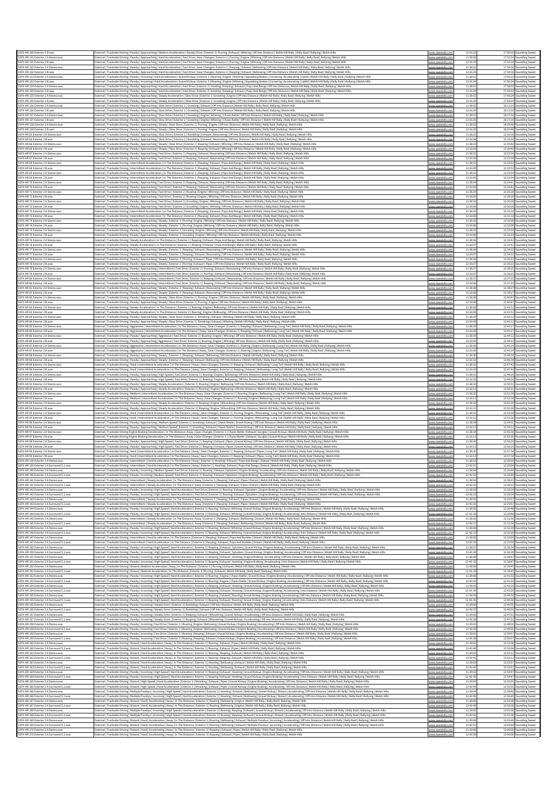| SSFX-HR 130 Exterior 2 B.wav                                                     | External   Trackside Driving   Passby   Approaching   Medium Acceleration   Steady Drive   Exterior 2   Purring   Exhaust   Whining   Off Into Distance   Welsh Hill Rally   Rally Raid   Rallying   Welsh Hill                                                                                                                                                                                                                                                                                                                                                                                                                                            | www.sweetsfx.con                                  | 12:16:23                   |                          | 17:50:36 Sounding Sweet                            |
|----------------------------------------------------------------------------------|------------------------------------------------------------------------------------------------------------------------------------------------------------------------------------------------------------------------------------------------------------------------------------------------------------------------------------------------------------------------------------------------------------------------------------------------------------------------------------------------------------------------------------------------------------------------------------------------------------------------------------------------------------|---------------------------------------------------|----------------------------|--------------------------|----------------------------------------------------|
| SSFX-HR 131 Exterior 2 A Stereo.way<br>SSFX-HR 131 Exterior 2 B.wav              | External   Trackside Driving   Passby   Approaching   Hard Acceleration   Fast Drive   Gear Changes   Exterior 2   Purring   Engine   Whining   Off Into Distance   Welsh Hill Rally   Rally Raid   Rallying   Welsh Hills<br>External   Trackside Driving   Passby   Approaching   Hard Acceleration   Fast Drive   Gear Changes   Exterior 2   Purring   Engine   Whining   Off Into Distance   Welsh Hill Rally   Rally Raid   Rallying   Welsh Hills                                                                                                                                                                                                   | <u>vww.sweetsfx.com</u><br>www.sweetsfx.cor       | 11:38:50<br>12:16:23       |                          | 17:52:24 Sounding Sweet<br>17:52:24 Sounding Sweet |
| SSFX-HR 132 Exterior 2 A Stereo.wav<br>SSFX-HR 132 Exterior 2 B.wav              | External   Trackside Driving   Passby   Approaching   Hard Acceleration   Fast Drive   Gear Changes   Exterior 2   Rasping   Exhaust   Bellowing   Off Into Distance   Welsh Hill Rally   Rally Raild   Rallying   Welsh Hills<br>External   Trackside Driving   Passby   Approaching   Hard Acceleration   Fast Drive   Gear Changes   Exterior 2   Rasping   Exhaust   Bellowing   Off Into Distance   Welsh Hill Rally   Rally   Rally Raid   Rallying   Wels                                                                                                                                                                                           | www.sweetsfx.co<br>www.sweetslx.cor               | 11:38:51<br>12:16:2        |                          | 17:54:36 Sounding Sweet<br>17:54:36 Sounding Sweet |
| SSFX-HR 133 Exterior 2 A Stereo.wa<br>SSFX-HR 133 Exterior 2 B.way               | External   Trackside Driving   Passby   Incoming   Hard Acceleration   Gravel Kickup   Exterior 3   Roaring   Engine   Whining   Squeaking Brakes   Cornering   Accelerating   Uphill   Welsh Hill Rally Rally Rail   Rally Ra<br>External   Trackside Driving   Passby   Incoming   Hard Acceleration   Gravel Kickup   Exterior 3   Roaring   Engine   Whining   Squeaking Brakes   Cornering   Accelerating   Uphill   Welsh Hill Rally   Rally Raid   Rallyi                                                                                                                                                                                           | www.sweetsfx.cor                                  | 11:38:5<br>12:16:24        |                          | 17:56:24 Sounding Sweet<br>17:56:24 Sounding Sweet |
| SSFX-HR 134 Exterior 2 A Stereo.wav<br>SSFX-HR 134 Exterior 2 B.wa               | xternal   Trackside Driving   Passby   Approaching   Hard Acceleration   Fast Drive   Exterior 2   Howling   Rasping   Exhaust   Pops And Bangs   Off Into Distance   Welsh Hill Rally   Rally   Rally Raid   Rallying   Welsh                                                                                                                                                                                                                                                                                                                                                                                                                             | <u>www.sweetsfx.cor</u>                           | 11:38:51<br>12:16:24       |                          | 17:58:02 Sounding Sweet<br>17:58:02 Sounding Sweet |
| SSFX-HR 135 Exterior 2 A Stereo.wav                                              | External   Trackside Driving   Passby   Approaching   Hard Acceleration   Fast Drive   Exterior 2   Howling   Rasping   Exhaust   Pops And Bangs   Off Into Distance   Welsh Hill Rally   Rally Raid   Rallying   Welsh Hills<br>External   Trackside Driving   Passby   Approaching   Steady Acceleration   Slow Drive   Exterior 2   Growling   Engine   Off Into Distance   Welsh Hill Rally   Rally   Rally Raid   Rallying   Welsh Hill                                                                                                                                                                                                               |                                                   | 11:38:52                   |                          | 17:58:24 Sounding Sweet                            |
| SSFX-HR 135 Exterior 2 B.wav<br>SSFX-HR 136 Exterior 2 A Stereo.wav              | External   Trackside Driving   Passby   Approaching   Steady Acceleration   Slow Drive   Exterior 2   Growling   Engine   Off Into Distance   Welsh Hill Rally   Rally Raild   Rallying   Welsh Hills<br>External   Trackside Driving   Passby   Approaching   Slow Drive   Exterior 2   Growling   Exhaust   Off Into Distance   Welsh Hill Rally   Rally Raild   Rallying   Welsh Hill                                                                                                                                                                                                                                                                   | www.sweetsfx.com<br><u>www.sweetstx.co</u>        | 12:16:24<br>11:38:5        | 18:13:10 S               | 17:58:24 Sounding Sweet<br>ounding Sweet           |
| SSFX-HR 136 Exterior 2 B.way<br>SSFX-HR 137 Exterior 2 A Stereo.wav              | External   Trackside Driving   Passby   Approaching   Slow Drive   Exterior 2   Growling   Exhaust   Off Into Distance   Welsh Hill Rally   Rally Raid   Rallying   Welsh Hills<br>External   Trackside Driving   Passby   Approaching   Slow Drive   Exterior 2   Growling   Engine   Whining   Chasis Rattle   Off Into Distance   Welsh Hill Rally   Rally Raid   Rallying   Welsh Hills                                                                                                                                                                                                                                                                | www.sweetsfx.cor                                  | 12:16:2<br>11:38:5         |                          | 18:13:10 Sounding Sweet<br>18:17:26 Sounding Sweet |
| SSFX-HR 137 Exterior 2 B.wav<br>SSFX-HR 138 Exterior 2 A Stereo.way              | [Raternal   Trackside Driving   Passby   Approaching   Slow Drive   Exterior 2   Growling   Engine   Whining   Chasis Rattle   Off Into Distance   Welsh Hill Rally   Rally Raid   Rallying   Welsh Hills   Rallying   Welsh H<br>External   Trackside Driving   Passby   Approaching   Steady   Slow Drive   Exterior 2   Purring   Engine   Off Into Distance   Welsh Hill Rally   Rally Raild   Rallying   Welsh Hills                                                                                                                                                                                                                                  | www.sweetslx.cor                                  | 12:16:25<br>11:38:53       |                          | 18:17:26 Sounding Sweet<br>18:20:48 Sounding Sweet |
| SSFX-HR 138 Exterior 2 B.wav<br>SSFX-HR 65 Exterior 2 A Stereo.way               | External   Trackside Driving   Passby   Approaching   Steady   Slow Drive   Exterior 2   Purring   Engine   Off Into Distance   Welsh Hill Rally   Rally Raid   Rallying   Welsh Hills<br>[Rathrophysics] [Passby   Approaching   Slow Drive   Exterior 2   Rumbling   Exhaust   Resonating   Off Into Distance   Welsh Hill Rally   Rally Raid   Rallying   Welsh Hills                                                                                                                                                                                                                                                                                   | www.sweetslx.cor<br><u>www.sweetsfx.cor</u>       | 12:16:25<br>11:38:22       |                          | 18:20:48 Sounding Sweet<br>12:10:30 Sounding Sweet |
| SSFX-HR 65 Exterior 2 B.way<br>SSFX-HR 66 Exterior 2 A Stereo.wa                 | xternal   Trackside Driving   Passby   Approaching   Slow Drive   Exterior 2   Rumbling   Exhaust   Resonating   Off Into Distance   Welsh Hill Rally   Rally Rally Raid   Rallying   Welsh Hill<br>External   Trackside Driving   Passby   Approaching   Steady   Slow Drive   Exterior 2   Rasping   Exhaust   Whining   Off Into Distance   Welsh Hill Rally   Rally Raid   Rallying   Welsh Hill                                                                                                                                                                                                                                                       |                                                   | 12:16:0<br>11:38:2         | 12:10:30                 | unding Sweet<br>12:20:42 Sounding Sweet            |
| SSFX-HR 66 Exterior 2 B.wav<br>SSFX-HR 67 Exterior 2 A Stereo.way                | External   Trackside Driving   Passby   Approaching   Steady   Slow Drive   Exterior 2   Rasping   Exhaust   Whining   Off Into Distance   Welsh Hill Rally   Rally Raild   Rallying   Welsh Hills                                                                                                                                                                                                                                                                                                                                                                                                                                                         | www.sweetsfx.cor                                  | 12:16:04<br>11:38:23       |                          | 12:20:42 Sounding Sweet                            |
| SSFX-HR 67 Exterior 2 B.way                                                      | External   Trackside Driving   Passby   Approaching   Fast Drive   Exterior 2   Rasping   Exhaust   Resonating   Off Into Distance   Welsh Hill Rally   Rally Raid   Rallying   Welsh Hills<br>External   Trackside Driving   Passby   Approaching   Fast Drive   Exterior 2   Rasping   Exhaust   Resonating   Off Into Distance   Welsh Hill Rally   Rally Raid   Rallying   Welsh Hill                                                                                                                                                                                                                                                                  | <u>vww.sweetstx.co</u>                            | 12:16:04                   |                          | 12:22:30 Sounding Sweet<br>12:22:30 Sounding Sweet |
| SSFX-HR 68 Exterior 2 A Stereo.wav<br>SSFX-HR 68 Exterior 2 B.wav                | External   Trackside Driving   Intermittent Acceleration   In The Distance   Exterior 2   Rasping   Exhaust   Pops And Bangs   Welsh Hill Rally   Rally Raid   Rallying   Welsh Hills<br>External   Trackside Driving   Intermittent Acceleration   In The Distance   Exterior 2   Rasping   Exhaust   Pops And Bangs   Welsh Hill Rally   Rally Raild   Rallying   Welsh Hills                                                                                                                                                                                                                                                                            | <u>www.sweetsfx.con</u>                           | 11:38:23<br>12:16:0        | 12:22:53 S               | 12:22:53 Sounding Sweet<br>ounding Sweet           |
| SSFX-HR 69 Exterior 2 A Stereo.wa<br>SSFX-HR 69 Exterior 2 B.wav                 | External   Trackside Driving   Intermittent Acceleration   In The Distance   Exterior 2   Rasping   Exhaust   Pops And Bangs   Welsh Hill Rally   Rally Raily Raily Rallying   Welsh Hills<br>External   Trackside Driving   Intermittent Acceleration   In The Distance   Exterior 2   Rasping   Exhaust   Pops And Bangs   Welsh Hill Rally   Rally Raid   Rallying   Welsh Hills                                                                                                                                                                                                                                                                        |                                                   | 11:38:2<br>12:16:05        | 12:23:54 S               | unding Sweet<br>12:23:54 Sounding Sweet            |
| SSFX-HR 70 Exterior 2 A Stereo.wav<br>SSFX-HR 70 Exterior 2 B.wav                | External   Trackside Driving   Passby   Approaching   Fast Drive   Exterior 2   Rasping   Exhaust   Resonating   Off Into Distance   Welsh Hill Rally   Rally Raid   Rallying   Welsh Hills<br>External   Trackside Driving   Passby   Approaching   Fast Drive   Exterior 2   Rasping   Exhaust   Resonating   Off Into Distance   Welsh Hill Rally   Rally Raid   Rallying   Welsh Hills                                                                                                                                                                                                                                                                 | www.sweetsfx.cor                                  | 11:38:24<br>12:16:05       |                          | 12:24:41 Sounding Sweet<br>12:24:41 Sounding Sweet |
| SSFX-HR 71 Exterior 2 A Stereo.wa<br>SSFX-HR 71 Exterior 2 B.wav                 | External   Trackside Driving   Passby   Approaching   Fast Drive   Exterior 2   Roaring   Engine   Whining   Off Into Distance   Welsh Hill Rally Rally Raild   Rallying   Welsh Hill<br>External   Trackside Driving   Passby   Approaching   Fast Drive   Exterior 2   Roaring   Engine   Whining   Off Into Distance   Welsh Hill Rally   Rally Rally Raid   Rallying   Welsh Hills                                                                                                                                                                                                                                                                     | <u>www.sweetsfx.cor</u>                           | 11:38:24<br>12:16:05       |                          | 12:26:28 Sounding Sweet<br>12:26:28 Sounding Sweet |
| SSFX-HR 72 Exterior 2 A Stereo.way<br>SSFX-HR 72 Exterior 2 B.way                | External   Trackside Driving   Passby   Approaching   Fast Drive   Exterior 2   Growling   Engine   Whining   Off Into Distance   Welsh Hill Rally   Rally Raild   Rallying   Welsh Hill                                                                                                                                                                                                                                                                                                                                                                                                                                                                   |                                                   | 11:38:2<br>12:16:0         | 12:30:28 S               | 12:30:28 Sounding Sweet<br>ounding Sweet           |
| SSFX-HR 73 Exterior 2 A Stereo.way                                               | External   Trackside Driving   Passby   Approaching   Fast Drive   Exterior 2   Growling   Engine   Whining   Off Into Distance   Welsh Hill Rally   Rally Raid   Rallying   Welsh Hill<br>External   Trackside Driving   Intermittent Acceleration   In The Distance   Exterior 2   Rasping   Exhaust   Pops And Bangs   Welsh Hill Rally   Rally Raid   Rallying   Welsh Hills                                                                                                                                                                                                                                                                           | www.swe<br><u>www.sweetsfx.com</u>                | 11:38:25                   |                          | 12:31:18 Sounding Sweet                            |
| SSFX-HR 73 Exterior 2 B.wav<br>SSFX-HR 74 Exterior 2 A Stereo.wav                | External   Trackside Driving   Intermittent Acceleration   In The Distance   Exterior 2   Rasping   Exhaust   Pops And Bangs   Welsh Hill Rally   Rally Raid   Rallying   Welsh Hills<br>External   Trackside Driving   Passby   Approaching   Steady   Exterior 2   Purring   Engine   Whining   Off Into Distance   Welsh Hill Rally   Rally Raid   Rallying   Welsh Hills                                                                                                                                                                                                                                                                               | www.sweetstx.com                                  | 12:16:06<br>11:38:25       |                          | 12:31:18 Sounding Sweet<br>12:32:08 Sounding Sweet |
| SSFX-HR 74 Exterior 2 B.wav<br>SSFX-HR 75 Exterior 2 A Stereo.wav                | External   Trackside Driving   Passby   Approaching   Steady   Exterior 2   Purring   Engine   Whining   Off Into Distance   Welsh Hill Rally   Rally Raid   Rallying   Welsh Hills<br>External   Trackside Driving   Passby   Approaching   Steady   Exterior 2   Growling   Engine   Whining   Off Into Distance   Welsh Hill Rally Raily Raild   Rallying   Welsh Hills                                                                                                                                                                                                                                                                                 | <u>www.sweetsfx.com</u>                           | 12:16:0<br>11:38:2         |                          | 12:32:08 Sounding Sweet<br>12:33:14 Sounding Sweet |
| SSFX-HR 75 Exterior 2 B.wav<br>SSFX-HR 76 Exterior 2 A Stereo.wa                 | External   Trackside Driving   Passby   Approaching   Steady   Exterior 2   Growling   Engine   Whining   Off Into Distance   Welsh Hill Rally   Rally Raid   Rallying   Welsh Hills<br>External   Trackside Driving   Steady Acceleration   In The Distance   Exterior 2   Rasping   Exhaust   Pops And Bangs   Welsh Hill Rally   Rally Raid   Rallying   Welsh Hills                                                                                                                                                                                                                                                                                    | <u>www.sweetsfx.co</u>                            | 12:16:0<br>11:38:26        |                          | 12:33:14 Sounding Sweet<br>12:33:41 Sounding Sweet |
| SSFX-HR 76 Exterior 2 B.wav<br>SSFX-HR 77 Exterior 2 A Stereo.wav                | External   Trackside Driving   Steady Acceleration   In The Distance   Exterior 2   Rasping   Exhaust   Pops And Bangs   Welsh Hill Rally   Rally Raid   Rallying   Welsh Hills<br>External   Trackside Driving   Passby   Approaching   Steady   Exterior 2   Rasping   Exhaust   Resonating   Off Into Distance   Welsh Hill Rally   Rally Raily Rally Rallying   Welsh Hills                                                                                                                                                                                                                                                                            | www.sweetsfx.co<br>www.sweetsfx.co                | 12:16:0<br>11:38:26        |                          | 12:33:41 Sounding Sweet<br>12:34:22 Sounding Sweet |
| SSFX-HR 77 Exterior 2 B.way                                                      | External   Trackside Driving   Passby   Approaching   Steady   Exterior 2   Rasping   Exhaust   Resonating   Off Into Distance   Welsh Hill Rally   Rally Raild   Rallying   Welsh Hill!                                                                                                                                                                                                                                                                                                                                                                                                                                                                   | www.sweetsfx.com                                  | 12:16:0                    | 12:34:22 S               | ounding Sweet                                      |
| SSFX-HR 78 Exterior 2 A Stereo.way<br>SSFX-HR 78 Exterior 2 B.wav                | External   Trackside Driving   Passby   Approaching   Steady   Exterior 2   Purring   Exhaust   Pipes   Off Into Distance   Welsh Hill Rally   Rally Raid   Rallying   Welsh Hills<br>External   Trackside Driving   Passby   Approaching   Steady   Exterior 2   Purring   Exhaust   Pipes   Off Into Distance   Welsh Hill Rally   Rally Raild   Rallying   Welsh Hills                                                                                                                                                                                                                                                                                  |                                                   | 11:38:2<br>12:16:07        |                          | 12:35:21 Sounding Sweet<br>12:35:21 Sounding Sweet |
| SSFX-HR 79 Exterior 2 A Stereo.way<br>SSFX-HR 79 Exterior 2 B.way                | External   Trackside Driving   Passby   Approaching   Intermittent   Fast Drive   Exterior 2   Purring   Exhaust   Resonating   Off Into Distance   Welsh Hill Rally   Rally Raid   Rallying   Welsh Hills<br>External   Trackside Driving   Passby   Approaching   Intermittent   Fast Drive   Exterior 2   Purring   Exhaust   Resonating   Off Into Distance   Welsh Hill Rally   Rally Raid   Rallying   Welsh Hills                                                                                                                                                                                                                                   | www.sweetsfx.com<br>www.sweetsfx.com              | 11:38:2<br>12:16:0         |                          | 12:36:25 Sounding Sweet<br>12:36:25 Sounding Sweet |
| SSFX-HR 80 Exterior 2 A Stereo.wav<br>SSFX-HR 80 Exterior 2 B.wav                | External   Trackside Driving   Passby   Approaching   Intermittent   Fast Drive   Exterior 2   Rasping   Exhaust   Resonating   Off Into Distance   Welsh Hill Rally   Rally Raid   Rallying   Welsh Hills<br>External   Trackside Driving   Passby   Approaching   Intermittent   Fast Drive   Exterior 2   Rasping   Exhaust   Resonating   Off Into Distance   Welsh Hill Rally   Rally Raid   Rallying   Welsh Hills                                                                                                                                                                                                                                   | www.sweetsfx.com                                  | 11:38:2<br>12:16:08        |                          | 12:37:25 Sounding Sweet<br>12:37:25 Sounding Sweet |
| SSFX-HR 81 Exterior 2 A Stereo.way<br>SSFX-HR 81 Exterior 2 B.way                | External   Trackside Driving   Passby   Approaching   Steady   Exterior 2   Rasping   Exhaust   Resonating   Off Into Distance   Welsh Hill Rally   Rally Raild   Rallying   Welsh Hill!<br>External   Trackside Driving   Passby   Approaching   Steady   Exterior 2   Rasping   Exhaust   Resonating   Off Into Distance   Welsh Hill Rally   Rally Raid   Rallying   Welsh Hills                                                                                                                                                                                                                                                                        | www.sweetstx.cc                                   | 11:38:2<br>12:16:0         | 12:38:27 S               | unding Sweet<br>12:38:27 Sounding Sweet            |
| SSFX-HR 82 Exterior 2 A Stereo.wav<br>SSFX-HR 82 Exterior 2 B.wav                | External   Trackside Driving   Passby   Approaching   Steady   Slow Drive   Exterior 2   Purring   Engine   Off Into Distance   Welsh Hill Rally   Rally Raid   Rallying   Welsh Hills<br>External   Trackside Driving   Passby   Approaching   Steady   Slow Drive   Exterior 2   Purring   Engine   Off Into Distance   Welsh Hill Rally   Rally Raid   Rallying   Welsh Hills                                                                                                                                                                                                                                                                           | <u>www.sweetsfx.cor</u>                           | 11:38:28<br>12:16:0        |                          | 12:40:47 Sounding Sweet<br>12:40:47 Sounding Sweet |
| SSFX-HR 83 Exterior 2 A Stereo.wa                                                | External   Trackside Driving   Steady Acceleration   In The Distance   Exterior 2   Roaring   Engine   Bellowing   Off Into Distance   Welsh Hill Rally   Rally Rally Raid   Rallying   Welsh Hill                                                                                                                                                                                                                                                                                                                                                                                                                                                         |                                                   | 11:38:2                    |                          | 12:41:51 Sounding Sweet                            |
| SSFX-HR 83 Exterior 2 B.wav<br>SSFX-HR 84 Exterior 2 A Stereo.wav                | External   Trackside Driving   Steady Acceleration   In The Distance   Exterior 2   Roaring   Engine   Bellowing   Off Into Distance   Welsh Hill Rally   Rally Raid   Rallying   Welsh Hills<br>External   Trackside Driving   Passby   Approaching   Steady   Slow Drive   Exterior 2   Shrieking   Exhaust   Whining   Welsh Hill Rally   Rally Raid   Rallying   Welsh Hills                                                                                                                                                                                                                                                                           | www.sweetstx.co<br><u>www.sweetsfx.com</u>        | 12:16:08<br>11:38:29       | 12:42:12 S               | 12:41:51 Sounding Sweet<br>ounding Sweet           |
| SSFX-HR 84 Exterior 2 B.way<br>SSFX-HR 85 Exterior 2 A Stereo.way                | tternal   Trackside Driving   Passby   Approaching   Steady   Slow Drive   Exterior 2   Shrieking   Exhaust   Whining   Welsh Hill Rally   Rally Raild   Rallying   Welsh Hill:<br>External   Trackside Driving   Aggressive   Intermittent Acceleration   In The Distance   Away   Gear Changes   Exterior 2   Rasping   Exhaust   Bellowing   Long Tail   Welsh Hill Rally   Rally   Rally Raid   Rallying   We                                                                                                                                                                                                                                          |                                                   | 12:16:0<br>11:38:29        | 12:42:12                 | unding Sweet<br>12:43:17 Sounding Sweet            |
| SSFX-HR 85 Exterior 2 B.wav<br>SSFX-HR 86 Exterior 2 A Stereo.way                | External   Trackside Driving   Aggressive   Intermittent Acceleration   In The Distance   Away   Gear Changes   Exterior 2   Rasping   Exhaust   Bellowing   Long Tail   Welsh Hill Rally   Rally Raid   Rallying   Welsh Hill<br>External   Trackside Driving   Passby   Approaching   Aggressive   Fast Drive   Exterior 2   Roaring   Engine   Whining   Off Into Distance   Welsh Hill Rally   Rally Raid   Rallying   Welsh Hills                                                                                                                                                                                                                     | www.sweetsfx.cor<br>www.sweetstx.com              | 12:16:09<br>11:38:2        |                          | 12:43:17 Sounding Sweet<br>12:44:12 Sounding Sweet |
| SSFX-HR 86 Exterior 2 B.wa<br>SSFX-HR 87 Exterior 2 A Stereo.wav                 | External   Trackside Driving   Passby   Approaching   Aggressive   Fast Drive   Exterior 2   Roaring   Engine   Whining   Off Into Distance   Welsh Hill Rally   Rally Rally Raid   Rallying   Welsh Hills<br>External   Trackside Driving   Aggressive   Intermittent Acceleration   In The Distance   Away   Gear Changes   Exterior 2   Roaring   Engine   Bellowing   Long Tail   Welsh Hill Rally   Rally Raid   Rallying   Welsh Hills                                                                                                                                                                                                               | www.sweetsfx.com                                  | 12:16:0<br>11:38:3         |                          | 12:44:12 Sounding Sweet<br>12:45:14 Sounding Sweet |
| SSFX-HR 87 Exterior 2 B.wav                                                      | External   Trackside Driving   Aggressive   Intermittent Acceleration   In The Distance   Away   Gear Changes   Exterior 2   Roaring   Engine   Bellowing   Long Tail   Welsh Hill Rally   Rally Raid   Rallying   Welsh Hills                                                                                                                                                                                                                                                                                                                                                                                                                             | <u>www.sweetsfx.co</u>                            | 12:16:0<br>11:38:3         |                          | 12:45:14 Sounding Sweet                            |
| SSFX-HR 88 Exterior 2 A Stereo.wa<br>SSFX-HR 88 Exterior 2 B.wav                 | cternal   Trackside Driving   Passby   Approaching   Steady   Exterior 2   Rasping   Exhaust   Bellowing   Off Into Distance   Welsh Hill Rally   Rally   Rally Raid   Rallying   Welsh Hill<br>External   Trackside Driving   Passby   Approaching   Steady   Exterior 2   Rasping   Exhaust   Bellowing   Off Into Distance   Welsh Hill Rally   Rally Raid   Rallying   Welsh Hills                                                                                                                                                                                                                                                                     |                                                   | 12:16:10                   | 12:46:34 S               | unding Sweet<br>12:46:34 Sounding Sweet            |
| SSFX-HR 89 Exterior 2 A Stereo.way<br>SSFX-HR 89 Exterior 2 B.way                | External   Trackside Driving   Hard   Intermittent Acceleration   In The Distance   Away   Gear Changes   Exterior 2   Rasping   Exhaust   Bellowing   Long Tail   Welsh Hill Rally   Rally Raid   Rallying   Welsh Hills<br>External   Trackside Driving   Hard   Intermittent Acceleration   In The Distance   Away   Gear Changes   Exterior 2   Rasping   Exhaust   Bellowing   Long Tail   Welsh Hill Rally   Rally Raid   Rallying   Welsh Hills                                                                                                                                                                                                     | www.sweetsfx.con                                  | 11:38:31<br>12:16:10       |                          | 12:47:42 Sounding Sweet<br>12:47:42 Sounding Sweet |
| SSFX-HR 90 Exterior 2 A Stereo.w<br>SSFX-HR 90 Exterior 2 B.wav                  | External   Trackside Driving   Passby   Approaching   High Speed   Fast Drive   Exterior 2   Roaring   Engine   Bellowing   Off Into Distance   Welsh Hill Rally   Rally Raid   Rallying   Welsh Hills<br>External   Trackside Driving   Passby   Approaching   High Speed   Fast Drive   Exterior 2   Roaring   Engine   Bellowing   Off Into Distance   Welsh Hill Rally   Rally Raild   Rallying   Welsh Hills                                                                                                                                                                                                                                          | www.sw<br><u>www.sweetsfx.cor</u>                 | 11:38:31<br>12:16:10       |                          | 12:48:26 Sounding Sweet<br>12:48:26 Sounding Sweet |
| SSFX-HR 92 Exterior 2 A Stereo.way<br>SSFX-HR 92 Exterior 2 B.way                | External   Trackside Driving   Passby   Approaching   Steady Acceleration   Exterior 2   Roaring   Engine   Bellowing   Off Into Distance   Welsh Hill Rally   Rally Raid   Rallying   Welsh Hills<br>xternal   Trackside Driving   Passby   Approaching   Steady Acceleration   Exterior 2   Roaring   Engine   Bellowing   Off Into Distance   Welsh Hill Rally   Rally Raid   Rallying   Welsh Hill                                                                                                                                                                                                                                                     | <u>www.sweetsfx.c</u>                             | 11:38:32<br>12:16:1        | 12:50:31 S<br>12:50:31 S | ounding Sweet<br><b>unding Sweet</b>               |
| SSFX-HR 93 Exterior 2 A Stereo.way<br>SSFX-HR93 Exterior 2 B.way                 | External   Trackside Driving   Medium   Intermittent Acceleration   In The Distance   Away   Gear Changes   Exterior 2   Roaring   Engine   Bellowing   Long Tail   Welsh Hill Rally   Rally   Rally Raid   Rallying   Welsh H<br>External   Trackside Driving   Medium   Intermittent Acceleration   In The Distance   Away   Gear Changes   Exterior 2   Roaring   Engine   Bellowing   Long Tail   Welsh Hill Rally   Rally Raid   Rallying   Welsh Hills                                                                                                                                                                                               | <u>www.sweetsfx.cor</u><br>www.sweetsfx.cor       | 11:38:32<br>12:16:11       |                          | 12:51:38 Sounding Sweet<br>12:51:38 Sounding Sweet |
| SSFX-HR 94 Exterior 2 A Stereo.way<br>SSFX-HR94 Exterior 2 B.way                 | External   Trackside Driving   Passby   Approaching   Steady Acceleration   Exterior 2   Rasping   Engine   Whooshing   Off Into Distance   Welsh Hill Rally   Rally Raild   Rallying   Welsh Hill:                                                                                                                                                                                                                                                                                                                                                                                                                                                        | www.sv                                            | 11:38:33<br>12:16:12       |                          | 12:52:26 Sounding Sweet<br>12:52:26 Sounding Sweet |
| SSFX-HR 95 Exterior 2 A Stereo.wav                                               | External   Trackside Driving   Passby   Approaching   Steady Acceleration   Exterior 2   Rasping   Engine   Whooshing   Off Into Distance   Welsh Hill Rally   Rally Raid   Rallying   Welsh Hills<br>External   Trackside Driving   Hard   Intermittent Acceleration   In The Distance   Away   Gear Changes   Exterior 2   Purring   Engine   Whooshing   Long Tail   Welsh Hill Rally   Rally Raid   Rallying   Welsh Hills                                                                                                                                                                                                                             | <u>www.sweetsfx.co</u><br><u>www.sweetsfx.com</u> | 11:38:3                    | 12:53:36 S               | <b>bunding</b> Sweet                               |
| SSFX-HR 95 Exterior 2 B.wav<br>SSEX-HR 96 Exterior 2 A Stereo wa                 | External   Trackside Driving   Hard   Intermittent Acceleration   In The Distance   Away   Gear Changes   Exterior 2   Purring   Engine   Whooshing   Long Tail   Welsh Hill Rally   Rally Raid   Rallying   Welsh Hills<br>External   Trackside Driving   Passby   Approaching   Medium Speed   Exterior 2   Growling   Exhaust   Chasis Rattle   Gravel Kickup   Off Into Distance   Welsh Hill Rally   Rally Raid   Rallying   Welsh Hills                                                                                                                                                                                                              | www.sweetsfx.cor<br>www.swer                      | 12:16:12<br>11:38:34       |                          | 12:53:36 Sounding Sweet<br>12:54:31 Sounding Sweet |
| SSFX-HR 96 Exterior 2 B.wav<br>SSFX-HR 97 Exterior 2 A Stereo.wav                | External   Trackside Driving   Passby   Approaching   Medium Speed   Exterior 2   Growling   Exhaust   Chasis Rattle   Gravel Kickup   Off Into Distance   Welsh Hill Rally   Rally Raid   Rallying   Welsh Hills<br>External   Trackside Driving Engine Braking Deceleration   In The Distance   Away   Gear Changes   Exterior 2   Chasis Rattle   Exhaust   Gurgles   Gravel Kickup   Welsh Hill Rally   Rally Raild   Rallying   Welsh Hills                                                                                                                                                                                                           | <u>www.sweetsfx.com</u>                           | 12:16:12<br>11:38:34       |                          | 12:54:31 Sounding Sweet<br>12:55:35 Sounding Sweet |
| SSFX-HR97 Exterior 2 B.way<br>SSFX-HR 98 Exterior 2 A Stereo.way                 | External   Trackside Driving Engine Braking Deceleration   In The Distance   Away   Gear Changes   Exterior 2   Chasis Rattle   Exhaust   Gurgles   Gravel Kickup   Welsh Hill Rally   Rally Raid   Rallying   Welsh Hill<br>External   Trackside Driving   Passby   Approaching   High Speed   Fast Drive   Exterior 2   Rasping   Exhaust   Pipes   Gravel Kickup   Off Into Distance   Welsh Hill Rally   Rally Raid   Rallying   Welsh Hills                                                                                                                                                                                                           | www.sweetslx.com                                  | 12:16:13<br>11:38:34       | 12:56:25 S               | 12:55:35 Sounding Sweet<br>ounding Sweet           |
| SSFX-HR 98 Exterior 2 B.wav<br>SSFX-HR 99 Exterior 2 A Stereo.wav                | [Rally Raid] [Trackside Driving   Passby   Approaching   High Speed   Fast Drive   Exterior 2   Rasping   Exhaust   Pipes   Gravel Kickup   Off Into Distance   Welsh Hill Rally   Rally Raid   Rallying   Welsh Hills                                                                                                                                                                                                                                                                                                                                                                                                                                     | www.sweetsfx.com                                  | 12:16:13<br>11:38:35       | 12:56:25 S               | <b>bunding</b> Sweet<br>12:57:34 Sounding Sweet    |
| SSFX-HR 99 Exterior 2 B.way                                                      | [2] [17] Axistide Driving   Hard   Intermittent Acceleration   In The Distance   Away   Gear Changes   Exterior 2   Rasping   Exhaust   Pipes   Long Tail   Welsh Hill Rally   Rally Raid   Rallying   Welsh Hills<br>External   Trackside Driving   Hard   Intermittent Acceleration   In The Distance   Away   Gear Changes   Exterior 2   Rasping   Exhaust   Pipes   Long Tail   Welsh Hill Rally   Rally Raid   Rallying   Welsh Hills                                                                                                                                                                                                                | www.sweetsfx.cor<br>www.sweetsfx.com              | 12:16:13                   |                          | 12:57:34 Sounding Sweet                            |
| SSFX-HR 139 Exterior 3 A Stereo.wav<br>SSFX-HR 139 Exterior 3 A Surround 5.1.wav | External   Trackside Driving   Intermittent   Hard Acceleration   In The Distance   Away   Exterior 3   Howling   Exhaust   Pops And Bangs   Distant   Welsh Hill Rally   Rally Raid   Rallying   Welsh Hills<br>External   Trackside Driving   Intermittent   Hard Acceleration   In The Distance   Away   Exterior 3   Howling   Exhaust   Pops And Bangs   Distant   Welsh Hill Rally   Rally Raid   Rallying   Welsh Hills                                                                                                                                                                                                                             | www.sweetsfx.cor<br>www.sweetsfx.com              | 11:38:53<br>12:42:21       |                          | 12:26:04 Sounding Sweet<br>12:26:04 Sounding Sweet |
| SSFX-HR 140 Exterior 3 A Stereo.wav<br>SSFX-HR 140 Exterior 3 A Surround 5.1.wav | External   Trackside Driving   Passby   Incoming   Medium Speed   Fast Drive   Exterior 3   Roaring   Exhaust   Splutters   Engine Braking   Accelerating   Off Into Distance   Welsh Hill Rally   Rally Raid   Rallying   Wel<br>External   Trackside Driving   Passby   Incoming   Medium Speed   Fast Drive   Exterior 3   Roaring   Exhaust   Splutters   Engine Braking   Accelerating   Off Into Distance   Welsh Hill Rally   Rally Raid   Rallying   Wel                                                                                                                                                                                           | www.sweetsfx.com<br>www.sweetsfx.cor              | 11:38:54<br>12:42:22       |                          | 12:26:44 Sounding Sweet<br>12:26:44 Sounding Sweet |
| SSFX-HR 141 Exterior 3 A Stereo.wav<br>SSFX-HR 141 Exterior 3 A Surround 5.1 way | External   Trackside Driving   Intermittent   Steady Acceleration   In The Distance   Away   Exterior 3   Rasping   Exhaust   Pipes   Distant   Welsh Hill Rally   Rally Raid   Rallying   Welsh Hills<br>xternal   Trackside Driving   Intermittent   Steady Acceleration   In The Distance   Away   Exterior 3   Rasping   Exhaust   Pipes   Distant   Welsh Hill Rally   Rally Raid   Rallying   Welsh Hills                                                                                                                                                                                                                                            | www.sweetsfx.cor<br><u>www.sweetsfx.com</u>       | 11:38:54<br>12:42:23       |                          | 12:28:15 Sounding Sweet<br>12:28:15 Sounding Sweet |
| SSFX-HR 142 Exterior 3 A Stereo.wav<br>SSFX-HR 142 Exterior 3 A Surround 5.1 way | External   Trackside Driving   Passby   Incoming   High Speed   Hard Acceleration   Fast Drive   Exterior 3   Roaring   Exthaust   Splutters   Engine Braking   Accelerating   Off Into Distance   Welsh Hill Rally   Rally Ra<br>External   Trackside Driving   Passby   Incoming   High Speed   Hard Acceleration   Fast Drive   Exterior 3   Roaring   Exthaust   Splutters   Engine Braking   Accelerating   Off Into Distance   Welsh Hill Rally   Rally Ra                                                                                                                                                                                           | www.sweetsfx.com<br>www.sweetsfx.cor              | 11:38:54<br>12:42:23       |                          | 12:28:34 Sounding Sweet<br>12:28:34 Sounding Sweet |
| SSFX-HR 143 Exterior 3 A Stereo.wav                                              | External   Trackside Driving   Intermittent   Steady Acceleration   In The Distance   Away   Exterior 3   Rasping   Exhaust   Pipes   Distant   Welsh Hill Rally   Rally Raid   Rallying   Welsh Hills                                                                                                                                                                                                                                                                                                                                                                                                                                                     | www.sweetsfx.com                                  | 11:38:55<br>12:42:25       |                          | 12:29:57 Sounding Sweet                            |
| SSFX-HR 143 Exterior 3 A Surround 5.1.wa<br>SSFX-HR 144 Exterior 3 A Stereo.wav  | External   Trackside Driving   Intermittent   Steady Acceleration   In The Distance   Away   Exterior 3   Rasping   Exhaust   Pipes   Distant   Welsh Hill Rally   Rally Raid   Rallying   Welsh Hills<br>External   Trackside Driving   Passby   Incoming   High Speed   Hard Acceleration   Exterior 3   Roaring   Exhaust   Whining   Gravel Kickup   Engine Braking   Accelerating   Off Into Distance   Welsh Hill Rally   Rally Ra                                                                                                                                                                                                                   | vww.swee<br>www.sweetsfx.cor                      | 11:38:55                   |                          | 12:29:57 Sounding Sweet<br>12:30:48 Sounding Sweet |
| SSFX-HR 144 Exterior 3 A Surround 5.1.wav<br>SSFX-HR 145 Exterior 3 A Stereo.wav | External   Trackside Driving   Passby   Incoming   High Speed   Hard Acceleration   Exterior 3   Roaring   Exhaust   Whining   Gravel Kickup   Engine Braking   Accelerating   Into Distance   Welsh Hill Rally   Rally Raid  <br>External   Trackside Driving   Intermittent   Steady Acceleration   In The Distance   Away   Exterior 3   Rasping   Exhaust   Bellowing   Distant   Welsh Hill Rally   Rally Raid   Rallying   Welsh Hills                                                                                                                                                                                                               | www.sweetsfx.com<br><u>www.sweetsfx.con</u>       | $12 - 42 - 26$<br>11:38:56 |                          | 12:30:48 Sounding Sweet<br>12:31:56 Sounding Sweet |
| SSFX-HR 145 Exterior 3 A Surround 5.1.wav<br>SSFX-HR 146 Exterior 3 A Stereo.wav | External   Trackside Driving   Intermittent   Steady Acceleration   In The Distance   Away   Exterior 3   Rasping   Exhaust   Bellowing   Distant   Welsh Hill Rally   Rally Raid   Rallying   Welsh Hills<br>External   Trackside Driving   Passby   Incoming   High Speed   Hard Acceleration   Exterior 3   Roaring   Exhaust   Whining   Gravel Kickup   Engine Braking   Accelerating   Off Into Distance   Welsh Hill Rally   Rally Ra                                                                                                                                                                                                               | www.sweetsfx.cor<br>www.sweetsfx.con              | 12:42:27<br>11:38:56       |                          | 12:31:56 Sounding Sweet<br>12:32:28 Sounding Sweet |
| SSFX-HR 146 Exterior 3 A Surround 5.1.wav<br>SSFX-HR 147 Exterior 3 A Stereo.wav | External   Trackside Driving   Passby   Incoming   High Speed   Hard Acceleration   Exterior 3   Roaring   Exhaust   Whining   Gravel Kickup   Engine Braking   Accelerating   Into Distance   Welsh Hill Rally Rally Raild  <br>External   Trackside Driving   Intermittent   Hard Acceleration   In The Distance   Exterior 3   Rasping   Exhaust   Pops And Burbles   Distant   Welsh Hill Rally   Rally Raid   Rallying   Welsh Hills                                                                                                                                                                                                                  | www.sweetsfx.com<br>vww.swee                      | $12 - 42 - 27$<br>11:38:56 |                          | 12:32:28 Sounding Sweet<br>12:33:50 Sounding Sweet |
| SSFX-HR 147 Exterior 3 A Surround 5.1.wav<br>SSFX-HR 150 Exterior 3 A Stereo.wav | External   Trackside Driving   Intermittent   Hard Acceleration   In The Distance   Exterior 3   Rasping   Exhaust   Pops And Burbles   Distant   Welsh Hill Rally   Rally Raild   Rallying   Welsh Hills<br>External   Trackside Driving   Passby   Incoming   High Speed   Hard Acceleration   Exterior 3   Rasping   Exhaust   Splutters   Gravel Kickup   Engine Braking   Accelerating   Off Into Distance   Welsh Hill Rally   Rally                                                                                                                                                                                                                 | www.sweetsfx.cor<br>www.sweetsfx.con              | 12:42:29<br>11:38:57       |                          | 12:33:50 Sounding Sweet<br>12:36:39 Sounding Sweet |
| SSFX-HR 150 Exterior 3 A Surround 5.1 way<br>SSFX-HR 151 Exterior 3 A Stereo.wav | External   Trackside Driving   Passby   Incoming   High Speed   Hard Acceleration   Exterior 3   Rasping   Exhaust   Splutters   Gravel Kickup   Engine Braking   Accelerating   Off Into Distance   Welsh Hill Rally   Rally                                                                                                                                                                                                                                                                                                                                                                                                                              | www.sweetsfx.cor<br>www.sweetsfx.cor              | 12:42:30<br>11:38:58       |                          | 12:36:39 Sounding Sweet<br>12:38:47 Sounding Sweet |
| SSFX-HR 151 Exterior 3 A Surround 5.1.wav<br>SSFX-HR 152 Exterior 3 A Stereo.wav | External   Trackside Driving   Passby   Incoming   High Speed   Hard Acceleration   Exterior 3   Rasping   Exhaust   Howling   Engine Braking   Accelerating   Off Into Distance   Welsh Hill Rally   Rally Raid   Rallying  <br>External   Trackside Driving   Passby   Incoming   High Speed   Hard Acceleration   Exterior 3   Rasping   Exhaust   Howling   Engine Braking   Accelerating   Into Distance   Welsh Hill Rally   Rally Raid   Rallying   Wels<br>External   Trackside Driving   Distant   Medium Acceleration   Away   In The Distance   Exterior 3   Purring   Exhaust   Welsh Hill Rally   Rally   Rally Raid   Rallying   Welsh Hills | www.sweetsfx.con                                  | $12 - 42 - 32$<br>11:38:58 |                          | 12:38:47 Sounding Sweet<br>12:39:45 Sounding Sweet |
| SSFX-HR 152 Exterior 3 A Surround 5.1.way                                        | External   Trackside Driving   Distant   Medium Acceleration   In The Distance   Exterior 3   Purring   Exhaust   Welsh Hill Rally   Rally   Rally Raid   Rallying   Welsh Hills                                                                                                                                                                                                                                                                                                                                                                                                                                                                           | www.sweetsfx.cor<br>www.sweetsfx.cor              | $12 - 42 - 33$             |                          | 12:39:45 Sounding Sweet                            |
| SSFX-HR 153 Exterior 3 A Stereo.wav<br>SSFX-HR 153 Exterior 3 A Surround 5.1.wav | External   Trackside Driving   Passby   Incoming   High Speed   Hard Acceleration   Exterior 3   Roaring   Engine   Chasis Rattle   Gravel Kickup   Engine Braking   Accelerating   Off Into Distance   Welsh Hills Rally Rail<br>External   Trackside Driving   Passby   Incoming   High Speed   Hard Acceleration   Exterior 3   Roaring   Engine   Chasis Rattle   Gravel Kickup   Engine Braking   Accelerating   Off Into Distance   Welsh Hill Rally   Ral                                                                                                                                                                                           | www.sweetsfx.con<br>www.sweetsfx.cor              | 11:38:58<br>12:42:33       |                          | 12:41:03 Sounding Sweet<br>12:41:03 Sounding Sweet |
| SSFX-HR 154 Exterior 3 A Stereo.wav<br>SSFX-HR 154 Exterior 3 A Surround 5.1.way | External   Trackside Driving   Passby   Incoming   High Speed   Hard Acceleration   Exterior 3   Rasping   Exhaust   Howling   Gravel Kickup   Engine Braking   Accelerating   Off Into Distance   Welsh Hills Ally   Rally Ra<br>External   Trackside Driving   Passby   Incoming   High Speed   Hard Acceleration   Exterior 3   Rasping   Exhaust   Howling   Gravel Kickup   Engine Braking   Accelerating   Into Distance   Welsh Hill Rally   Rally Raid                                                                                                                                                                                             | www.sweetsfx.cor<br>www.sweetsfx.cor              | 11:38:59<br>$12 - 42 - 34$ |                          | 12:42:29 Sounding Sweet<br>12:42:29 Sounding Sweet |
| SSFX-HR 155 Exterior 3 A Stereo.wav<br>SSFX-HR 155 Exterior 3 A Surround 5.1.wav | External   Trackside Driving   Passby   Incoming   High Speed   Hard Acceleration   Exterior 3   Rasping   Exhaust   Roaring   Gravel Kickup   Engine Braking   Accelerating   Off Into Distance   Welsh Hill Rally   Rally Ra<br>External   Trackside Driving   Passby   Incoming   High Speed   Hard Acceleration   Exterior 3   Rasping   Exhaust   Roaring   Gravel Kickup   Engine Braking   Accelerating   Into Distance   Welsh Hill Rally Rally Rally Ra                                                                                                                                                                                           | www.sweetsfx.com<br>www.sweetsfx.cor              | 11:38:59<br>$12 - 42 - 35$ |                          | 12:44:36 Sounding Sweet<br>12:44:36 Sounding Sweet |
| SSFX-HR 156 Exterior 3 A Stereo.wav<br>SSFX-HR 156 Exterior 3 A Surround 5.1.wav | External   Trackside Driving   Passby   Incoming   Steady Drive   Exterior 3   Rumbling   Exhaust   Off Into Distance   Welsh Hill Rally   Rally Raid   Rallying   Welsh Hills<br>External   Trackside Driving   Passby   Incoming   Steady Drive   Exterior 3   Rumbling   Exhaust   Off Into Distance   Welsh Hill Rally   Rally Raid   Rallying   Welsh Hills                                                                                                                                                                                                                                                                                           | www.sweetsfx.com                                  | 11:39:00<br>12:42:37       |                          | 12:45:55 Sounding Sweet<br>12:45:55 Sounding Sweet |
| SSFX-HR 157 Exterior 3 A Stereo.wav                                              | External   Trackside Driving   Passby   Incoming   Steady Drive   Exterior 3   Rasping   Exhaust   Whooshing   Gravel Kickup   Accelerating   Off Into Distance   Welsh Hill Rally   Rally Raid   Rallying   Welsh Hills                                                                                                                                                                                                                                                                                                                                                                                                                                   | www.sweetsfx.con<br>www.sweetsfx.cor              | 11:39:00                   |                          | 12:47:01 Sounding Sweet                            |
| SSFX-HR 157 Exterior 3 A Surround 5.1.wav<br>SSFX-HR 158 Exterior 3 A Stereo.wav | External   Trackside Driving   Passby   Incoming   Steady Drive   Exterior 3   Rasping   Exhaust   Whooshing   Gravel Kickup   Accelerating   Off Into Distance   Welsh Hill Rally   Rally Raid   Rallying   Welsh Hill:<br>External   Trackside Driving   Passby   Incoming   Fast Drive   Exterior 3   Roaring   Engine   Bellowing   Gravel Kickup   Engine Braking   Accelerating   Off Into Distance   Welsh Hill Rally   Rally Rally Rallying   Wels                                                                                                                                                                                                 | www.sweetsfx.con<br>www.sweetsfx.con              | 12:42:38<br>11:39:01       |                          | 12:47:01 Sounding Sweet<br>12:48:55 Sounding Sweet |
| SSFX-HR 158 Exterior 3 A Surround 5.1.wav<br>SSFX-HR 159 Exterior 3 A Stereo.wav | [Raternal   Trackside Driving   Passby   Incoming   Fast Drive   Exterior 3   Roaring   Engine   Bellowing   Gravel Kickup   Engine Braking   Accelerating   Off Into Distance   Welsh Hill Rally   Rally Raild   Rallying   W<br>External   Trackside Driving   Passby   Incoming   Fast Drive   Exterior 3   Roaring   Rasping   Exhaust   Gravel Kickup   Engine Braking   Accelerating   Off Into Distance   Welsh Hill Rally Rally Raid   Rallying   Welsh                                                                                                                                                                                            | www.sweetsfx.com<br>www.sweetsfx.con              | 12:42:39<br>11:39:01       |                          | 12:48:55 Sounding Sweet<br>12:50:57 Sounding Sweet |
| SSFX-HR 159 Exterior 3 A Surround 5.1 way<br>SSFX-HR 160 Exterior 3 A Stereo.wav | External   Trackside Driving   Passby   Incoming   Fast Drive   Exterior 3   Roaring   Rasping   Exhaust   Gravel Kickup   Engine Braking   Accelerating   Off Into Distance   Welsh Hill Rally   Rally Raid   Rallying   Wels<br>External   Trackside Driving   Distant   Hard Acceleration   Away   In The Distance   Exterior 3   Roaring   Exhaust   Pipes   Welsh Hill Rally   Rally Raild   Rallying   Welsh Hills                                                                                                                                                                                                                                   | www.sweetsfx.cor<br><u>www.sweetsfx.con</u>       | 12:42:39<br>11:39:02       |                          | 12:50:57 Sounding Sweet<br>12:52:06 Sounding Sweet |
| SSFX-HR 160 Exterior 3 A Surround 5.1.wav<br>SSFX-HR 162 Exterior 3 A Stereo.way | External   Trackside Driving   Distant   Hard Acceleration   Away   In The Distance   Exterior 3   Roaring   Exhaust   Pipes   Welsh Hill Rally   Rally Raid   Rallying   Welsh Hills<br>External   Trackside Driving   Distant   Hard Acceleration   Away   In The Distance   Exterior 3   Roaring   Rasping   Exhaust   Welsh Hill Rally   Rally Raild   Rallying   Welsh Hills                                                                                                                                                                                                                                                                          | www.sweetsfx.con<br>www.sweetsfx.con              | 12:42:40<br>11:39:02       |                          | 12:52:06 Sounding Sweet<br>12:53:12 Sounding Sweet |
| SSFX-HR 162 Exterior 3 A Surround 5.1.wav                                        | External   Trackside Driving   Distant   Hard Acceleration   Away   In The Distance   Exterior 3   Roaring   Rasping   Exhaust   Welsh Hill Rally   Rally Raid   Rallying   Welsh Hills                                                                                                                                                                                                                                                                                                                                                                                                                                                                    | www.sweetsfx.con                                  | 12:42:41                   |                          | 12:53:12 Sounding Sweet                            |
| SSFX-HR 163 Exterior 3 A Stereo.wav<br>SSFX-HR 163 Exterior 3 A Surround 5.1.way | External   Trackside Driving   Distant   Hard Acceleration   Away   In The Distance   Exterior 3   Howling   Bellowing   Exhaust   Welsh Hill Rally   Rally Raild   Rallying   Welsh Hills<br>xternal   Trackside Driving   Distant   Hard Acceleration   Away   In The Distance   Exterior 3   Howling   Bellowing   Exhaust   Welsh Hill Rally   Rally Raild   Rallying   Welsh Hills                                                                                                                                                                                                                                                                    | www.sweetsfx.com<br><u>www.sweetsfx.con</u>       | 11:39:03<br>12:42:42       |                          | 12:53:57 Sounding Sweet<br>12:53:57 Sounding Sweet |
| SSFX-HR 164 Exterior 3 A Stereo.wav<br>SSFX-HR 164 Exterior 3 A Surround 5.1.wav | External   Trackside Driving   Passby   Incoming   High Speed   Hard Acceleration   Exterior 3   Rasping   Exhaust   Howling   Gravel Kickup   Engine Braking   Accelerating   Off Into Distance   Welsh Hills Ally   Rally Ra<br>External   Trackside Driving   Passby   Incoming   High Speed   Hard Acceleration   Exterior 3   Rasping   Exhaust   Howling   Gravel Kickup   Engine Braking   Accelerating   Arcelerating   Into Distance   Welsh Hill Rally                                                                                                                                                                                           | <u>vww.sweetsfx.com</u><br>www.sweetsfx.con       | 11:39:03<br>$12 - 42 - 43$ |                          | 12:54:47 Sounding Sweet<br>12:54:47 Sounding Sweet |
| SSFX-HR 165 Exterior 3 A Stereo.wav<br>SSFX-HR 165 Exterior 3 A Surround 5.1.wa  | External   Trackside Driving   Distant   High Speed   Hard Acceleration   Exterior 3   Shrieking   Exhaust   Pipes   Gravel Kickup   Engine Braking   Accelerating   Off Into Distance   Welsh Hill Rally   Rally Raid   Rally<br>xternal   Trackside Driving   Distant   High Speed   Hard Acceleration   Exterior 3   Shrieking   Exhaust   Pipes   Gravel Kickup   Engine Braking   Accelerating   Off Into Distance   Welsh Hill Rally   Rally Raid   Rallyi                                                                                                                                                                                           | www.sweetsfx.com<br>www.sweetsfx.cor              | 11:39:04<br>12:42:44       | 12:55:55 S               | 12:55:55 Sounding Sweet<br>ounding Sweet           |
| SSFX-HR 166 Exterior 3 A Stereo.wav<br>SSFX-HR 166 Exterior 3 A Surround 5.1 wav | External   Trackside Driving   Multiple Passbys   Incoming   High Speed   Hard Acceleration   Exterior 3   Howling   Exhaust   Bellowing   Gravel Kickup   Distant   Accelerating   Off Into Distance   Welsh Hill Rally   Ral<br>External   Trackside Driving   Multiple Passbys   Incoming   High Speed   Hard Acceleration   Exterior 3   Howling   Exhaust   Bellowing   Gravel Kickup   Distant   Accelerating   Off Into Distance   Welsh Hill Rally   Ral                                                                                                                                                                                           | www.sweetsfx.con<br>www.sweetsfx.com              | 11:39:04<br>12:42:45       |                          | 12:56:45 Sounding Sweet<br>12:56:45 Sounding Sweet |
| SSFX-HR 167 Exterior 3 A Stereo.wav<br>SSFX-HR 167 Exterior 3 A Surround 5.1.wav | xternal   Trackside Driving   Distant   Hard   Accelerating   Away   In The Distance   Exterior 3   Roaring   Bellowing   Engine   Welsh Hill Rally   Rally Raild   Rallying   Welsh Hills                                                                                                                                                                                                                                                                                                                                                                                                                                                                 | <u>www.sweetsfx.con</u>                           | 11:39:06<br>12:42:49       |                          | 12:59:38 Sounding Sweet<br>12:59:38 Sounding Sweet |
| SSFX-HR 168 Exterior 3 A Stereo.wav                                              | External   Trackside Driving   Distant   Hard   Accelerating   Away   In The Distance   Exterior 3   Roaring   Bellowing   Engine   Welsh Hill Rally   Rally Raid   Rallying   Welsh Hills<br>External   Trackside Driving   Multiple Passbys   Incoming   High Speed   Hard Acceleration   Exterior 3   Roaring   Rasping   Exhaust   Gravel Kickup   Distant   Accelerating   Off Into Distance   Welsh Hills ally   Rally                                                                                                                                                                                                                               | www.sweetsfx.co<br>www.sweetsfx.com               | 11:39:06                   |                          | 13:01:06 Sounding Sweet                            |
| SSFX-HR 168 Exterior 3 A Surround 5.1.wav<br>SSFX-HR 169 Exterior 3 A Stereo.way | xternal   Trackside Driving   Multiple Passbys   Incoming   High Speed   Hard Acceleration   Exterior 3   Roaring   Rasping   Exhaust   Gravel Kickup   Distant   Accelerating   Off Into Distance   Welsh Hill Rally   Rally<br>cternal   Trackside Driving   Distant   Hard   Acceleration   Away   In The Distance   Exterior 3   Roaring   Bellowing   Exhaust   Multiple Passbys   Incoming   Accelerating   Off Into Distance   Welsh Hills Rally   Rally                                                                                                                                                                                            | www.sweetsfx.con<br>www.swee                      | 12:42:50<br>11:39:08       | 13:03:48 S               | 13:01:06 Sounding Sweet<br>unding Sweet            |
| SSFX-HR 169 Exterior 3 A Surround 5.1.wav<br>SSFX-HR 170 Exterior 3 A Stereo.way | External   Trackside Driving   Distant   Hard   Acceleration   Away   In The Distance   Exterior 3   Roaring   Bellowing   Exhaust   Multiple Passbys   Incoming   Accelerating   Off Into Distance   Welsh Hill Rally Raily R<br>External   Trackside Driving   Distant   Hard   Accelerating   Away   In The Distance   Exterior 3   Rasping   Exhaust   Pipes   Welsh Hill Rally   Rally Raid   Rallying   Welsh Hills                                                                                                                                                                                                                                  | www.sweetsfx.con<br>www.sweetsfx.com              | 12:42:53<br>11:39:09       |                          | 13:03:48 Sounding Sweet<br>13:06:00 Sounding Sweet |
| SSFX-HR 170 Exterior 3 A Surround 5.1.wav                                        | External   Trackside Driving   Distant   Hard   Accelerating   Away   In The Distance   Exterior 3   Rasping   Exhaust   Pipes   Welsh Hill Rally   Rally Raid   Rallying   Welsh Hills                                                                                                                                                                                                                                                                                                                                                                                                                                                                    |                                                   | 12:42:56                   |                          | 13:06:00 Sounding Sweet                            |